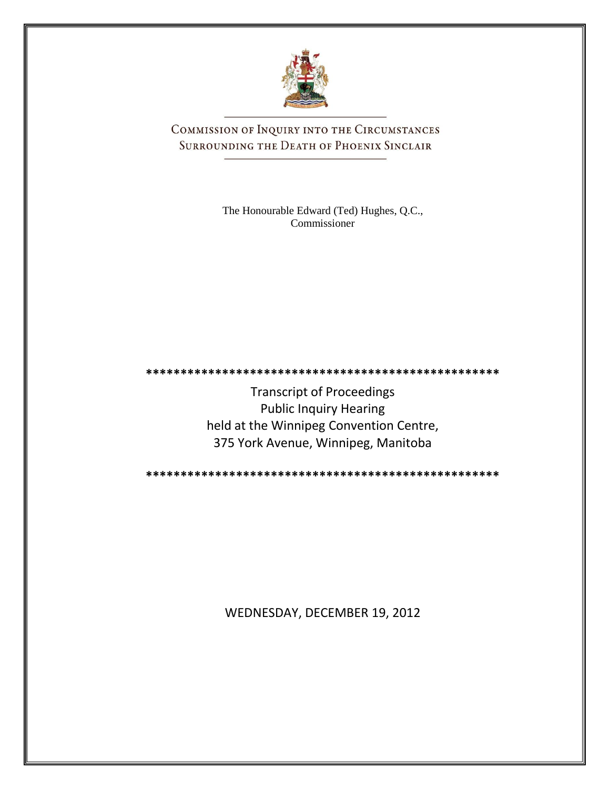

COMMISSION OF INQUIRY INTO THE CIRCUMSTANCES SURROUNDING THE DEATH OF PHOENIX SINCLAIR

> The Honourable Edward (Ted) Hughes, Q.C., Commissioner

**\*\*\*\*\*\*\*\*\*\*\*\*\*\*\*\*\*\*\*\*\*\*\*\*\*\*\*\*\*\*\*\*\*\*\*\*\*\*\*\*\*\*\*\*\*\*\*\*\*\*\***

Transcript of Proceedings Public Inquiry Hearing held at the Winnipeg Convention Centre, 375 York Avenue, Winnipeg, Manitoba

**\*\*\*\*\*\*\*\*\*\*\*\*\*\*\*\*\*\*\*\*\*\*\*\*\*\*\*\*\*\*\*\*\*\*\*\*\*\*\*\*\*\*\*\*\*\*\*\*\*\*\***

WEDNESDAY, DECEMBER 19, 2012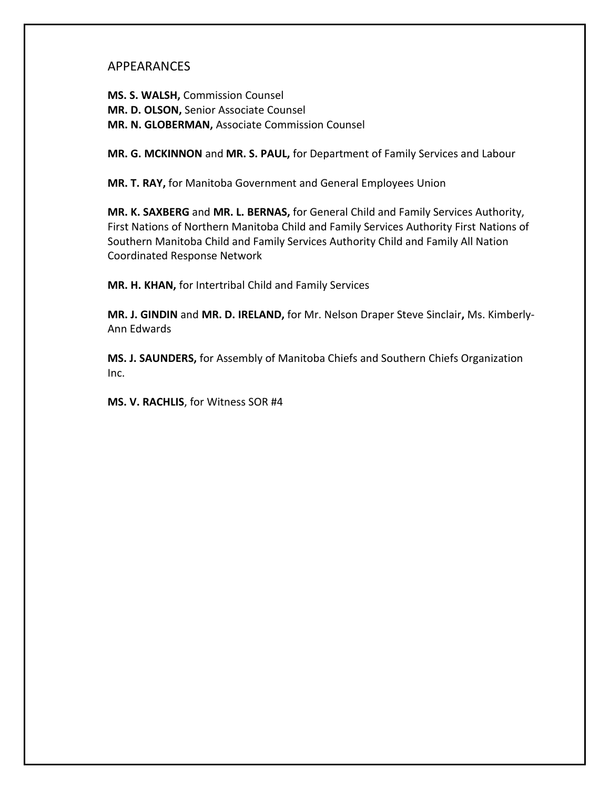## APPEARANCES

**MS. S. WALSH,** Commission Counsel **MR. D. OLSON,** Senior Associate Counsel **MR. N. GLOBERMAN,** Associate Commission Counsel

**MR. G. MCKINNON** and **MR. S. PAUL,** for Department of Family Services and Labour

**MR. T. RAY,** for Manitoba Government and General Employees Union

**MR. K. SAXBERG** and **MR. L. BERNAS,** for General Child and Family Services Authority, First Nations of Northern Manitoba Child and Family Services Authority First Nations of Southern Manitoba Child and Family Services Authority Child and Family All Nation Coordinated Response Network

**MR. H. KHAN,** for Intertribal Child and Family Services

**MR. J. GINDIN** and **MR. D. IRELAND,** for Mr. Nelson Draper Steve Sinclair**,** Ms. Kimberly-Ann Edwards

**MS. J. SAUNDERS,** for Assembly of Manitoba Chiefs and Southern Chiefs Organization Inc.

**MS. V. RACHLIS**, for Witness SOR #4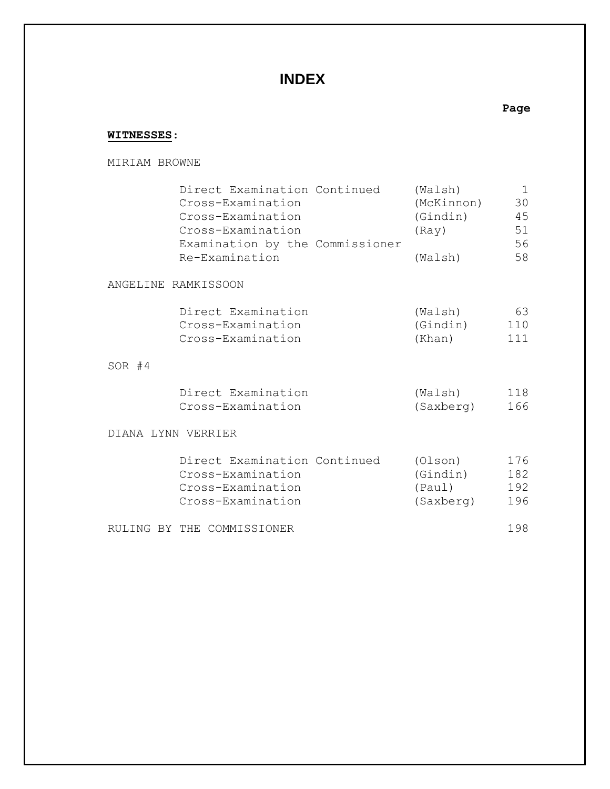## **INDEX**

## **WITNESSES**:

MIRIAM BROWNE

|                     | Direct Examination Continued<br>Cross-Examination<br>Cross-Examination<br>Cross-Examination<br>Examination by the Commissioner<br>Re-Examination |  | (Walsh)<br>(McKinnon)<br>(Gindin)<br>(Ray)<br>(Walsh) | 1<br>30<br>45<br>51<br>56<br>58 |
|---------------------|--------------------------------------------------------------------------------------------------------------------------------------------------|--|-------------------------------------------------------|---------------------------------|
| ANGELINE RAMKISSOON |                                                                                                                                                  |  |                                                       |                                 |
|                     | Direct Examination<br>Cross-Examination<br>Cross-Examination                                                                                     |  | (Walsh)<br>(Gindin)<br>(Khan)                         | 63<br>110<br>111                |
| $SOR$ #4            |                                                                                                                                                  |  |                                                       |                                 |
|                     | Direct Examination<br>Cross-Examination                                                                                                          |  | (Walsh)<br>(Saxberg)                                  | 118<br>166                      |
| DIANA LYNN VERRIER  |                                                                                                                                                  |  |                                                       |                                 |
|                     | Direct Examination Continued<br>Cross-Examination<br>Cross-Examination<br>Cross-Examination                                                      |  | (Olson)<br>(Gindin)<br>(Paul)<br>(Saxberg)            | 176<br>182<br>192<br>196        |
|                     | RULING BY THE COMMISSIONER                                                                                                                       |  |                                                       | 198                             |

**Page**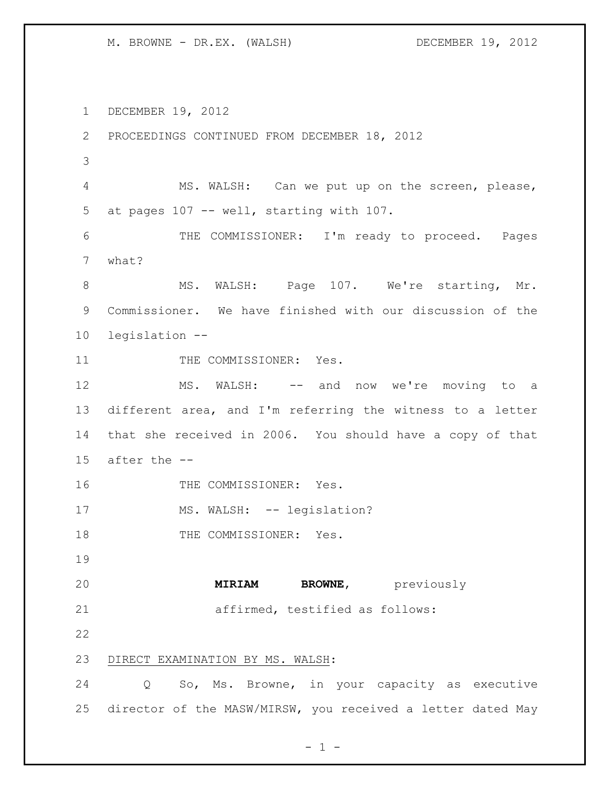DECEMBER 19, 2012 PROCEEDINGS CONTINUED FROM DECEMBER 18, 2012 MS. WALSH: Can we put up on the screen, please, at pages 107 -- well, starting with 107. THE COMMISSIONER: I'm ready to proceed. Pages what? 8 MS. WALSH: Page 107. We're starting, Mr. Commissioner. We have finished with our discussion of the legislation -- 11 THE COMMISSIONER: Yes. MS. WALSH: -- and now we're moving to a different area, and I'm referring the witness to a letter that she received in 2006. You should have a copy of that after the -- 16 THE COMMISSIONER: Yes. 17 MS. WALSH: -- legislation? 18 THE COMMISSIONER: Yes. **MIRIAM BROWNE**, previously affirmed, testified as follows: DIRECT EXAMINATION BY MS. WALSH: Q So, Ms. Browne, in your capacity as executive director of the MASW/MIRSW, you received a letter dated May

 $- 1 -$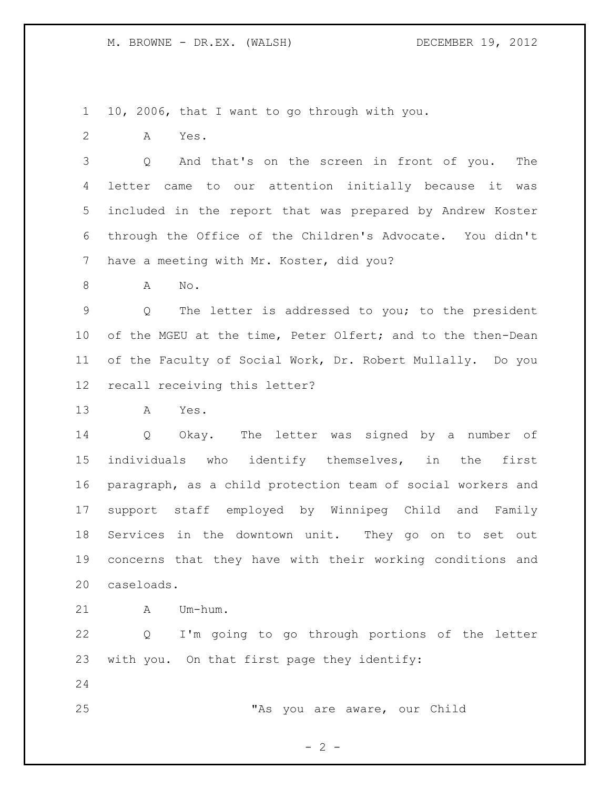10, 2006, that I want to go through with you.

A Yes.

 Q And that's on the screen in front of you. The letter came to our attention initially because it was included in the report that was prepared by Andrew Koster through the Office of the Children's Advocate. You didn't have a meeting with Mr. Koster, did you?

A No.

 Q The letter is addressed to you; to the president of the MGEU at the time, Peter Olfert; and to the then-Dean of the Faculty of Social Work, Dr. Robert Mullally. Do you recall receiving this letter?

A Yes.

 Q Okay. The letter was signed by a number of individuals who identify themselves, in the first paragraph, as a child protection team of social workers and support staff employed by Winnipeg Child and Family Services in the downtown unit. They go on to set out concerns that they have with their working conditions and caseloads.

A Um-hum.

 Q I'm going to go through portions of the letter with you. On that first page they identify:

"As you are aware, our Child

 $- 2 -$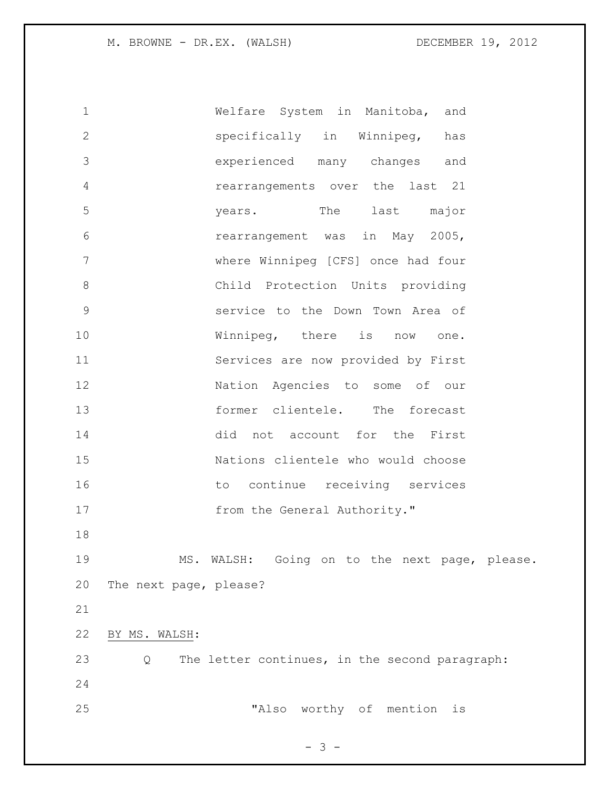Welfare System in Manitoba, and specifically in Winnipeg, has experienced many changes and rearrangements over the last 21 years. The last major rearrangement was in May 2005, where Winnipeg [CFS] once had four Child Protection Units providing service to the Down Town Area of Winnipeg, there is now one. Services are now provided by First Nation Agencies to some of our 13 former clientele. The forecast did not account for the First Nations clientele who would choose 16 to continue receiving services 17 from the General Authority." MS. WALSH: Going on to the next page, please. The next page, please? BY MS. WALSH: Q The letter continues, in the second paragraph: "Also worthy of mention is

 $- 3 -$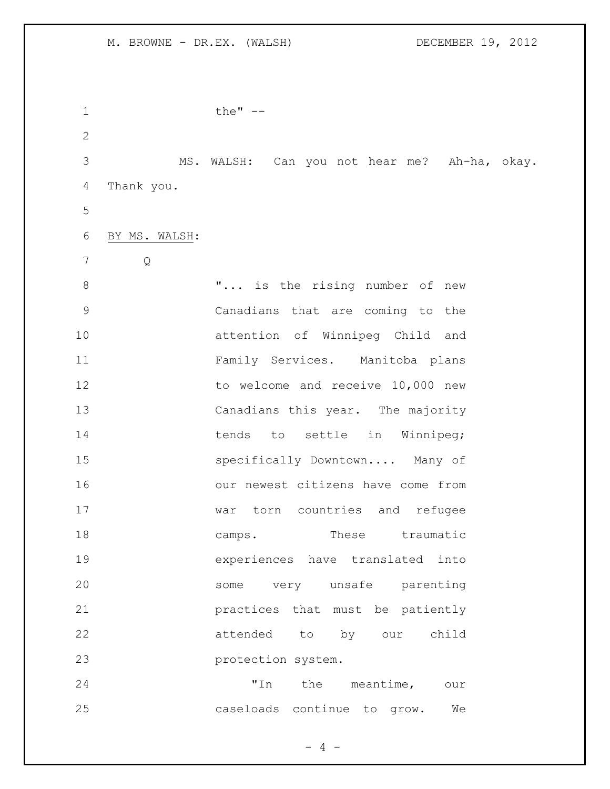| $\mathbf 1$  |               | the" $--$                                    |
|--------------|---------------|----------------------------------------------|
| $\mathbf{2}$ |               |                                              |
| 3            |               | MS. WALSH: Can you not hear me? Ah-ha, okay. |
| 4            | Thank you.    |                                              |
| 5            |               |                                              |
| 6            | BY MS. WALSH: |                                              |
| 7            | Q             |                                              |
| 8            |               | " is the rising number of new                |
| 9            |               | Canadians that are coming to the             |
| 10           |               | attention of Winnipeg Child and              |
| 11           |               | Family Services. Manitoba plans              |
| 12           |               | to welcome and receive 10,000 new            |
| 13           |               | Canadians this year. The majority            |
| 14           |               | to settle in Winnipeg;<br>tends              |
| 15           |               | specifically Downtown Many of                |
| 16           |               | our newest citizens have come from           |
| 17           |               | torn countries and refugee<br>war            |
| 18           |               | These traumatic<br>camps.                    |
| 19           |               | experiences have translated into             |
| 20           |               | very unsafe<br>parenting<br>some             |
| 21           |               | practices that must be patiently             |
| 22           |               | attended<br>to by our<br>child               |
| 23           |               | protection system.                           |
| 24           |               | "In<br>the<br>meantime,<br>our               |
| 25           |               | caseloads continue to grow.<br>We            |

- 4 -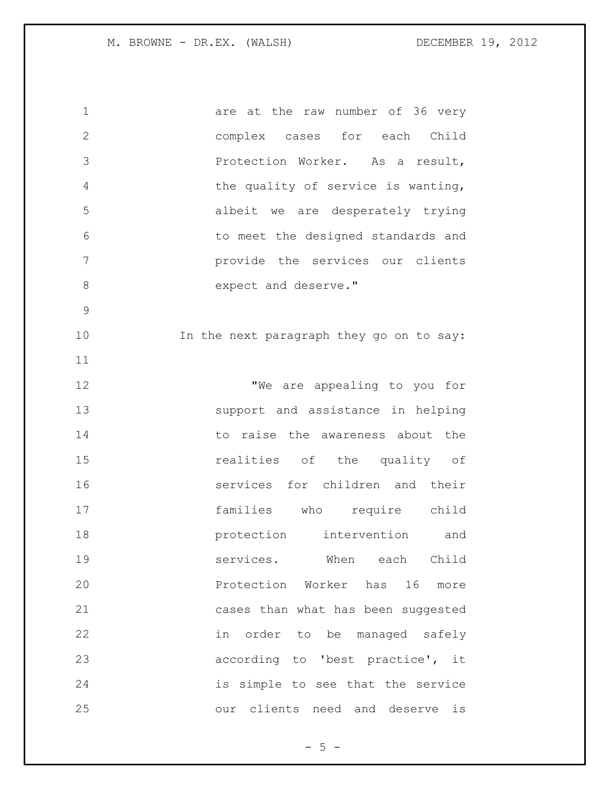| $1\,$          | are at the raw number of 36 very         |
|----------------|------------------------------------------|
| $\mathbf{2}$   | complex cases for each Child             |
| 3              | Protection Worker. As a result,          |
| 4              | the quality of service is wanting,       |
| 5              | albeit we are desperately trying         |
| 6              | to meet the designed standards and       |
| $\overline{7}$ | provide the services our clients         |
| 8              | expect and deserve."                     |
| $\mathcal{G}$  |                                          |
| 10             | In the next paragraph they go on to say: |
| 11             |                                          |
| 12             | "We are appealing to you for             |
| 13             | support and assistance in helping        |
| 14             | to raise the awareness about the         |
| 15             | realities of the quality of              |
| 16             | services for children and their          |
| 17             | families who require child               |
| 18             | protection intervention<br>and           |
| 19             | services.<br>When<br>each<br>Child       |
| 20             | Protection Worker has 16 more            |
| 21             | cases than what has been suggested       |
| 22             | order to be managed safely<br>in         |
| 23             | according to 'best practice', it         |
| 24             | is simple to see that the service        |
| 25             | clients need and deserve<br>our<br>is    |

 $-5 -$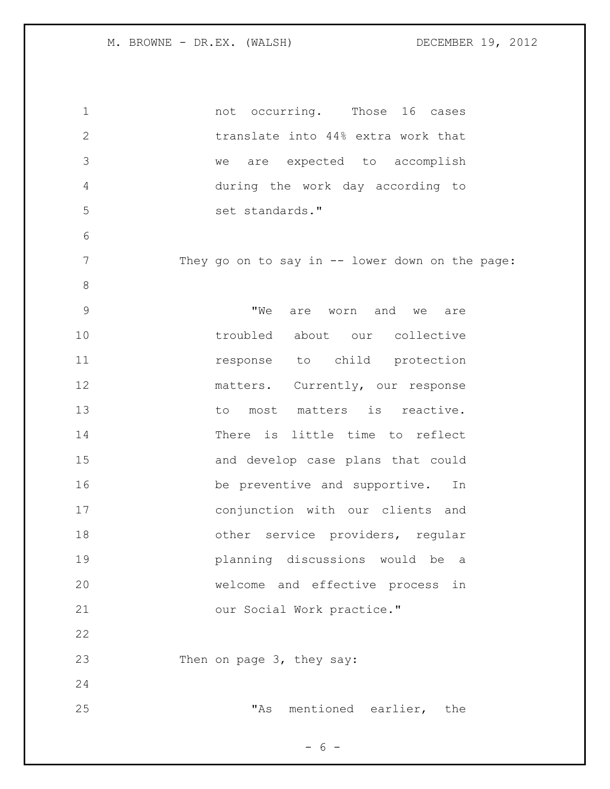| $\mathbf 1$   | not occurring. Those 16 cases                   |
|---------------|-------------------------------------------------|
| $\mathbf{2}$  | translate into 44% extra work that              |
| 3             | we are expected to accomplish                   |
| 4             | during the work day according to                |
| 5             | set standards."                                 |
| 6             |                                                 |
| 7             | They go on to say in -- lower down on the page: |
| 8             |                                                 |
| $\mathcal{G}$ | are worn and we are<br>"We                      |
| 10            | troubled about our collective                   |
| 11            | response to child protection                    |
| 12            | matters. Currently, our response                |
| 13            | to most matters is reactive.                    |
| 14            | There is little time to reflect                 |
| 15            | and develop case plans that could               |
| 16            | be preventive and supportive. In                |
| 17            | conjunction with our clients and                |
| 18            | other service providers, regular                |
| 19            | planning discussions would be<br>a a            |
| 20            | welcome and effective process<br>in             |
| 21            | our Social Work practice."                      |
| 22            |                                                 |
| 23            | Then on page 3, they say:                       |
| 24            |                                                 |
| 25            | mentioned earlier, the<br>"As                   |

- 6 -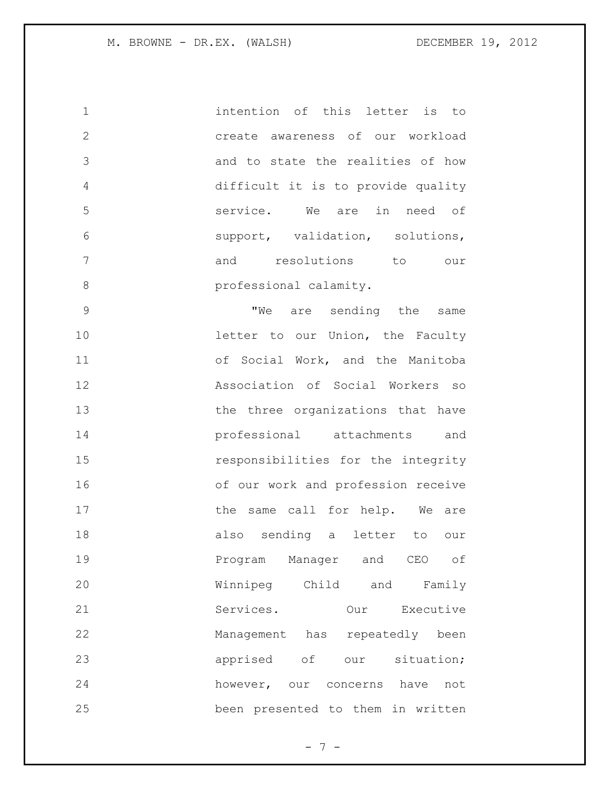intention of this letter is to create awareness of our workload and to state the realities of how difficult it is to provide quality service. We are in need of support, validation, solutions, and resolutions to our **professional calamity.** 

9 TWe are sending the same **letter to our Union, the Faculty**  of Social Work, and the Manitoba Association of Social Workers so 13 the three organizations that have professional attachments and responsibilities for the integrity of our work and profession receive 17 the same call for help. We are also sending a letter to our Program Manager and CEO of Winnipeg Child and Family Services. Our Executive Management has repeatedly been **apprised** of our situation; however, our concerns have not been presented to them in written

 $- 7 -$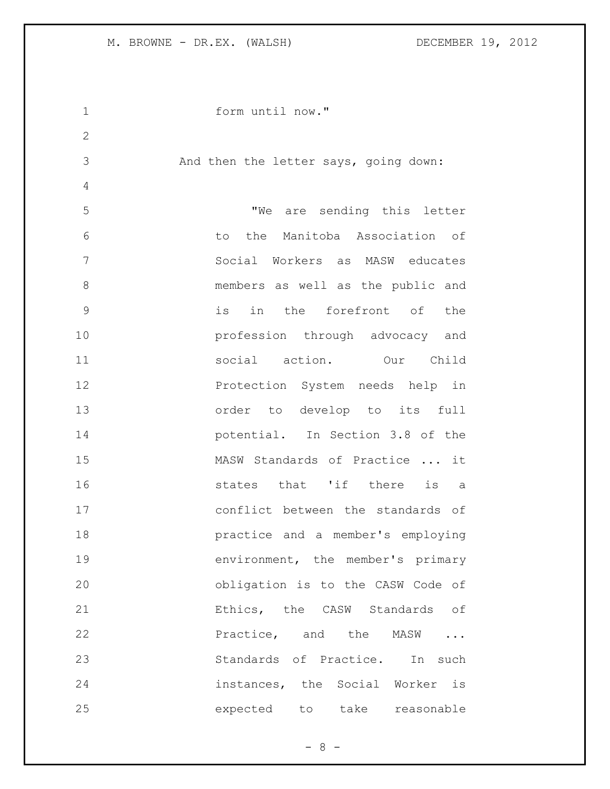```
1 form until now."
2
3 And then the letter says, going down:
4
5 "We are sending this letter 
6 to the Manitoba Association of 
7 Social Workers as MASW educates 
8 members as well as the public and 
9 is in the forefront of the 
10 profession through advocacy and 
11 social action. Our Child 
12 Protection System needs help in 
13 order to develop to its full 
14 potential. In Section 3.8 of the 
15 MASW Standards of Practice ... it 
16 51 16 states that 'if there is a
17 conflict between the standards of 
18 practice and a member's employing 
19 environment, the member's primary 
20 obligation is to the CASW Code of 
21 Ethics, the CASW Standards of
22 Practice, and the MASW ...
23 Standards of Practice. In such
24 instances, the Social Worker is 
25 expected to take reasonable
```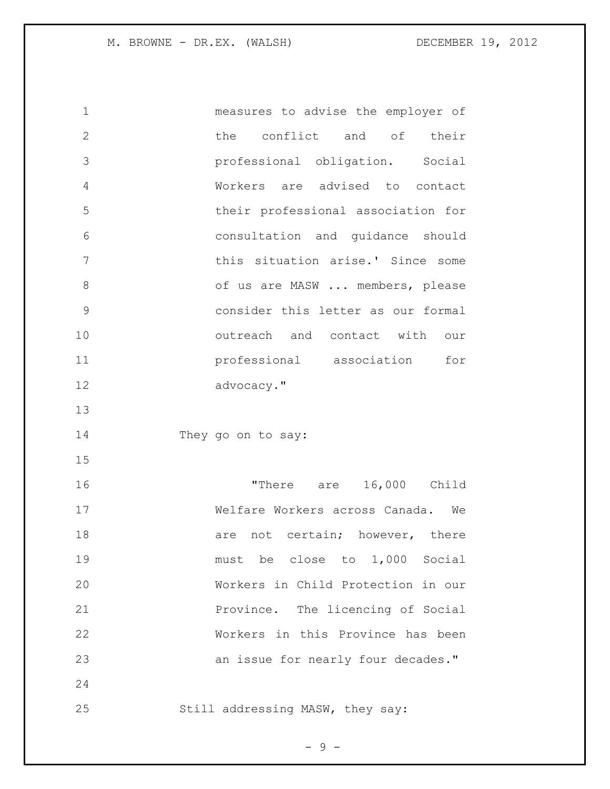measures to advise the employer of the conflict and of their professional obligation. Social Workers are advised to contact their professional association for consultation and guidance should this situation arise.' Since some of us are MASW ... members, please consider this letter as our formal **b** outreach and contact with our professional association for advocacy." They go on to say: "There are 16,000 Child Welfare Workers across Canada. We 18 are not certain; however, there must be close to 1,000 Social Workers in Child Protection in our Province. The licencing of Social Workers in this Province has been **an issue for nearly four decades."**  Still addressing MASW, they say:

- 9 -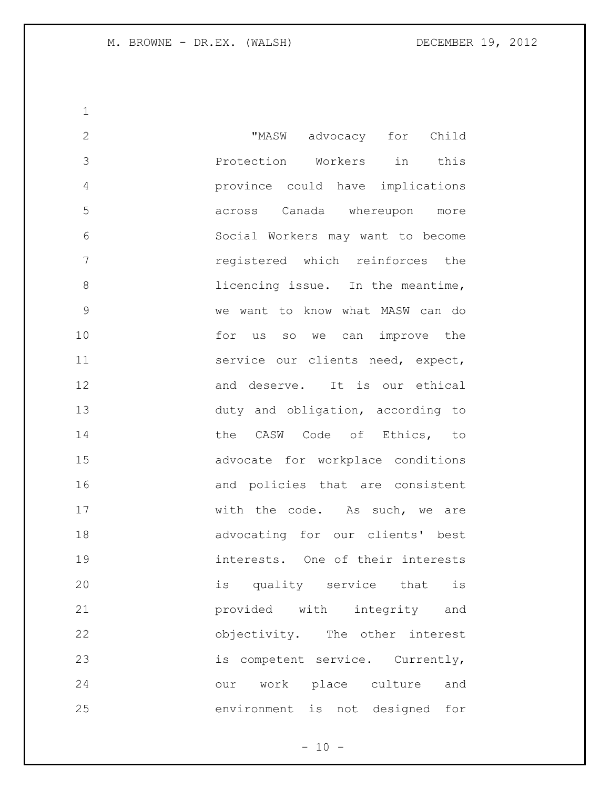"MASW advocacy for Child Protection Workers in this province could have implications across Canada whereupon more Social Workers may want to become registered which reinforces the 8 licencing issue. In the meantime, we want to know what MASW can do 10 for us so we can improve the **Service our clients need, expect,**  and deserve. It is our ethical duty and obligation, according to 14 the CASW Code of Ethics, to advocate for workplace conditions and policies that are consistent 17 with the code. As such, we are advocating for our clients' best interests. One of their interests is quality service that is provided with integrity and objectivity. The other interest 23 is competent service. Currently, our work place culture and environment is not designed for

 $- 10 -$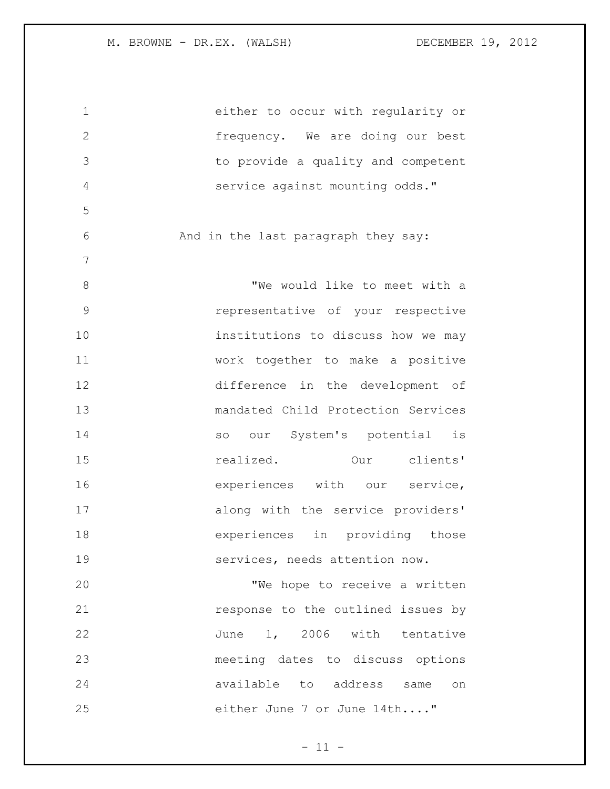either to occur with regularity or frequency. We are doing our best to provide a quality and competent service against mounting odds." And in the last paragraph they say: 8 We would like to meet with a representative of your respective **institutions** to discuss how we may work together to make a positive difference in the development of mandated Child Protection Services 14 so our System's potential is realized. Our clients' **Experiences** with our service, along with the service providers' experiences in providing those services, needs attention now. "We hope to receive a written **response** to the outlined issues by June 1, 2006 with tentative meeting dates to discuss options available to address same on either June 7 or June 14th...."

 $- 11 -$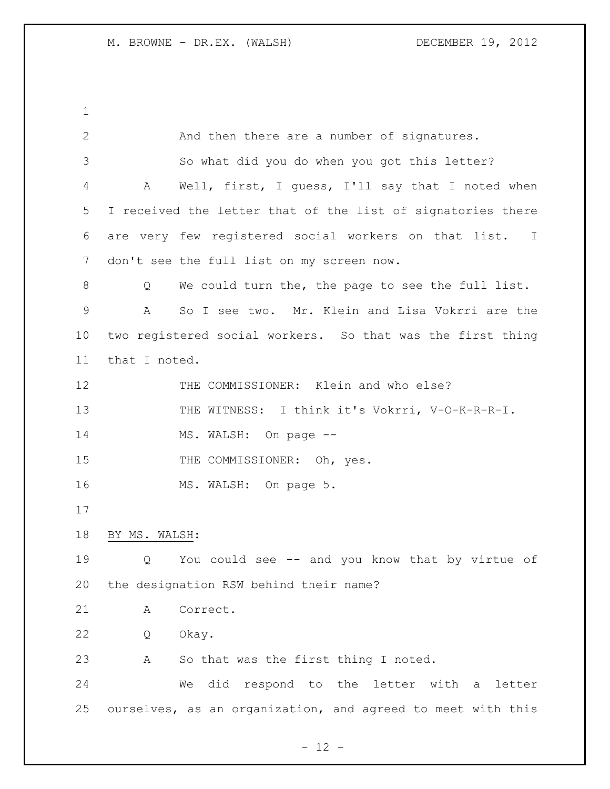And then there are a number of signatures. So what did you do when you got this letter? A Well, first, I guess, I'll say that I noted when I received the letter that of the list of signatories there are very few registered social workers on that list. I don't see the full list on my screen now. Q We could turn the, the page to see the full list. A So I see two. Mr. Klein and Lisa Vokrri are the two registered social workers. So that was the first thing that I noted. THE COMMISSIONER: Klein and who else? 13 THE WITNESS: I think it's Vokrri, V-O-K-R-R-I. 14 MS. WALSH: On page --15 THE COMMISSIONER: Oh, yes. 16 MS. WALSH: On page 5. BY MS. WALSH: Q You could see -- and you know that by virtue of the designation RSW behind their name? A Correct. Q Okay. A So that was the first thing I noted. We did respond to the letter with a letter ourselves, as an organization, and agreed to meet with this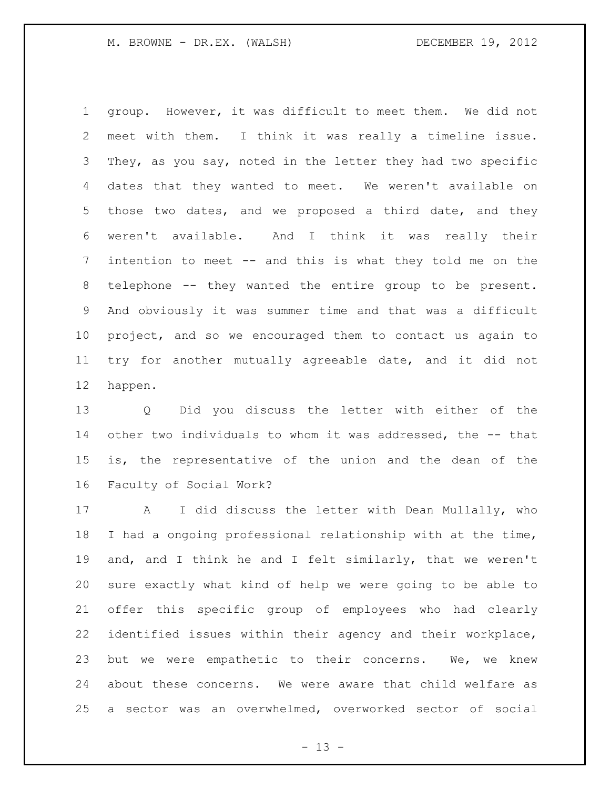group. However, it was difficult to meet them. We did not meet with them. I think it was really a timeline issue. They, as you say, noted in the letter they had two specific dates that they wanted to meet. We weren't available on those two dates, and we proposed a third date, and they weren't available. And I think it was really their intention to meet -- and this is what they told me on the telephone -- they wanted the entire group to be present. And obviously it was summer time and that was a difficult project, and so we encouraged them to contact us again to try for another mutually agreeable date, and it did not happen.

 Q Did you discuss the letter with either of the other two individuals to whom it was addressed, the -- that is, the representative of the union and the dean of the Faculty of Social Work?

 A I did discuss the letter with Dean Mullally, who I had a ongoing professional relationship with at the time, and, and I think he and I felt similarly, that we weren't sure exactly what kind of help we were going to be able to offer this specific group of employees who had clearly identified issues within their agency and their workplace, but we were empathetic to their concerns. We, we knew about these concerns. We were aware that child welfare as a sector was an overwhelmed, overworked sector of social

 $- 13 -$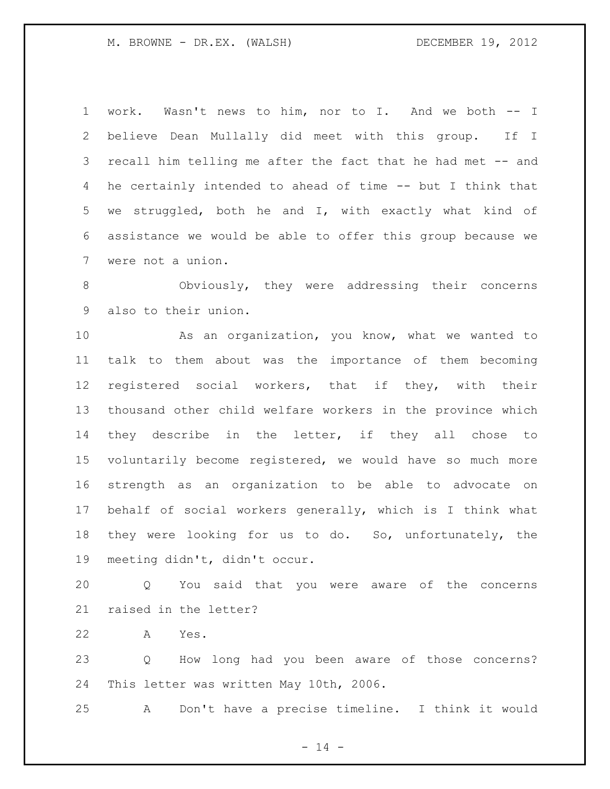work. Wasn't news to him, nor to I. And we both -- I believe Dean Mullally did meet with this group. If I recall him telling me after the fact that he had met -- and he certainly intended to ahead of time -- but I think that we struggled, both he and I, with exactly what kind of assistance we would be able to offer this group because we were not a union.

 Obviously, they were addressing their concerns also to their union.

 As an organization, you know, what we wanted to talk to them about was the importance of them becoming registered social workers, that if they, with their thousand other child welfare workers in the province which they describe in the letter, if they all chose to voluntarily become registered, we would have so much more strength as an organization to be able to advocate on behalf of social workers generally, which is I think what they were looking for us to do. So, unfortunately, the meeting didn't, didn't occur.

 Q You said that you were aware of the concerns raised in the letter?

A Yes.

 Q How long had you been aware of those concerns? This letter was written May 10th, 2006.

A Don't have a precise timeline. I think it would

 $- 14 -$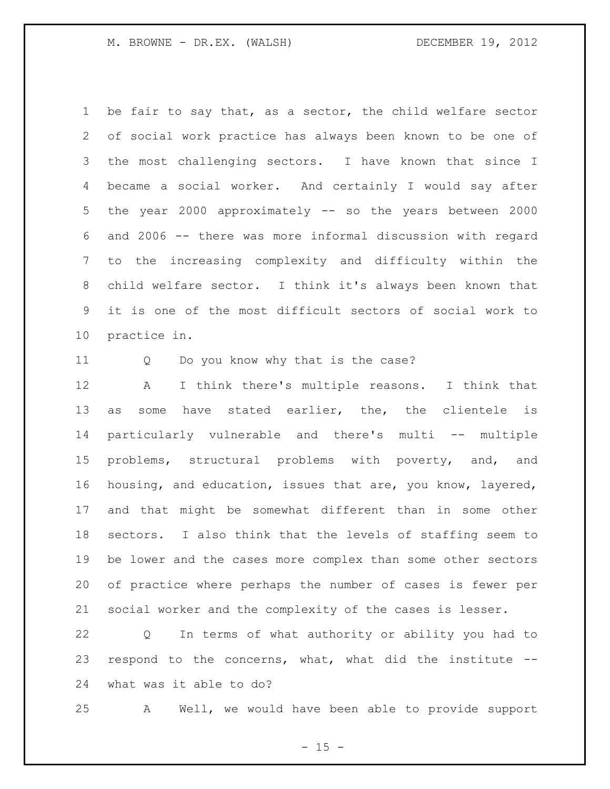be fair to say that, as a sector, the child welfare sector of social work practice has always been known to be one of the most challenging sectors. I have known that since I became a social worker. And certainly I would say after the year 2000 approximately -- so the years between 2000 and 2006 -- there was more informal discussion with regard to the increasing complexity and difficulty within the child welfare sector. I think it's always been known that it is one of the most difficult sectors of social work to practice in.

Q Do you know why that is the case?

 A I think there's multiple reasons. I think that as some have stated earlier, the, the clientele is particularly vulnerable and there's multi -- multiple problems, structural problems with poverty, and, and housing, and education, issues that are, you know, layered, and that might be somewhat different than in some other sectors. I also think that the levels of staffing seem to be lower and the cases more complex than some other sectors of practice where perhaps the number of cases is fewer per social worker and the complexity of the cases is lesser.

 Q In terms of what authority or ability you had to respond to the concerns, what, what did the institute -- what was it able to do?

A Well, we would have been able to provide support

 $- 15 -$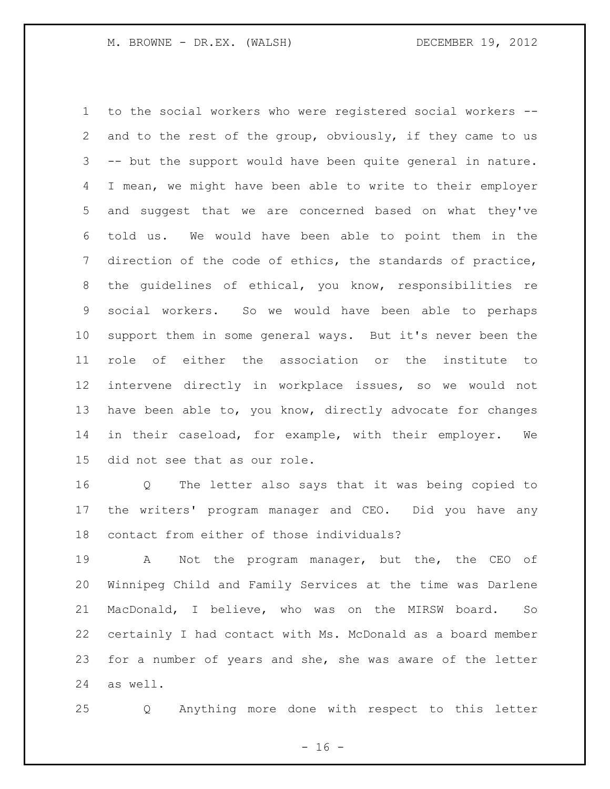to the social workers who were registered social workers -- and to the rest of the group, obviously, if they came to us -- but the support would have been quite general in nature. I mean, we might have been able to write to their employer and suggest that we are concerned based on what they've told us. We would have been able to point them in the direction of the code of ethics, the standards of practice, the guidelines of ethical, you know, responsibilities re social workers. So we would have been able to perhaps support them in some general ways. But it's never been the role of either the association or the institute to intervene directly in workplace issues, so we would not have been able to, you know, directly advocate for changes in their caseload, for example, with their employer. We did not see that as our role.

 Q The letter also says that it was being copied to the writers' program manager and CEO. Did you have any contact from either of those individuals?

 A Not the program manager, but the, the CEO of Winnipeg Child and Family Services at the time was Darlene MacDonald, I believe, who was on the MIRSW board. So certainly I had contact with Ms. McDonald as a board member for a number of years and she, she was aware of the letter as well.

Q Anything more done with respect to this letter

- 16 -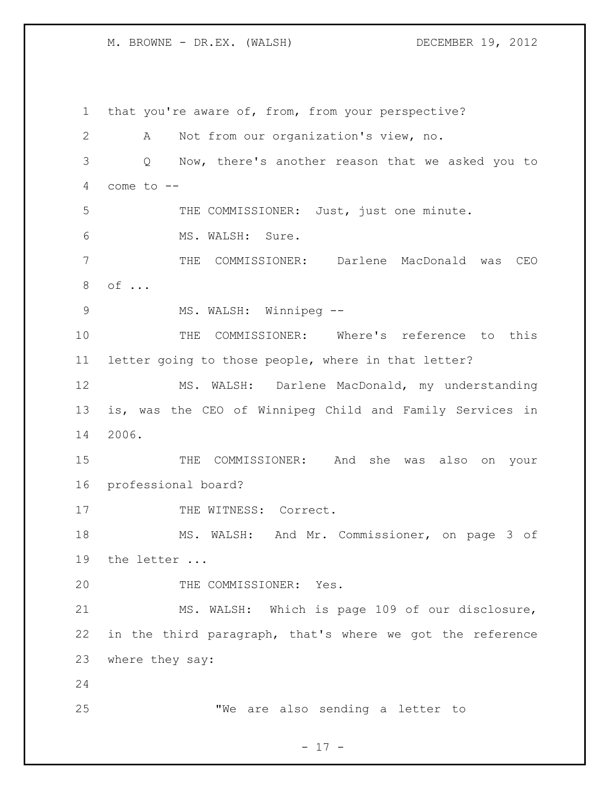that you're aware of, from, from your perspective? A Not from our organization's view, no. Q Now, there's another reason that we asked you to come to -- THE COMMISSIONER: Just, just one minute. MS. WALSH: Sure. THE COMMISSIONER: Darlene MacDonald was CEO of ... 9 MS. WALSH: Winnipeg -- THE COMMISSIONER: Where's reference to this letter going to those people, where in that letter? MS. WALSH: Darlene MacDonald, my understanding is, was the CEO of Winnipeg Child and Family Services in 2006. THE COMMISSIONER: And she was also on your professional board? 17 THE WITNESS: Correct. MS. WALSH: And Mr. Commissioner, on page 3 of the letter ... 20 THE COMMISSIONER: Yes. MS. WALSH: Which is page 109 of our disclosure, in the third paragraph, that's where we got the reference where they say: "We are also sending a letter to

- 17 -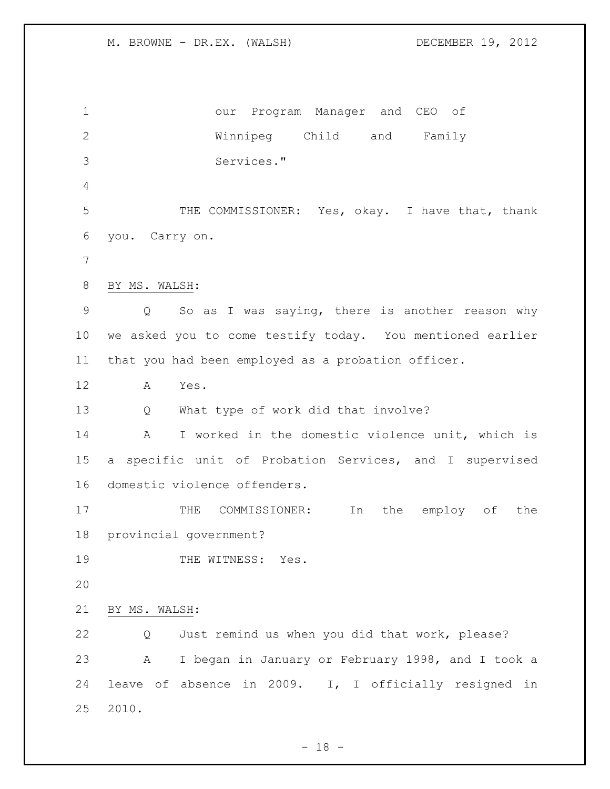our Program Manager and CEO of Winnipeg Child and Family Services." THE COMMISSIONER: Yes, okay. I have that, thank you. Carry on. BY MS. WALSH: Q So as I was saying, there is another reason why we asked you to come testify today. You mentioned earlier that you had been employed as a probation officer. A Yes. Q What type of work did that involve? A I worked in the domestic violence unit, which is a specific unit of Probation Services, and I supervised domestic violence offenders. 17 THE COMMISSIONER: In the employ of the provincial government? 19 THE WITNESS: Yes. BY MS. WALSH: Q Just remind us when you did that work, please? A I began in January or February 1998, and I took a leave of absence in 2009. I, I officially resigned in 2010.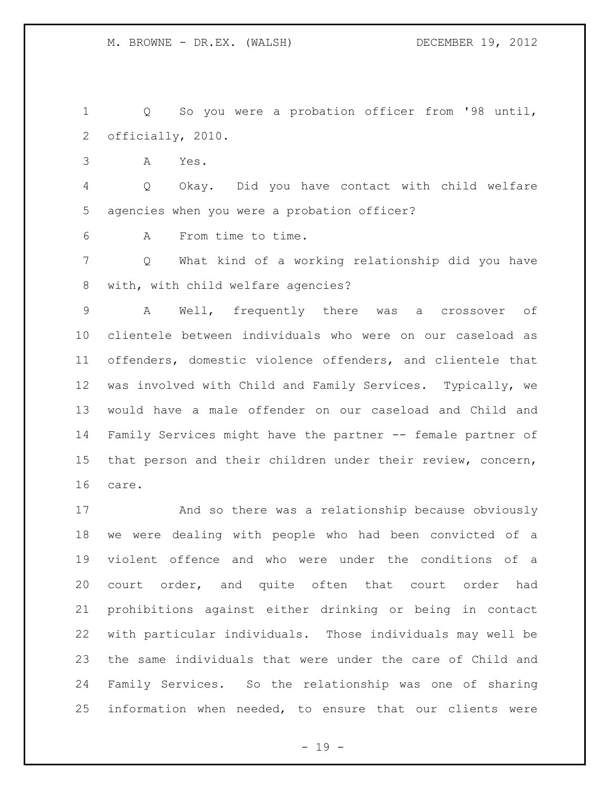Q So you were a probation officer from '98 until, officially, 2010.

A Yes.

 Q Okay. Did you have contact with child welfare agencies when you were a probation officer?

A From time to time.

 Q What kind of a working relationship did you have with, with child welfare agencies?

 A Well, frequently there was a crossover of clientele between individuals who were on our caseload as offenders, domestic violence offenders, and clientele that was involved with Child and Family Services. Typically, we would have a male offender on our caseload and Child and Family Services might have the partner -- female partner of that person and their children under their review, concern, care.

 And so there was a relationship because obviously we were dealing with people who had been convicted of a violent offence and who were under the conditions of a court order, and quite often that court order had prohibitions against either drinking or being in contact with particular individuals. Those individuals may well be the same individuals that were under the care of Child and Family Services. So the relationship was one of sharing information when needed, to ensure that our clients were

- 19 -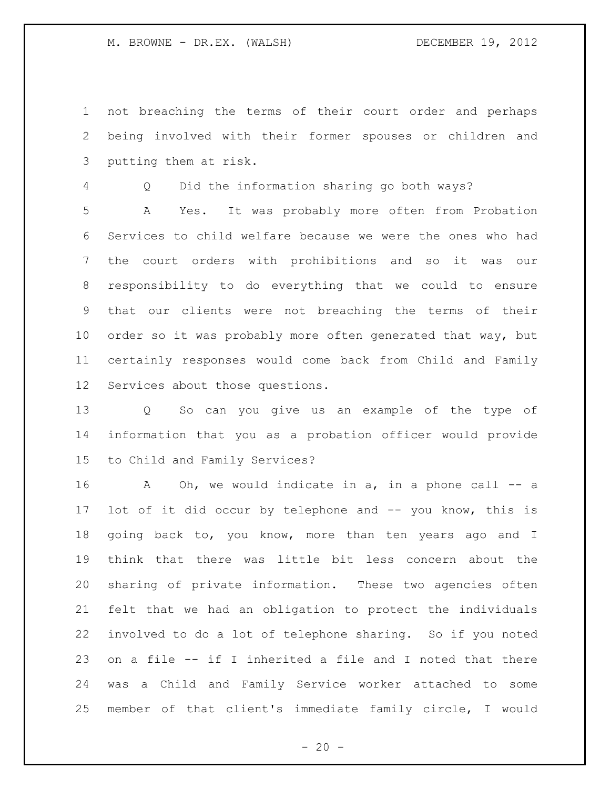not breaching the terms of their court order and perhaps being involved with their former spouses or children and putting them at risk.

Q Did the information sharing go both ways?

 A Yes. It was probably more often from Probation Services to child welfare because we were the ones who had the court orders with prohibitions and so it was our responsibility to do everything that we could to ensure that our clients were not breaching the terms of their order so it was probably more often generated that way, but certainly responses would come back from Child and Family Services about those questions.

 Q So can you give us an example of the type of information that you as a probation officer would provide to Child and Family Services?

16 A Oh, we would indicate in a, in a phone call -- a lot of it did occur by telephone and -- you know, this is 18 going back to, you know, more than ten years ago and I think that there was little bit less concern about the sharing of private information. These two agencies often felt that we had an obligation to protect the individuals involved to do a lot of telephone sharing. So if you noted on a file -- if I inherited a file and I noted that there was a Child and Family Service worker attached to some member of that client's immediate family circle, I would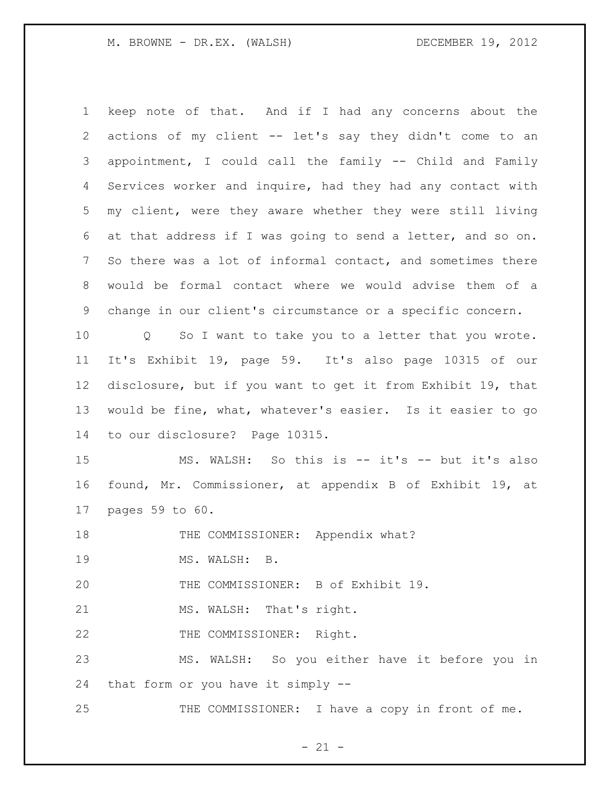keep note of that. And if I had any concerns about the actions of my client -- let's say they didn't come to an appointment, I could call the family -- Child and Family Services worker and inquire, had they had any contact with my client, were they aware whether they were still living at that address if I was going to send a letter, and so on. So there was a lot of informal contact, and sometimes there would be formal contact where we would advise them of a change in our client's circumstance or a specific concern. Q So I want to take you to a letter that you wrote. It's Exhibit 19, page 59. It's also page 10315 of our disclosure, but if you want to get it from Exhibit 19, that would be fine, what, whatever's easier. Is it easier to go to our disclosure? Page 10315. MS. WALSH: So this is -- it's -- but it's also found, Mr. Commissioner, at appendix B of Exhibit 19, at pages 59 to 60. 18 THE COMMISSIONER: Appendix what? MS. WALSH: B. THE COMMISSIONER: B of Exhibit 19. 21 MS. WALSH: That's right. 22 THE COMMISSIONER: Right. MS. WALSH: So you either have it before you in that form or you have it simply -- 25 THE COMMISSIONER: I have a copy in front of me.

 $- 21 -$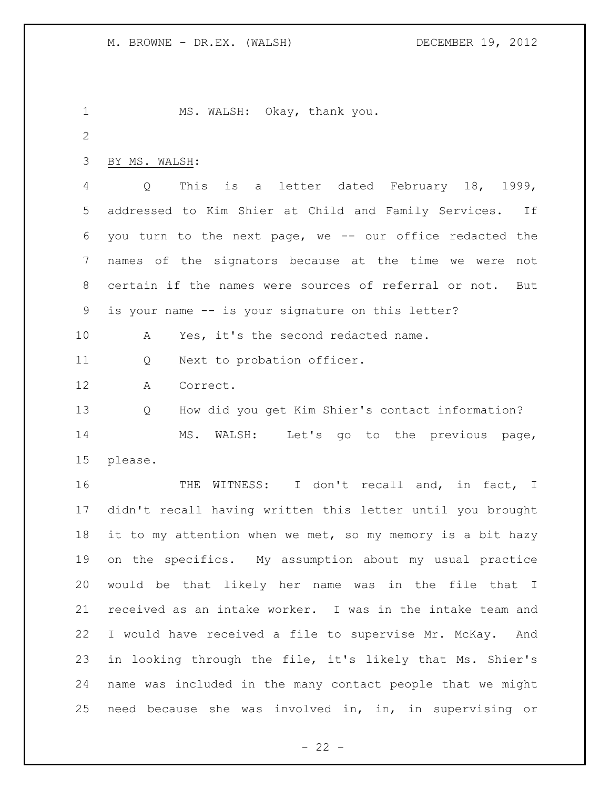1 MS. WALSH: Okay, thank you. BY MS. WALSH: Q This is a letter dated February 18, 1999, addressed to Kim Shier at Child and Family Services. If you turn to the next page, we -- our office redacted the names of the signators because at the time we were not certain if the names were sources of referral or not. But is your name -- is your signature on this letter? 10 A Yes, it's the second redacted name. Q Next to probation officer. A Correct. Q How did you get Kim Shier's contact information? MS. WALSH: Let's go to the previous page, please. 16 THE WITNESS: I don't recall and, in fact, I didn't recall having written this letter until you brought 18 it to my attention when we met, so my memory is a bit hazy on the specifics. My assumption about my usual practice would be that likely her name was in the file that I received as an intake worker. I was in the intake team and I would have received a file to supervise Mr. McKay. And in looking through the file, it's likely that Ms. Shier's name was included in the many contact people that we might need because she was involved in, in, in supervising or

 $- 22 -$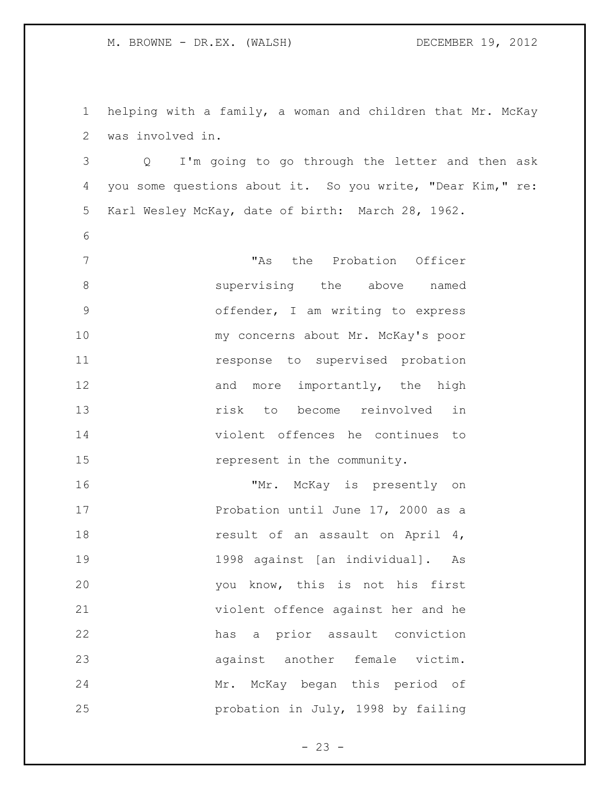helping with a family, a woman and children that Mr. McKay was involved in.

 Q I'm going to go through the letter and then ask you some questions about it. So you write, "Dear Kim," re: Karl Wesley McKay, date of birth: March 28, 1962.

 "As the Probation Officer **Supervising** the above named offender, I am writing to express my concerns about Mr. McKay's poor **11** response to supervised probation 12 and more importantly, the high risk to become reinvolved in violent offences he continues to 15 represent in the community.

16 "Mr. McKay is presently on 17 Probation until June 17, 2000 as a 18 result of an assault on April 4, 1998 against [an individual]. As you know, this is not his first violent offence against her and he has a prior assault conviction against another female victim. Mr. McKay began this period of probation in July, 1998 by failing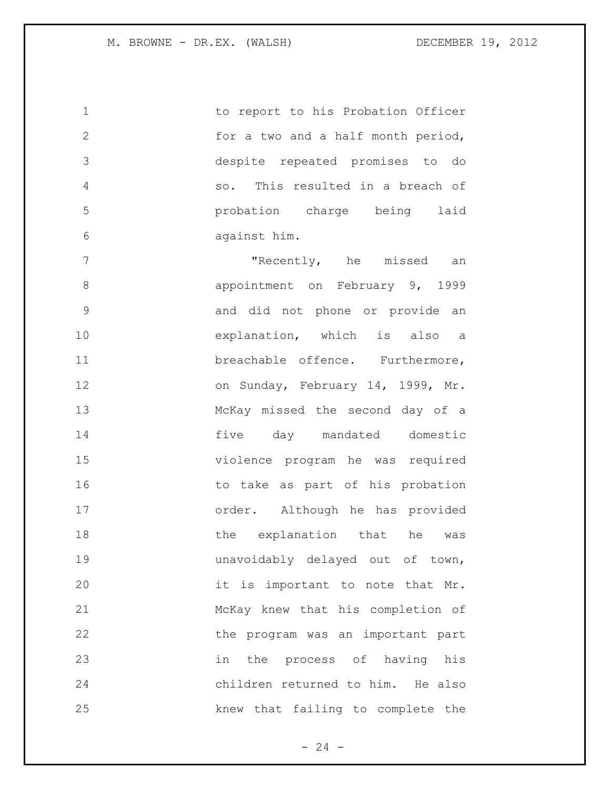1 to report to his Probation Officer for a two and a half month period, despite repeated promises to do so. This resulted in a breach of probation charge being laid against him.

7 The missed an Internative members of the missed an appointment on February 9, 1999 and did not phone or provide an explanation, which is also a breachable offence. Furthermore, 12 on Sunday, February 14, 1999, Mr. McKay missed the second day of a five day mandated domestic violence program he was required 16 to take as part of his probation order. Although he has provided 18 the explanation that he was unavoidably delayed out of town, it is important to note that Mr. McKay knew that his completion of 22 the program was an important part in the process of having his children returned to him. He also knew that failing to complete the

 $- 24 -$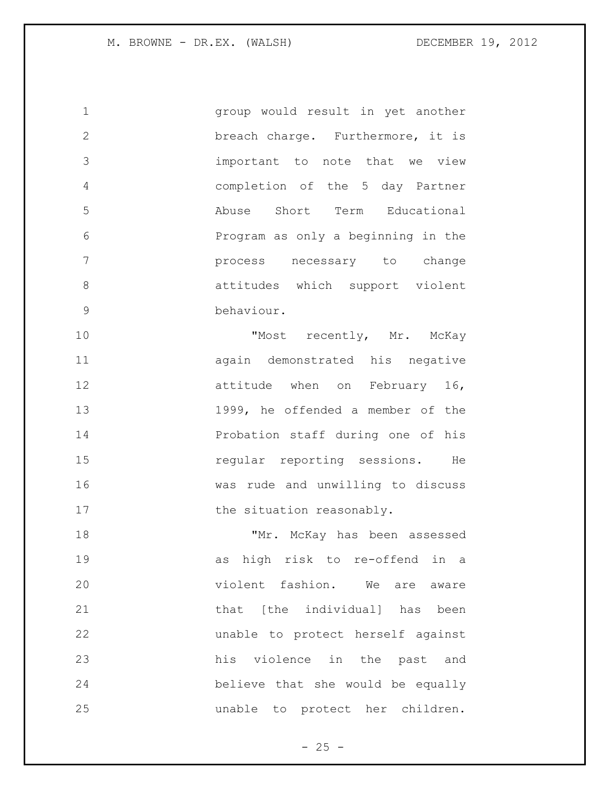group would result in yet another breach charge. Furthermore, it is important to note that we view completion of the 5 day Partner Abuse Short Term Educational Program as only a beginning in the process necessary to change attitudes which support violent behaviour.

10 "Most recently, Mr. McKay again demonstrated his negative 12 attitude when on February 16, 1999, he offended a member of the Probation staff during one of his **15** regular reporting sessions. He was rude and unwilling to discuss 17 the situation reasonably.

18 TMr. McKay has been assessed as high risk to re-offend in a violent fashion. We are aware **blue that** [the individual] has been unable to protect herself against his violence in the past and believe that she would be equally unable to protect her children.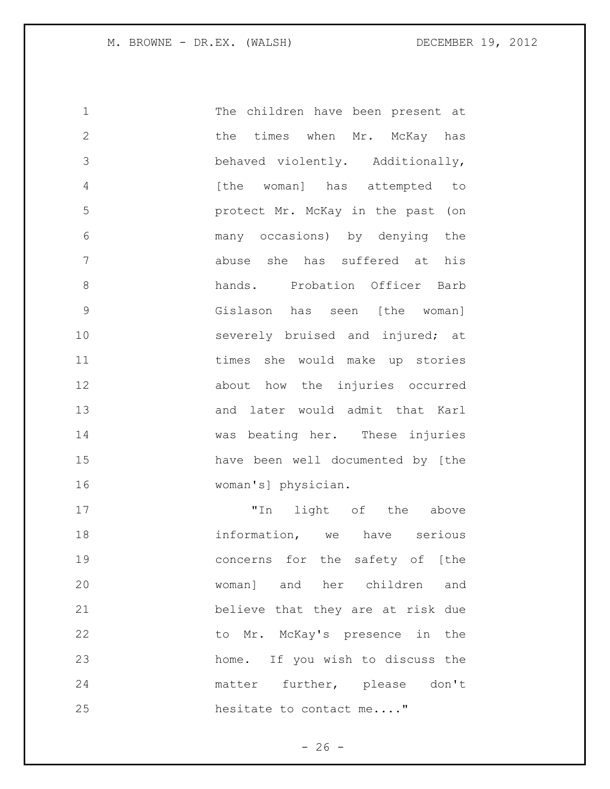| $\mathbf 1$   | The children have been present at    |
|---------------|--------------------------------------|
| $\mathbf{2}$  | the times when Mr. McKay has         |
| 3             | behaved violently. Additionally,     |
| 4             | [the woman] has attempted to         |
| 5             | protect Mr. McKay in the past (on    |
| 6             | many occasions) by denying the       |
| 7             | abuse she has suffered at his        |
| 8             | hands. Probation Officer Barb        |
| $\mathcal{G}$ | Gislason has seen [the woman]        |
| 10            | severely bruised and injured; at     |
| 11            | times she would make up stories      |
| 12            | about how the injuries occurred      |
| 13            | and later would admit that Karl      |
| 14            | was beating her. These injuries      |
| 15            | have been well documented by [the    |
| 16            | woman's] physician.                  |
| 17            | light of the above<br>"In            |
| 18            | information, we have serious         |
| 19            | concerns for the safety of [the      |
| 20            | her children<br>and<br>woman]<br>and |

 believe that they are at risk due 22 to Mr. McKay's presence in the home. If you wish to discuss the matter further, please don't 25 hesitate to contact me...."

- 26 -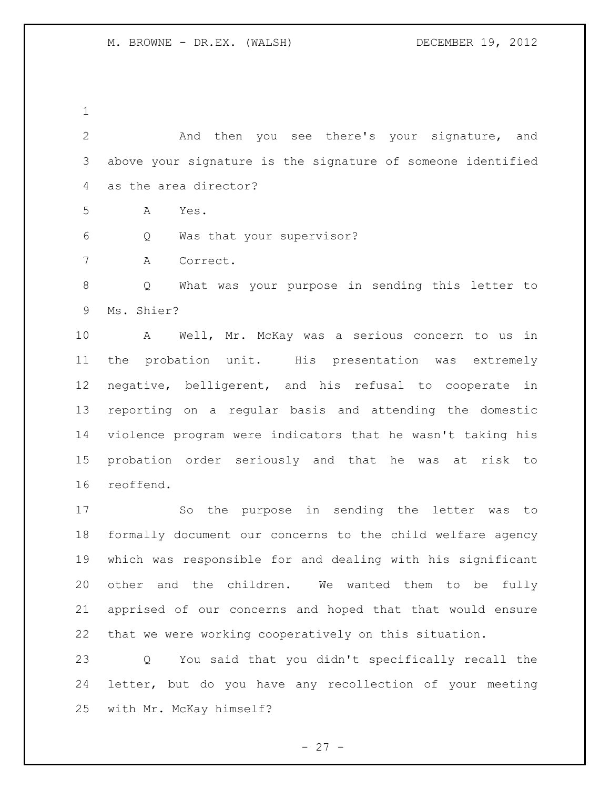And then you see there's your signature, and above your signature is the signature of someone identified as the area director?

A Yes.

Q Was that your supervisor?

A Correct.

 Q What was your purpose in sending this letter to Ms. Shier?

 A Well, Mr. McKay was a serious concern to us in the probation unit. His presentation was extremely negative, belligerent, and his refusal to cooperate in reporting on a regular basis and attending the domestic violence program were indicators that he wasn't taking his probation order seriously and that he was at risk to reoffend.

 So the purpose in sending the letter was to formally document our concerns to the child welfare agency which was responsible for and dealing with his significant other and the children. We wanted them to be fully apprised of our concerns and hoped that that would ensure that we were working cooperatively on this situation.

 Q You said that you didn't specifically recall the letter, but do you have any recollection of your meeting with Mr. McKay himself?

 $- 27 -$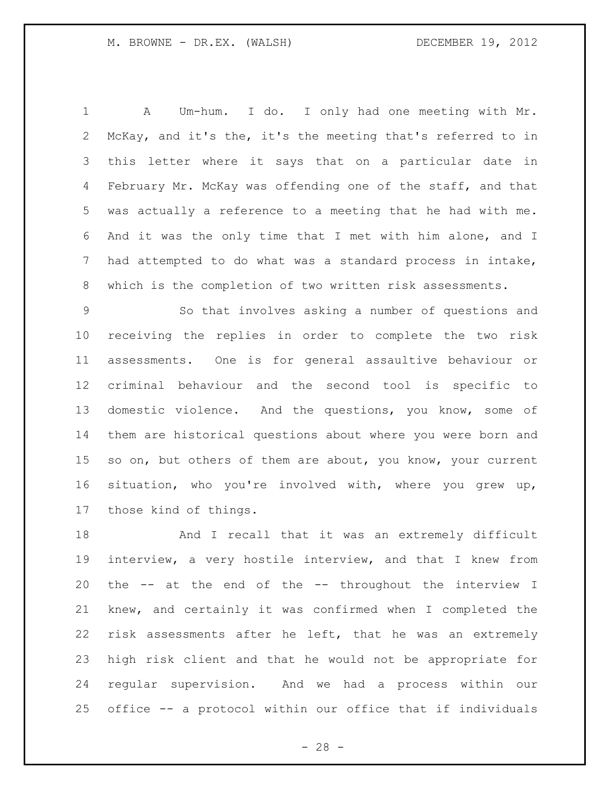A Um-hum. I do. I only had one meeting with Mr. McKay, and it's the, it's the meeting that's referred to in this letter where it says that on a particular date in February Mr. McKay was offending one of the staff, and that was actually a reference to a meeting that he had with me. And it was the only time that I met with him alone, and I had attempted to do what was a standard process in intake, which is the completion of two written risk assessments.

 So that involves asking a number of questions and receiving the replies in order to complete the two risk assessments. One is for general assaultive behaviour or criminal behaviour and the second tool is specific to domestic violence. And the questions, you know, some of them are historical questions about where you were born and 15 so on, but others of them are about, you know, your current situation, who you're involved with, where you grew up, those kind of things.

 And I recall that it was an extremely difficult interview, a very hostile interview, and that I knew from the -- at the end of the -- throughout the interview I knew, and certainly it was confirmed when I completed the risk assessments after he left, that he was an extremely high risk client and that he would not be appropriate for regular supervision. And we had a process within our office -- a protocol within our office that if individuals

 $- 28 -$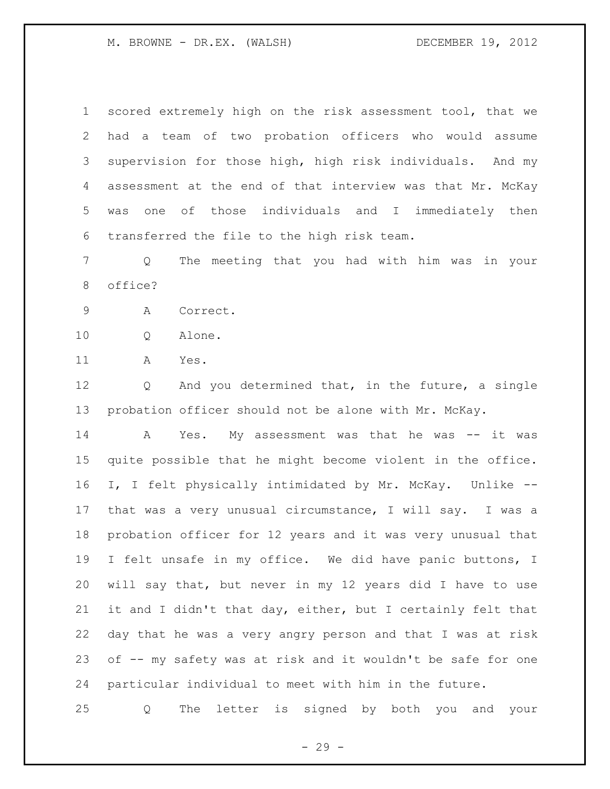scored extremely high on the risk assessment tool, that we had a team of two probation officers who would assume supervision for those high, high risk individuals. And my assessment at the end of that interview was that Mr. McKay was one of those individuals and I immediately then transferred the file to the high risk team.

 Q The meeting that you had with him was in your office?

A Correct.

Q Alone.

A Yes.

 Q And you determined that, in the future, a single probation officer should not be alone with Mr. McKay.

 A Yes. My assessment was that he was -- it was quite possible that he might become violent in the office. I, I felt physically intimidated by Mr. McKay. Unlike -- that was a very unusual circumstance, I will say. I was a probation officer for 12 years and it was very unusual that I felt unsafe in my office. We did have panic buttons, I will say that, but never in my 12 years did I have to use it and I didn't that day, either, but I certainly felt that day that he was a very angry person and that I was at risk of -- my safety was at risk and it wouldn't be safe for one particular individual to meet with him in the future.

Q The letter is signed by both you and your

 $- 29 -$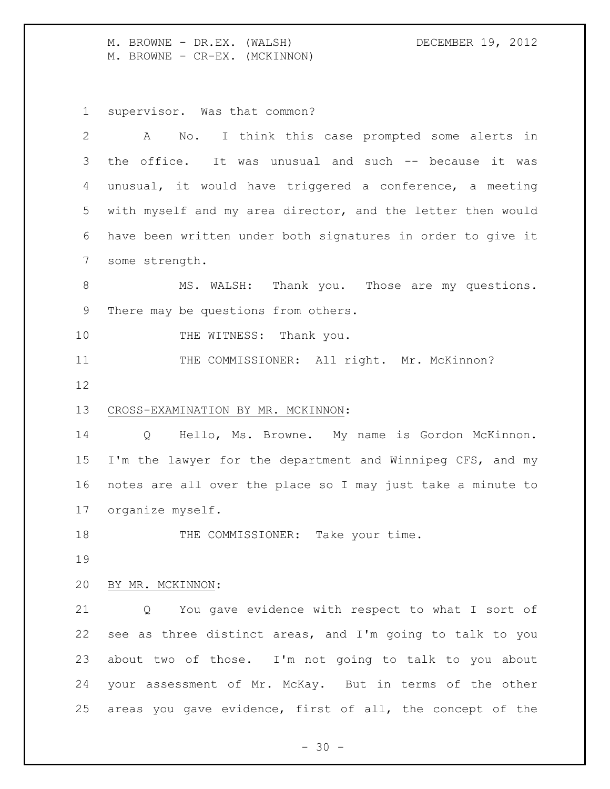M. BROWNE - DR.EX. (WALSH) DECEMBER 19, 2012 M. BROWNE - CR-EX. (MCKINNON)

supervisor. Was that common?

| 2     | No. I think this case prompted some alerts in<br>A          |
|-------|-------------------------------------------------------------|
| 3     | the office. It was unusual and such -- because it was       |
| 4     | unusual, it would have triggered a conference, a meeting    |
| 5     | with myself and my area director, and the letter then would |
| 6     | have been written under both signatures in order to give it |
| 7     | some strength.                                              |
| $8\,$ | MS. WALSH: Thank you. Those are my questions.               |
| 9     | There may be questions from others.                         |
| 10    | THE WITNESS: Thank you.                                     |
| 11    | THE COMMISSIONER: All right. Mr. McKinnon?                  |
| 12    |                                                             |
| 13    | CROSS-EXAMINATION BY MR. MCKINNON:                          |
| 14    | Hello, Ms. Browne. My name is Gordon McKinnon.<br>Q         |
| 15    | I'm the lawyer for the department and Winnipeg CFS, and my  |
| 16    | notes are all over the place so I may just take a minute to |
| 17    | organize myself.                                            |
| 18    | THE COMMISSIONER: Take your time.                           |
| 19    |                                                             |
| 20    | BY MR. MCKINNON:                                            |
| 21    | You gave evidence with respect to what I sort of<br>Q       |
| 22    | see as three distinct areas, and I'm going to talk to you   |
| 23    | about two of those. I'm not going to talk to you about      |
| 24    | your assessment of Mr. McKay. But in terms of the other     |
| 25    | areas you gave evidence, first of all, the concept of the   |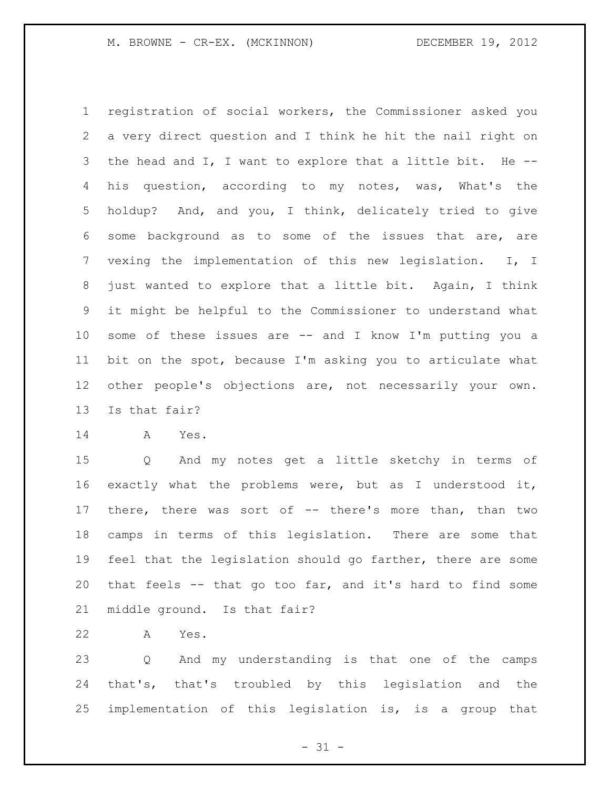registration of social workers, the Commissioner asked you a very direct question and I think he hit the nail right on the head and I, I want to explore that a little bit. He -- his question, according to my notes, was, What's the holdup? And, and you, I think, delicately tried to give some background as to some of the issues that are, are vexing the implementation of this new legislation. I, I just wanted to explore that a little bit. Again, I think it might be helpful to the Commissioner to understand what some of these issues are -- and I know I'm putting you a bit on the spot, because I'm asking you to articulate what other people's objections are, not necessarily your own. Is that fair?

A Yes.

 Q And my notes get a little sketchy in terms of exactly what the problems were, but as I understood it, there, there was sort of -- there's more than, than two camps in terms of this legislation. There are some that feel that the legislation should go farther, there are some that feels -- that go too far, and it's hard to find some middle ground. Is that fair?

A Yes.

 Q And my understanding is that one of the camps that's, that's troubled by this legislation and the implementation of this legislation is, is a group that

 $- 31 -$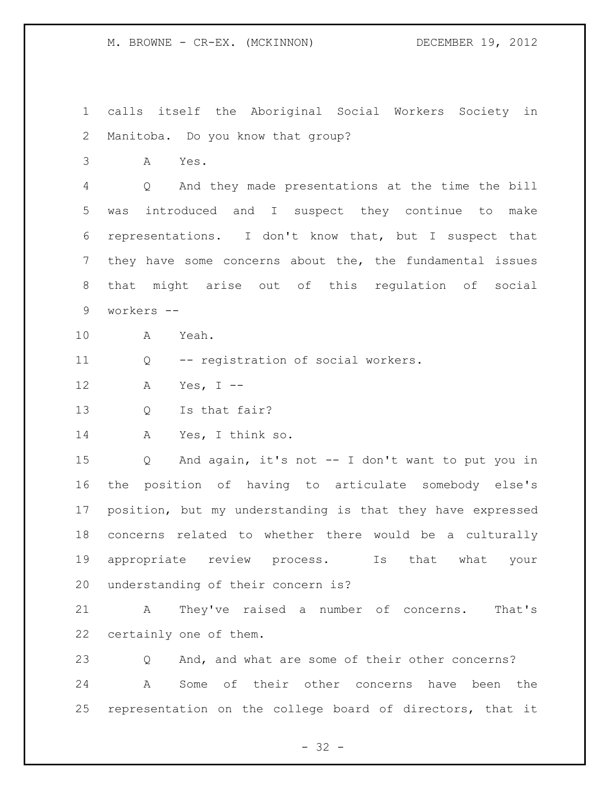M. BROWNE - CR-EX. (MCKINNON) DECEMBER 19, 2012

 calls itself the Aboriginal Social Workers Society in Manitoba. Do you know that group?

A Yes.

 Q And they made presentations at the time the bill was introduced and I suspect they continue to make representations. I don't know that, but I suspect that they have some concerns about the, the fundamental issues that might arise out of this regulation of social workers --

A Yeah.

Q -- registration of social workers.

A Yes, I --

Q Is that fair?

A Yes, I think so.

 Q And again, it's not -- I don't want to put you in the position of having to articulate somebody else's position, but my understanding is that they have expressed concerns related to whether there would be a culturally appropriate review process. Is that what your understanding of their concern is?

 A They've raised a number of concerns. That's certainly one of them.

 Q And, and what are some of their other concerns? A Some of their other concerns have been the representation on the college board of directors, that it

 $- 32 -$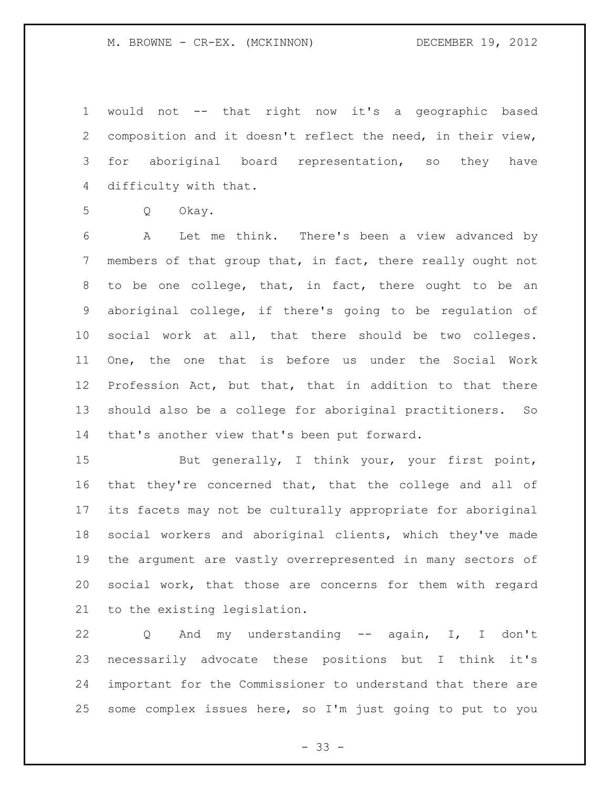M. BROWNE - CR-EX. (MCKINNON) DECEMBER 19, 2012

 would not -- that right now it's a geographic based composition and it doesn't reflect the need, in their view, for aboriginal board representation, so they have difficulty with that.

Q Okay.

 A Let me think. There's been a view advanced by members of that group that, in fact, there really ought not to be one college, that, in fact, there ought to be an aboriginal college, if there's going to be regulation of social work at all, that there should be two colleges. One, the one that is before us under the Social Work Profession Act, but that, that in addition to that there should also be a college for aboriginal practitioners. So that's another view that's been put forward.

15 But generally, I think your, your first point, that they're concerned that, that the college and all of its facets may not be culturally appropriate for aboriginal social workers and aboriginal clients, which they've made the argument are vastly overrepresented in many sectors of social work, that those are concerns for them with regard to the existing legislation.

 Q And my understanding -- again, I, I don't necessarily advocate these positions but I think it's important for the Commissioner to understand that there are some complex issues here, so I'm just going to put to you

- 33 -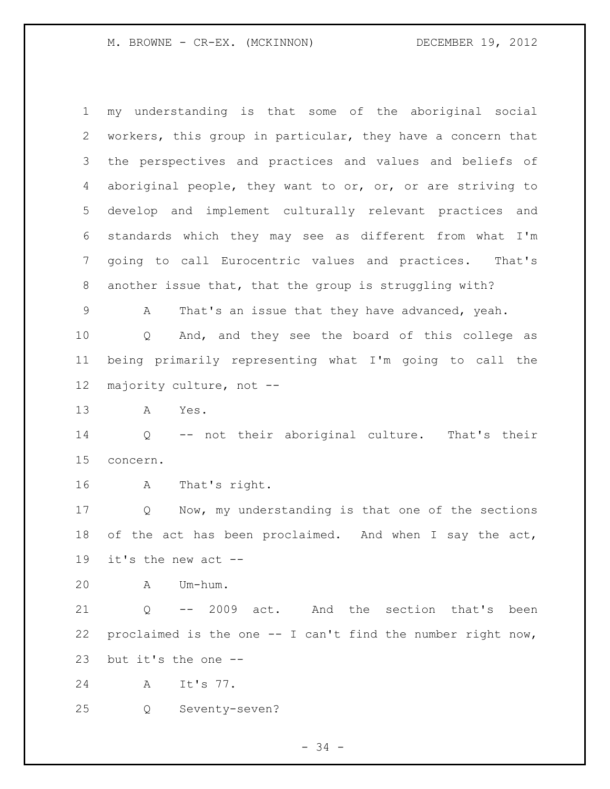M. BROWNE - CR-EX. (MCKINNON) DECEMBER 19, 2012

 my understanding is that some of the aboriginal social workers, this group in particular, they have a concern that the perspectives and practices and values and beliefs of aboriginal people, they want to or, or, or are striving to develop and implement culturally relevant practices and standards which they may see as different from what I'm going to call Eurocentric values and practices. That's another issue that, that the group is struggling with?

 A That's an issue that they have advanced, yeah. Q And, and they see the board of this college as being primarily representing what I'm going to call the majority culture, not --

A Yes.

 Q -- not their aboriginal culture. That's their concern.

A That's right.

 Q Now, my understanding is that one of the sections of the act has been proclaimed. And when I say the act, it's the new act --

A Um-hum.

 Q -- 2009 act. And the section that's been 22 proclaimed is the one  $-$ - I can't find the number right now, but it's the one --

A It's 77.

Q Seventy-seven?

- 34 -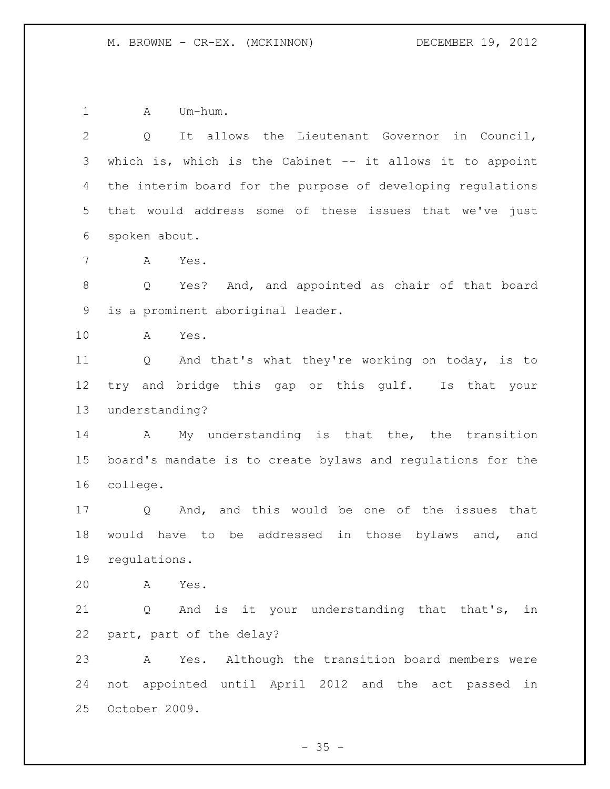1 A Um-hum.

 Q It allows the Lieutenant Governor in Council, which is, which is the Cabinet -- it allows it to appoint the interim board for the purpose of developing regulations that would address some of these issues that we've just spoken about. A Yes. Q Yes? And, and appointed as chair of that board is a prominent aboriginal leader. A Yes. Q And that's what they're working on today, is to try and bridge this gap or this gulf. Is that your understanding? A My understanding is that the, the transition board's mandate is to create bylaws and regulations for the college. Q And, and this would be one of the issues that would have to be addressed in those bylaws and, and regulations. A Yes. Q And is it your understanding that that's, in part, part of the delay? A Yes. Although the transition board members were not appointed until April 2012 and the act passed in October 2009.

 $- 35 -$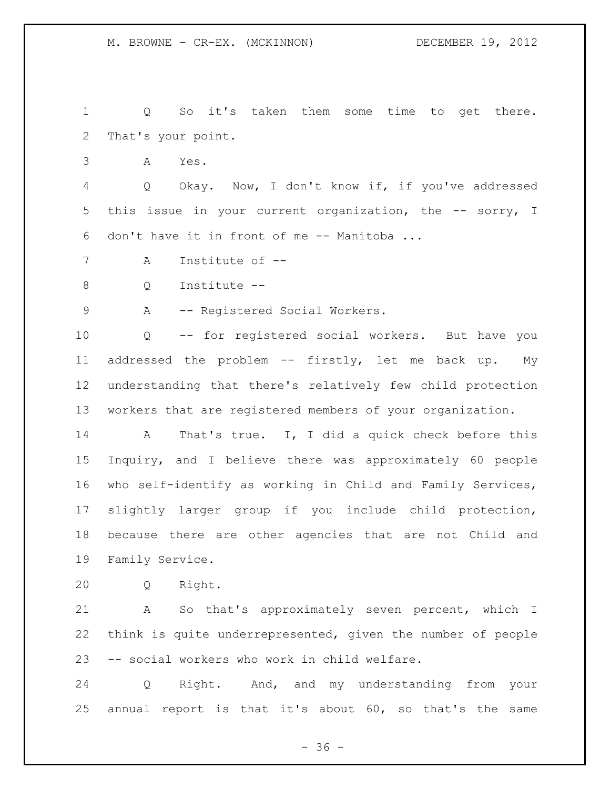```
1 Q So it's taken them some time to get there. 
2 That's your point.
```
A Yes.

 Q Okay. Now, I don't know if, if you've addressed this issue in your current organization, the -- sorry, I don't have it in front of me -- Manitoba ...

A Institute of --

Q Institute --

9 A -- Registered Social Workers.

 Q -- for registered social workers. But have you addressed the problem -- firstly, let me back up. My understanding that there's relatively few child protection workers that are registered members of your organization.

 A That's true. I, I did a quick check before this Inquiry, and I believe there was approximately 60 people who self-identify as working in Child and Family Services, slightly larger group if you include child protection, because there are other agencies that are not Child and Family Service.

Q Right.

 A So that's approximately seven percent, which I think is quite underrepresented, given the number of people -- social workers who work in child welfare.

 Q Right. And, and my understanding from your annual report is that it's about 60, so that's the same

 $- 36 -$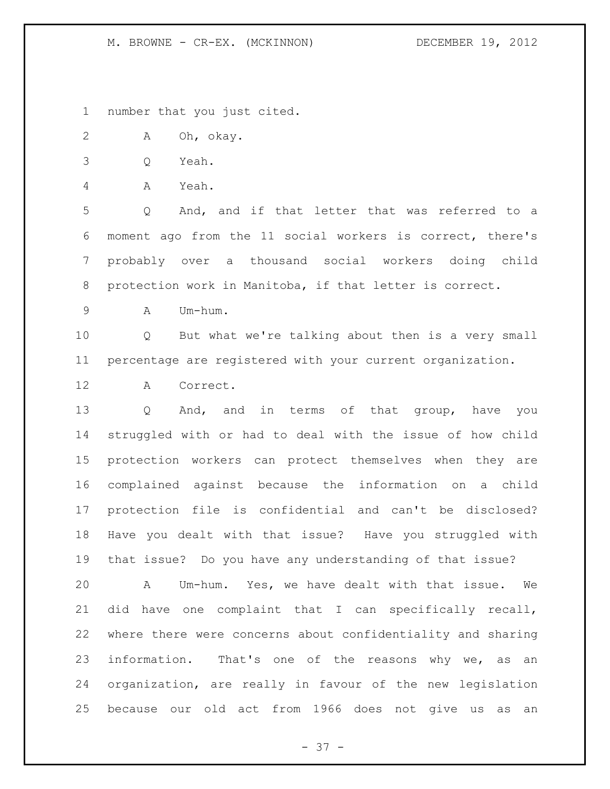M. BROWNE - CR-EX. (MCKINNON) DECEMBER 19, 2012

number that you just cited.

A Oh, okay.

Q Yeah.

A Yeah.

 Q And, and if that letter that was referred to a moment ago from the 11 social workers is correct, there's probably over a thousand social workers doing child protection work in Manitoba, if that letter is correct.

A Um-hum.

 Q But what we're talking about then is a very small percentage are registered with your current organization.

A Correct.

 Q And, and in terms of that group, have you struggled with or had to deal with the issue of how child protection workers can protect themselves when they are complained against because the information on a child protection file is confidential and can't be disclosed? Have you dealt with that issue? Have you struggled with that issue? Do you have any understanding of that issue?

 A Um-hum. Yes, we have dealt with that issue. We did have one complaint that I can specifically recall, where there were concerns about confidentiality and sharing 23 information. That's one of the reasons why we, as an organization, are really in favour of the new legislation because our old act from 1966 does not give us as an

- 37 -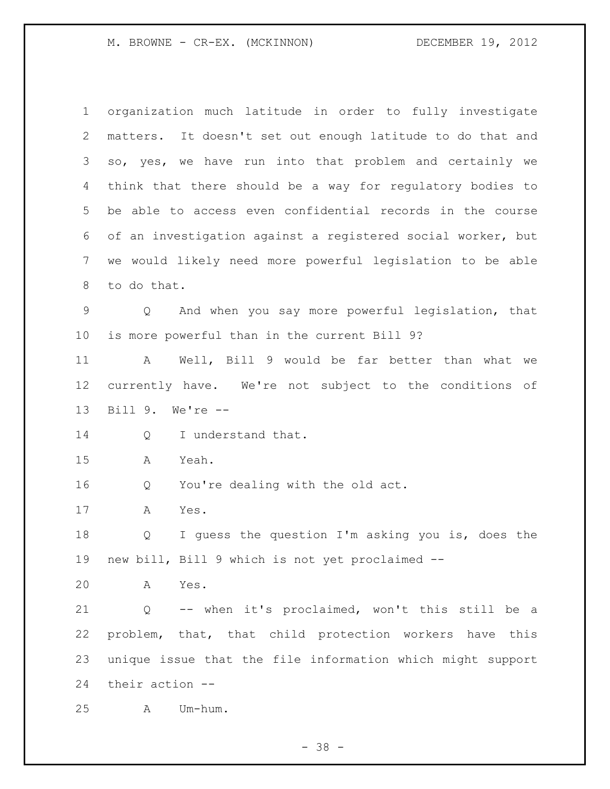M. BROWNE - CR-EX. (MCKINNON) DECEMBER 19, 2012

 organization much latitude in order to fully investigate matters. It doesn't set out enough latitude to do that and so, yes, we have run into that problem and certainly we think that there should be a way for regulatory bodies to be able to access even confidential records in the course of an investigation against a registered social worker, but we would likely need more powerful legislation to be able to do that. Q And when you say more powerful legislation, that is more powerful than in the current Bill 9? A Well, Bill 9 would be far better than what we currently have. We're not subject to the conditions of Bill 9. We're -- 14 Q I understand that. A Yeah. Q You're dealing with the old act. A Yes. Q I guess the question I'm asking you is, does the new bill, Bill 9 which is not yet proclaimed -- A Yes. Q -- when it's proclaimed, won't this still be a problem, that, that child protection workers have this unique issue that the file information which might support their action -- A Um-hum.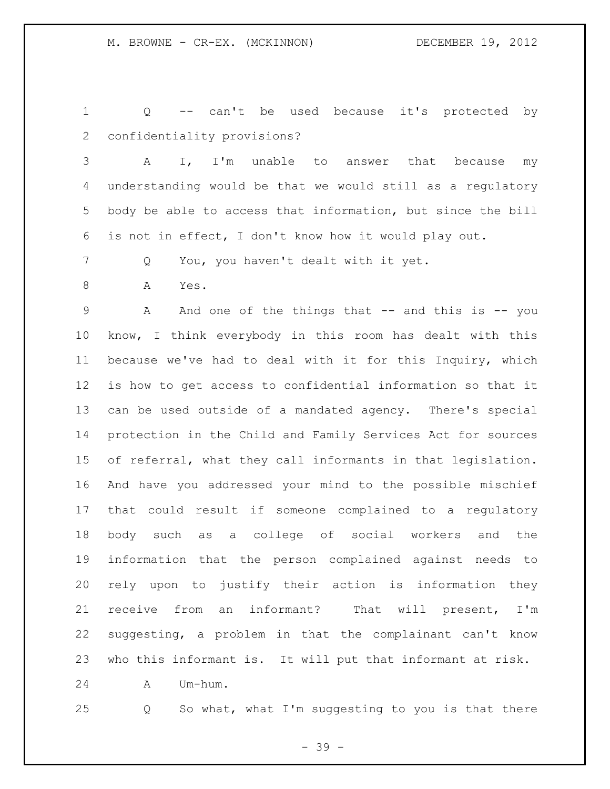Q -- can't be used because it's protected by confidentiality provisions?

 A I, I'm unable to answer that because my understanding would be that we would still as a regulatory body be able to access that information, but since the bill is not in effect, I don't know how it would play out.

Q You, you haven't dealt with it yet.

A Yes.

 A And one of the things that -- and this is -- you know, I think everybody in this room has dealt with this because we've had to deal with it for this Inquiry, which is how to get access to confidential information so that it can be used outside of a mandated agency. There's special protection in the Child and Family Services Act for sources of referral, what they call informants in that legislation. And have you addressed your mind to the possible mischief that could result if someone complained to a regulatory body such as a college of social workers and the information that the person complained against needs to rely upon to justify their action is information they receive from an informant? That will present, I'm suggesting, a problem in that the complainant can't know who this informant is. It will put that informant at risk.

A Um-hum.

Q So what, what I'm suggesting to you is that there

- 39 -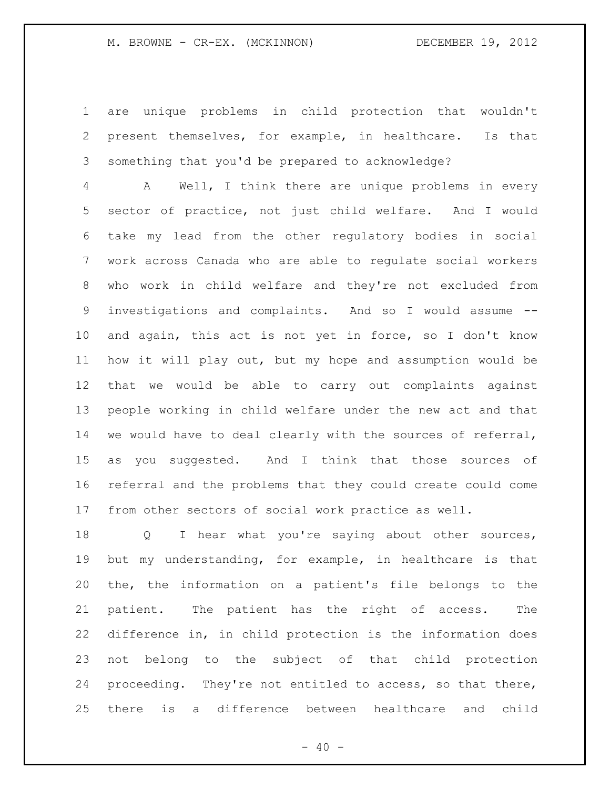### M. BROWNE - CR-EX. (MCKINNON) DECEMBER 19, 2012

 are unique problems in child protection that wouldn't present themselves, for example, in healthcare. Is that something that you'd be prepared to acknowledge?

 A Well, I think there are unique problems in every sector of practice, not just child welfare. And I would take my lead from the other regulatory bodies in social work across Canada who are able to regulate social workers who work in child welfare and they're not excluded from investigations and complaints. And so I would assume -- and again, this act is not yet in force, so I don't know how it will play out, but my hope and assumption would be that we would be able to carry out complaints against people working in child welfare under the new act and that we would have to deal clearly with the sources of referral, as you suggested. And I think that those sources of referral and the problems that they could create could come from other sectors of social work practice as well.

18 Q I hear what you're saying about other sources, but my understanding, for example, in healthcare is that the, the information on a patient's file belongs to the patient. The patient has the right of access. The difference in, in child protection is the information does not belong to the subject of that child protection proceeding. They're not entitled to access, so that there, there is a difference between healthcare and child

 $- 40 -$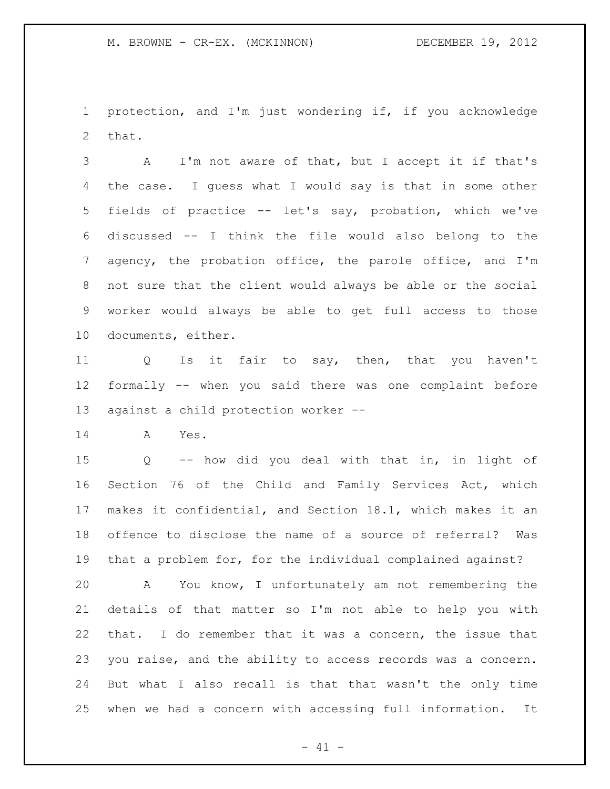protection, and I'm just wondering if, if you acknowledge that.

 A I'm not aware of that, but I accept it if that's the case. I guess what I would say is that in some other fields of practice -- let's say, probation, which we've discussed -- I think the file would also belong to the agency, the probation office, the parole office, and I'm not sure that the client would always be able or the social worker would always be able to get full access to those documents, either.

 Q Is it fair to say, then, that you haven't formally -- when you said there was one complaint before against a child protection worker --

A Yes.

 Q -- how did you deal with that in, in light of Section 76 of the Child and Family Services Act, which makes it confidential, and Section 18.1, which makes it an offence to disclose the name of a source of referral? Was that a problem for, for the individual complained against?

 A You know, I unfortunately am not remembering the details of that matter so I'm not able to help you with that. I do remember that it was a concern, the issue that you raise, and the ability to access records was a concern. But what I also recall is that that wasn't the only time when we had a concern with accessing full information. It

 $- 41 -$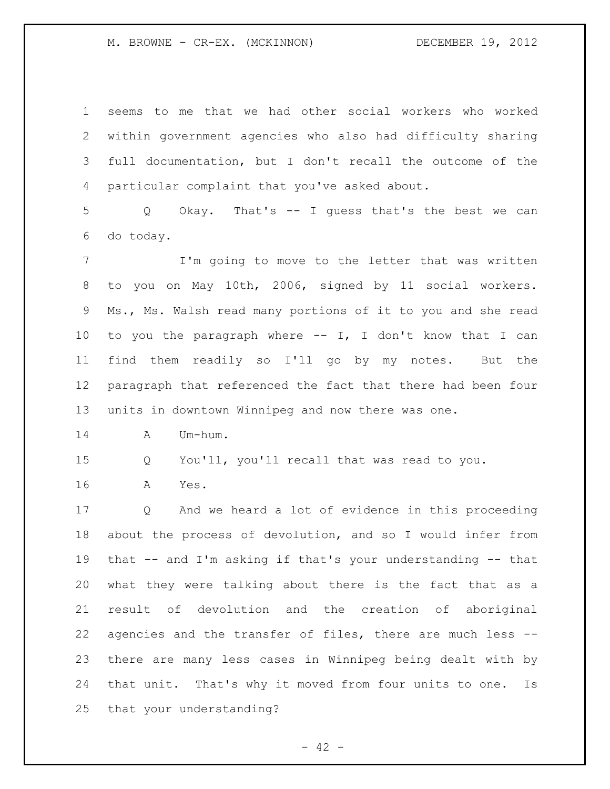M. BROWNE - CR-EX. (MCKINNON) DECEMBER 19, 2012

 seems to me that we had other social workers who worked within government agencies who also had difficulty sharing full documentation, but I don't recall the outcome of the particular complaint that you've asked about.

 Q Okay. That's -- I guess that's the best we can do today.

7 I'm going to move to the letter that was written to you on May 10th, 2006, signed by 11 social workers. Ms., Ms. Walsh read many portions of it to you and she read to you the paragraph where -- I, I don't know that I can find them readily so I'll go by my notes. But the paragraph that referenced the fact that there had been four units in downtown Winnipeg and now there was one.

A Um-hum.

Q You'll, you'll recall that was read to you.

A Yes.

 Q And we heard a lot of evidence in this proceeding about the process of devolution, and so I would infer from that -- and I'm asking if that's your understanding -- that what they were talking about there is the fact that as a result of devolution and the creation of aboriginal agencies and the transfer of files, there are much less -- there are many less cases in Winnipeg being dealt with by that unit. That's why it moved from four units to one. Is that your understanding?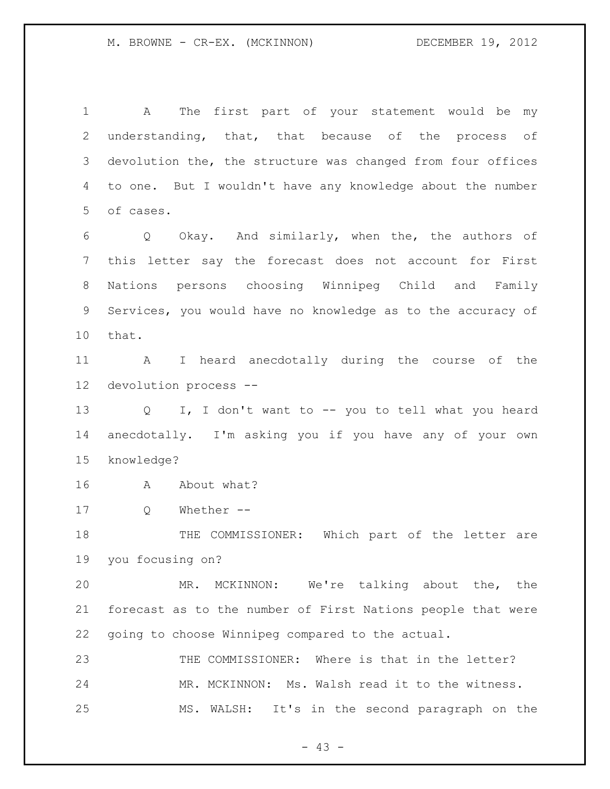A The first part of your statement would be my understanding, that, that because of the process of devolution the, the structure was changed from four offices to one. But I wouldn't have any knowledge about the number of cases. Q Okay. And similarly, when the, the authors of this letter say the forecast does not account for First Nations persons choosing Winnipeg Child and Family Services, you would have no knowledge as to the accuracy of that. A I heard anecdotally during the course of the devolution process -- Q I, I don't want to -- you to tell what you heard anecdotally. I'm asking you if you have any of your own knowledge? A About what? Q Whether -- THE COMMISSIONER: Which part of the letter are you focusing on? MR. MCKINNON: We're talking about the, the forecast as to the number of First Nations people that were going to choose Winnipeg compared to the actual. THE COMMISSIONER: Where is that in the letter? MR. MCKINNON: Ms. Walsh read it to the witness. MS. WALSH: It's in the second paragraph on the

 $- 43 -$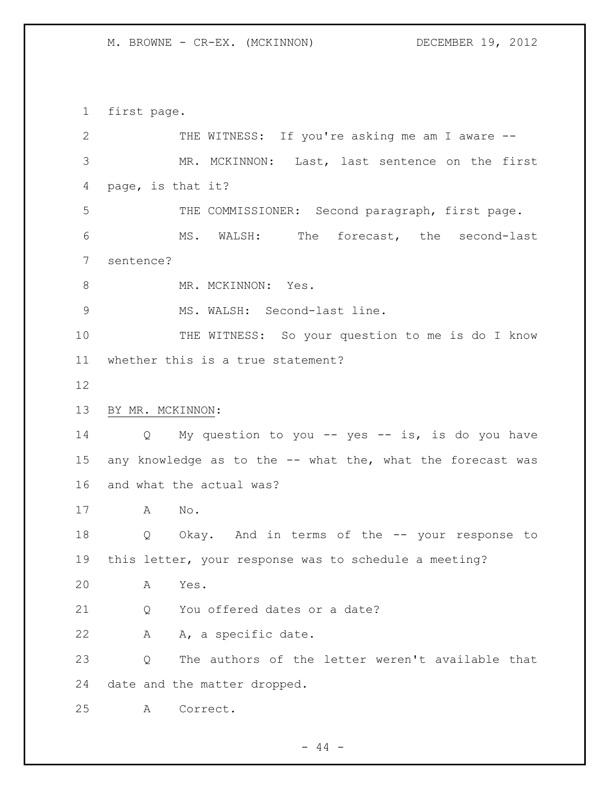M. BROWNE - CR-EX. (MCKINNON) DECEMBER 19, 2012

first page.

| $\mathbf{2}$ | THE WITNESS: If you're asking me am I aware --                       |
|--------------|----------------------------------------------------------------------|
| 3            | MR. MCKINNON: Last, last sentence on the first                       |
| 4            | page, is that it?                                                    |
| 5            | THE COMMISSIONER: Second paragraph, first page.                      |
| 6            | MS. WALSH: The forecast, the second-last                             |
| 7            | sentence?                                                            |
| 8            | MR. MCKINNON: Yes.                                                   |
| 9            | MS. WALSH: Second-last line.                                         |
| 10           | THE WITNESS: So your question to me is do I know                     |
| 11           | whether this is a true statement?                                    |
| 12           |                                                                      |
| 13           | BY MR. MCKINNON:                                                     |
| 14           | My question to you -- yes -- is, is do you have<br>$Q \qquad \qquad$ |
| 15           | any knowledge as to the -- what the, what the forecast was           |
| 16           | and what the actual was?                                             |
| 17           | No.<br>A                                                             |
| 18           | Okay. And in terms of the -- your response to<br>Q                   |
| 19           | this letter, your response was to schedule a meeting?                |
| 20           | Yes.<br>A                                                            |
| 21           | You offered dates or a date?<br>Q                                    |
| 22           | A, a specific date.<br>Α                                             |
| 23           | The authors of the letter weren't available that<br>Q                |
| 24           | date and the matter dropped.                                         |
| 25           | A<br>Correct.                                                        |

- 44 -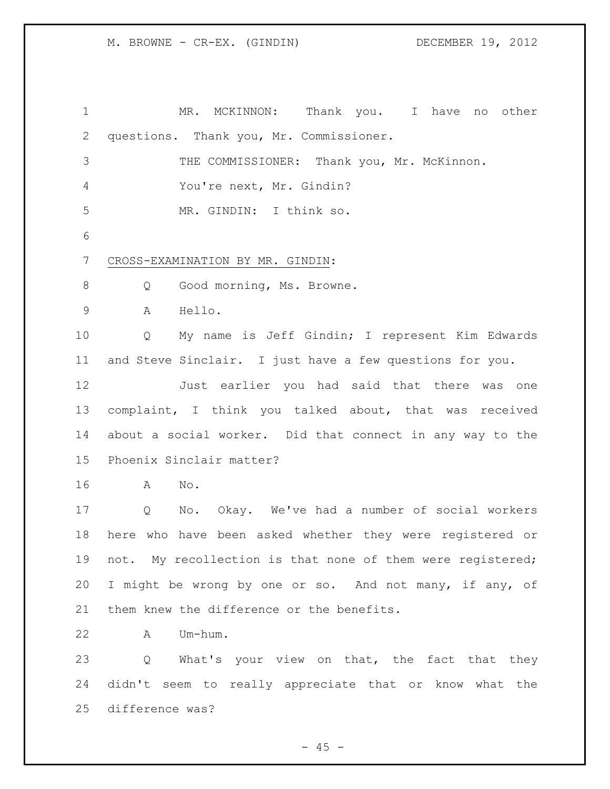MR. MCKINNON: Thank you. I have no other questions. Thank you, Mr. Commissioner. 3 THE COMMISSIONER: Thank you, Mr. McKinnon. You're next, Mr. Gindin? MR. GINDIN: I think so. CROSS-EXAMINATION BY MR. GINDIN: 8 Q Good morning, Ms. Browne. A Hello. Q My name is Jeff Gindin; I represent Kim Edwards and Steve Sinclair. I just have a few questions for you. Just earlier you had said that there was one complaint, I think you talked about, that was received about a social worker. Did that connect in any way to the Phoenix Sinclair matter? A No. Q No. Okay. We've had a number of social workers here who have been asked whether they were registered or not. My recollection is that none of them were registered; I might be wrong by one or so. And not many, if any, of 21 them knew the difference or the benefits. A Um-hum. 23 Q What's your view on that, the fact that they didn't seem to really appreciate that or know what the

difference was?

 $- 45 -$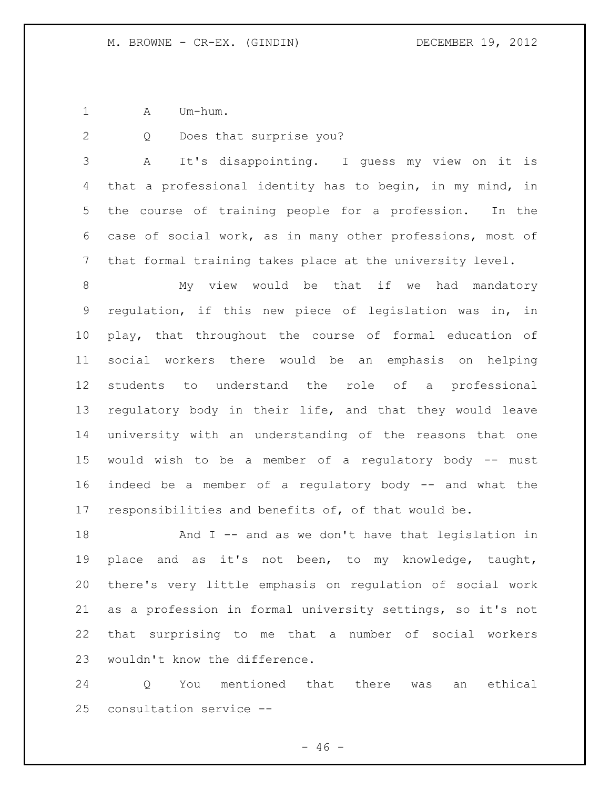1 A Um-hum.

Q Does that surprise you?

 A It's disappointing. I guess my view on it is that a professional identity has to begin, in my mind, in the course of training people for a profession. In the case of social work, as in many other professions, most of that formal training takes place at the university level.

 My view would be that if we had mandatory regulation, if this new piece of legislation was in, in play, that throughout the course of formal education of social workers there would be an emphasis on helping students to understand the role of a professional regulatory body in their life, and that they would leave university with an understanding of the reasons that one would wish to be a member of a regulatory body -- must indeed be a member of a regulatory body -- and what the responsibilities and benefits of, of that would be.

 And I -- and as we don't have that legislation in place and as it's not been, to my knowledge, taught, there's very little emphasis on regulation of social work as a profession in formal university settings, so it's not that surprising to me that a number of social workers wouldn't know the difference.

 Q You mentioned that there was an ethical consultation service --

 $- 46 -$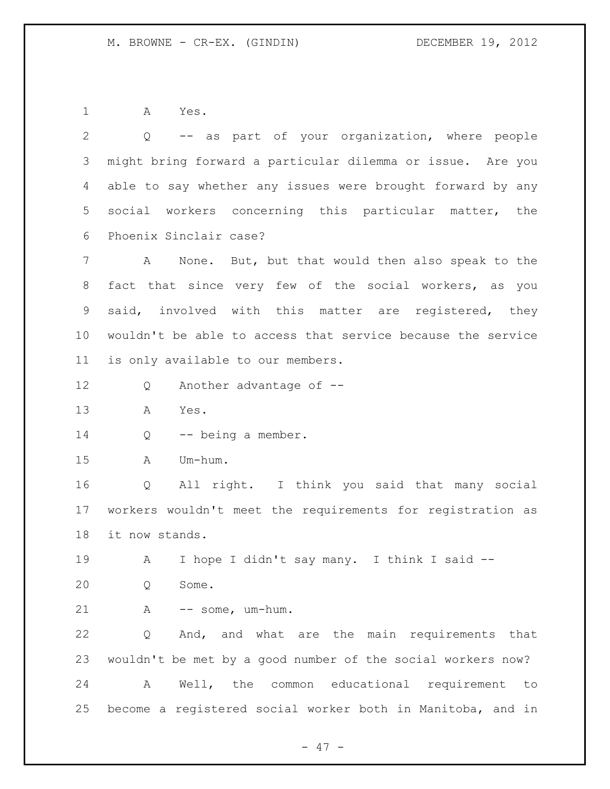A Yes.

| 2               | -- as part of your organization, where people<br>Q          |
|-----------------|-------------------------------------------------------------|
| 3               | might bring forward a particular dilemma or issue. Are you  |
| 4               | able to say whether any issues were brought forward by any  |
| 5               | social workers concerning this particular matter, the       |
| 6               | Phoenix Sinclair case?                                      |
| $7\phantom{.}$  | None. But, but that would then also speak to the<br>A       |
| 8               | fact that since very few of the social workers, as you      |
| 9               | said, involved with this matter are registered, they        |
| 10 <sub>o</sub> | wouldn't be able to access that service because the service |
| 11 <sup>1</sup> | is only available to our members.                           |
| 12              | Another advantage of --<br>Q                                |
| 13              | Α<br>Yes.                                                   |
| 14              | -- being a member.<br>Q                                     |
| 15              | Um-hum.<br>A                                                |
| 16              | All right. I think you said that many social<br>Q           |
| 17              | workers wouldn't meet the requirements for registration as  |
| 18              | it now stands.                                              |
| 19              | I hope I didn't say many. I think I said --<br>A            |
| 20              | Some.<br>Q                                                  |
| 21              | A<br>-- some, um-hum.                                       |
| 22              | And, and what are the main requirements that<br>Q           |
| 23              | wouldn't be met by a good number of the social workers now? |
| 24              | Well, the common educational requirement<br>A<br>to         |
| 25              | become a registered social worker both in Manitoba, and in  |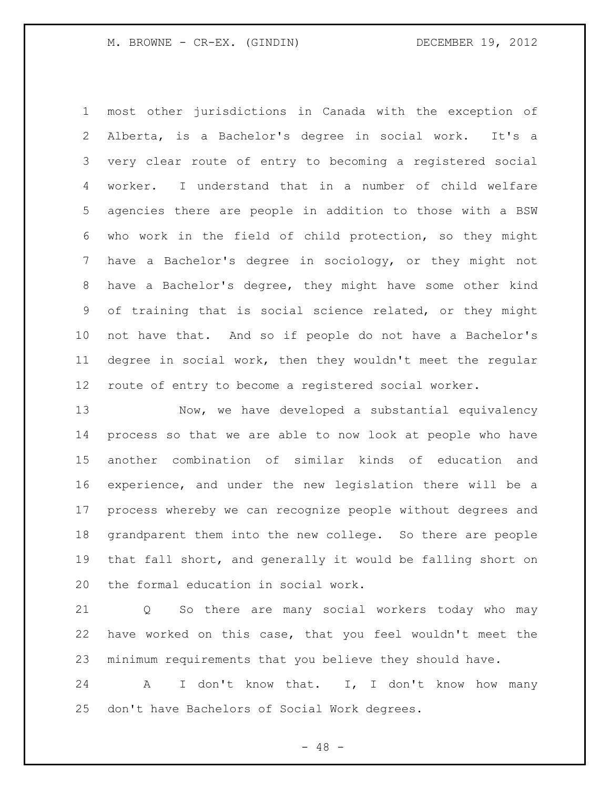M. BROWNE - CR-EX. (GINDIN) DECEMBER 19, 2012

 most other jurisdictions in Canada with the exception of Alberta, is a Bachelor's degree in social work. It's a very clear route of entry to becoming a registered social worker. I understand that in a number of child welfare agencies there are people in addition to those with a BSW who work in the field of child protection, so they might have a Bachelor's degree in sociology, or they might not have a Bachelor's degree, they might have some other kind of training that is social science related, or they might not have that. And so if people do not have a Bachelor's degree in social work, then they wouldn't meet the regular route of entry to become a registered social worker.

 Now, we have developed a substantial equivalency process so that we are able to now look at people who have another combination of similar kinds of education and experience, and under the new legislation there will be a process whereby we can recognize people without degrees and grandparent them into the new college. So there are people that fall short, and generally it would be falling short on the formal education in social work.

 Q So there are many social workers today who may have worked on this case, that you feel wouldn't meet the minimum requirements that you believe they should have.

24 A I don't know that. I, I don't know how many don't have Bachelors of Social Work degrees.

- 48 -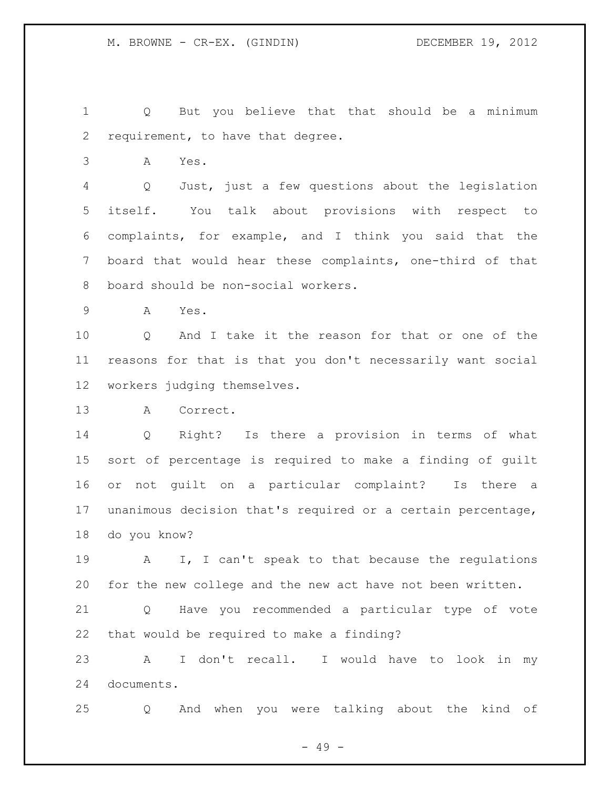Q But you believe that that should be a minimum requirement, to have that degree.

A Yes.

 Q Just, just a few questions about the legislation itself. You talk about provisions with respect to complaints, for example, and I think you said that the board that would hear these complaints, one-third of that board should be non-social workers.

A Yes.

 Q And I take it the reason for that or one of the reasons for that is that you don't necessarily want social workers judging themselves.

A Correct.

 Q Right? Is there a provision in terms of what sort of percentage is required to make a finding of guilt or not guilt on a particular complaint? Is there a unanimous decision that's required or a certain percentage, do you know?

 A I, I can't speak to that because the regulations for the new college and the new act have not been written.

 Q Have you recommended a particular type of vote that would be required to make a finding?

 A I don't recall. I would have to look in my documents.

Q And when you were talking about the kind of

- 49 -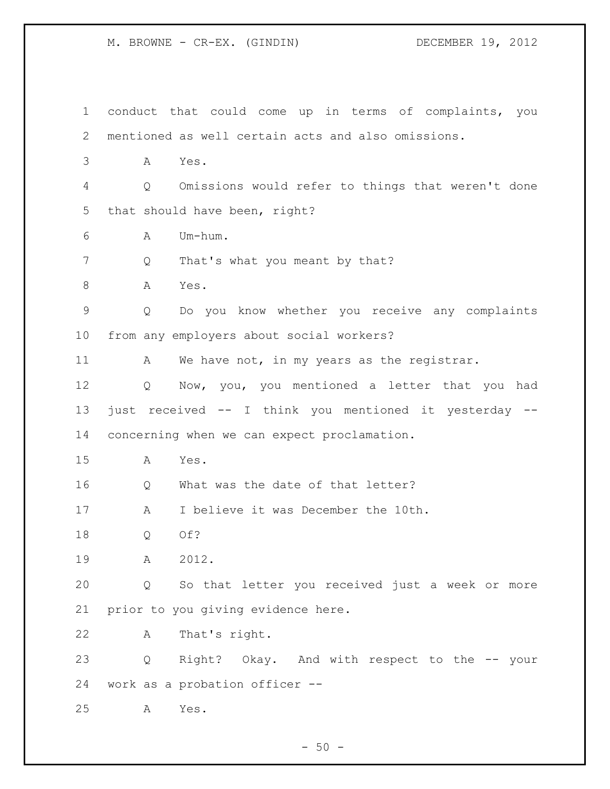M. BROWNE - CR-EX. (GINDIN) DECEMBER 19, 2012

 conduct that could come up in terms of complaints, you mentioned as well certain acts and also omissions. A Yes. Q Omissions would refer to things that weren't done that should have been, right? A Um-hum. 7 Q That's what you meant by that? 8 A Yes. Q Do you know whether you receive any complaints from any employers about social workers? 11 A We have not, in my years as the registrar. Q Now, you, you mentioned a letter that you had just received -- I think you mentioned it yesterday -- concerning when we can expect proclamation. A Yes. 16 Q What was the date of that letter? A I believe it was December the 10th. Q Of? A 2012. Q So that letter you received just a week or more prior to you giving evidence here. A That's right. Q Right? Okay. And with respect to the -- your work as a probation officer -- A Yes.

 $-50 -$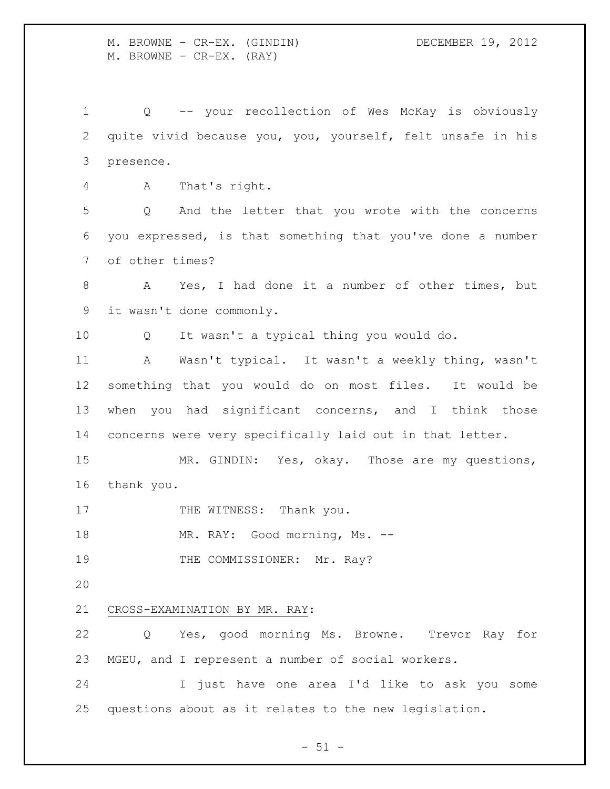M. BROWNE - CR-EX. (GINDIN) DECEMBER 19, 2012 M. BROWNE - CR-EX. (RAY)

 Q -- your recollection of Wes McKay is obviously quite vivid because you, you, yourself, felt unsafe in his presence. A That's right. Q And the letter that you wrote with the concerns you expressed, is that something that you've done a number of other times? A Yes, I had done it a number of other times, but it wasn't done commonly. Q It wasn't a typical thing you would do. A Wasn't typical. It wasn't a weekly thing, wasn't something that you would do on most files. It would be when you had significant concerns, and I think those concerns were very specifically laid out in that letter. MR. GINDIN: Yes, okay. Those are my questions, thank you. 17 THE WITNESS: Thank you. 18 MR. RAY: Good morning, Ms. --19 THE COMMISSIONER: Mr. Ray? CROSS-EXAMINATION BY MR. RAY: Q Yes, good morning Ms. Browne. Trevor Ray for MGEU, and I represent a number of social workers. I just have one area I'd like to ask you some questions about as it relates to the new legislation.

 $- 51 -$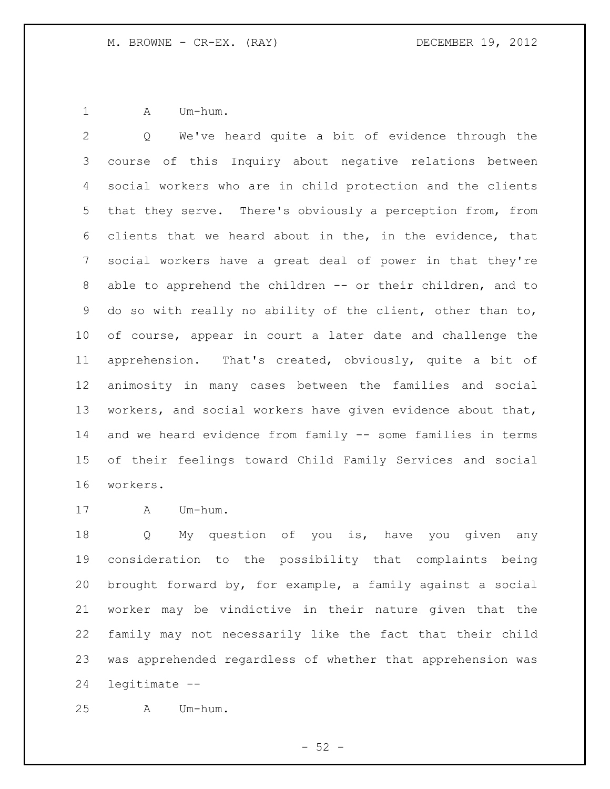1 A Um-hum.

 Q We've heard quite a bit of evidence through the course of this Inquiry about negative relations between social workers who are in child protection and the clients that they serve. There's obviously a perception from, from clients that we heard about in the, in the evidence, that social workers have a great deal of power in that they're able to apprehend the children -- or their children, and to do so with really no ability of the client, other than to, of course, appear in court a later date and challenge the apprehension. That's created, obviously, quite a bit of animosity in many cases between the families and social workers, and social workers have given evidence about that, and we heard evidence from family -- some families in terms of their feelings toward Child Family Services and social workers.

A Um-hum.

 Q My question of you is, have you given any consideration to the possibility that complaints being brought forward by, for example, a family against a social worker may be vindictive in their nature given that the family may not necessarily like the fact that their child was apprehended regardless of whether that apprehension was legitimate --

A Um-hum.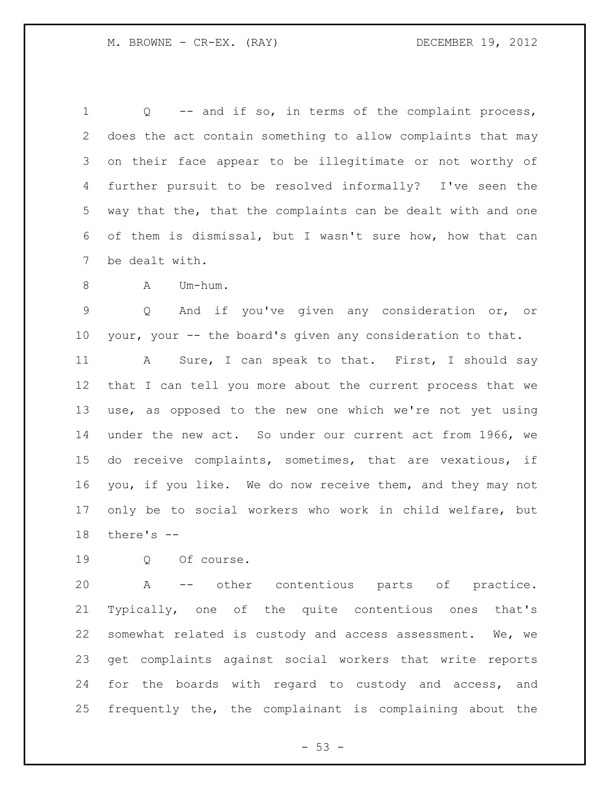Q -- and if so, in terms of the complaint process, does the act contain something to allow complaints that may on their face appear to be illegitimate or not worthy of further pursuit to be resolved informally? I've seen the way that the, that the complaints can be dealt with and one of them is dismissal, but I wasn't sure how, how that can be dealt with.

8 A Um-hum.

 Q And if you've given any consideration or, or your, your -- the board's given any consideration to that.

11 A Sure, I can speak to that. First, I should say that I can tell you more about the current process that we use, as opposed to the new one which we're not yet using under the new act. So under our current act from 1966, we do receive complaints, sometimes, that are vexatious, if you, if you like. We do now receive them, and they may not only be to social workers who work in child welfare, but there's --

Q Of course.

 A -- other contentious parts of practice. Typically, one of the quite contentious ones that's somewhat related is custody and access assessment. We, we get complaints against social workers that write reports for the boards with regard to custody and access, and frequently the, the complainant is complaining about the

 $-53 -$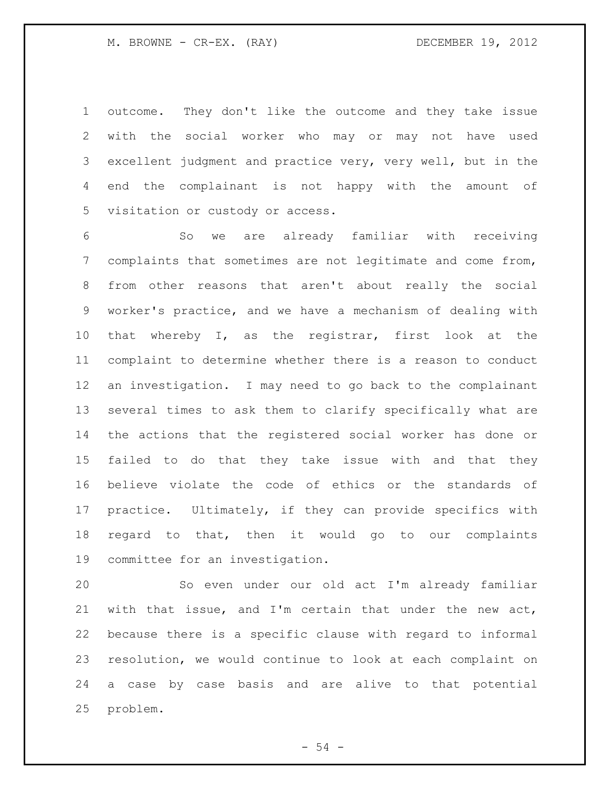outcome. They don't like the outcome and they take issue with the social worker who may or may not have used excellent judgment and practice very, very well, but in the end the complainant is not happy with the amount of visitation or custody or access.

 So we are already familiar with receiving complaints that sometimes are not legitimate and come from, from other reasons that aren't about really the social worker's practice, and we have a mechanism of dealing with that whereby I, as the registrar, first look at the complaint to determine whether there is a reason to conduct an investigation. I may need to go back to the complainant several times to ask them to clarify specifically what are the actions that the registered social worker has done or failed to do that they take issue with and that they believe violate the code of ethics or the standards of practice. Ultimately, if they can provide specifics with regard to that, then it would go to our complaints committee for an investigation.

 So even under our old act I'm already familiar with that issue, and I'm certain that under the new act, because there is a specific clause with regard to informal resolution, we would continue to look at each complaint on a case by case basis and are alive to that potential problem.

- 54 -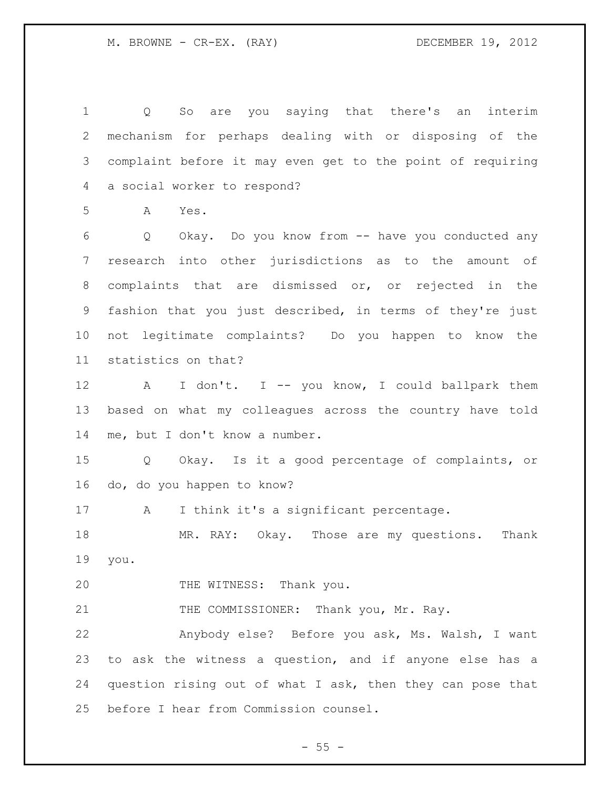Q So are you saying that there's an interim mechanism for perhaps dealing with or disposing of the complaint before it may even get to the point of requiring a social worker to respond? A Yes. Q Okay. Do you know from -- have you conducted any research into other jurisdictions as to the amount of complaints that are dismissed or, or rejected in the fashion that you just described, in terms of they're just not legitimate complaints? Do you happen to know the statistics on that? 12 A I don't. I -- you know, I could ballpark them based on what my colleagues across the country have told me, but I don't know a number. Q Okay. Is it a good percentage of complaints, or do, do you happen to know? 17 A I think it's a significant percentage. MR. RAY: Okay. Those are my questions. Thank you. 20 THE WITNESS: Thank you. 21 THE COMMISSIONER: Thank you, Mr. Ray. Anybody else? Before you ask, Ms. Walsh, I want to ask the witness a question, and if anyone else has a question rising out of what I ask, then they can pose that before I hear from Commission counsel.

 $- 55 -$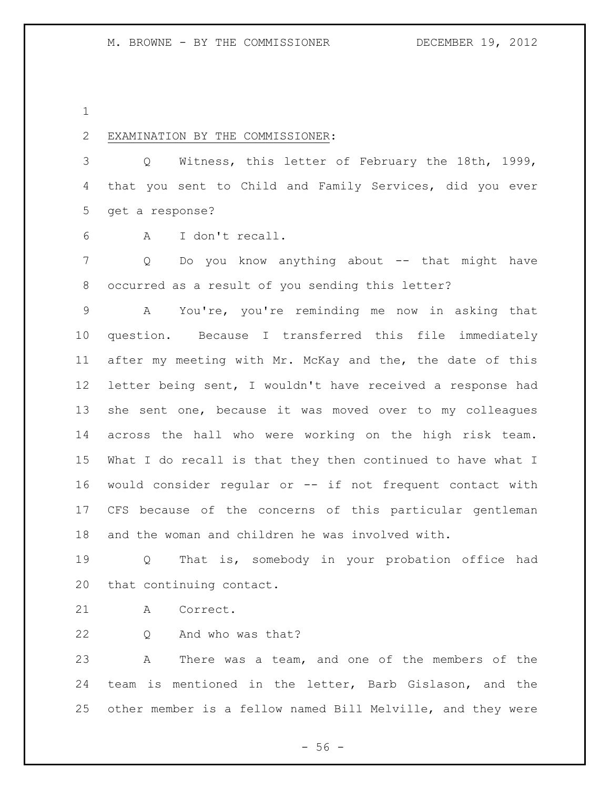# EXAMINATION BY THE COMMISSIONER:

 Q Witness, this letter of February the 18th, 1999, that you sent to Child and Family Services, did you ever get a response?

A I don't recall.

7 Q Do you know anything about -- that might have occurred as a result of you sending this letter?

 A You're, you're reminding me now in asking that question. Because I transferred this file immediately after my meeting with Mr. McKay and the, the date of this letter being sent, I wouldn't have received a response had she sent one, because it was moved over to my colleagues across the hall who were working on the high risk team. What I do recall is that they then continued to have what I would consider regular or -- if not frequent contact with CFS because of the concerns of this particular gentleman and the woman and children he was involved with.

 Q That is, somebody in your probation office had that continuing contact.

A Correct.

Q And who was that?

 A There was a team, and one of the members of the team is mentioned in the letter, Barb Gislason, and the other member is a fellow named Bill Melville, and they were

 $-56 -$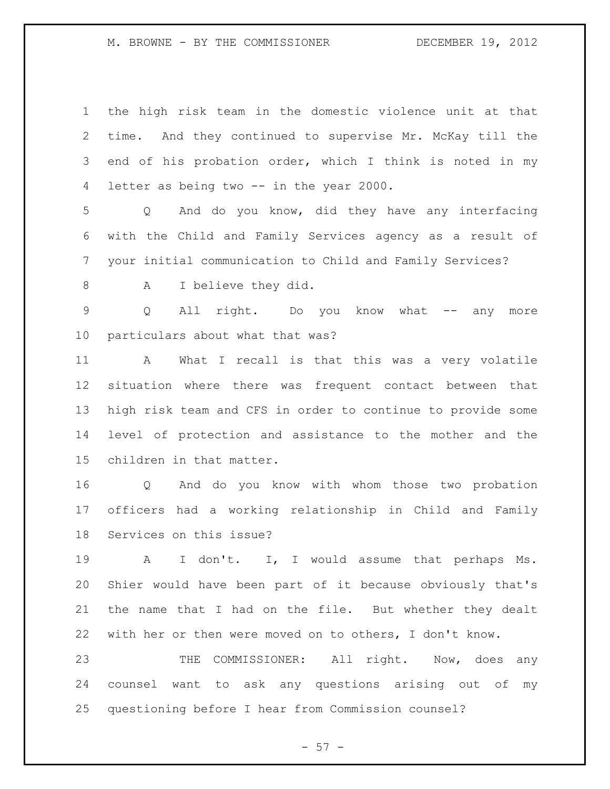M. BROWNE - BY THE COMMISSIONER DECEMBER 19, 2012

 the high risk team in the domestic violence unit at that time. And they continued to supervise Mr. McKay till the end of his probation order, which I think is noted in my letter as being two -- in the year 2000.

 Q And do you know, did they have any interfacing with the Child and Family Services agency as a result of your initial communication to Child and Family Services?

8 A I believe they did.

9 Q All right. Do you know what -- any more particulars about what that was?

 A What I recall is that this was a very volatile situation where there was frequent contact between that high risk team and CFS in order to continue to provide some level of protection and assistance to the mother and the children in that matter.

 Q And do you know with whom those two probation officers had a working relationship in Child and Family Services on this issue?

 A I don't. I, I would assume that perhaps Ms. Shier would have been part of it because obviously that's the name that I had on the file. But whether they dealt with her or then were moved on to others, I don't know.

23 THE COMMISSIONER: All right. Now, does any counsel want to ask any questions arising out of my questioning before I hear from Commission counsel?

 $- 57 -$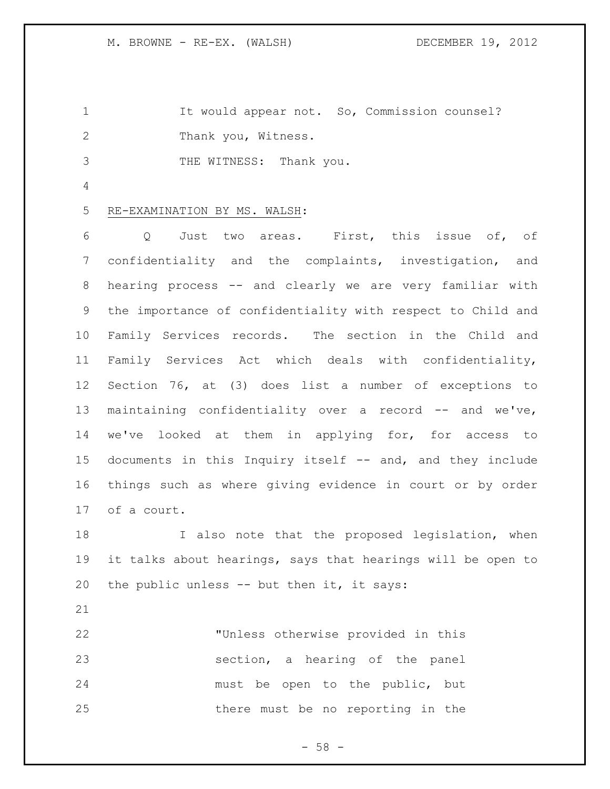It would appear not. So, Commission counsel? Thank you, Witness.

3 THE WITNESS: Thank you.

## RE-EXAMINATION BY MS. WALSH:

 Q Just two areas. First, this issue of, of confidentiality and the complaints, investigation, and hearing process -- and clearly we are very familiar with the importance of confidentiality with respect to Child and Family Services records. The section in the Child and Family Services Act which deals with confidentiality, Section 76, at (3) does list a number of exceptions to maintaining confidentiality over a record -- and we've, we've looked at them in applying for, for access to documents in this Inquiry itself -- and, and they include things such as where giving evidence in court or by order of a court.

18 I also note that the proposed legislation, when it talks about hearings, says that hearings will be open to the public unless -- but then it, it says:

 "Unless otherwise provided in this section, a hearing of the panel must be open to the public, but there must be no reporting in the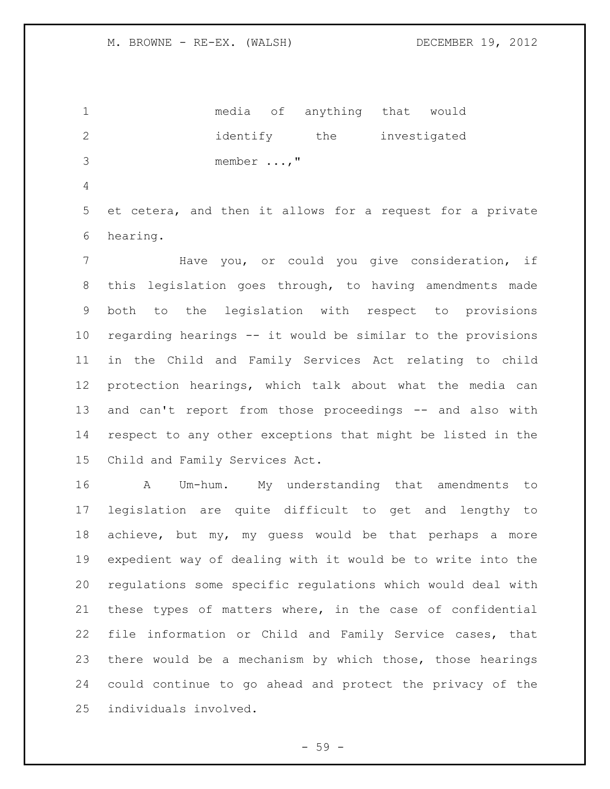media of anything that would 2 identify the investigated member ...,"

 et cetera, and then it allows for a request for a private hearing.

 Have you, or could you give consideration, if this legislation goes through, to having amendments made both to the legislation with respect to provisions regarding hearings -- it would be similar to the provisions in the Child and Family Services Act relating to child protection hearings, which talk about what the media can and can't report from those proceedings -- and also with respect to any other exceptions that might be listed in the Child and Family Services Act.

 A Um-hum. My understanding that amendments to legislation are quite difficult to get and lengthy to achieve, but my, my guess would be that perhaps a more expedient way of dealing with it would be to write into the regulations some specific regulations which would deal with these types of matters where, in the case of confidential file information or Child and Family Service cases, that there would be a mechanism by which those, those hearings could continue to go ahead and protect the privacy of the individuals involved.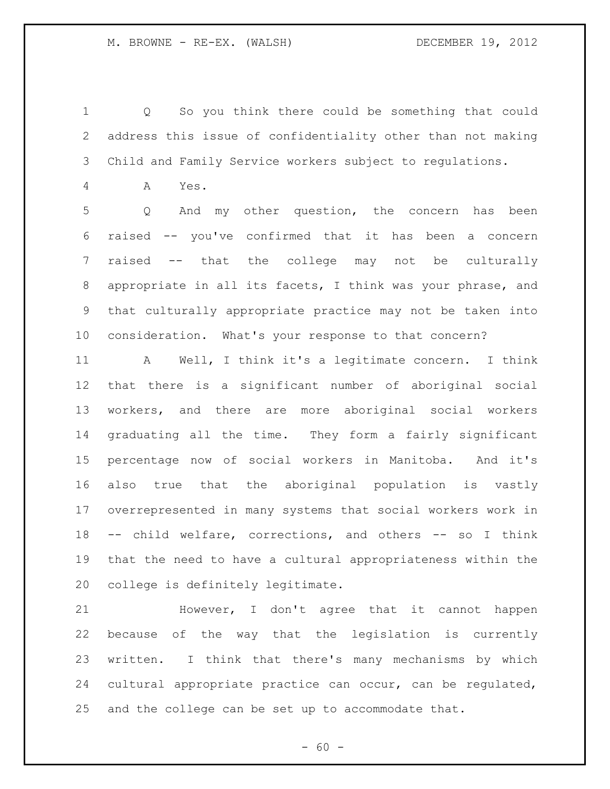Q So you think there could be something that could address this issue of confidentiality other than not making Child and Family Service workers subject to regulations.

A Yes.

 Q And my other question, the concern has been raised -- you've confirmed that it has been a concern raised -- that the college may not be culturally appropriate in all its facets, I think was your phrase, and that culturally appropriate practice may not be taken into consideration. What's your response to that concern?

 A Well, I think it's a legitimate concern. I think that there is a significant number of aboriginal social workers, and there are more aboriginal social workers graduating all the time. They form a fairly significant percentage now of social workers in Manitoba. And it's also true that the aboriginal population is vastly overrepresented in many systems that social workers work in -- child welfare, corrections, and others -- so I think that the need to have a cultural appropriateness within the college is definitely legitimate.

 However, I don't agree that it cannot happen because of the way that the legislation is currently written. I think that there's many mechanisms by which cultural appropriate practice can occur, can be regulated, and the college can be set up to accommodate that.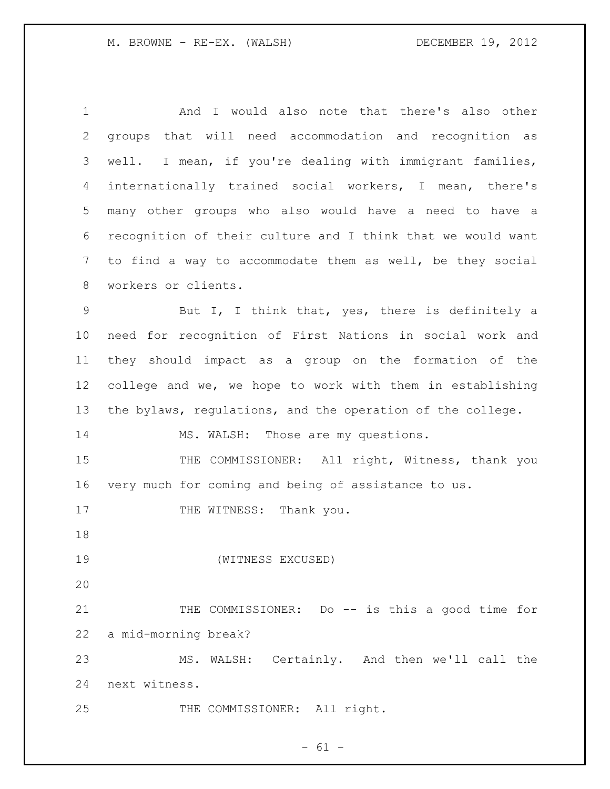And I would also note that there's also other groups that will need accommodation and recognition as well. I mean, if you're dealing with immigrant families, internationally trained social workers, I mean, there's many other groups who also would have a need to have a recognition of their culture and I think that we would want to find a way to accommodate them as well, be they social workers or clients. But I, I think that, yes, there is definitely a need for recognition of First Nations in social work and they should impact as a group on the formation of the college and we, we hope to work with them in establishing the bylaws, regulations, and the operation of the college. 14 MS. WALSH: Those are my questions. 15 THE COMMISSIONER: All right, Witness, thank you very much for coming and being of assistance to us. 17 THE WITNESS: Thank you. (WITNESS EXCUSED) 21 THE COMMISSIONER: Do -- is this a good time for a mid-morning break? MS. WALSH: Certainly. And then we'll call the next witness. 25 THE COMMISSIONER: All right.

 $- 61 -$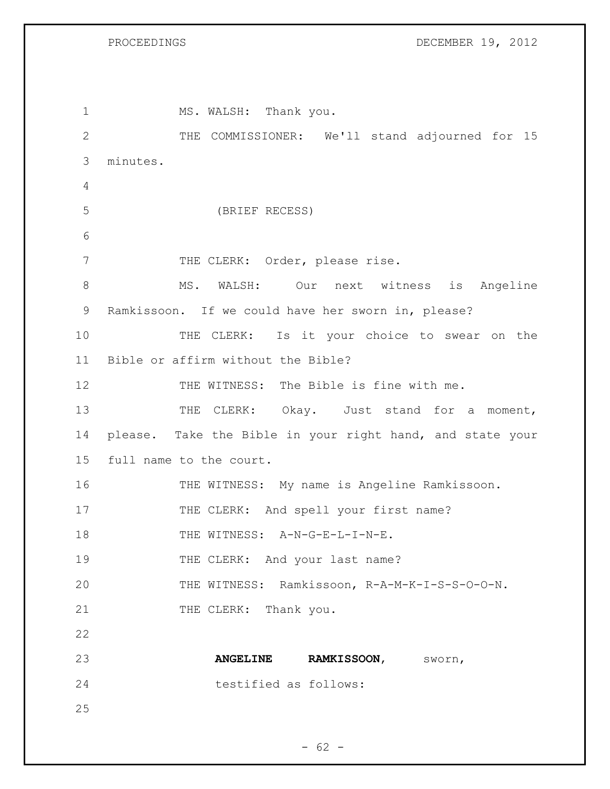PROCEEDINGS DECEMBER 19, 2012

| 1               | MS. WALSH: Thank you.                                     |
|-----------------|-----------------------------------------------------------|
| $\mathbf{2}$    | THE COMMISSIONER: We'll stand adjourned for 15            |
| 3               | minutes.                                                  |
| 4               |                                                           |
| 5               | (BRIEF RECESS)                                            |
| 6               |                                                           |
| 7               | THE CLERK: Order, please rise.                            |
| $8\,$           | MS. WALSH: Our next witness is Angeline                   |
| 9               | Ramkissoon. If we could have her sworn in, please?        |
| 10              | THE CLERK: Is it your choice to swear on the              |
| 11              | Bible or affirm without the Bible?                        |
| 12              | THE WITNESS: The Bible is fine with me.                   |
| 13              | THE CLERK: Okay. Just stand for a moment,                 |
| 14              | please. Take the Bible in your right hand, and state your |
| 15 <sub>1</sub> | full name to the court.                                   |
| 16              | THE WITNESS: My name is Angeline Ramkissoon.              |
| 17              | THE CLERK: And spell your first name?                     |
| 18              | THE WITNESS: A-N-G-E-L-I-N-E.                             |
| 19              | THE CLERK: And your last name?                            |
| 20              | THE WITNESS: Ramkissoon, R-A-M-K-I-S-S-O-O-N.             |
| 21              | THE CLERK: Thank you.                                     |
| 22              |                                                           |
| 23              | <b>ANGELINE</b><br>RAMKISSOON, SWOTH,                     |
| 24              | testified as follows:                                     |
| 25              |                                                           |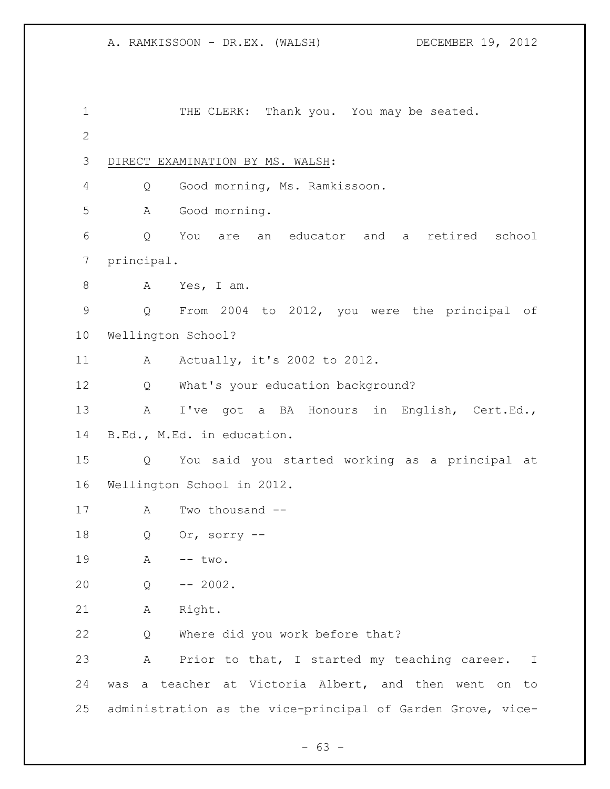1 THE CLERK: Thank you. You may be seated. DIRECT EXAMINATION BY MS. WALSH: Q Good morning, Ms. Ramkissoon. A Good morning. Q You are an educator and a retired school principal. A Yes, I am. Q From 2004 to 2012, you were the principal of Wellington School? 11 A Actually, it's 2002 to 2012. Q What's your education background? A I've got a BA Honours in English, Cert.Ed., B.Ed., M.Ed. in education. Q You said you started working as a principal at Wellington School in 2012. A Two thousand -- Q Or, sorry -- 19 A -- two. Q -- 2002. A Right. Q Where did you work before that? A Prior to that, I started my teaching career. I was a teacher at Victoria Albert, and then went on to administration as the vice-principal of Garden Grove, vice-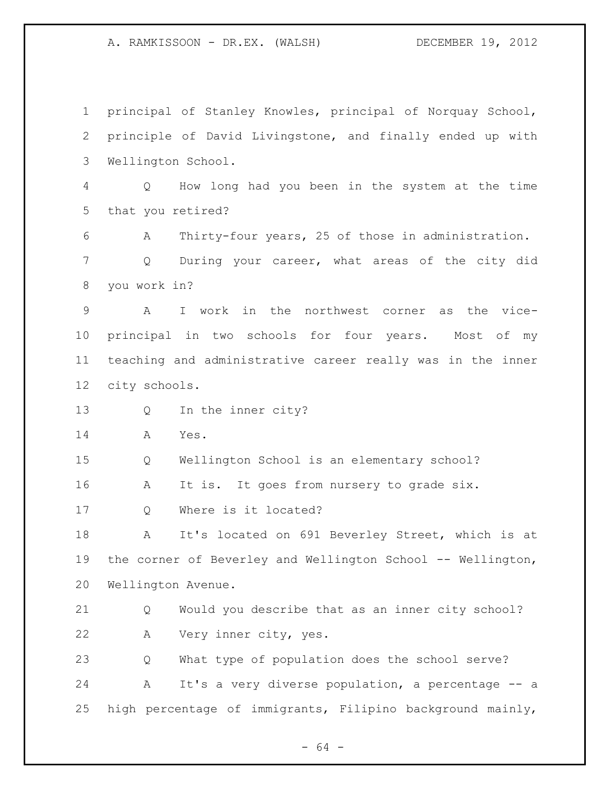principal of Stanley Knowles, principal of Norquay School, principle of David Livingstone, and finally ended up with Wellington School. Q How long had you been in the system at the time that you retired? A Thirty-four years, 25 of those in administration. Q During your career, what areas of the city did you work in? A I work in the northwest corner as the vice- principal in two schools for four years. Most of my teaching and administrative career really was in the inner city schools. Q In the inner city? A Yes. Q Wellington School is an elementary school? 16 A It is. It goes from nursery to grade six. Q Where is it located? A It's located on 691 Beverley Street, which is at the corner of Beverley and Wellington School -- Wellington, Wellington Avenue. Q Would you describe that as an inner city school? A Very inner city, yes. Q What type of population does the school serve? A It's a very diverse population, a percentage -- a high percentage of immigrants, Filipino background mainly,

- 64 -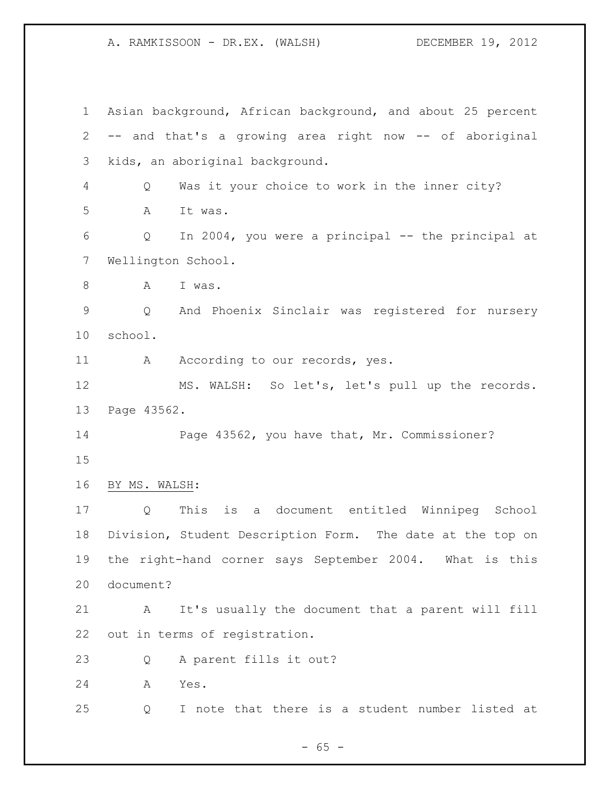Asian background, African background, and about 25 percent -- and that's a growing area right now -- of aboriginal kids, an aboriginal background. Q Was it your choice to work in the inner city? A It was. Q In 2004, you were a principal -- the principal at Wellington School. 8 A I was. Q And Phoenix Sinclair was registered for nursery school. 11 A According to our records, yes. MS. WALSH: So let's, let's pull up the records. Page 43562. Page 43562, you have that, Mr. Commissioner? BY MS. WALSH: Q This is a document entitled Winnipeg School Division, Student Description Form. The date at the top on the right-hand corner says September 2004. What is this document? A It's usually the document that a parent will fill out in terms of registration. Q A parent fills it out? A Yes. Q I note that there is a student number listed at

 $- 65 -$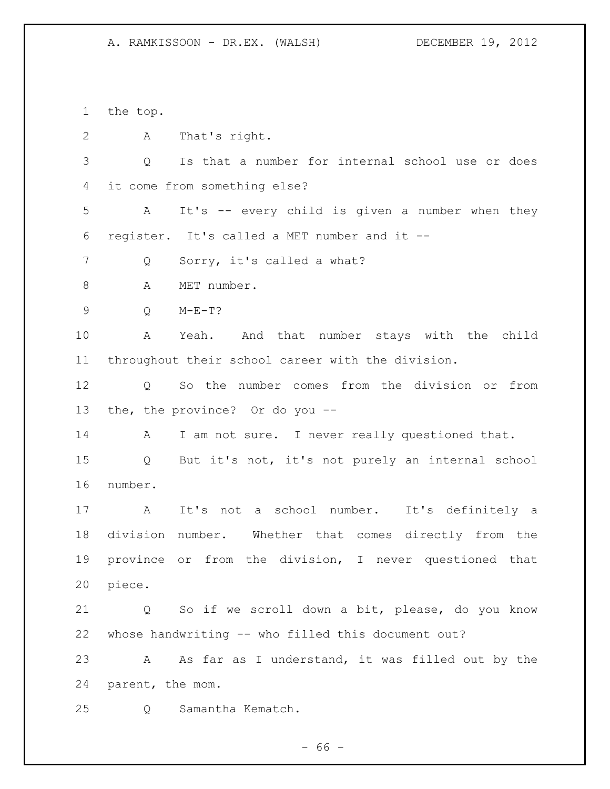the top. A That's right. Q Is that a number for internal school use or does it come from something else? A It's -- every child is given a number when they register. It's called a MET number and it -- Q Sorry, it's called a what? A MET number. Q M-E-T? A Yeah. And that number stays with the child throughout their school career with the division. Q So the number comes from the division or from the, the province? Or do you -- 14 A I am not sure. I never really questioned that. Q But it's not, it's not purely an internal school number. A It's not a school number. It's definitely a division number. Whether that comes directly from the province or from the division, I never questioned that piece. Q So if we scroll down a bit, please, do you know whose handwriting -- who filled this document out? A As far as I understand, it was filled out by the parent, the mom. Q Samantha Kematch.

- 66 -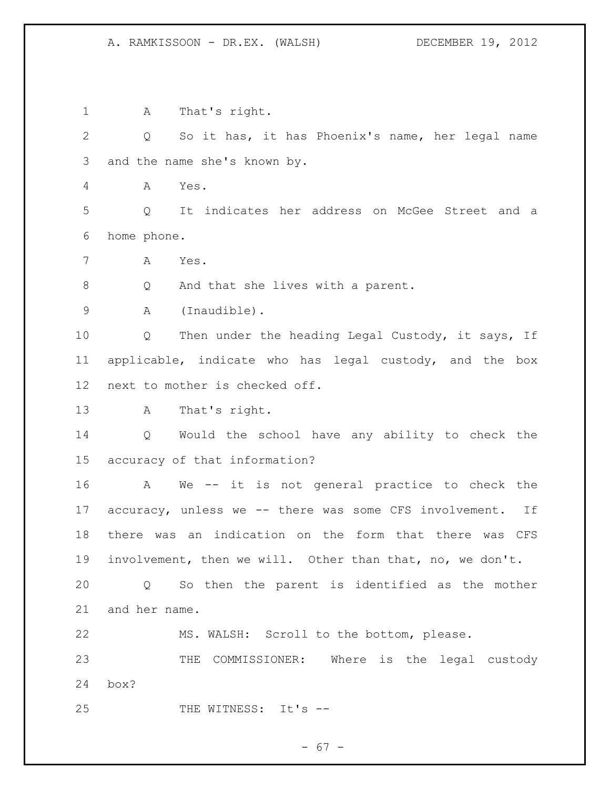A That's right. Q So it has, it has Phoenix's name, her legal name and the name she's known by. A Yes. Q It indicates her address on McGee Street and a home phone. A Yes. Q And that she lives with a parent. A (Inaudible). 10 Q Then under the heading Legal Custody, it says, If applicable, indicate who has legal custody, and the box next to mother is checked off. A That's right. Q Would the school have any ability to check the accuracy of that information? A We -- it is not general practice to check the accuracy, unless we -- there was some CFS involvement. If there was an indication on the form that there was CFS involvement, then we will. Other than that, no, we don't. Q So then the parent is identified as the mother and her name. MS. WALSH: Scroll to the bottom, please. THE COMMISSIONER: Where is the legal custody box? 25 THE WITNESS: It's --

 $- 67 -$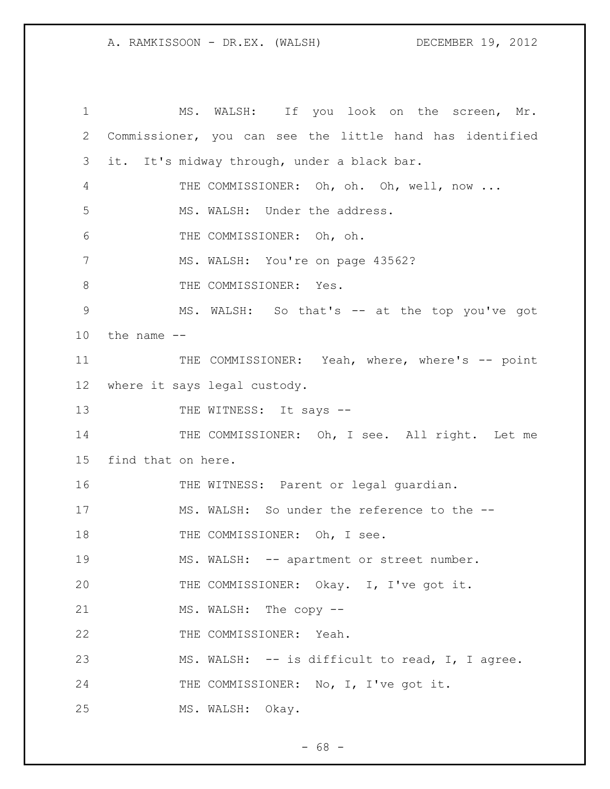1 MS. WALSH: If you look on the screen, Mr. 2 Commissioner, you can see the little hand has identified 3 it. It's midway through, under a black bar. 4 THE COMMISSIONER: Oh, oh. Oh, well, now ... 5 MS. WALSH: Under the address. 6 THE COMMISSIONER: Oh, oh. 7 MS. WALSH: You're on page 43562? 8 THE COMMISSIONER: Yes. 9 MS. WALSH: So that's -- at the top you've got  $10$  the name  $-$ 11 THE COMMISSIONER: Yeah, where, where's -- point 12 where it says legal custody. 13 THE WITNESS: It says --14 THE COMMISSIONER: Oh, I see. All right. Let me 15 find that on here. 16 THE WITNESS: Parent or legal guardian. 17 MS. WALSH: So under the reference to the -- 18 THE COMMISSIONER: Oh, I see. 19 MS. WALSH: -- apartment or street number. 20 THE COMMISSIONER: Okay. I, I've got it. 21 MS. WALSH: The copy --22 THE COMMISSIONER: Yeah. 23 MS. WALSH: -- is difficult to read, I, I agree. 24 THE COMMISSIONER: No, I, I've got it. 25 MS. WALSH: Okay.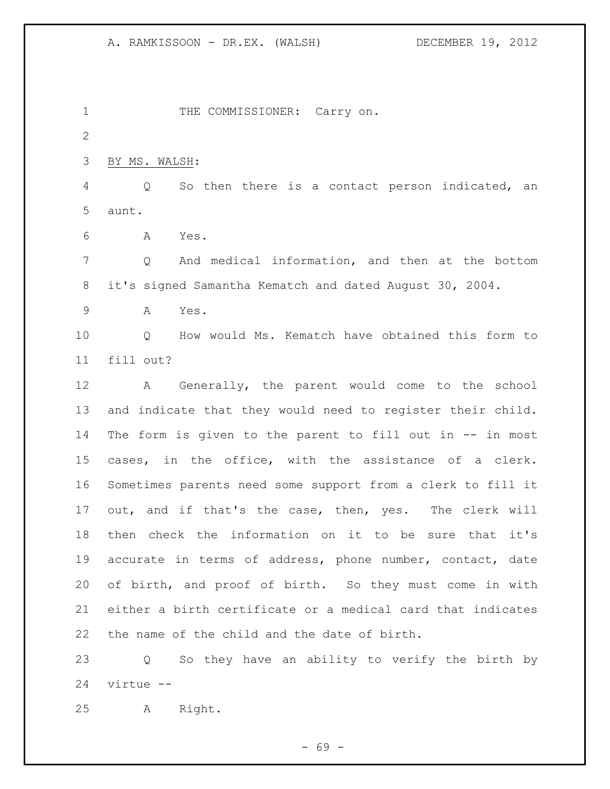1 THE COMMISSIONER: Carry on. BY MS. WALSH: Q So then there is a contact person indicated, an aunt. A Yes. Q And medical information, and then at the bottom it's signed Samantha Kematch and dated August 30, 2004. A Yes. Q How would Ms. Kematch have obtained this form to fill out? A Generally, the parent would come to the school and indicate that they would need to register their child. 14 The form is given to the parent to fill out in -- in most cases, in the office, with the assistance of a clerk. Sometimes parents need some support from a clerk to fill it out, and if that's the case, then, yes. The clerk will then check the information on it to be sure that it's accurate in terms of address, phone number, contact, date of birth, and proof of birth. So they must come in with either a birth certificate or a medical card that indicates the name of the child and the date of birth. Q So they have an ability to verify the birth by virtue --

A Right.

- 69 -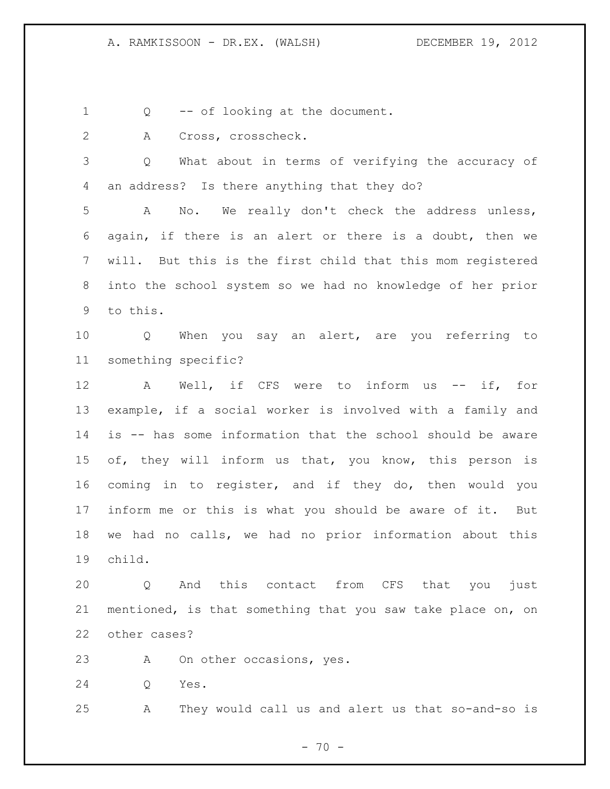Q -- of looking at the document.

A Cross, crosscheck.

 Q What about in terms of verifying the accuracy of an address? Is there anything that they do?

 A No. We really don't check the address unless, again, if there is an alert or there is a doubt, then we will. But this is the first child that this mom registered into the school system so we had no knowledge of her prior to this.

 Q When you say an alert, are you referring to something specific?

12 A Well, if CFS were to inform us -- if, for example, if a social worker is involved with a family and is -- has some information that the school should be aware of, they will inform us that, you know, this person is coming in to register, and if they do, then would you inform me or this is what you should be aware of it. But we had no calls, we had no prior information about this child.

 Q And this contact from CFS that you just mentioned, is that something that you saw take place on, on other cases?

A On other occasions, yes.

Q Yes.

A They would call us and alert us that so-and-so is

 $- 70 -$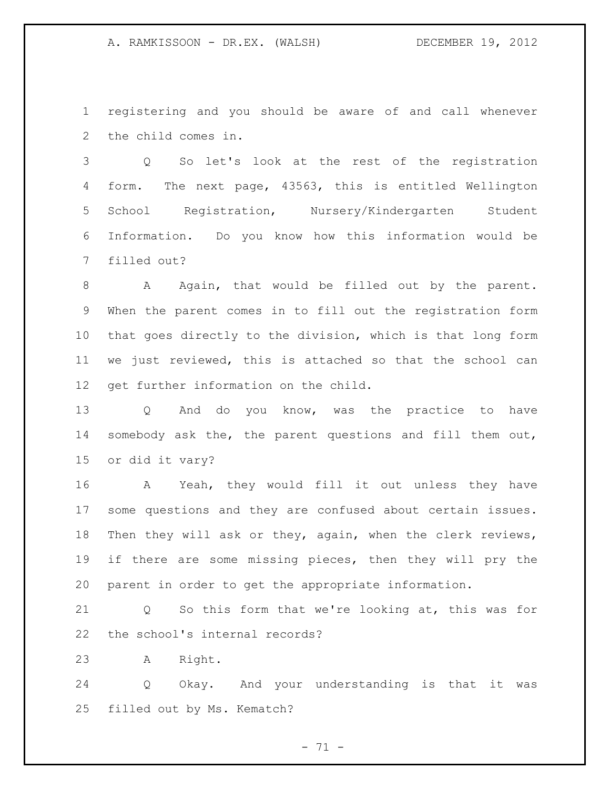registering and you should be aware of and call whenever the child comes in.

 Q So let's look at the rest of the registration form. The next page, 43563, this is entitled Wellington School Registration, Nursery/Kindergarten Student Information. Do you know how this information would be filled out?

8 A Again, that would be filled out by the parent. When the parent comes in to fill out the registration form that goes directly to the division, which is that long form we just reviewed, this is attached so that the school can get further information on the child.

 Q And do you know, was the practice to have somebody ask the, the parent questions and fill them out, or did it vary?

 A Yeah, they would fill it out unless they have some questions and they are confused about certain issues. Then they will ask or they, again, when the clerk reviews, if there are some missing pieces, then they will pry the parent in order to get the appropriate information.

 Q So this form that we're looking at, this was for the school's internal records?

A Right.

 Q Okay. And your understanding is that it was filled out by Ms. Kematch?

 $- 71 -$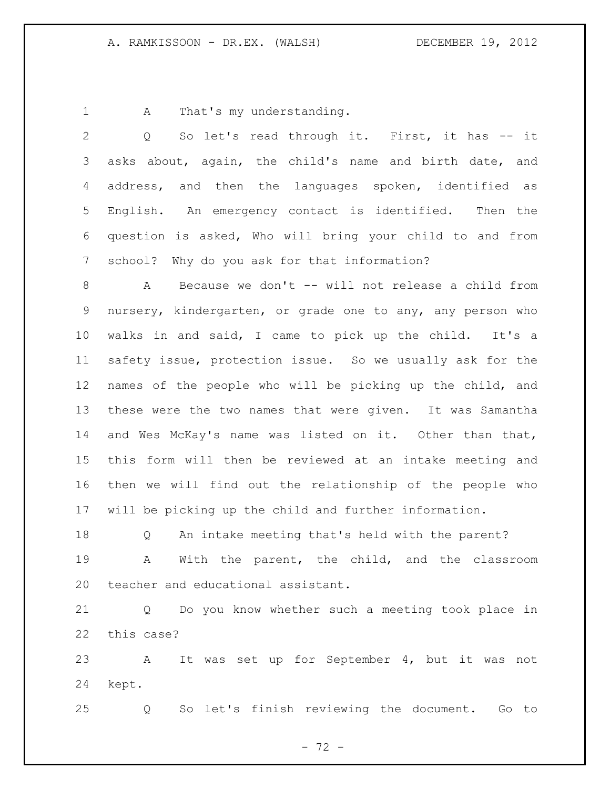1 A That's my understanding.

| 2               | So let's read through it. First, it has -- it<br>Q          |  |  |  |  |  |  |  |  |
|-----------------|-------------------------------------------------------------|--|--|--|--|--|--|--|--|
| 3               | asks about, again, the child's name and birth date, and     |  |  |  |  |  |  |  |  |
| 4               | address, and then the languages spoken, identified as       |  |  |  |  |  |  |  |  |
| 5               | English. An emergency contact is identified.<br>Then the    |  |  |  |  |  |  |  |  |
| 6               | question is asked, Who will bring your child to and from    |  |  |  |  |  |  |  |  |
| 7               | school? Why do you ask for that information?                |  |  |  |  |  |  |  |  |
| 8               | Because we don't -- will not release a child from<br>A      |  |  |  |  |  |  |  |  |
| 9               | nursery, kindergarten, or grade one to any, any person who  |  |  |  |  |  |  |  |  |
| 10 <sub>o</sub> | walks in and said, I came to pick up the child. It's a      |  |  |  |  |  |  |  |  |
| 11              | safety issue, protection issue. So we usually ask for the   |  |  |  |  |  |  |  |  |
| 12              | names of the people who will be picking up the child, and   |  |  |  |  |  |  |  |  |
| 13              | these were the two names that were given. It was Samantha   |  |  |  |  |  |  |  |  |
| 14              | and Wes McKay's name was listed on it. Other than that,     |  |  |  |  |  |  |  |  |
| 15 <sub>1</sub> | this form will then be reviewed at an intake meeting and    |  |  |  |  |  |  |  |  |
| 16              | then we will find out the relationship of the people who    |  |  |  |  |  |  |  |  |
| 17              | will be picking up the child and further information.       |  |  |  |  |  |  |  |  |
| 18              | An intake meeting that's held with the parent?<br>Q         |  |  |  |  |  |  |  |  |
| 19              | With the parent, the child, and the classroom<br>A          |  |  |  |  |  |  |  |  |
| 20              | teacher and educational assistant.                          |  |  |  |  |  |  |  |  |
| 21              | Do you know whether such a meeting took place in<br>Q       |  |  |  |  |  |  |  |  |
| 22              | this case?                                                  |  |  |  |  |  |  |  |  |
| 23              | set up for September 4, but it was<br>It<br>was<br>not<br>A |  |  |  |  |  |  |  |  |

kept.

Q So let's finish reviewing the document. Go to

- 72 -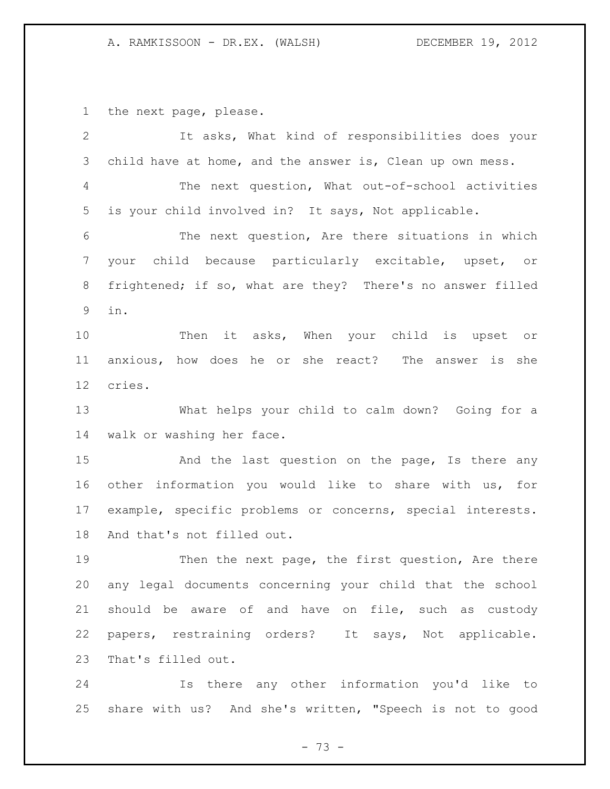the next page, please.

| $\overline{2}$  | It asks, What kind of responsibilities does your           |  |  |  |  |  |  |  |  |
|-----------------|------------------------------------------------------------|--|--|--|--|--|--|--|--|
| 3               | child have at home, and the answer is, Clean up own mess.  |  |  |  |  |  |  |  |  |
| 4               | The next question, What out-of-school activities           |  |  |  |  |  |  |  |  |
| 5               | is your child involved in? It says, Not applicable.        |  |  |  |  |  |  |  |  |
| 6               | The next question, Are there situations in which           |  |  |  |  |  |  |  |  |
| 7               | your child because particularly excitable, upset, or       |  |  |  |  |  |  |  |  |
| 8               | frightened; if so, what are they? There's no answer filled |  |  |  |  |  |  |  |  |
| 9               | in.                                                        |  |  |  |  |  |  |  |  |
| 10              | Then it asks, When your child is upset or                  |  |  |  |  |  |  |  |  |
| 11              | anxious, how does he or she react? The answer is she       |  |  |  |  |  |  |  |  |
| 12 <sup>°</sup> | cries.                                                     |  |  |  |  |  |  |  |  |
| 13              | What helps your child to calm down? Going for a            |  |  |  |  |  |  |  |  |
| 14              | walk or washing her face.                                  |  |  |  |  |  |  |  |  |
| 15              | And the last question on the page, Is there any            |  |  |  |  |  |  |  |  |
| 16              | other information you would like to share with us, for     |  |  |  |  |  |  |  |  |
| 17              | example, specific problems or concerns, special interests. |  |  |  |  |  |  |  |  |
| 18              | And that's not filled out.                                 |  |  |  |  |  |  |  |  |
| 19              | Then the next page, the first question, Are there          |  |  |  |  |  |  |  |  |
| 20              | any legal documents concerning your child that the school  |  |  |  |  |  |  |  |  |
| 21              | should be aware of and have on file, such as custody       |  |  |  |  |  |  |  |  |
| 22              | papers, restraining orders? It says, Not applicable.       |  |  |  |  |  |  |  |  |
| 23              | That's filled out.                                         |  |  |  |  |  |  |  |  |
| 24              | Is there any other information you'd like to               |  |  |  |  |  |  |  |  |

 Is there any other information you'd like to share with us? And she's written, "Speech is not to good

- 73 -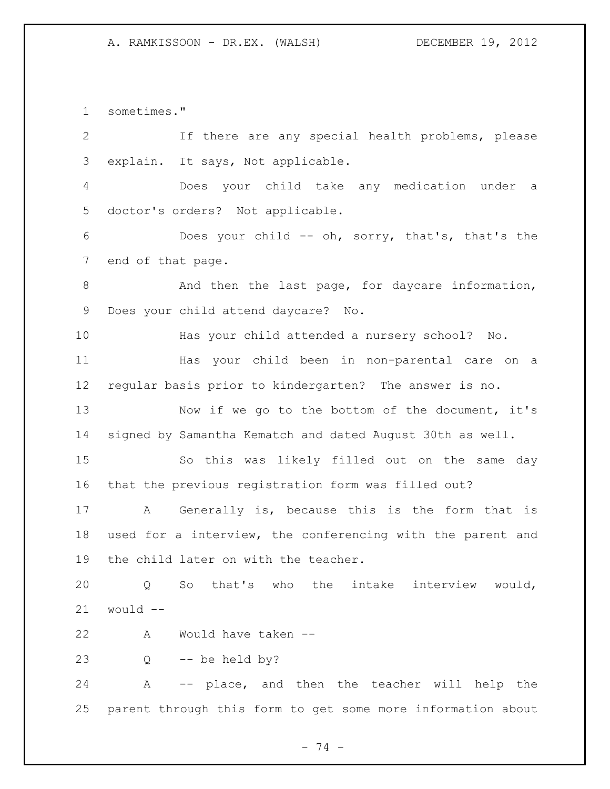sometimes." If there are any special health problems, please explain. It says, Not applicable. Does your child take any medication under a doctor's orders? Not applicable. Does your child -- oh, sorry, that's, that's the end of that page. 8 And then the last page, for daycare information, Does your child attend daycare? No. Has your child attended a nursery school? No. Has your child been in non-parental care on a regular basis prior to kindergarten? The answer is no. Now if we go to the bottom of the document, it's signed by Samantha Kematch and dated August 30th as well. So this was likely filled out on the same day that the previous registration form was filled out? A Generally is, because this is the form that is used for a interview, the conferencing with the parent and the child later on with the teacher. Q So that's who the intake interview would, would  $-$  A Would have taken -- Q -- be held by? A -- place, and then the teacher will help the parent through this form to get some more information about

- 74 -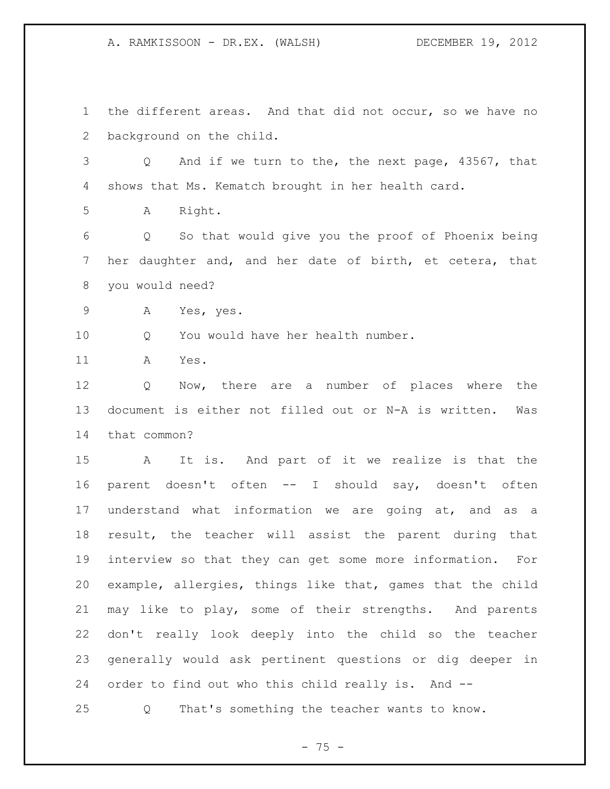A. RAMKISSOON - DR.EX. (WALSH) DECEMBER 19, 2012

 the different areas. And that did not occur, so we have no background on the child. Q And if we turn to the, the next page, 43567, that shows that Ms. Kematch brought in her health card. A Right. Q So that would give you the proof of Phoenix being her daughter and, and her date of birth, et cetera, that you would need? A Yes, yes. 10 O You would have her health number. A Yes. Q Now, there are a number of places where the document is either not filled out or N-A is written. Was that common? A It is. And part of it we realize is that the parent doesn't often -- I should say, doesn't often understand what information we are going at, and as a result, the teacher will assist the parent during that interview so that they can get some more information. For example, allergies, things like that, games that the child may like to play, some of their strengths. And parents don't really look deeply into the child so the teacher generally would ask pertinent questions or dig deeper in order to find out who this child really is. And -- Q That's something the teacher wants to know.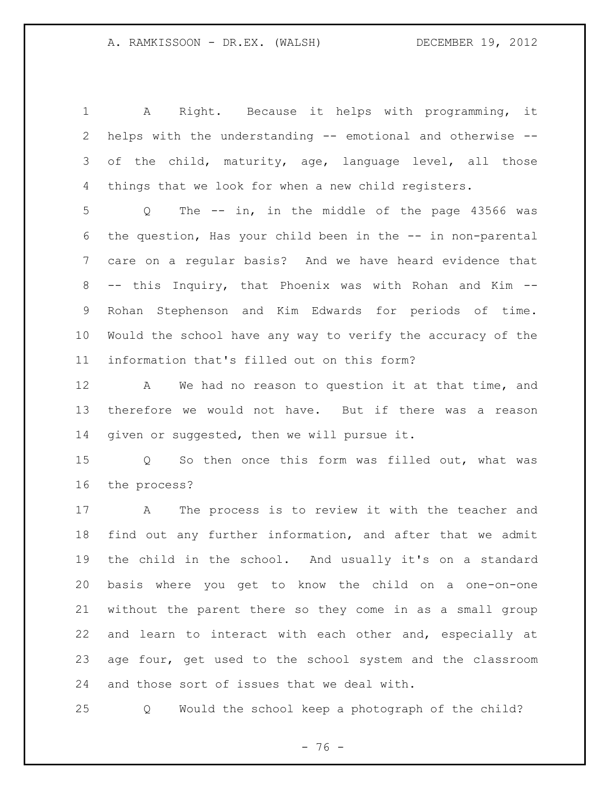A Right. Because it helps with programming, it helps with the understanding -- emotional and otherwise -- 3 of the child, maturity, age, language level, all those things that we look for when a new child registers.

 Q The -- in, in the middle of the page 43566 was the question, Has your child been in the -- in non-parental care on a regular basis? And we have heard evidence that -- this Inquiry, that Phoenix was with Rohan and Kim -- Rohan Stephenson and Kim Edwards for periods of time. Would the school have any way to verify the accuracy of the information that's filled out on this form?

 A We had no reason to question it at that time, and therefore we would not have. But if there was a reason given or suggested, then we will pursue it.

 Q So then once this form was filled out, what was the process?

 A The process is to review it with the teacher and find out any further information, and after that we admit the child in the school. And usually it's on a standard basis where you get to know the child on a one-on-one without the parent there so they come in as a small group and learn to interact with each other and, especially at age four, get used to the school system and the classroom and those sort of issues that we deal with.

Q Would the school keep a photograph of the child?

- 76 -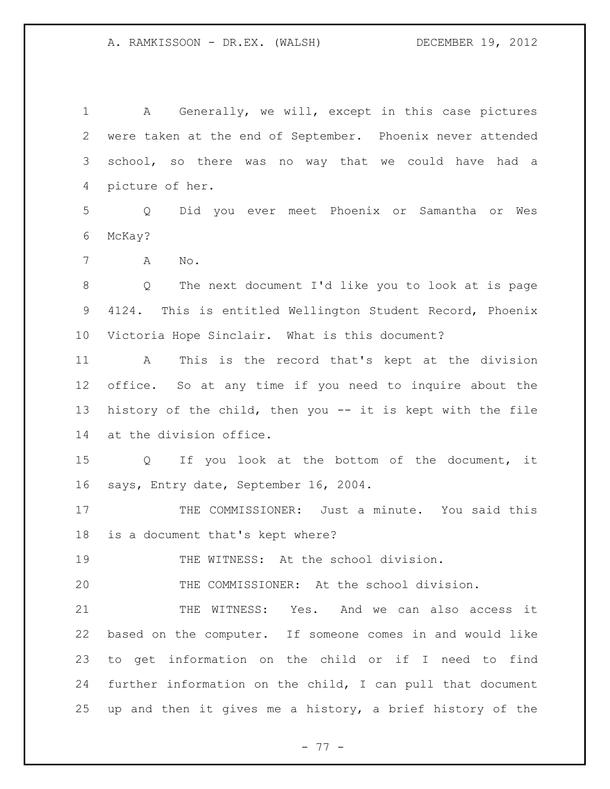A Generally, we will, except in this case pictures were taken at the end of September. Phoenix never attended school, so there was no way that we could have had a picture of her. Q Did you ever meet Phoenix or Samantha or Wes McKay? A No. Q The next document I'd like you to look at is page 4124. This is entitled Wellington Student Record, Phoenix Victoria Hope Sinclair. What is this document? A This is the record that's kept at the division office. So at any time if you need to inquire about the history of the child, then you -- it is kept with the file at the division office. Q If you look at the bottom of the document, it says, Entry date, September 16, 2004. 17 THE COMMISSIONER: Just a minute. You said this is a document that's kept where? 19 THE WITNESS: At the school division. THE COMMISSIONER: At the school division. THE WITNESS: Yes. And we can also access it based on the computer. If someone comes in and would like to get information on the child or if I need to find further information on the child, I can pull that document up and then it gives me a history, a brief history of the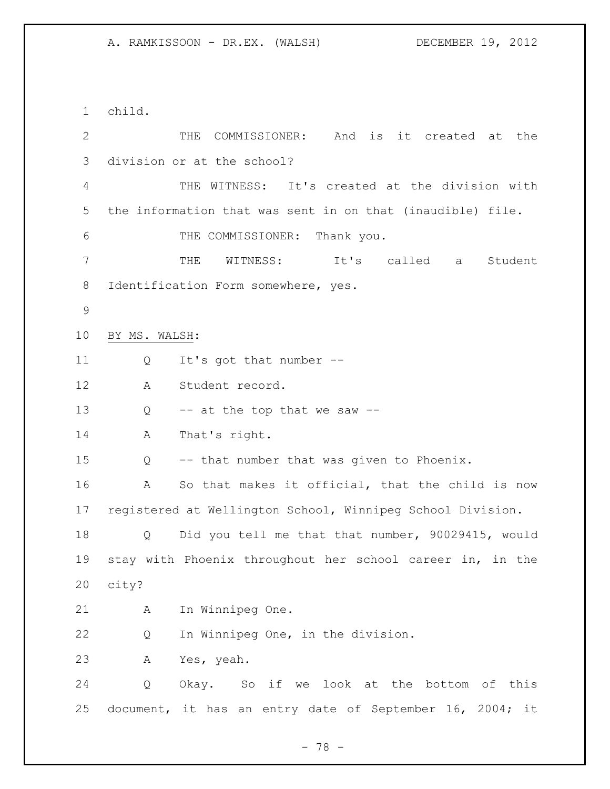child. THE COMMISSIONER: And is it created at the division or at the school? THE WITNESS: It's created at the division with the information that was sent in on that (inaudible) file. THE COMMISSIONER: Thank you. THE WITNESS: It's called a Student 8 Identification Form somewhere, yes. BY MS. WALSH: Q It's got that number -- A Student record. 13 Q -- at the top that we saw -- A That's right. Q -- that number that was given to Phoenix. A So that makes it official, that the child is now registered at Wellington School, Winnipeg School Division. Q Did you tell me that that number, 90029415, would stay with Phoenix throughout her school career in, in the city? A In Winnipeg One. Q In Winnipeg One, in the division. A Yes, yeah. Q Okay. So if we look at the bottom of this document, it has an entry date of September 16, 2004; it

- 78 -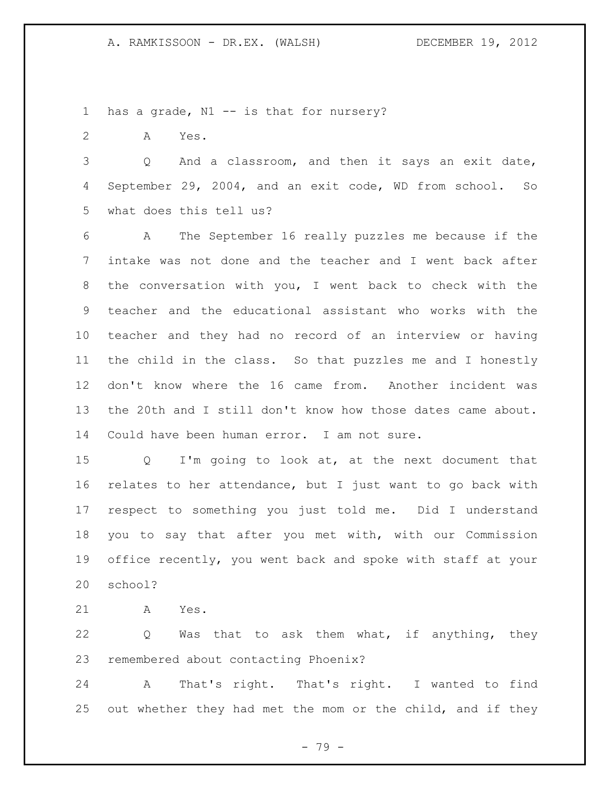1 has a grade, N1 -- is that for nursery?

A Yes.

 Q And a classroom, and then it says an exit date, September 29, 2004, and an exit code, WD from school. So what does this tell us?

 A The September 16 really puzzles me because if the intake was not done and the teacher and I went back after the conversation with you, I went back to check with the teacher and the educational assistant who works with the teacher and they had no record of an interview or having the child in the class. So that puzzles me and I honestly don't know where the 16 came from. Another incident was the 20th and I still don't know how those dates came about. Could have been human error. I am not sure.

 Q I'm going to look at, at the next document that relates to her attendance, but I just want to go back with respect to something you just told me. Did I understand you to say that after you met with, with our Commission office recently, you went back and spoke with staff at your school?

A Yes.

 Q Was that to ask them what, if anything, they remembered about contacting Phoenix?

 A That's right. That's right. I wanted to find 25 out whether they had met the mom or the child, and if they

- 79 -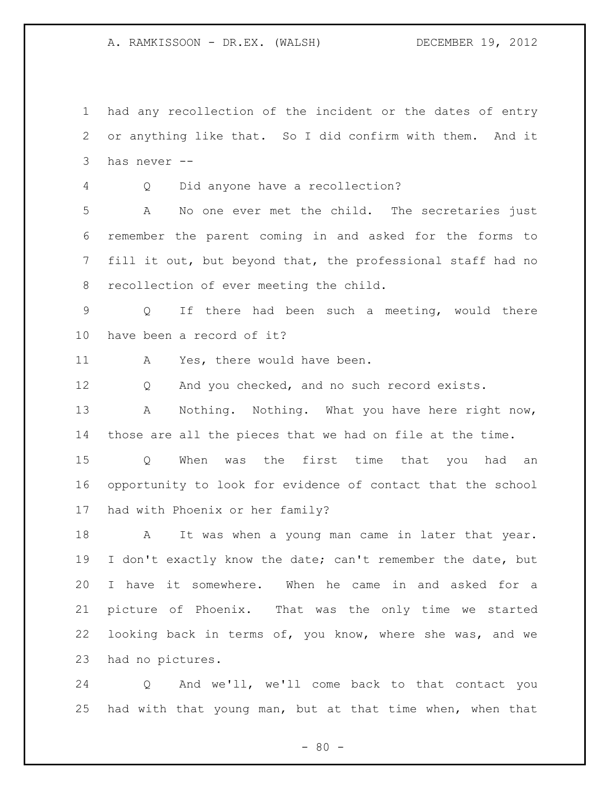had any recollection of the incident or the dates of entry or anything like that. So I did confirm with them. And it has never --

Q Did anyone have a recollection?

 A No one ever met the child. The secretaries just remember the parent coming in and asked for the forms to fill it out, but beyond that, the professional staff had no recollection of ever meeting the child.

 Q If there had been such a meeting, would there have been a record of it?

11 A Yes, there would have been.

Q And you checked, and no such record exists.

13 A Nothing. Nothing. What you have here right now, those are all the pieces that we had on file at the time.

 Q When was the first time that you had an opportunity to look for evidence of contact that the school had with Phoenix or her family?

18 A It was when a young man came in later that year. 19 I don't exactly know the date; can't remember the date, but I have it somewhere. When he came in and asked for a picture of Phoenix. That was the only time we started looking back in terms of, you know, where she was, and we had no pictures.

 Q And we'll, we'll come back to that contact you had with that young man, but at that time when, when that

 $- 80 -$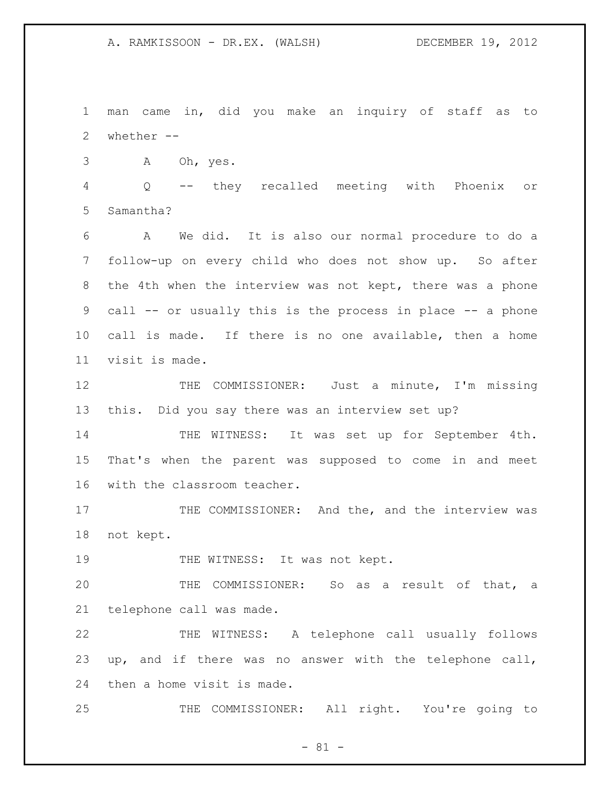A. RAMKISSOON - DR.EX. (WALSH) DECEMBER 19, 2012

 man came in, did you make an inquiry of staff as to whether -- A Oh, yes. Q -- they recalled meeting with Phoenix or Samantha? A We did. It is also our normal procedure to do a follow-up on every child who does not show up. So after the 4th when the interview was not kept, there was a phone call -- or usually this is the process in place -- a phone call is made. If there is no one available, then a home visit is made. 12 THE COMMISSIONER: Just a minute, I'm missing this. Did you say there was an interview set up? THE WITNESS: It was set up for September 4th. That's when the parent was supposed to come in and meet with the classroom teacher. 17 THE COMMISSIONER: And the, and the interview was not kept. 19 THE WITNESS: It was not kept. THE COMMISSIONER: So as a result of that, a telephone call was made. THE WITNESS: A telephone call usually follows up, and if there was no answer with the telephone call, then a home visit is made. THE COMMISSIONER: All right. You're going to

 $- 81 -$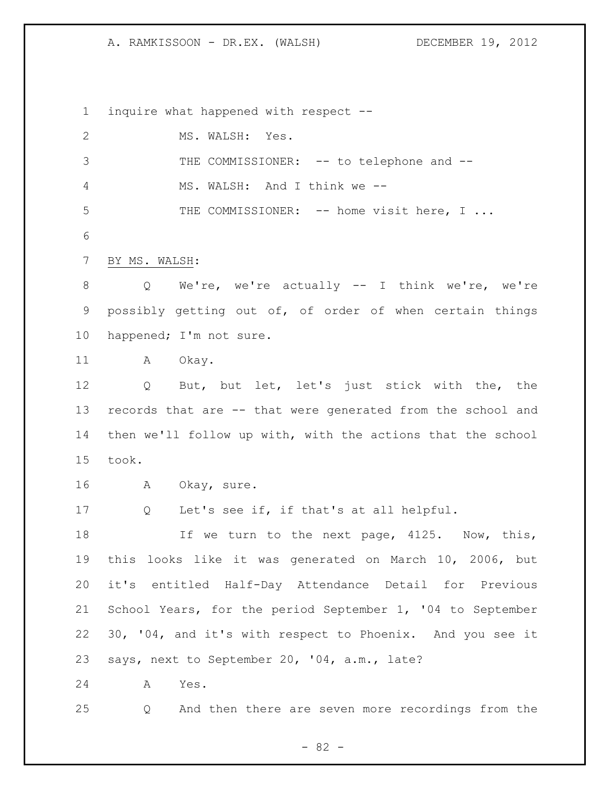A. RAMKISSOON - DR.EX. (WALSH) DECEMBER 19, 2012

inquire what happened with respect --

| $\mathbf{2}$   | MS. WALSH: Yes.                                              |  |  |  |  |  |  |  |
|----------------|--------------------------------------------------------------|--|--|--|--|--|--|--|
| $\mathfrak{Z}$ | THE COMMISSIONER: -- to telephone and --                     |  |  |  |  |  |  |  |
| $\overline{4}$ | MS. WALSH: And I think we --                                 |  |  |  |  |  |  |  |
| 5              | THE COMMISSIONER: -- home visit here, I                      |  |  |  |  |  |  |  |
| 6              |                                                              |  |  |  |  |  |  |  |
| $\overline{7}$ | BY MS. WALSH:                                                |  |  |  |  |  |  |  |
| 8              | We're, we're actually -- I think we're, we're<br>$Q \qquad$  |  |  |  |  |  |  |  |
| 9              | possibly getting out of, of order of when certain things     |  |  |  |  |  |  |  |
| 10             | happened; I'm not sure.                                      |  |  |  |  |  |  |  |
| 11             | A Okay.                                                      |  |  |  |  |  |  |  |
| 12             | But, but let, let's just stick with the, the<br>Q            |  |  |  |  |  |  |  |
| 13             | records that are -- that were generated from the school and  |  |  |  |  |  |  |  |
| 14             | then we'll follow up with, with the actions that the school  |  |  |  |  |  |  |  |
| 15             | took.                                                        |  |  |  |  |  |  |  |
| 16             | A Okay, sure.                                                |  |  |  |  |  |  |  |
| 17             | Let's see if, if that's at all helpful.<br>$Q \qquad \qquad$ |  |  |  |  |  |  |  |
| 18             | If we turn to the next page, 4125. Now, this,                |  |  |  |  |  |  |  |
| 19             | this looks like it was generated on March 10, 2006, but      |  |  |  |  |  |  |  |
| 20             | it's entitled Half-Day Attendance Detail for Previous        |  |  |  |  |  |  |  |
| 21             | School Years, for the period September 1, '04 to September   |  |  |  |  |  |  |  |
| 22             | 30, '04, and it's with respect to Phoenix. And you see it    |  |  |  |  |  |  |  |
| 23             | says, next to September 20, '04, a.m., late?                 |  |  |  |  |  |  |  |
| 24             | Α<br>Yes.                                                    |  |  |  |  |  |  |  |
| 25             | And then there are seven more recordings from the<br>Q       |  |  |  |  |  |  |  |

- 82 -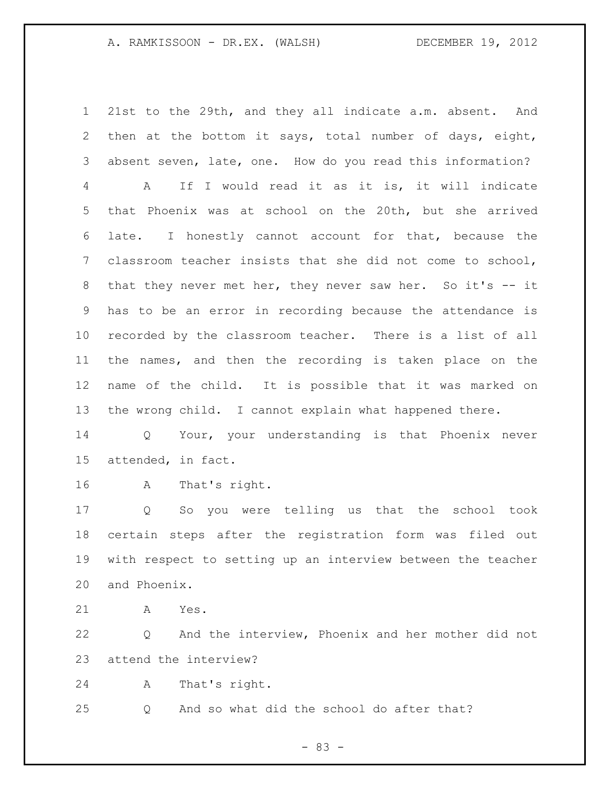21st to the 29th, and they all indicate a.m. absent. And then at the bottom it says, total number of days, eight, absent seven, late, one. How do you read this information? A If I would read it as it is, it will indicate that Phoenix was at school on the 20th, but she arrived late. I honestly cannot account for that, because the classroom teacher insists that she did not come to school, that they never met her, they never saw her. So it's -- it has to be an error in recording because the attendance is recorded by the classroom teacher. There is a list of all the names, and then the recording is taken place on the name of the child. It is possible that it was marked on the wrong child. I cannot explain what happened there.

 Q Your, your understanding is that Phoenix never attended, in fact.

A That's right.

 Q So you were telling us that the school took certain steps after the registration form was filed out with respect to setting up an interview between the teacher and Phoenix.

A Yes.

 Q And the interview, Phoenix and her mother did not attend the interview?

A That's right.

Q And so what did the school do after that?

- 83 -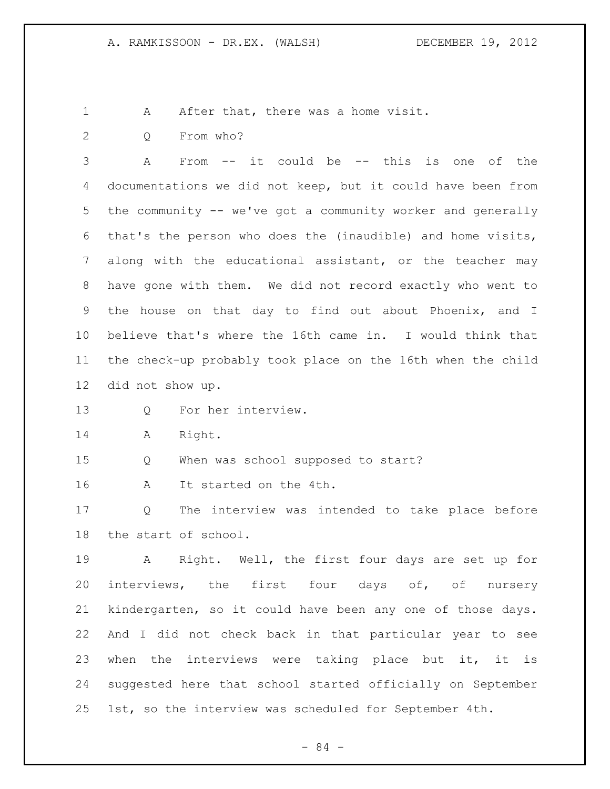1 A After that, there was a home visit.

Q From who?

 A From -- it could be -- this is one of the documentations we did not keep, but it could have been from the community -- we've got a community worker and generally that's the person who does the (inaudible) and home visits, along with the educational assistant, or the teacher may have gone with them. We did not record exactly who went to the house on that day to find out about Phoenix, and I believe that's where the 16th came in. I would think that the check-up probably took place on the 16th when the child did not show up.

- Q For her interview.
- A Right.

Q When was school supposed to start?

A It started on the 4th.

 Q The interview was intended to take place before the start of school.

 A Right. Well, the first four days are set up for interviews, the first four days of, of nursery kindergarten, so it could have been any one of those days. And I did not check back in that particular year to see when the interviews were taking place but it, it is suggested here that school started officially on September 1st, so the interview was scheduled for September 4th.

- 84 -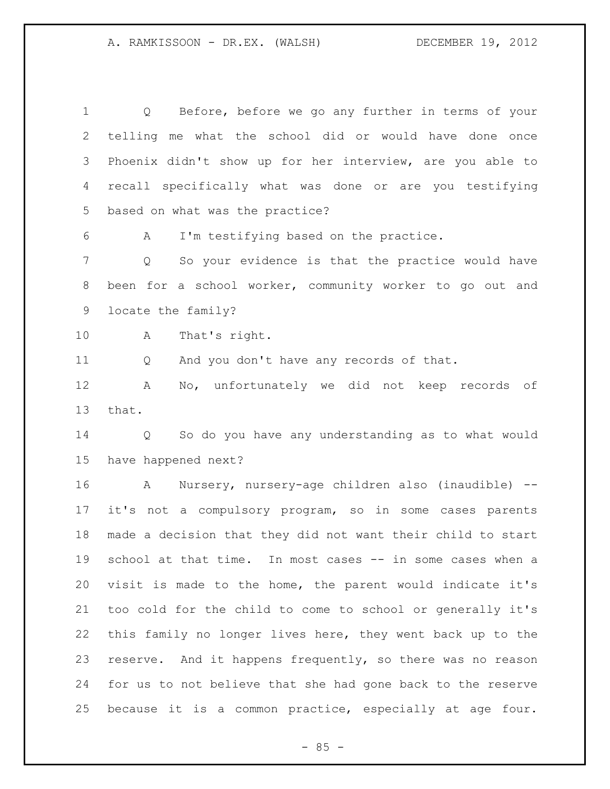Q Before, before we go any further in terms of your telling me what the school did or would have done once Phoenix didn't show up for her interview, are you able to recall specifically what was done or are you testifying based on what was the practice? A I'm testifying based on the practice. Q So your evidence is that the practice would have been for a school worker, community worker to go out and locate the family? A That's right. Q And you don't have any records of that. A No, unfortunately we did not keep records of that. Q So do you have any understanding as to what would have happened next? A Nursery, nursery-age children also (inaudible) -- it's not a compulsory program, so in some cases parents made a decision that they did not want their child to start school at that time. In most cases -- in some cases when a visit is made to the home, the parent would indicate it's too cold for the child to come to school or generally it's this family no longer lives here, they went back up to the 23 reserve. And it happens frequently, so there was no reason for us to not believe that she had gone back to the reserve because it is a common practice, especially at age four.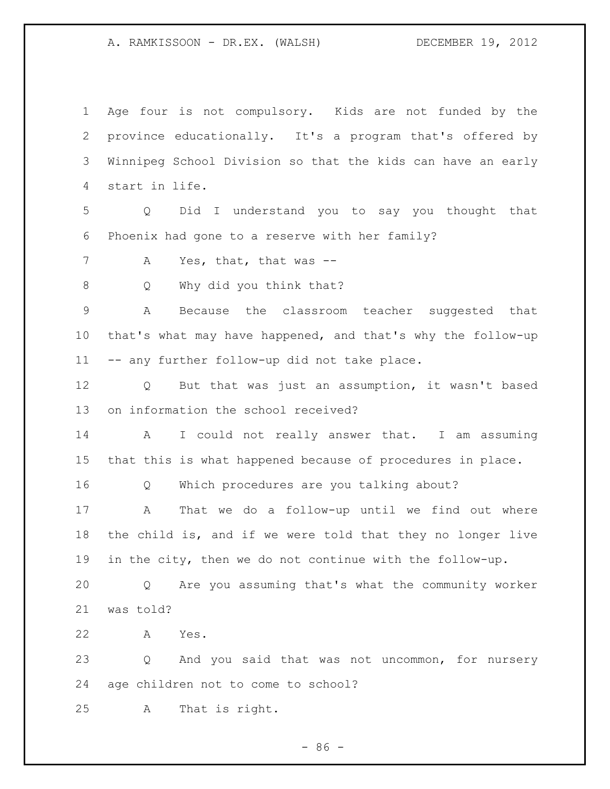A. RAMKISSOON - DR.EX. (WALSH) DECEMBER 19, 2012

 Age four is not compulsory. Kids are not funded by the province educationally. It's a program that's offered by Winnipeg School Division so that the kids can have an early start in life. Q Did I understand you to say you thought that Phoenix had gone to a reserve with her family? 7 A Yes, that, that was --8 Q Why did you think that? A Because the classroom teacher suggested that that's what may have happened, and that's why the follow-up -- any further follow-up did not take place. Q But that was just an assumption, it wasn't based on information the school received? A I could not really answer that. I am assuming that this is what happened because of procedures in place. Q Which procedures are you talking about? A That we do a follow-up until we find out where the child is, and if we were told that they no longer live in the city, then we do not continue with the follow-up. Q Are you assuming that's what the community worker was told? A Yes. Q And you said that was not uncommon, for nursery age children not to come to school? A That is right.

 $-86 -$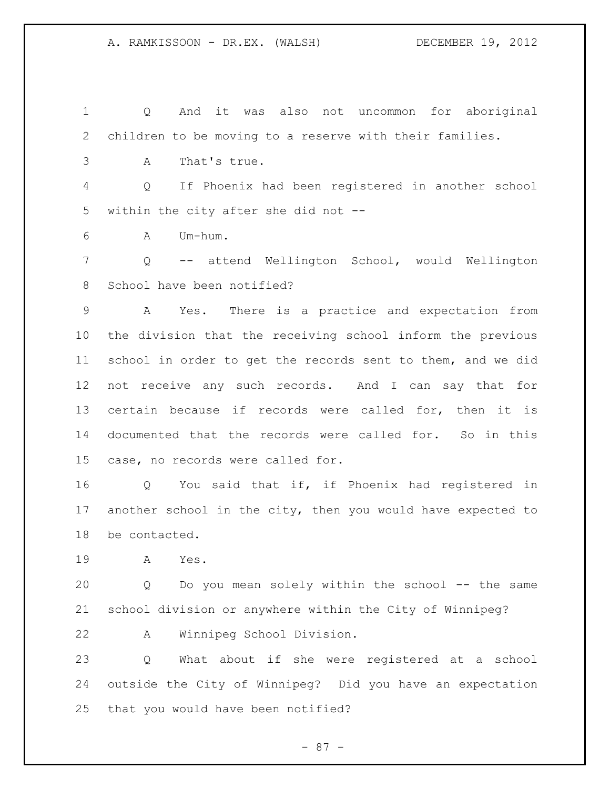Q And it was also not uncommon for aboriginal children to be moving to a reserve with their families. A That's true. Q If Phoenix had been registered in another school within the city after she did not -- A Um-hum. Q -- attend Wellington School, would Wellington School have been notified? A Yes. There is a practice and expectation from the division that the receiving school inform the previous school in order to get the records sent to them, and we did not receive any such records. And I can say that for certain because if records were called for, then it is documented that the records were called for. So in this case, no records were called for. Q You said that if, if Phoenix had registered in another school in the city, then you would have expected to be contacted. A Yes. Q Do you mean solely within the school -- the same school division or anywhere within the City of Winnipeg? A Winnipeg School Division. Q What about if she were registered at a school

 outside the City of Winnipeg? Did you have an expectation that you would have been notified?

- 87 -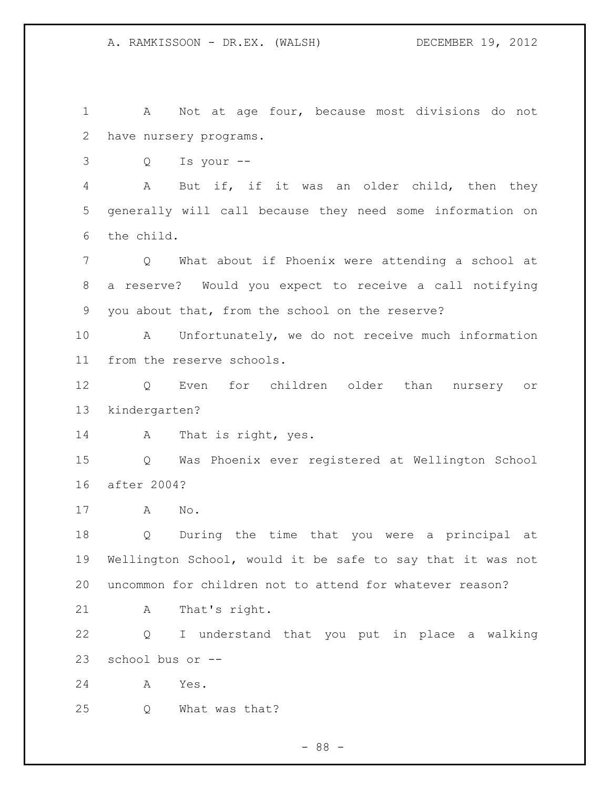A Not at age four, because most divisions do not have nursery programs.

Q Is your --

 A But if, if it was an older child, then they generally will call because they need some information on the child.

 Q What about if Phoenix were attending a school at a reserve? Would you expect to receive a call notifying you about that, from the school on the reserve?

 A Unfortunately, we do not receive much information from the reserve schools.

 Q Even for children older than nursery or kindergarten?

14 A That is right, yes.

 Q Was Phoenix ever registered at Wellington School after 2004?

A No.

 Q During the time that you were a principal at Wellington School, would it be safe to say that it was not uncommon for children not to attend for whatever reason?

A That's right.

 Q I understand that you put in place a walking school bus or --

A Yes.

Q What was that?

- 88 -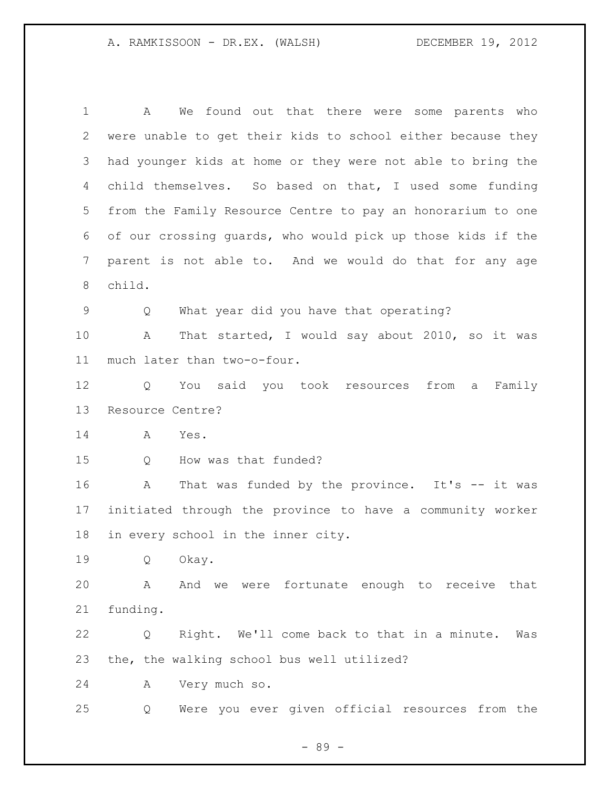A We found out that there were some parents who were unable to get their kids to school either because they had younger kids at home or they were not able to bring the 4 child themselves. So based on that, I used some funding from the Family Resource Centre to pay an honorarium to one of our crossing guards, who would pick up those kids if the parent is not able to. And we would do that for any age child. Q What year did you have that operating? A That started, I would say about 2010, so it was much later than two-o-four. Q You said you took resources from a Family Resource Centre? A Yes. 15 O How was that funded? 16 A That was funded by the province. It's -- it was initiated through the province to have a community worker in every school in the inner city. Q Okay. A And we were fortunate enough to receive that funding. Q Right. We'll come back to that in a minute. Was the, the walking school bus well utilized? A Very much so. Q Were you ever given official resources from the

- 89 -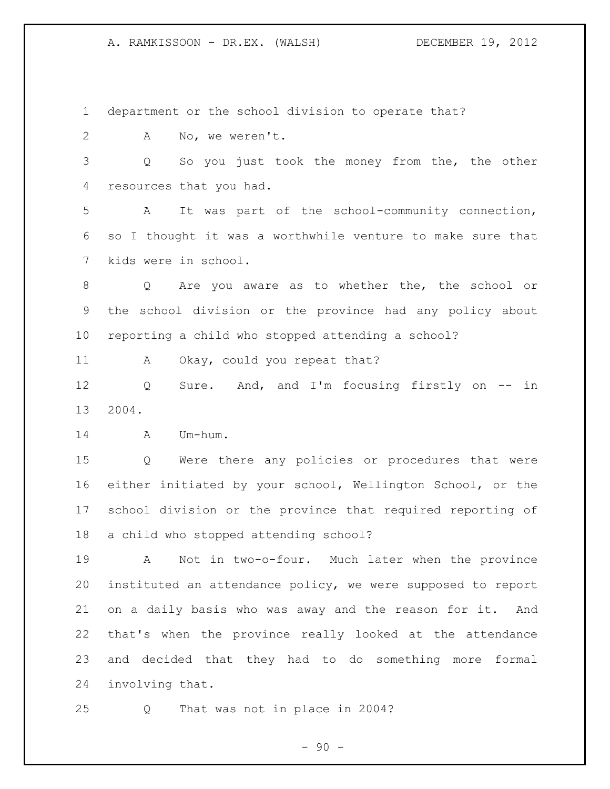department or the school division to operate that?

A No, we weren't.

 Q So you just took the money from the, the other resources that you had.

 A It was part of the school-community connection, so I thought it was a worthwhile venture to make sure that kids were in school.

 Q Are you aware as to whether the, the school or the school division or the province had any policy about reporting a child who stopped attending a school?

11 A Okay, could you repeat that?

 Q Sure. And, and I'm focusing firstly on -- in 2004.

A Um-hum.

 Q Were there any policies or procedures that were either initiated by your school, Wellington School, or the school division or the province that required reporting of a child who stopped attending school?

 A Not in two-o-four. Much later when the province instituted an attendance policy, we were supposed to report on a daily basis who was away and the reason for it. And that's when the province really looked at the attendance and decided that they had to do something more formal involving that.

Q That was not in place in 2004?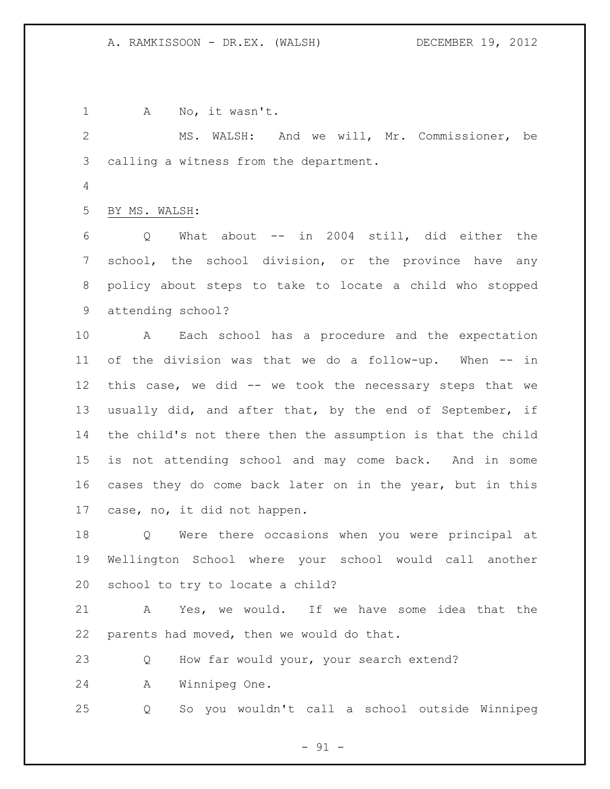1 A No, it wasn't. MS. WALSH: And we will, Mr. Commissioner, be calling a witness from the department. BY MS. WALSH: Q What about -- in 2004 still, did either the school, the school division, or the province have any policy about steps to take to locate a child who stopped attending school? A Each school has a procedure and the expectation of the division was that we do a follow-up. When -- in this case, we did -- we took the necessary steps that we usually did, and after that, by the end of September, if the child's not there then the assumption is that the child is not attending school and may come back. And in some cases they do come back later on in the year, but in this case, no, it did not happen. Q Were there occasions when you were principal at Wellington School where your school would call another school to try to locate a child? A Yes, we would. If we have some idea that the parents had moved, then we would do that. Q How far would your, your search extend? A Winnipeg One. Q So you wouldn't call a school outside Winnipeg

 $-91 -$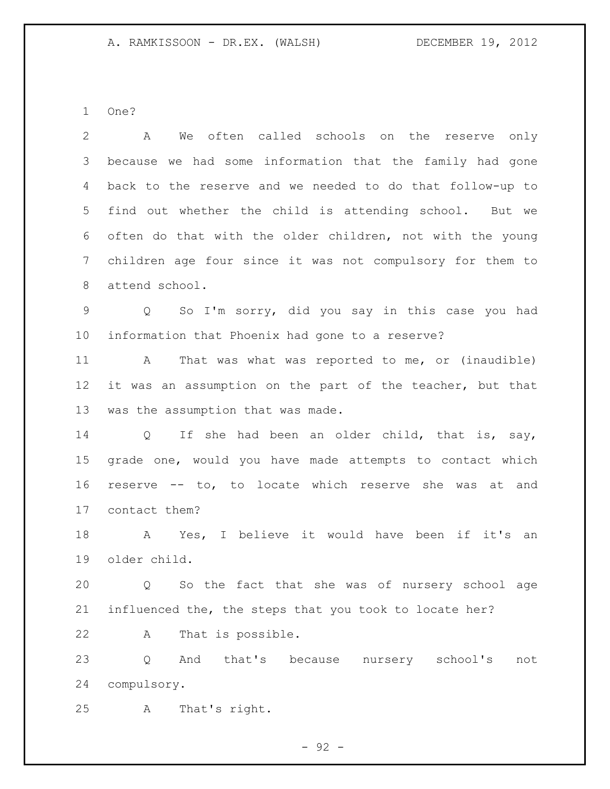One?

 A We often called schools on the reserve only because we had some information that the family had gone back to the reserve and we needed to do that follow-up to find out whether the child is attending school. But we often do that with the older children, not with the young children age four since it was not compulsory for them to attend school. Q So I'm sorry, did you say in this case you had information that Phoenix had gone to a reserve? 11 A That was what was reported to me, or (inaudible) it was an assumption on the part of the teacher, but that was the assumption that was made. 14 Q If she had been an older child, that is, say, grade one, would you have made attempts to contact which reserve -- to, to locate which reserve she was at and contact them? A Yes, I believe it would have been if it's an older child. Q So the fact that she was of nursery school age influenced the, the steps that you took to locate her? A That is possible. Q And that's because nursery school's not

compulsory.

A That's right.

 $-92 -$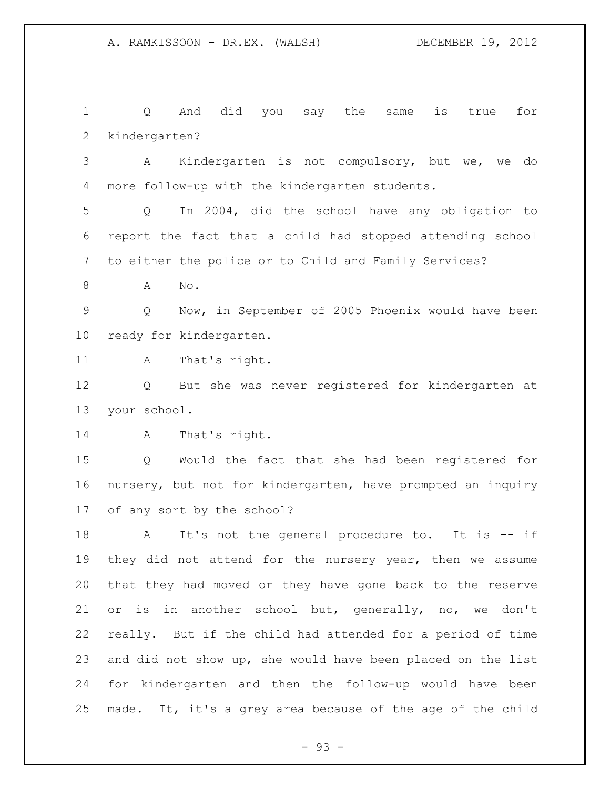Q And did you say the same is true for kindergarten? A Kindergarten is not compulsory, but we, we do more follow-up with the kindergarten students. Q In 2004, did the school have any obligation to report the fact that a child had stopped attending school to either the police or to Child and Family Services? 8 A No. Q Now, in September of 2005 Phoenix would have been ready for kindergarten. A That's right. Q But she was never registered for kindergarten at your school. 14 A That's right. Q Would the fact that she had been registered for nursery, but not for kindergarten, have prompted an inquiry of any sort by the school? 18 A It's not the general procedure to. It is -- if they did not attend for the nursery year, then we assume that they had moved or they have gone back to the reserve or is in another school but, generally, no, we don't really. But if the child had attended for a period of time and did not show up, she would have been placed on the list for kindergarten and then the follow-up would have been made. It, it's a grey area because of the age of the child

- 93 -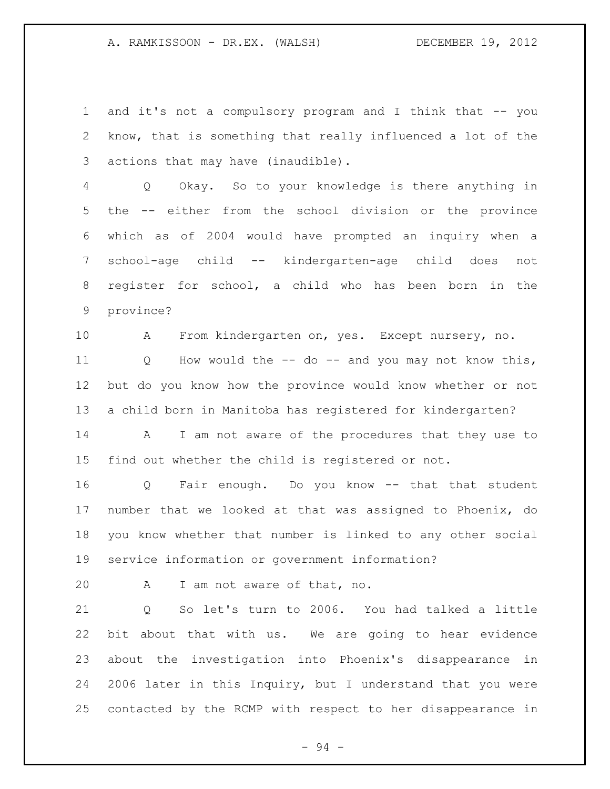and it's not a compulsory program and I think that -- you know, that is something that really influenced a lot of the actions that may have (inaudible).

 Q Okay. So to your knowledge is there anything in the -- either from the school division or the province which as of 2004 would have prompted an inquiry when a school-age child -- kindergarten-age child does not register for school, a child who has been born in the province?

A From kindergarten on, yes. Except nursery, no.

 Q How would the -- do -- and you may not know this, but do you know how the province would know whether or not a child born in Manitoba has registered for kindergarten?

 A I am not aware of the procedures that they use to find out whether the child is registered or not.

 Q Fair enough. Do you know -- that that student number that we looked at that was assigned to Phoenix, do you know whether that number is linked to any other social service information or government information?

A I am not aware of that, no.

 Q So let's turn to 2006. You had talked a little bit about that with us. We are going to hear evidence about the investigation into Phoenix's disappearance in 2006 later in this Inquiry, but I understand that you were contacted by the RCMP with respect to her disappearance in

- 94 -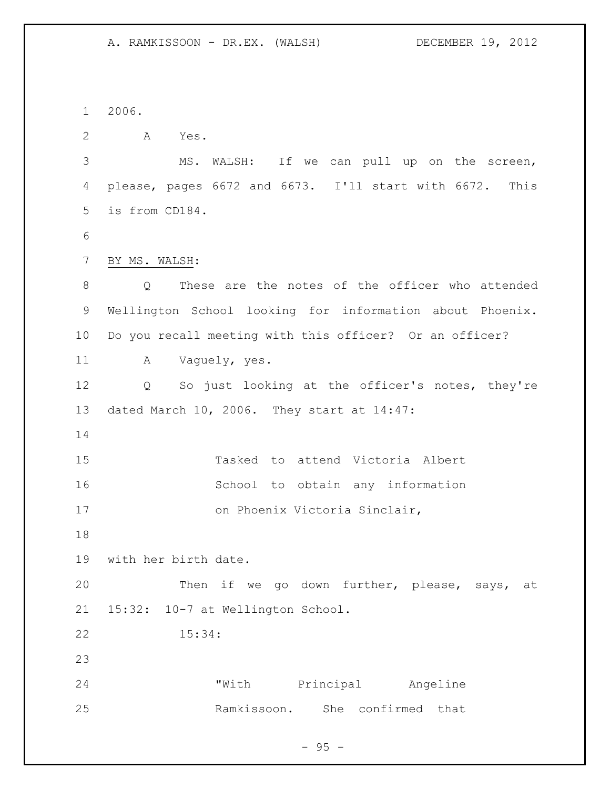A. RAMKISSOON - DR.EX. (WALSH) DECEMBER 19, 2012

2006.

A Yes.

 MS. WALSH: If we can pull up on the screen, please, pages 6672 and 6673. I'll start with 6672. This is from CD184.

BY MS. WALSH:

 Q These are the notes of the officer who attended Wellington School looking for information about Phoenix. Do you recall meeting with this officer? Or an officer?

11 A Vaguely, yes.

 Q So just looking at the officer's notes, they're dated March 10, 2006. They start at 14:47:

| 15 |                               |  | Tasked to attend Victoria Albert |  |  |  |
|----|-------------------------------|--|----------------------------------|--|--|--|
| 16 |                               |  | School to obtain any information |  |  |  |
| 17 | on Phoenix Victoria Sinclair, |  |                                  |  |  |  |

with her birth date.

 Then if we go down further, please, says, at 15:32: 10-7 at Wellington School.

15:34:

 "With Principal Angeline Ramkissoon. She confirmed that

 $-95 -$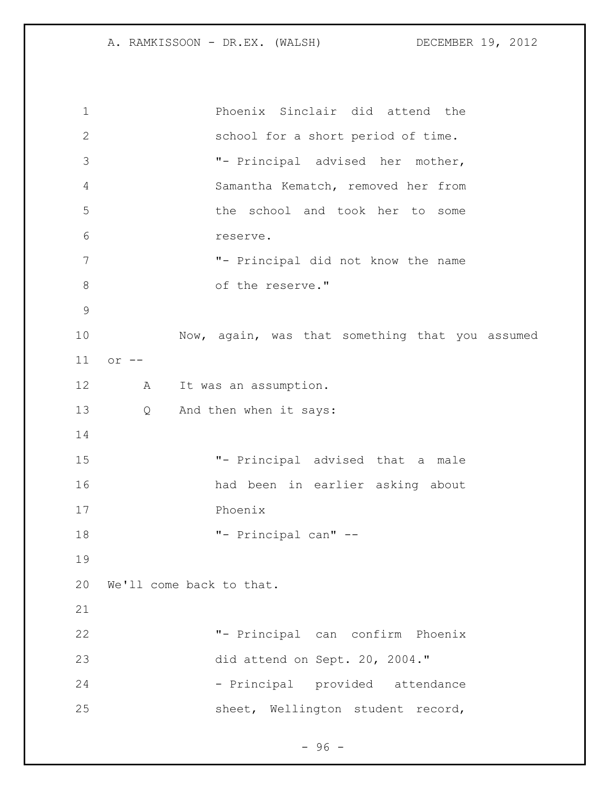A. RAMKISSOON - DR.EX. (WALSH) DECEMBER 19, 2012

 Phoenix Sinclair did attend the school for a short period of time. "- Principal advised her mother, Samantha Kematch, removed her from the school and took her to some reserve. "- Principal did not know the name 8 of the reserve." Now, again, was that something that you assumed or -- A It was an assumption. Q And then when it says: "- Principal advised that a male had been in earlier asking about Phoenix "- Principal can" -- We'll come back to that. "- Principal can confirm Phoenix did attend on Sept. 20, 2004." 24 - Principal provided attendance sheet, Wellington student record,

- 96 -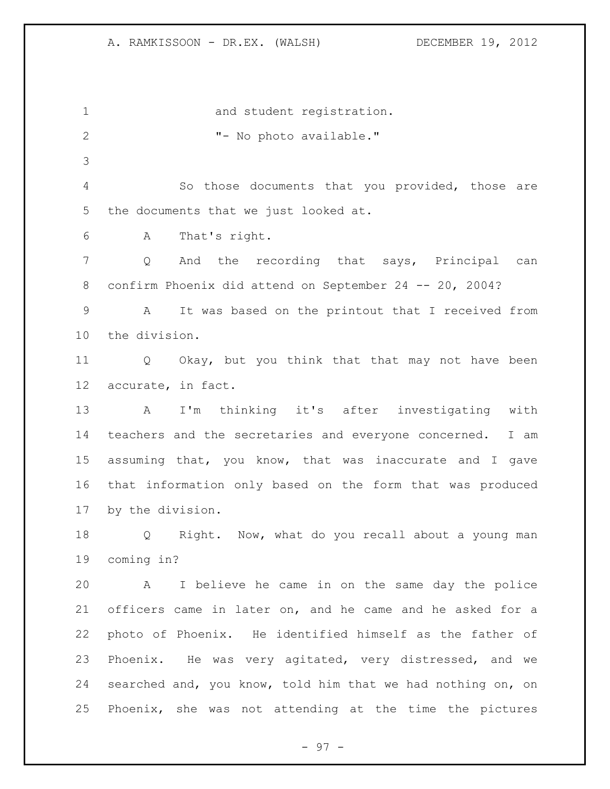1 and student registration. 2 T- No photo available." So those documents that you provided, those are the documents that we just looked at. A That's right. Q And the recording that says, Principal can confirm Phoenix did attend on September 24 -- 20, 2004? A It was based on the printout that I received from the division. Q Okay, but you think that that may not have been accurate, in fact. A I'm thinking it's after investigating with teachers and the secretaries and everyone concerned. I am assuming that, you know, that was inaccurate and I gave that information only based on the form that was produced by the division. Q Right. Now, what do you recall about a young man coming in? A I believe he came in on the same day the police officers came in later on, and he came and he asked for a photo of Phoenix. He identified himself as the father of Phoenix. He was very agitated, very distressed, and we searched and, you know, told him that we had nothing on, on Phoenix, she was not attending at the time the pictures

- 97 -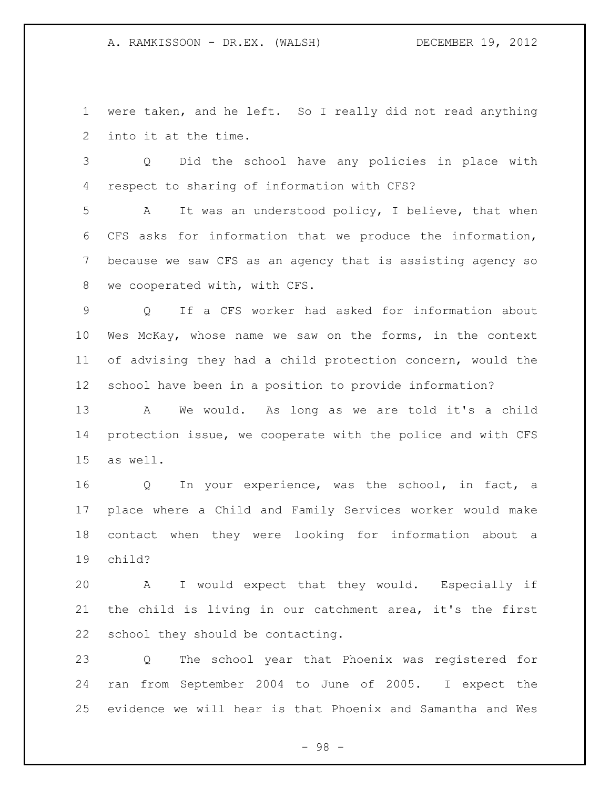were taken, and he left. So I really did not read anything into it at the time.

 Q Did the school have any policies in place with respect to sharing of information with CFS?

 A It was an understood policy, I believe, that when CFS asks for information that we produce the information, because we saw CFS as an agency that is assisting agency so we cooperated with, with CFS.

 Q If a CFS worker had asked for information about Wes McKay, whose name we saw on the forms, in the context of advising they had a child protection concern, would the school have been in a position to provide information?

 A We would. As long as we are told it's a child protection issue, we cooperate with the police and with CFS as well.

 Q In your experience, was the school, in fact, a place where a Child and Family Services worker would make contact when they were looking for information about a child?

 A I would expect that they would. Especially if the child is living in our catchment area, it's the first school they should be contacting.

 Q The school year that Phoenix was registered for ran from September 2004 to June of 2005. I expect the evidence we will hear is that Phoenix and Samantha and Wes

- 98 -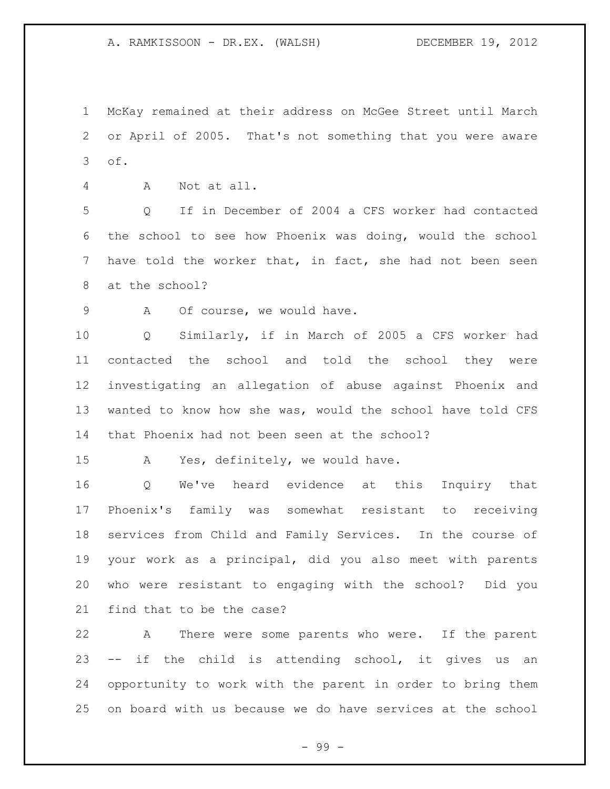McKay remained at their address on McGee Street until March or April of 2005. That's not something that you were aware of.

A Not at all.

 Q If in December of 2004 a CFS worker had contacted the school to see how Phoenix was doing, would the school have told the worker that, in fact, she had not been seen at the school?

9 A Of course, we would have.

 Q Similarly, if in March of 2005 a CFS worker had contacted the school and told the school they were investigating an allegation of abuse against Phoenix and wanted to know how she was, would the school have told CFS that Phoenix had not been seen at the school?

A Yes, definitely, we would have.

 Q We've heard evidence at this Inquiry that Phoenix's family was somewhat resistant to receiving services from Child and Family Services. In the course of your work as a principal, did you also meet with parents who were resistant to engaging with the school? Did you find that to be the case?

 A There were some parents who were. If the parent -- if the child is attending school, it gives us an opportunity to work with the parent in order to bring them on board with us because we do have services at the school

- 99 -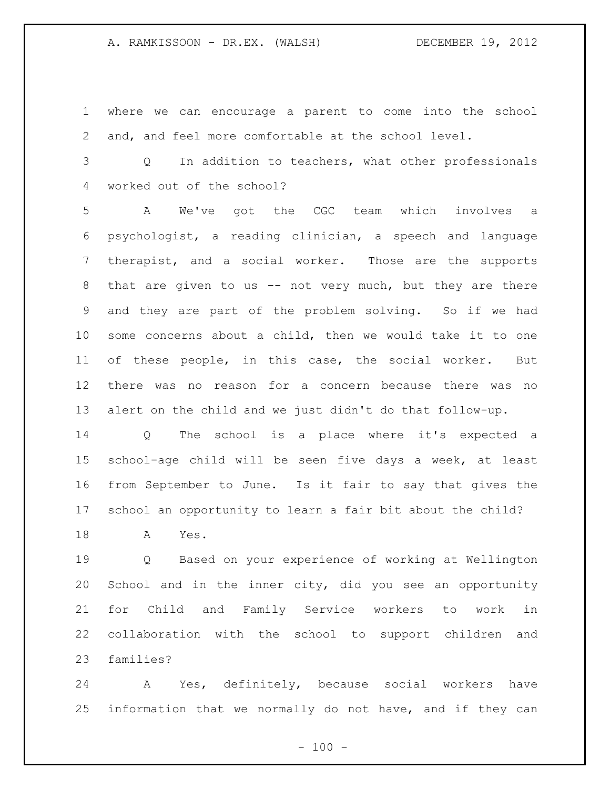where we can encourage a parent to come into the school and, and feel more comfortable at the school level.

 Q In addition to teachers, what other professionals worked out of the school?

 A We've got the CGC team which involves a psychologist, a reading clinician, a speech and language therapist, and a social worker. Those are the supports that are given to us -- not very much, but they are there and they are part of the problem solving. So if we had some concerns about a child, then we would take it to one of these people, in this case, the social worker. But there was no reason for a concern because there was no alert on the child and we just didn't do that follow-up.

 Q The school is a place where it's expected a school-age child will be seen five days a week, at least from September to June. Is it fair to say that gives the school an opportunity to learn a fair bit about the child?

A Yes.

 Q Based on your experience of working at Wellington School and in the inner city, did you see an opportunity for Child and Family Service workers to work in collaboration with the school to support children and families?

 A Yes, definitely, because social workers have information that we normally do not have, and if they can

 $- 100 -$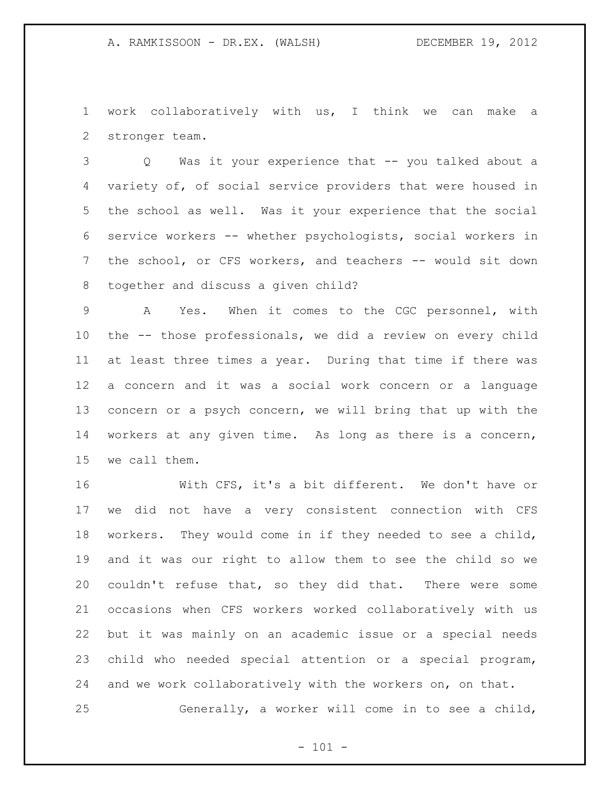work collaboratively with us, I think we can make a stronger team.

 Q Was it your experience that -- you talked about a variety of, of social service providers that were housed in the school as well. Was it your experience that the social service workers -- whether psychologists, social workers in 7 the school, or CFS workers, and teachers -- would sit down together and discuss a given child?

 A Yes. When it comes to the CGC personnel, with the -- those professionals, we did a review on every child at least three times a year. During that time if there was a concern and it was a social work concern or a language concern or a psych concern, we will bring that up with the workers at any given time. As long as there is a concern, we call them.

 With CFS, it's a bit different. We don't have or we did not have a very consistent connection with CFS workers. They would come in if they needed to see a child, and it was our right to allow them to see the child so we couldn't refuse that, so they did that. There were some occasions when CFS workers worked collaboratively with us but it was mainly on an academic issue or a special needs child who needed special attention or a special program, and we work collaboratively with the workers on, on that. Generally, a worker will come in to see a child,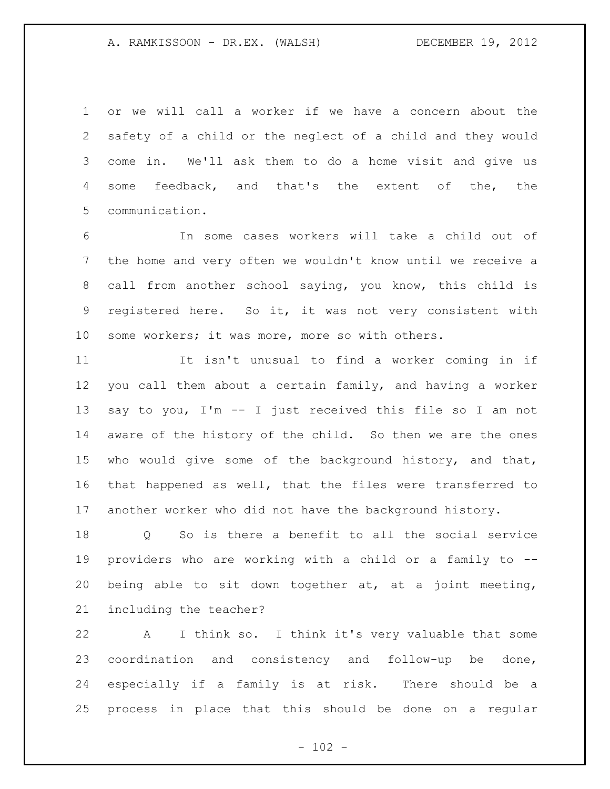or we will call a worker if we have a concern about the safety of a child or the neglect of a child and they would come in. We'll ask them to do a home visit and give us some feedback, and that's the extent of the, the communication.

 In some cases workers will take a child out of the home and very often we wouldn't know until we receive a call from another school saying, you know, this child is registered here. So it, it was not very consistent with some workers; it was more, more so with others.

 It isn't unusual to find a worker coming in if you call them about a certain family, and having a worker say to you, I'm -- I just received this file so I am not aware of the history of the child. So then we are the ones who would give some of the background history, and that, that happened as well, that the files were transferred to another worker who did not have the background history.

 Q So is there a benefit to all the social service providers who are working with a child or a family to -- being able to sit down together at, at a joint meeting, including the teacher?

 A I think so. I think it's very valuable that some coordination and consistency and follow-up be done, especially if a family is at risk. There should be a process in place that this should be done on a regular

 $- 102 -$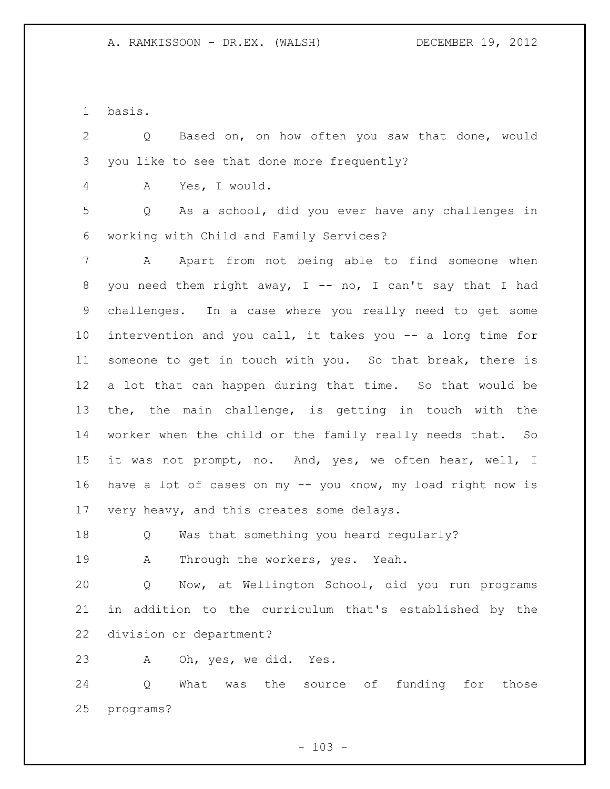basis.

 Q Based on, on how often you saw that done, would you like to see that done more frequently?

A Yes, I would.

 Q As a school, did you ever have any challenges in working with Child and Family Services?

 A Apart from not being able to find someone when 8 you need them right away,  $I$  -- no, I can't say that I had challenges. In a case where you really need to get some intervention and you call, it takes you -- a long time for someone to get in touch with you. So that break, there is a lot that can happen during that time. So that would be the, the main challenge, is getting in touch with the worker when the child or the family really needs that. So it was not prompt, no. And, yes, we often hear, well, I have a lot of cases on my -- you know, my load right now is 17 very heavy, and this creates some delays.

Q Was that something you heard regularly?

A Through the workers, yes. Yeah.

 Q Now, at Wellington School, did you run programs in addition to the curriculum that's established by the division or department?

A Oh, yes, we did. Yes.

 Q What was the source of funding for those programs?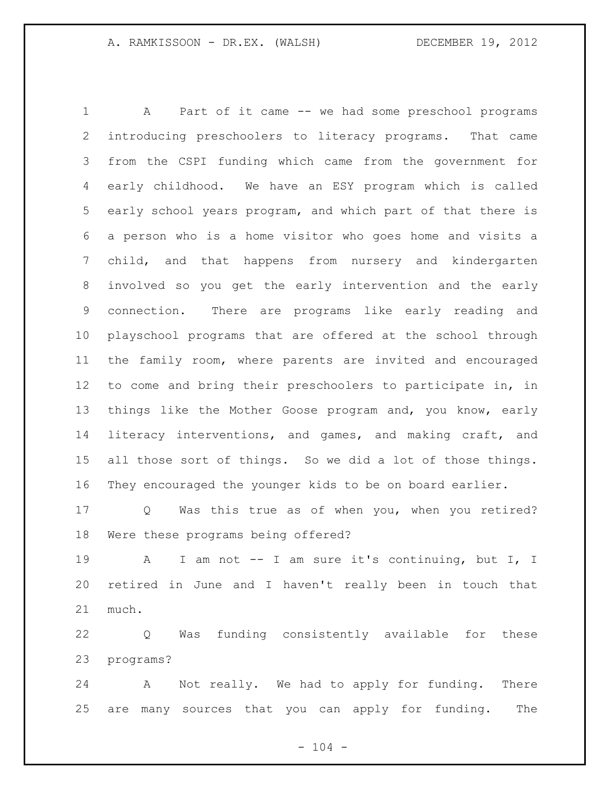A Part of it came -- we had some preschool programs introducing preschoolers to literacy programs. That came from the CSPI funding which came from the government for early childhood. We have an ESY program which is called early school years program, and which part of that there is a person who is a home visitor who goes home and visits a child, and that happens from nursery and kindergarten involved so you get the early intervention and the early connection. There are programs like early reading and playschool programs that are offered at the school through the family room, where parents are invited and encouraged to come and bring their preschoolers to participate in, in things like the Mother Goose program and, you know, early literacy interventions, and games, and making craft, and all those sort of things. So we did a lot of those things. They encouraged the younger kids to be on board earlier.

 Q Was this true as of when you, when you retired? Were these programs being offered?

 A I am not -- I am sure it's continuing, but I, I retired in June and I haven't really been in touch that much.

 Q Was funding consistently available for these programs?

 A Not really. We had to apply for funding. There are many sources that you can apply for funding. The

 $- 104 -$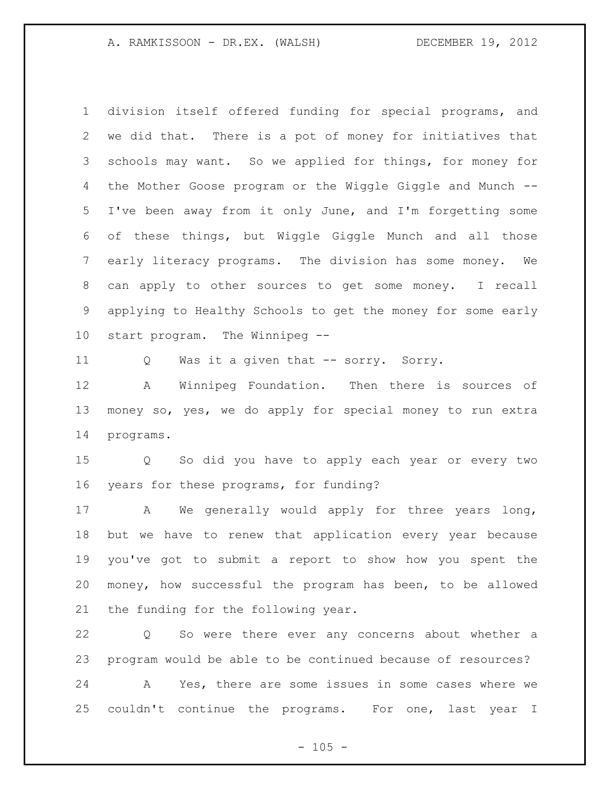division itself offered funding for special programs, and we did that. There is a pot of money for initiatives that schools may want. So we applied for things, for money for the Mother Goose program or the Wiggle Giggle and Munch -- I've been away from it only June, and I'm forgetting some of these things, but Wiggle Giggle Munch and all those early literacy programs. The division has some money. We can apply to other sources to get some money. I recall applying to Healthy Schools to get the money for some early start program. The Winnipeg --

Q Was it a given that -- sorry. Sorry.

 A Winnipeg Foundation. Then there is sources of money so, yes, we do apply for special money to run extra programs.

 Q So did you have to apply each year or every two years for these programs, for funding?

 A We generally would apply for three years long, but we have to renew that application every year because you've got to submit a report to show how you spent the money, how successful the program has been, to be allowed the funding for the following year.

 Q So were there ever any concerns about whether a program would be able to be continued because of resources?

 A Yes, there are some issues in some cases where we couldn't continue the programs. For one, last year I

 $- 105 -$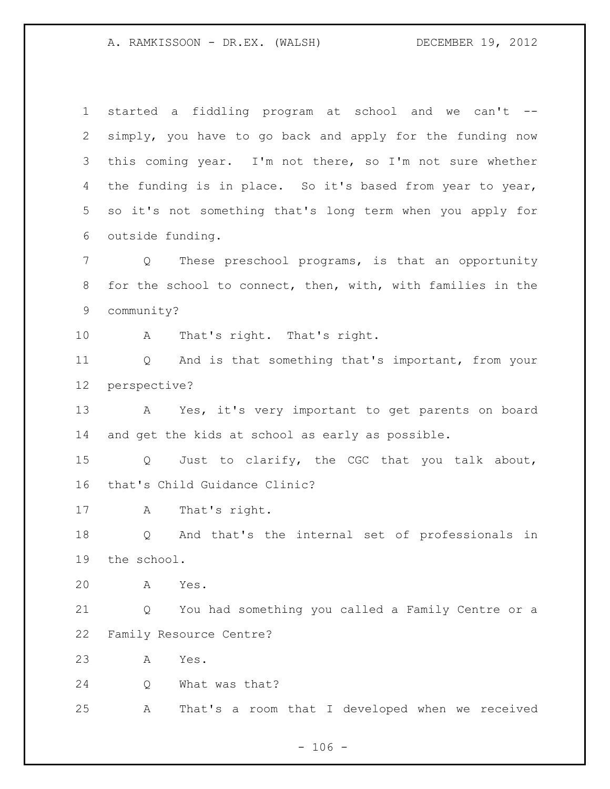A. RAMKISSOON - DR.EX. (WALSH) DECEMBER 19, 2012

 started a fiddling program at school and we can't -- simply, you have to go back and apply for the funding now this coming year. I'm not there, so I'm not sure whether the funding is in place. So it's based from year to year, so it's not something that's long term when you apply for outside funding. Q These preschool programs, is that an opportunity for the school to connect, then, with, with families in the community? A That's right. That's right. Q And is that something that's important, from your perspective? A Yes, it's very important to get parents on board and get the kids at school as early as possible. Q Just to clarify, the CGC that you talk about, that's Child Guidance Clinic? A That's right. Q And that's the internal set of professionals in the school. A Yes. Q You had something you called a Family Centre or a Family Resource Centre? A Yes. Q What was that? A That's a room that I developed when we received

 $- 106 -$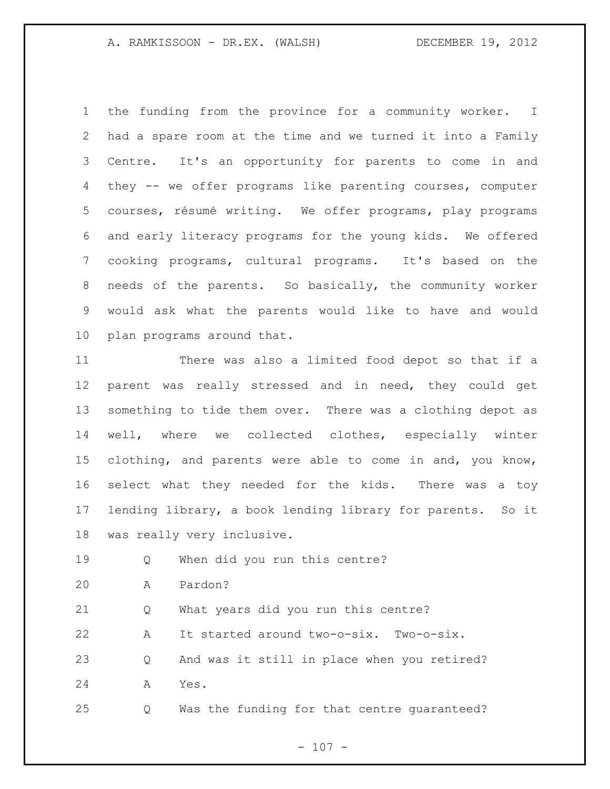## A. RAMKISSOON - DR.EX. (WALSH) DECEMBER 19, 2012 DECEMBER 19, 2012

 the funding from the province for a community worker. I had a spare room at the time and we turned it into a Family Centre. It's an opportunity for parents to come in and they -- we offer programs like parenting courses, computer courses, résumé writing. We offer programs, play programs and early literacy programs for the young kids. We offered cooking programs, cultural programs. It's based on the needs of the parents. So basically, the community worker would ask what the parents would like to have and would plan programs around that.

 There was also a limited food depot so that if a parent was really stressed and in need, they could get something to tide them over. There was a clothing depot as well, where we collected clothes, especially winter clothing, and parents were able to come in and, you know, select what they needed for the kids. There was a toy lending library, a book lending library for parents. So it was really very inclusive.

Q When did you run this centre?

A Pardon?

Q What years did you run this centre?

A It started around two-o-six. Two-o-six.

 Q And was it still in place when you retired? A Yes.

Q Was the funding for that centre guaranteed?

 $- 107 -$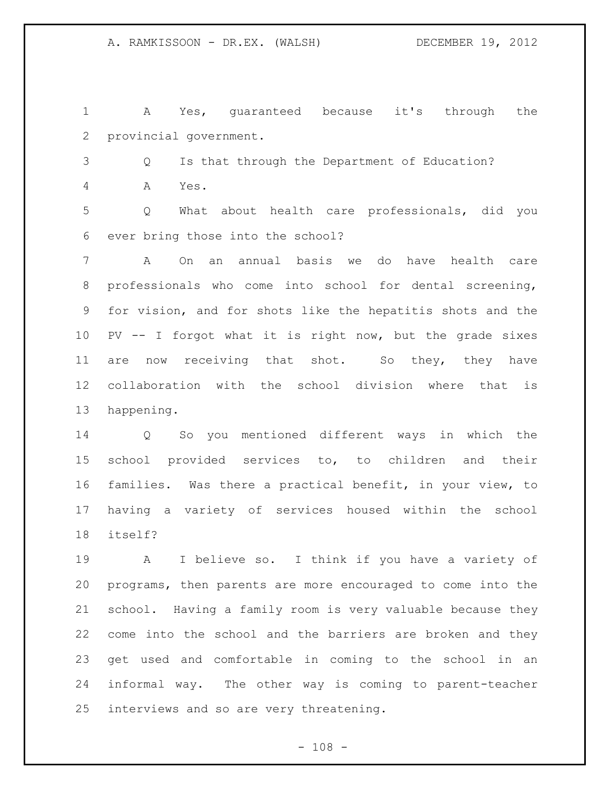A Yes, guaranteed because it's through the provincial government.

 Q Is that through the Department of Education? A Yes.

 Q What about health care professionals, did you ever bring those into the school?

 A On an annual basis we do have health care professionals who come into school for dental screening, for vision, and for shots like the hepatitis shots and the PV -- I forgot what it is right now, but the grade sixes 11 are now receiving that shot. So they, they have collaboration with the school division where that is happening.

 Q So you mentioned different ways in which the school provided services to, to children and their families. Was there a practical benefit, in your view, to having a variety of services housed within the school itself?

 A I believe so. I think if you have a variety of programs, then parents are more encouraged to come into the school. Having a family room is very valuable because they come into the school and the barriers are broken and they get used and comfortable in coming to the school in an informal way. The other way is coming to parent-teacher interviews and so are very threatening.

 $- 108 -$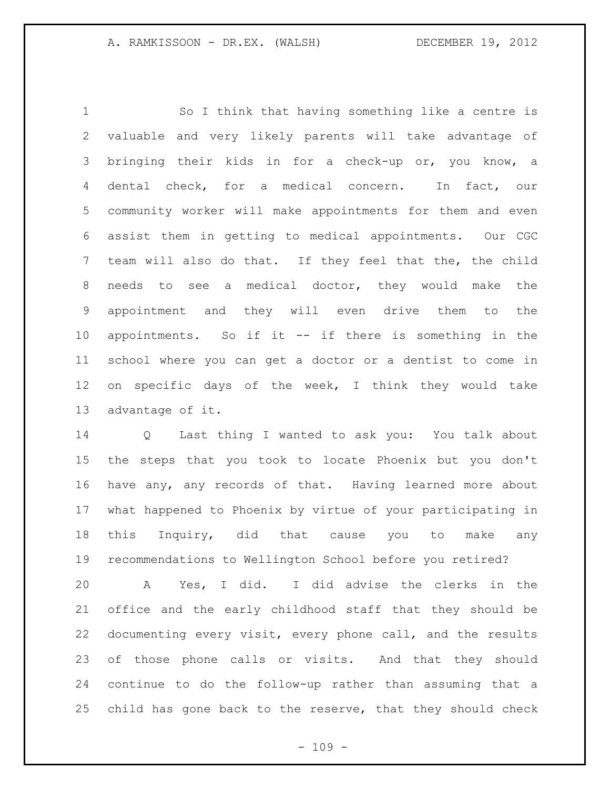So I think that having something like a centre is valuable and very likely parents will take advantage of bringing their kids in for a check-up or, you know, a dental check, for a medical concern. In fact, our community worker will make appointments for them and even assist them in getting to medical appointments. Our CGC team will also do that. If they feel that the, the child needs to see a medical doctor, they would make the appointment and they will even drive them to the appointments. So if it -- if there is something in the school where you can get a doctor or a dentist to come in on specific days of the week, I think they would take advantage of it.

 Q Last thing I wanted to ask you: You talk about the steps that you took to locate Phoenix but you don't have any, any records of that. Having learned more about what happened to Phoenix by virtue of your participating in this Inquiry, did that cause you to make any recommendations to Wellington School before you retired?

 A Yes, I did. I did advise the clerks in the office and the early childhood staff that they should be documenting every visit, every phone call, and the results of those phone calls or visits. And that they should continue to do the follow-up rather than assuming that a child has gone back to the reserve, that they should check

 $- 109 -$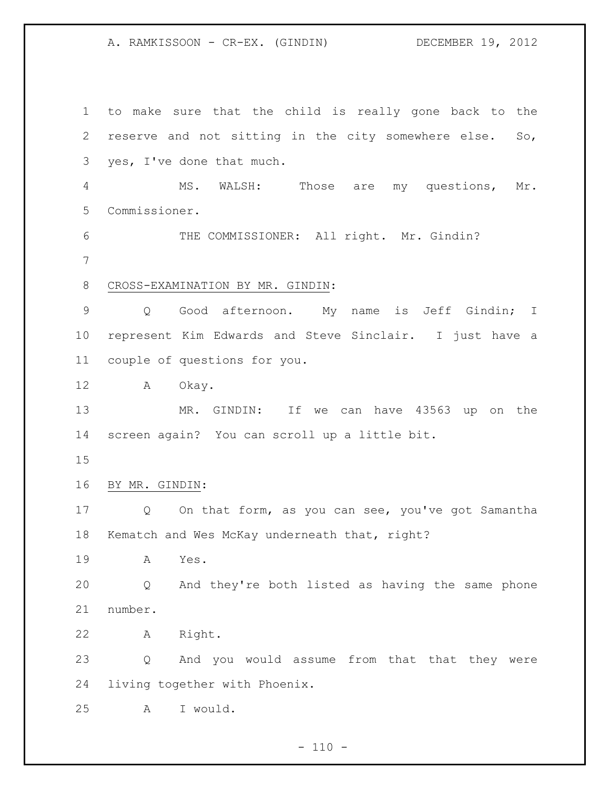A. RAMKISSOON - CR-EX. (GINDIN) DECEMBER 19, 2012

 to make sure that the child is really gone back to the reserve and not sitting in the city somewhere else. So, yes, I've done that much. MS. WALSH: Those are my questions, Mr. Commissioner. THE COMMISSIONER: All right. Mr. Gindin? CROSS-EXAMINATION BY MR. GINDIN: Q Good afternoon. My name is Jeff Gindin; I represent Kim Edwards and Steve Sinclair. I just have a couple of questions for you. A Okay. MR. GINDIN: If we can have 43563 up on the screen again? You can scroll up a little bit. BY MR. GINDIN: Q On that form, as you can see, you've got Samantha Kematch and Wes McKay underneath that, right? A Yes. Q And they're both listed as having the same phone number. A Right. Q And you would assume from that that they were living together with Phoenix. A I would.

 $- 110 -$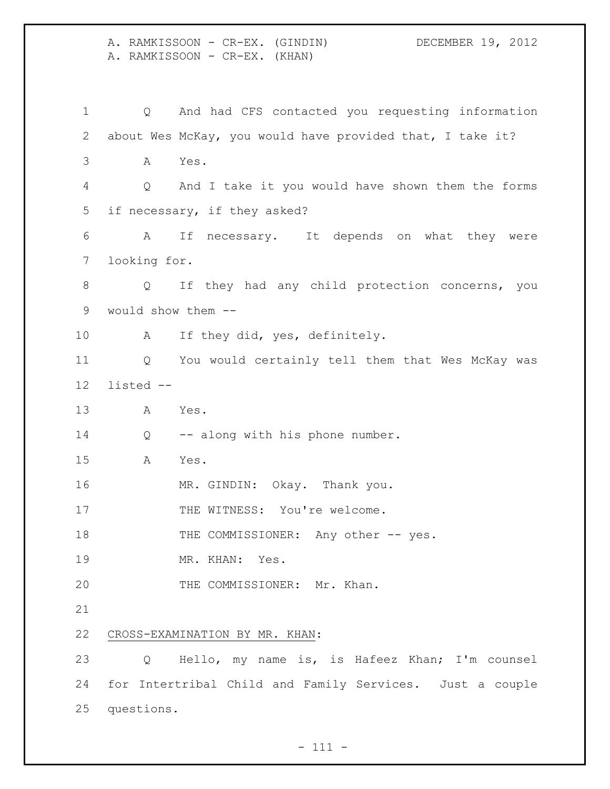A. RAMKISSOON - CR-EX. (GINDIN) DECEMBER 19, 2012 A. RAMKISSOON - CR-EX. (KHAN) Q And had CFS contacted you requesting information about Wes McKay, you would have provided that, I take it? A Yes. Q And I take it you would have shown them the forms if necessary, if they asked? A If necessary. It depends on what they were looking for. Q If they had any child protection concerns, you would show them -- A If they did, yes, definitely. Q You would certainly tell them that Wes McKay was listed -- A Yes. 14 Q -- along with his phone number. A Yes. MR. GINDIN: Okay. Thank you. 17 THE WITNESS: You're welcome. 18 THE COMMISSIONER: Any other -- yes. 19 MR. KHAN: Yes. 20 THE COMMISSIONER: Mr. Khan. CROSS-EXAMINATION BY MR. KHAN: Q Hello, my name is, is Hafeez Khan; I'm counsel for Intertribal Child and Family Services. Just a couple questions.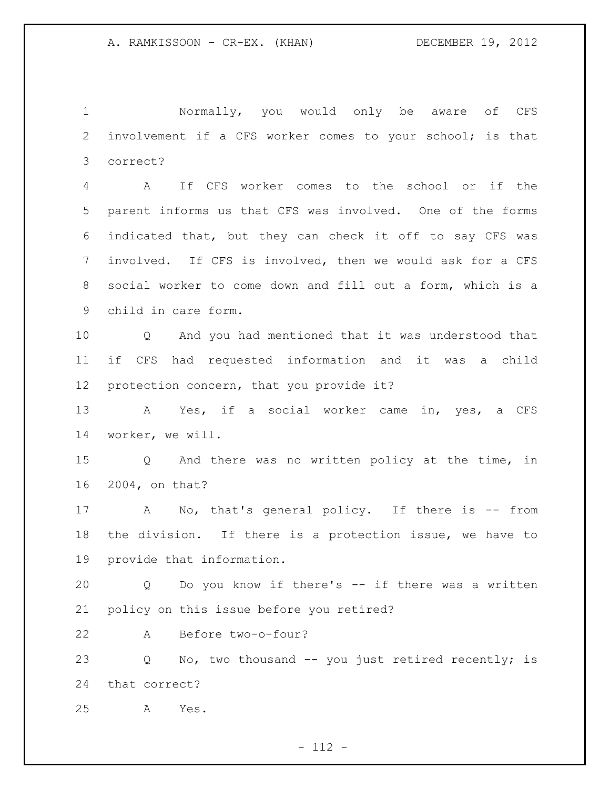Normally, you would only be aware of CFS involvement if a CFS worker comes to your school; is that correct?

 A If CFS worker comes to the school or if the parent informs us that CFS was involved. One of the forms indicated that, but they can check it off to say CFS was involved. If CFS is involved, then we would ask for a CFS social worker to come down and fill out a form, which is a child in care form.

 Q And you had mentioned that it was understood that if CFS had requested information and it was a child protection concern, that you provide it?

 A Yes, if a social worker came in, yes, a CFS worker, we will.

 Q And there was no written policy at the time, in 2004, on that?

17 A No, that's general policy. If there is -- from the division. If there is a protection issue, we have to provide that information.

 Q Do you know if there's -- if there was a written policy on this issue before you retired?

A Before two-o-four?

 Q No, two thousand -- you just retired recently; is that correct?

A Yes.

 $- 112 -$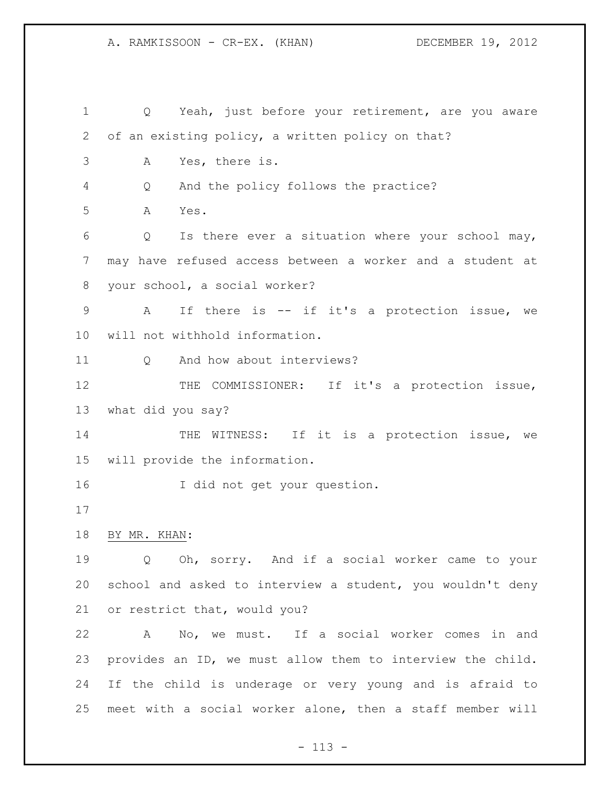A. RAMKISSOON - CR-EX. (KHAN) DECEMBER 19, 2012

 Q Yeah, just before your retirement, are you aware of an existing policy, a written policy on that? A Yes, there is. Q And the policy follows the practice? A Yes. Q Is there ever a situation where your school may, may have refused access between a worker and a student at your school, a social worker? A If there is -- if it's a protection issue, we will not withhold information. 11 0 And how about interviews? 12 THE COMMISSIONER: If it's a protection issue, what did you say? 14 THE WITNESS: If it is a protection issue, we will provide the information. 16 I did not get your question. BY MR. KHAN: Q Oh, sorry. And if a social worker came to your school and asked to interview a student, you wouldn't deny or restrict that, would you? A No, we must. If a social worker comes in and provides an ID, we must allow them to interview the child. If the child is underage or very young and is afraid to meet with a social worker alone, then a staff member will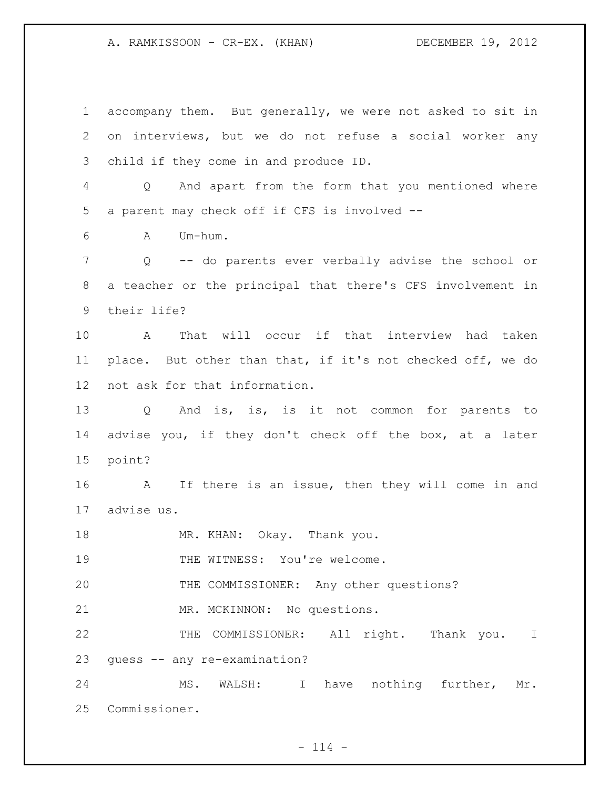A. RAMKISSOON - CR-EX. (KHAN) DECEMBER 19, 2012

 accompany them. But generally, we were not asked to sit in on interviews, but we do not refuse a social worker any child if they come in and produce ID. Q And apart from the form that you mentioned where a parent may check off if CFS is involved -- A Um-hum. Q -- do parents ever verbally advise the school or a teacher or the principal that there's CFS involvement in their life? A That will occur if that interview had taken place. But other than that, if it's not checked off, we do not ask for that information. Q And is, is, is it not common for parents to advise you, if they don't check off the box, at a later point? A If there is an issue, then they will come in and advise us. 18 MR. KHAN: Okay. Thank you. 19 THE WITNESS: You're welcome. THE COMMISSIONER: Any other questions? MR. MCKINNON: No questions. 22 THE COMMISSIONER: All right. Thank you. I guess -- any re-examination? MS. WALSH: I have nothing further, Mr. Commissioner.

 $- 114 -$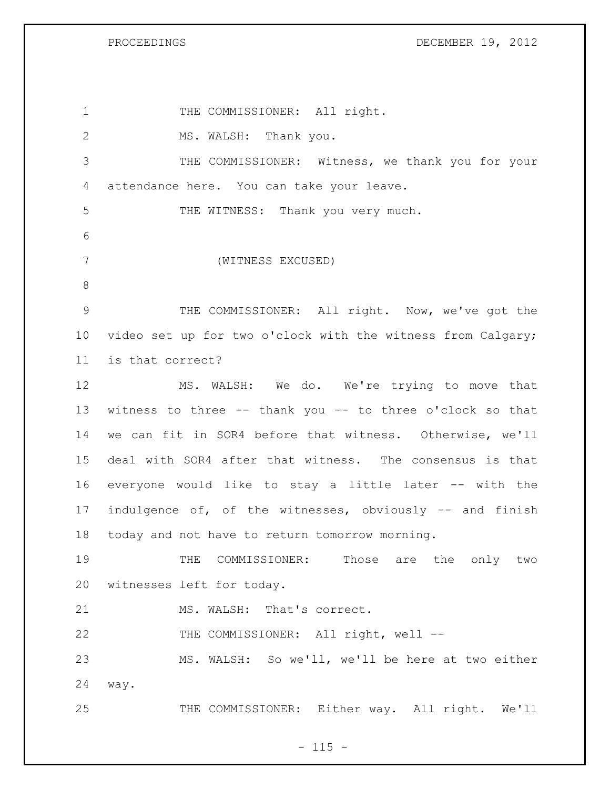PROCEEDINGS DECEMBER 19, 2012

1 THE COMMISSIONER: All right. 2 MS. WALSH: Thank you. THE COMMISSIONER: Witness, we thank you for your attendance here. You can take your leave. THE WITNESS: Thank you very much. (WITNESS EXCUSED) THE COMMISSIONER: All right. Now, we've got the video set up for two o'clock with the witness from Calgary; is that correct? MS. WALSH: We do. We're trying to move that witness to three -- thank you -- to three o'clock so that we can fit in SOR4 before that witness. Otherwise, we'll deal with SOR4 after that witness. The consensus is that everyone would like to stay a little later -- with the indulgence of, of the witnesses, obviously -- and finish today and not have to return tomorrow morning. THE COMMISSIONER: Those are the only two witnesses left for today. 21 MS. WALSH: That's correct. 22 THE COMMISSIONER: All right, well -- MS. WALSH: So we'll, we'll be here at two either way. THE COMMISSIONER: Either way. All right. We'll

 $- 115 -$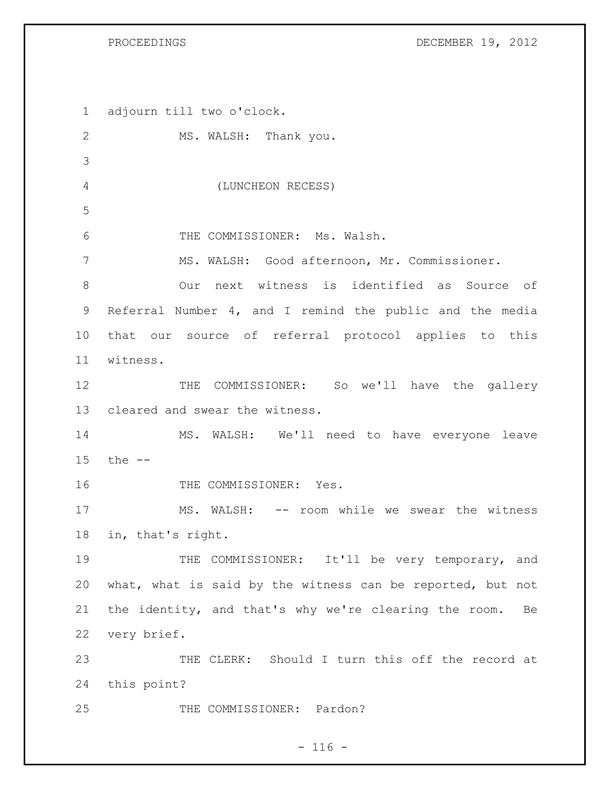PROCEEDINGS DECEMBER 19, 2012

 adjourn till two o'clock. 2 MS. WALSH: Thank you. (LUNCHEON RECESS) THE COMMISSIONER: Ms. Walsh. MS. WALSH: Good afternoon, Mr. Commissioner. Our next witness is identified as Source of Referral Number 4, and I remind the public and the media that our source of referral protocol applies to this witness. 12 THE COMMISSIONER: So we'll have the gallery cleared and swear the witness. MS. WALSH: We'll need to have everyone leave the -- 16 THE COMMISSIONER: Yes. 17 MS. WALSH: -- room while we swear the witness in, that's right. THE COMMISSIONER: It'll be very temporary, and what, what is said by the witness can be reported, but not the identity, and that's why we're clearing the room. Be very brief. THE CLERK: Should I turn this off the record at this point? 25 THE COMMISSIONER: Pardon?

## $- 116 -$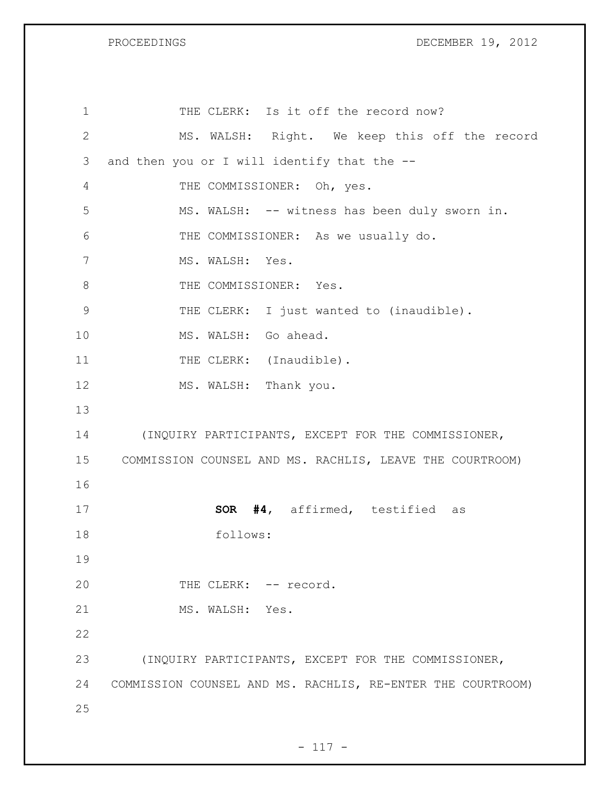PROCEEDINGS DECEMBER 19, 2012

| $\mathbf 1$  | THE CLERK: Is it off the record now?                        |
|--------------|-------------------------------------------------------------|
| $\mathbf{2}$ | MS. WALSH: Right. We keep this off the record               |
| 3            | and then you or I will identify that the --                 |
| 4            | THE COMMISSIONER: Oh, yes.                                  |
| 5            | MS. WALSH: -- witness has been duly sworn in.               |
| 6            | THE COMMISSIONER: As we usually do.                         |
| 7            | MS. WALSH: Yes.                                             |
| 8            | THE COMMISSIONER: Yes.                                      |
| 9            | THE CLERK: I just wanted to (inaudible).                    |
| 10           | MS. WALSH: Go ahead.                                        |
| 11           | THE CLERK: (Inaudible).                                     |
| 12           | MS. WALSH: Thank you.                                       |
| 13           |                                                             |
| 14           | (INQUIRY PARTICIPANTS, EXCEPT FOR THE COMMISSIONER,         |
| 15           | COMMISSION COUNSEL AND MS. RACHLIS, LEAVE THE COURTROOM)    |
| 16           |                                                             |
| 17           | SOR #4, affirmed, testified as                              |
| 18           | follows:                                                    |
| 19           |                                                             |
| 20           | THE CLERK: -- record.                                       |
| 21           | MS. WALSH: Yes.                                             |
| 22           |                                                             |
| 23           | (INQUIRY PARTICIPANTS, EXCEPT FOR THE COMMISSIONER,         |
| 24           | COMMISSION COUNSEL AND MS. RACHLIS, RE-ENTER THE COURTROOM) |
| 25           |                                                             |
|              |                                                             |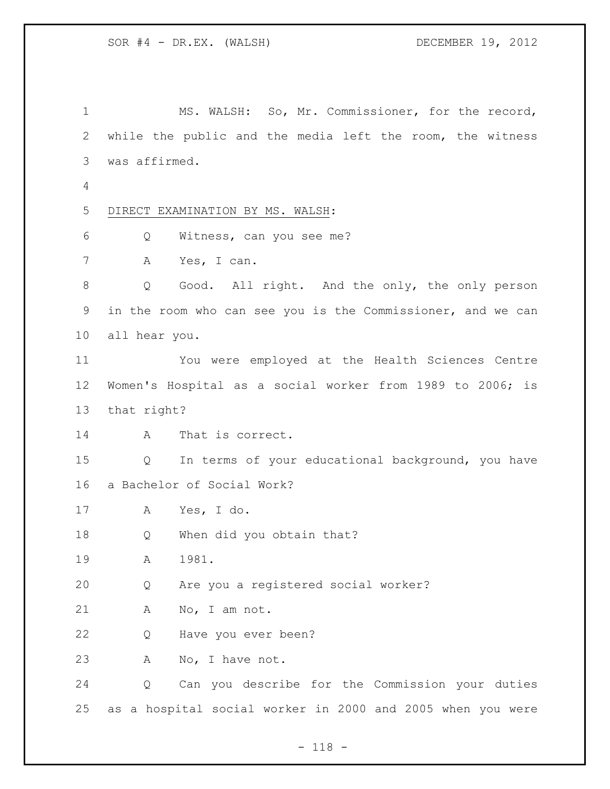MS. WALSH: So, Mr. Commissioner, for the record, while the public and the media left the room, the witness was affirmed. DIRECT EXAMINATION BY MS. WALSH: Q Witness, can you see me? A Yes, I can. Q Good. All right. And the only, the only person in the room who can see you is the Commissioner, and we can all hear you. You were employed at the Health Sciences Centre Women's Hospital as a social worker from 1989 to 2006; is that right? A That is correct. Q In terms of your educational background, you have a Bachelor of Social Work? A Yes, I do. Q When did you obtain that? A 1981. Q Are you a registered social worker? A No, I am not. Q Have you ever been? 23 A No, I have not. Q Can you describe for the Commission your duties as a hospital social worker in 2000 and 2005 when you were

- 118 -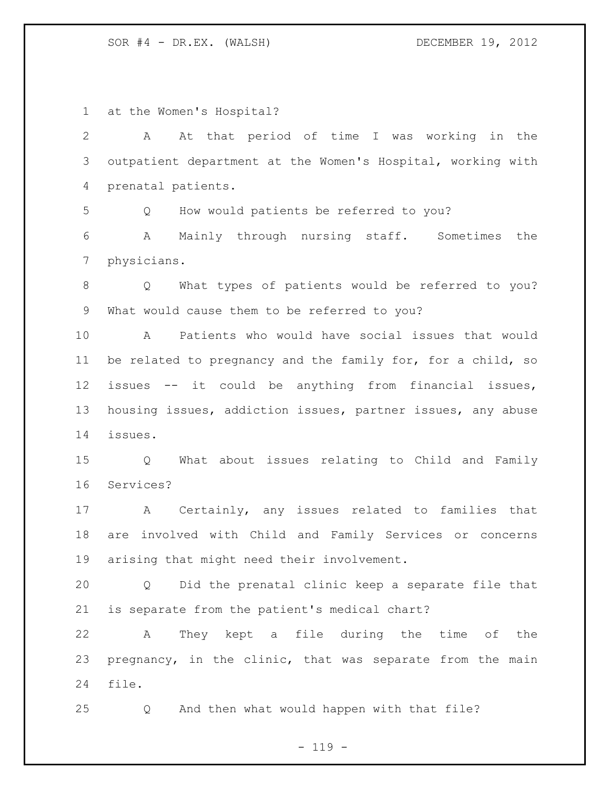at the Women's Hospital? A At that period of time I was working in the outpatient department at the Women's Hospital, working with prenatal patients. Q How would patients be referred to you? A Mainly through nursing staff. Sometimes the physicians. Q What types of patients would be referred to you? What would cause them to be referred to you? A Patients who would have social issues that would be related to pregnancy and the family for, for a child, so issues -- it could be anything from financial issues, housing issues, addiction issues, partner issues, any abuse issues. Q What about issues relating to Child and Family Services? A Certainly, any issues related to families that are involved with Child and Family Services or concerns arising that might need their involvement. Q Did the prenatal clinic keep a separate file that is separate from the patient's medical chart? A They kept a file during the time of the pregnancy, in the clinic, that was separate from the main file. Q And then what would happen with that file?

 $- 119 -$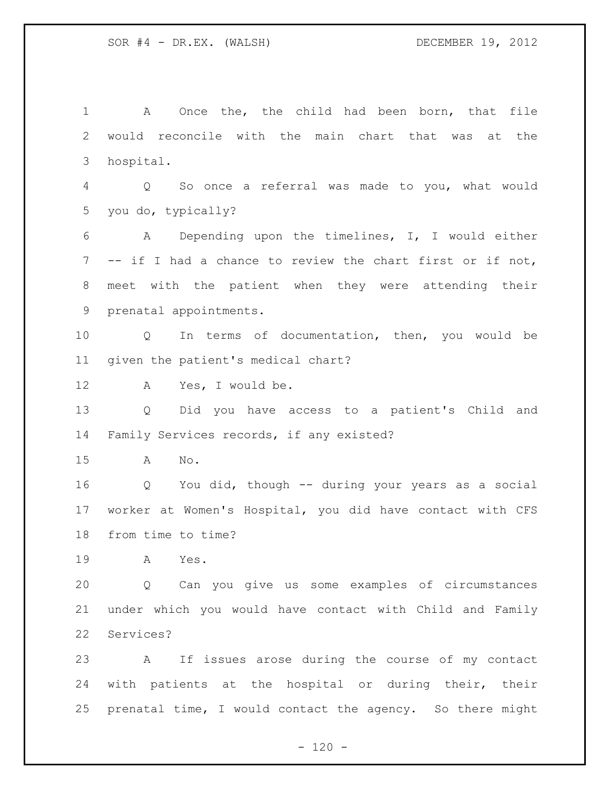A Once the, the child had been born, that file would reconcile with the main chart that was at the hospital. Q So once a referral was made to you, what would you do, typically? A Depending upon the timelines, I, I would either -- if I had a chance to review the chart first or if not, meet with the patient when they were attending their prenatal appointments. Q In terms of documentation, then, you would be given the patient's medical chart? A Yes, I would be. Q Did you have access to a patient's Child and Family Services records, if any existed? A No. Q You did, though -- during your years as a social worker at Women's Hospital, you did have contact with CFS from time to time? A Yes. Q Can you give us some examples of circumstances under which you would have contact with Child and Family Services? A If issues arose during the course of my contact with patients at the hospital or during their, their prenatal time, I would contact the agency. So there might

 $- 120 -$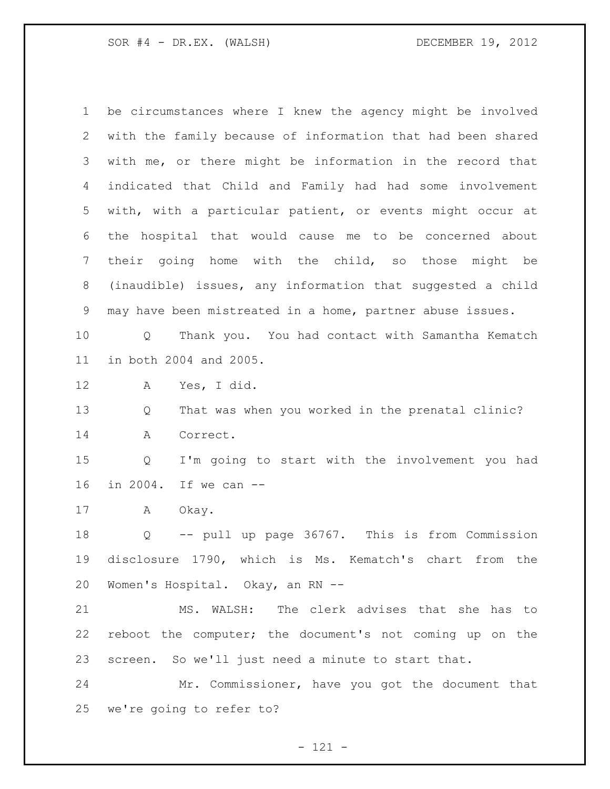be circumstances where I knew the agency might be involved with the family because of information that had been shared with me, or there might be information in the record that indicated that Child and Family had had some involvement with, with a particular patient, or events might occur at the hospital that would cause me to be concerned about their going home with the child, so those might be (inaudible) issues, any information that suggested a child may have been mistreated in a home, partner abuse issues. Q Thank you. You had contact with Samantha Kematch in both 2004 and 2005. A Yes, I did. Q That was when you worked in the prenatal clinic? A Correct. Q I'm going to start with the involvement you had in 2004. If we can -- A Okay. Q -- pull up page 36767. This is from Commission disclosure 1790, which is Ms. Kematch's chart from the Women's Hospital. Okay, an RN -- MS. WALSH: The clerk advises that she has to reboot the computer; the document's not coming up on the screen. So we'll just need a minute to start that. Mr. Commissioner, have you got the document that we're going to refer to?

- 121 -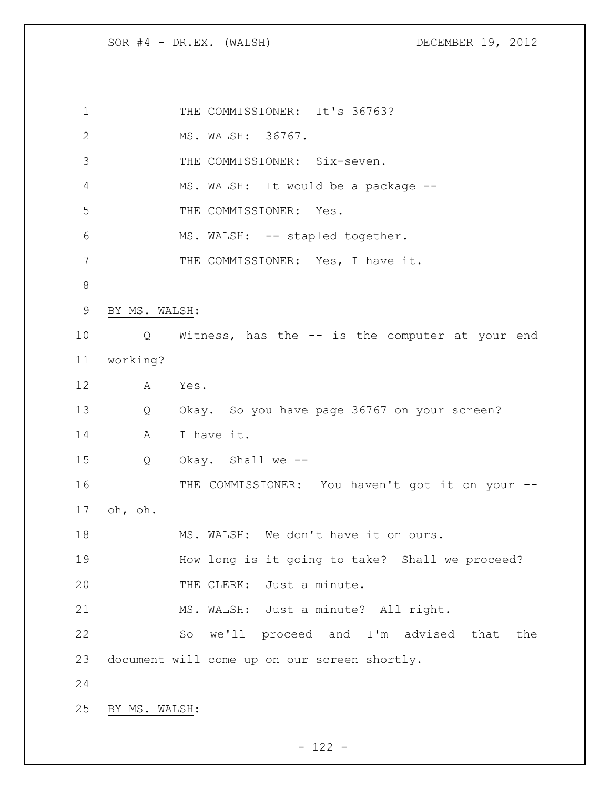| 1     |               | THE COMMISSIONER: It's 36763?                     |
|-------|---------------|---------------------------------------------------|
| 2     |               | MS. WALSH: 36767.                                 |
| 3     |               | THE COMMISSIONER: Six-seven.                      |
| 4     |               | MS. WALSH: It would be a package --               |
| 5     |               | THE COMMISSIONER: Yes.                            |
| 6     |               | MS. WALSH: -- stapled together.                   |
| 7     |               | THE COMMISSIONER: Yes, I have it.                 |
| $8\,$ |               |                                                   |
| 9     | BY MS. WALSH: |                                                   |
| 10    |               | Q Witness, has the -- is the computer at your end |
| 11    | working?      |                                                   |
| 12    | A             | Yes.                                              |
| 13    | Q             | Okay. So you have page 36767 on your screen?      |
| 14    | A             | I have it.                                        |
| 15    | Q             | Okay. Shall we --                                 |
| 16    |               | THE COMMISSIONER: You haven't got it on your --   |
| 17    | oh, oh.       |                                                   |
| 18    |               | MS. WALSH: We don't have it on ours.              |
| 19    |               | How long is it going to take? Shall we proceed?   |
| 20    |               | THE CLERK: Just a minute.                         |
| 21    |               | MS. WALSH: Just a minute? All right.              |
| 22    |               | So we'll proceed and I'm advised that<br>the      |
| 23    |               | document will come up on our screen shortly.      |
| 24    |               |                                                   |
| 25    | BY MS. WALSH: |                                                   |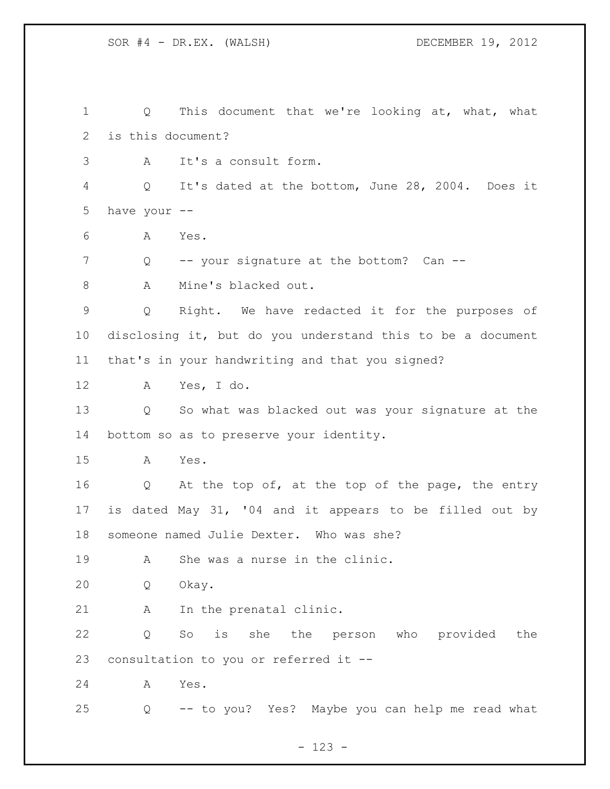SOR #4 - DR.EX. (WALSH) DECEMBER 19, 2012 1 Q This document that we're looking at, what, what is this document? A It's a consult form. Q It's dated at the bottom, June 28, 2004. Does it have your -- A Yes. Q -- your signature at the bottom? Can -- 8 A Mine's blacked out. Q Right. We have redacted it for the purposes of disclosing it, but do you understand this to be a document that's in your handwriting and that you signed? A Yes, I do. Q So what was blacked out was your signature at the bottom so as to preserve your identity. A Yes. Q At the top of, at the top of the page, the entry is dated May 31, '04 and it appears to be filled out by someone named Julie Dexter. Who was she? A She was a nurse in the clinic. Q Okay. A In the prenatal clinic. Q So is she the person who provided the consultation to you or referred it -- A Yes. Q -- to you? Yes? Maybe you can help me read what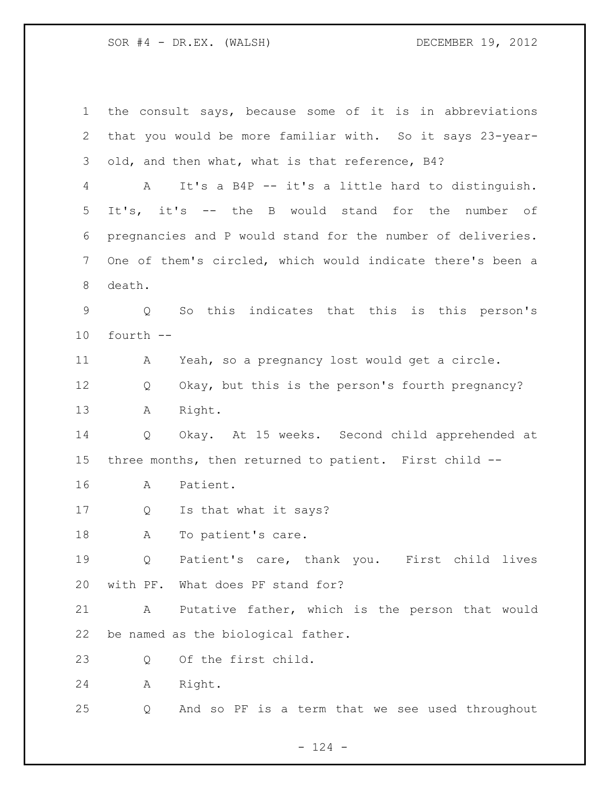the consult says, because some of it is in abbreviations that you would be more familiar with. So it says 23-year- old, and then what, what is that reference, B4? A It's a B4P -- it's a little hard to distinguish. It's, it's -- the B would stand for the number of pregnancies and P would stand for the number of deliveries. One of them's circled, which would indicate there's been a death. Q So this indicates that this is this person's fourth -- A Yeah, so a pregnancy lost would get a circle. Q Okay, but this is the person's fourth pregnancy? A Right. Q Okay. At 15 weeks. Second child apprehended at three months, then returned to patient. First child -- A Patient. Q Is that what it says? A To patient's care. Q Patient's care, thank you. First child lives with PF. What does PF stand for? A Putative father, which is the person that would be named as the biological father. Q Of the first child. A Right. Q And so PF is a term that we see used throughout

 $- 124 -$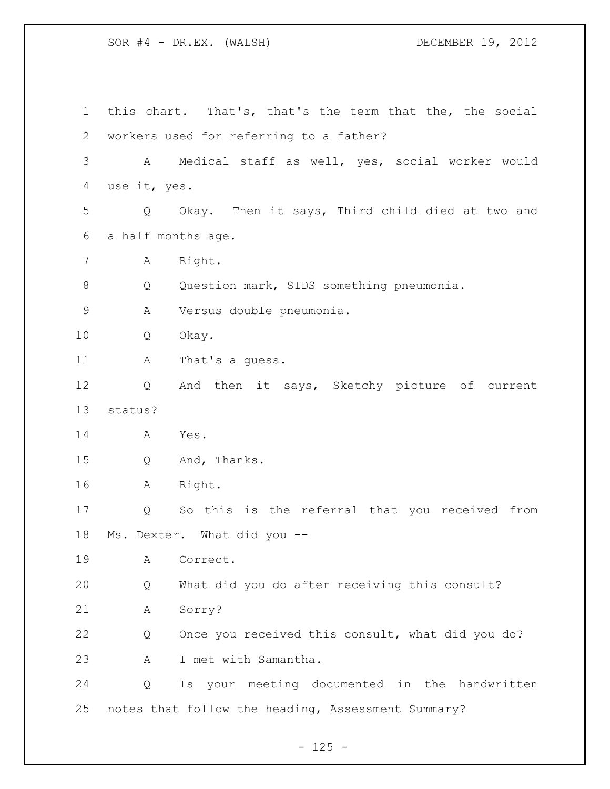this chart. That's, that's the term that the, the social workers used for referring to a father? A Medical staff as well, yes, social worker would use it, yes. Q Okay. Then it says, Third child died at two and a half months age. A Right. Q Question mark, SIDS something pneumonia. A Versus double pneumonia. Q Okay. 11 A That's a guess. Q And then it says, Sketchy picture of current status? A Yes. Q And, Thanks. A Right. Q So this is the referral that you received from Ms. Dexter. What did you -- A Correct. Q What did you do after receiving this consult? A Sorry? Q Once you received this consult, what did you do? A I met with Samantha. Q Is your meeting documented in the handwritten notes that follow the heading, Assessment Summary?

 $- 125 -$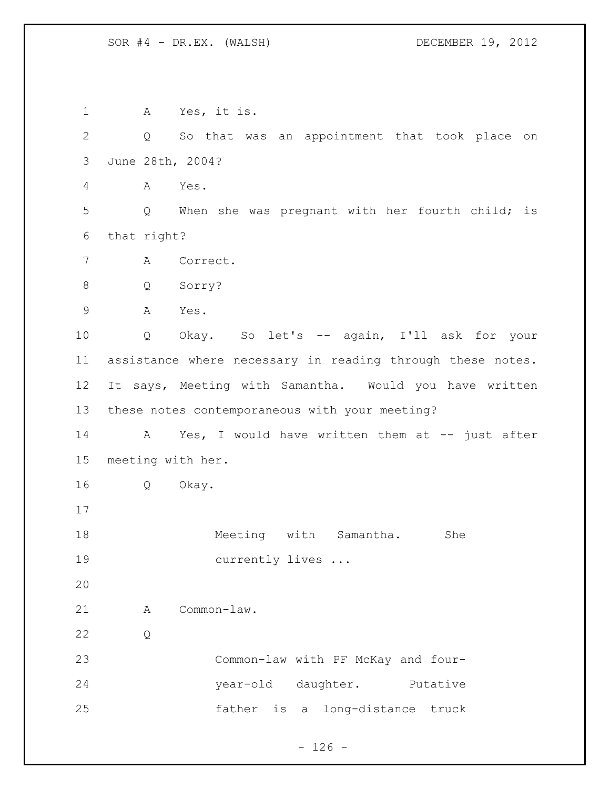| $\mathbf 1$  | Yes, it is.<br>A                                           |
|--------------|------------------------------------------------------------|
| $\mathbf{2}$ | So that was an appointment that took place on<br>Q         |
| 3            | June 28th, 2004?                                           |
| 4            | Α<br>Yes.                                                  |
| 5            | When she was pregnant with her fourth child; is<br>Q       |
| 6            | that right?                                                |
| 7            | Correct.<br>Α                                              |
| $8\,$        | Sorry?<br>Q                                                |
| $\mathsf 9$  | Α<br>Yes.                                                  |
| 10           | Okay. So let's -- again, I'll ask for your<br>Q            |
| 11           | assistance where necessary in reading through these notes. |
| 12           | It says, Meeting with Samantha. Would you have written     |
| 13           | these notes contemporaneous with your meeting?             |
| 14           | Yes, I would have written them at -- just after<br>A       |
| 15           | meeting with her.                                          |
| 16           | Q<br>Okay.                                                 |
| 17           |                                                            |
| 18           | Meeting<br>with Samantha.<br>She                           |
| 19           | currently lives                                            |
| 20           |                                                            |
| 21           | Common-law.<br>A                                           |
| 22           | Q                                                          |
| 23           | Common-law with PF McKay and four-                         |
| 24           | year-old daughter. Putative                                |
| 25           | father is a long-distance truck                            |
|              |                                                            |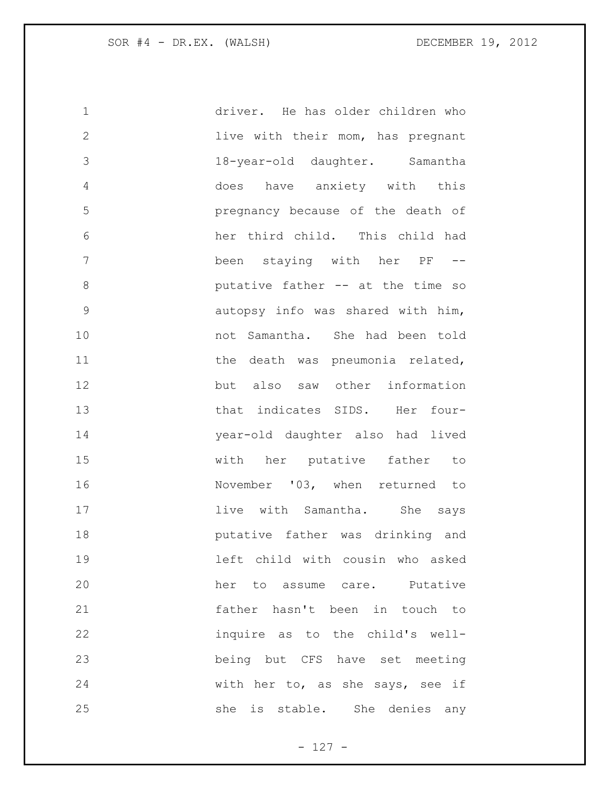| $\mathbf 1$   | driver. He has older children who |
|---------------|-----------------------------------|
| $\mathbf{2}$  | live with their mom, has pregnant |
| 3             | 18-year-old daughter. Samantha    |
| 4             | does have anxiety with this       |
| 5             | pregnancy because of the death of |
| 6             | her third child. This child had   |
| 7             | been staying with her PF --       |
| 8             | putative father -- at the time so |
| $\mathcal{G}$ | autopsy info was shared with him, |
| 10            | not Samantha. She had been told   |
| 11            | the death was pneumonia related,  |
| 12            | but also saw other information    |
| 13            | that indicates SIDS. Her four-    |
| 14            | year-old daughter also had lived  |
| 15            | with her putative father to       |
| 16            | November '03, when returned to    |
| 17            | live with Samantha. She says      |
| 18            | putative father was drinking and  |
| 19            | left child with cousin who asked  |
| 20            | her to assume care. Putative      |
| 21            | father hasn't been in touch to    |
| 22            | inquire as to the child's well-   |
| 23            | being but CFS have set meeting    |
| 24            | with her to, as she says, see if  |
| 25            | she is stable. She denies any     |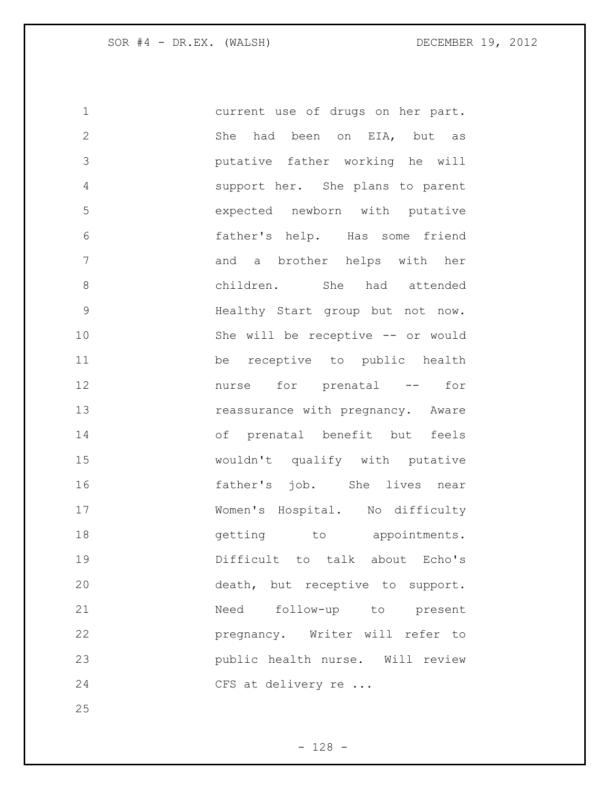| 1             | current use of drugs on her part. |
|---------------|-----------------------------------|
| $\mathbf 2$   | She had been on EIA, but as       |
| 3             | putative father working he will   |
| 4             | support her. She plans to parent  |
| 5             | expected newborn with putative    |
| 6             | father's help. Has some friend    |
| 7             | and a brother helps with her      |
| 8             | children. She had attended        |
| $\mathcal{G}$ | Healthy Start group but not now.  |
| 10            | She will be receptive -- or would |
| 11            | be receptive to public health     |
| 12            | nurse for prenatal --<br>for      |
| 13            | reassurance with pregnancy. Aware |
| 14            | of prenatal benefit but feels     |
| 15            | wouldn't qualify with putative    |
| 16            | father's job. She lives near      |
| 17            | Women's Hospital. No difficulty   |
| 18            | getting to appointments.          |
| 19            | Difficult to talk about Echo's    |
| 20            | death, but receptive to support.  |
| 21            | Need follow-up to present         |
| 22            | pregnancy. Writer will refer to   |
| 23            | public health nurse. Will review  |
| 24            | CFS at delivery re                |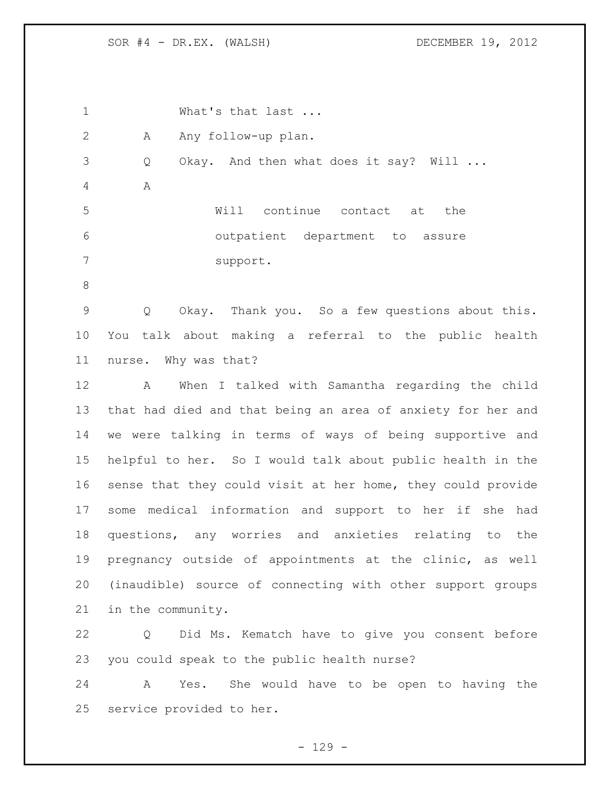1 What's that last ... 2 A Any follow-up plan. Q Okay. And then what does it say? Will ... A Will continue contact at the outpatient department to assure support. Q Okay. Thank you. So a few questions about this. You talk about making a referral to the public health nurse. Why was that? A When I talked with Samantha regarding the child that had died and that being an area of anxiety for her and we were talking in terms of ways of being supportive and helpful to her. So I would talk about public health in the sense that they could visit at her home, they could provide some medical information and support to her if she had questions, any worries and anxieties relating to the pregnancy outside of appointments at the clinic, as well (inaudible) source of connecting with other support groups in the community. Q Did Ms. Kematch have to give you consent before you could speak to the public health nurse? A Yes. She would have to be open to having the service provided to her.

 $- 129 -$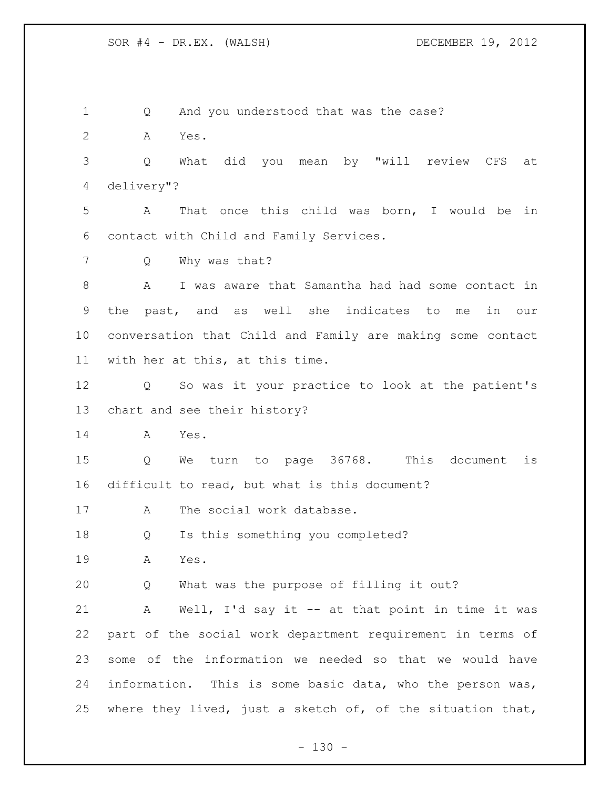Q And you understood that was the case?

A Yes.

 Q What did you mean by "will review CFS at delivery"?

 A That once this child was born, I would be in contact with Child and Family Services.

Q Why was that?

 A I was aware that Samantha had had some contact in the past, and as well she indicates to me in our conversation that Child and Family are making some contact with her at this, at this time.

 Q So was it your practice to look at the patient's chart and see their history?

A Yes.

 Q We turn to page 36768. This document is difficult to read, but what is this document?

17 A The social work database.

Q Is this something you completed?

A Yes.

Q What was the purpose of filling it out?

 A Well, I'd say it -- at that point in time it was part of the social work department requirement in terms of some of the information we needed so that we would have information. This is some basic data, who the person was, where they lived, just a sketch of, of the situation that,

 $- 130 -$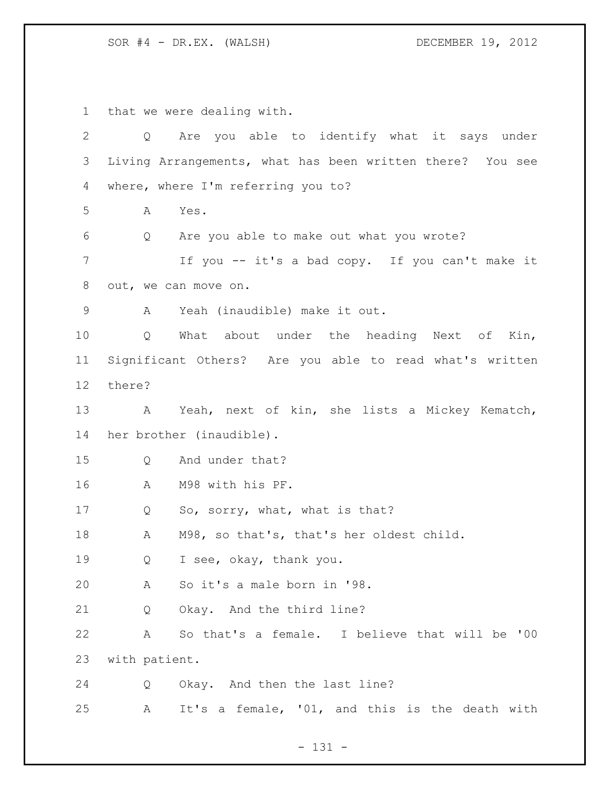that we were dealing with. Q Are you able to identify what it says under Living Arrangements, what has been written there? You see where, where I'm referring you to? A Yes. Q Are you able to make out what you wrote? If you -- it's a bad copy. If you can't make it out, we can move on. A Yeah (inaudible) make it out. Q What about under the heading Next of Kin, Significant Others? Are you able to read what's written there? A Yeah, next of kin, she lists a Mickey Kematch, her brother (inaudible). Q And under that? A M98 with his PF. 17 Q So, sorry, what, what is that? A M98, so that's, that's her oldest child. Q I see, okay, thank you. A So it's a male born in '98. Q Okay. And the third line? A So that's a female. I believe that will be '00 with patient. Q Okay. And then the last line? A It's a female, '01, and this is the death with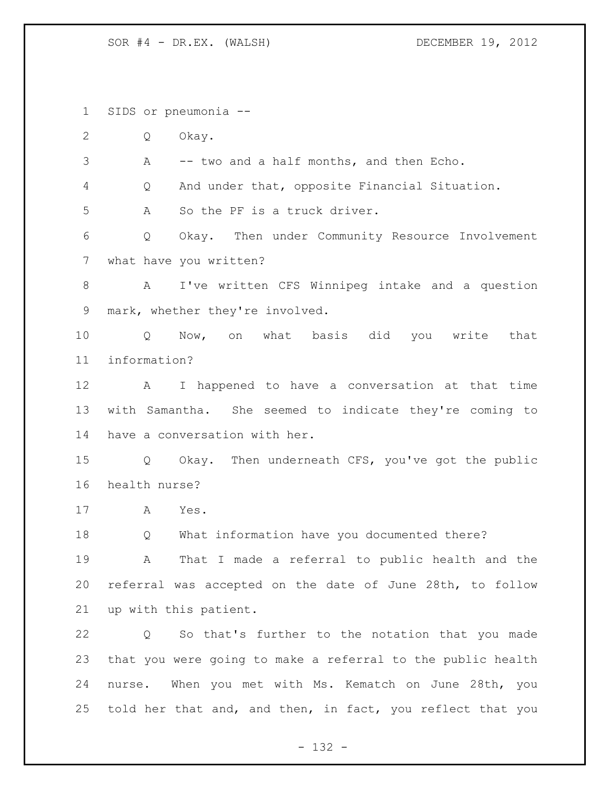SIDS or pneumonia --

Q Okay.

A -- two and a half months, and then Echo.

Q And under that, opposite Financial Situation.

A So the PF is a truck driver.

 Q Okay. Then under Community Resource Involvement what have you written?

 A I've written CFS Winnipeg intake and a question mark, whether they're involved.

 Q Now, on what basis did you write that information?

 A I happened to have a conversation at that time with Samantha. She seemed to indicate they're coming to have a conversation with her.

 Q Okay. Then underneath CFS, you've got the public health nurse?

A Yes.

Q What information have you documented there?

 A That I made a referral to public health and the referral was accepted on the date of June 28th, to follow up with this patient.

 Q So that's further to the notation that you made that you were going to make a referral to the public health nurse. When you met with Ms. Kematch on June 28th, you told her that and, and then, in fact, you reflect that you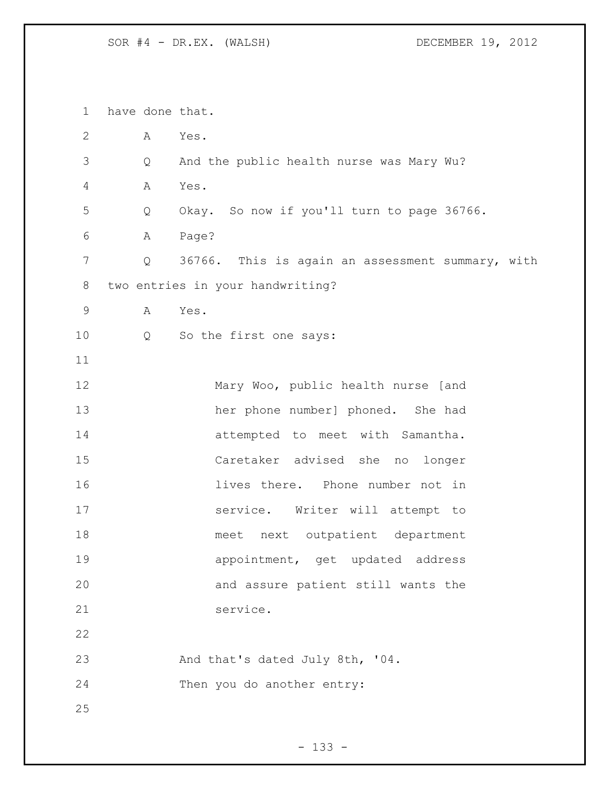have done that. A Yes. Q And the public health nurse was Mary Wu? A Yes. Q Okay. So now if you'll turn to page 36766. A Page? Q 36766. This is again an assessment summary, with two entries in your handwriting? A Yes. Q So the first one says: Mary Woo, public health nurse [and her phone number] phoned. She had attempted to meet with Samantha. Caretaker advised she no longer lives there. Phone number not in service. Writer will attempt to meet next outpatient department appointment, get updated address and assure patient still wants the service. And that's dated July 8th, '04. Then you do another entry: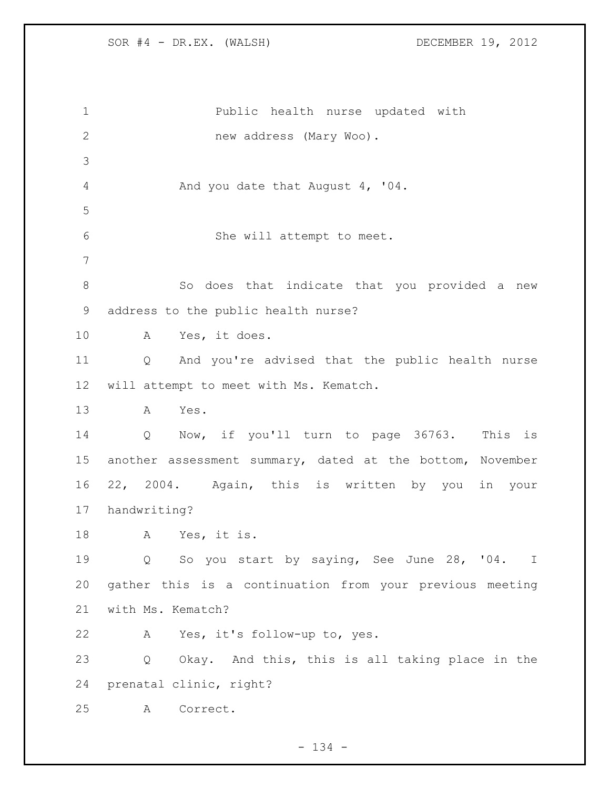Public health nurse updated with new address (Mary Woo). And you date that August 4, '04. She will attempt to meet. 8 So does that indicate that you provided a new address to the public health nurse? A Yes, it does. Q And you're advised that the public health nurse will attempt to meet with Ms. Kematch. A Yes. Q Now, if you'll turn to page 36763. This is another assessment summary, dated at the bottom, November 22, 2004. Again, this is written by you in your handwriting? A Yes, it is. Q So you start by saying, See June 28, '04. I gather this is a continuation from your previous meeting with Ms. Kematch? A Yes, it's follow-up to, yes. Q Okay. And this, this is all taking place in the prenatal clinic, right? A Correct.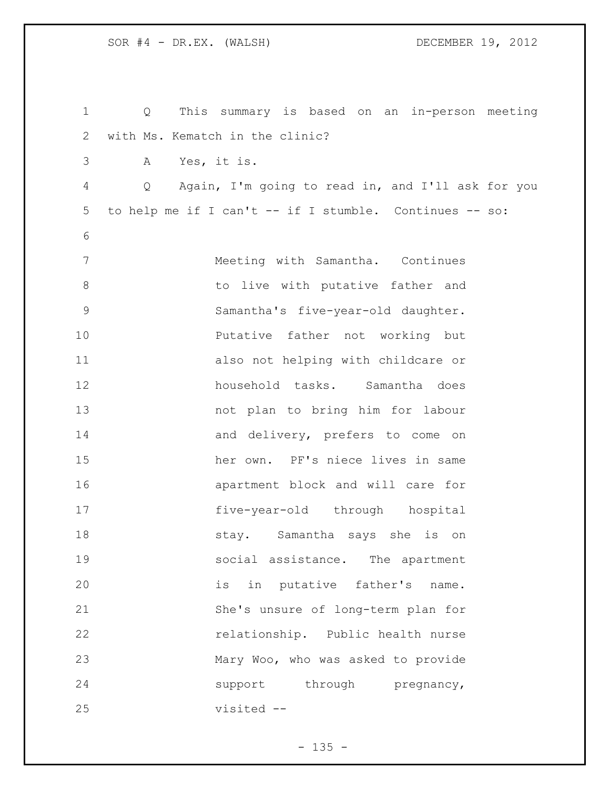| $\mathbf 1$    | This summary is based on an in-person meeting<br>$Q \qquad \qquad$ |                                    |  |  |
|----------------|--------------------------------------------------------------------|------------------------------------|--|--|
| $\overline{2}$ | with Ms. Kematch in the clinic?                                    |                                    |  |  |
| 3              | Yes, it is.<br>A                                                   |                                    |  |  |
| 4              | Again, I'm going to read in, and I'll ask for you<br>Q             |                                    |  |  |
| 5              | to help me if I can't -- if I stumble. Continues -- so:            |                                    |  |  |
| 6              |                                                                    |                                    |  |  |
| 7              |                                                                    | Meeting with Samantha. Continues   |  |  |
| $8\,$          |                                                                    | to live with putative father and   |  |  |
| $\mathsf 9$    |                                                                    | Samantha's five-year-old daughter. |  |  |
| 10             |                                                                    | Putative father not working but    |  |  |
| 11             |                                                                    | also not helping with childcare or |  |  |
| 12             |                                                                    | household tasks. Samantha does     |  |  |
| 13             |                                                                    | not plan to bring him for labour   |  |  |
| 14             |                                                                    | and delivery, prefers to come on   |  |  |
| 15             |                                                                    | her own. PF's niece lives in same  |  |  |
| 16             |                                                                    | apartment block and will care for  |  |  |
| 17             |                                                                    | five-year-old through hospital     |  |  |
| 18             |                                                                    | stay. Samantha says she is on      |  |  |
| 19             |                                                                    | social assistance. The apartment   |  |  |
| 20             |                                                                    | is in putative father's name.      |  |  |
| 21             |                                                                    | She's unsure of long-term plan for |  |  |
| 22             |                                                                    | relationship. Public health nurse  |  |  |
| 23             |                                                                    | Mary Woo, who was asked to provide |  |  |
| 24             |                                                                    | support through pregnancy,         |  |  |
| 25             | visited --                                                         |                                    |  |  |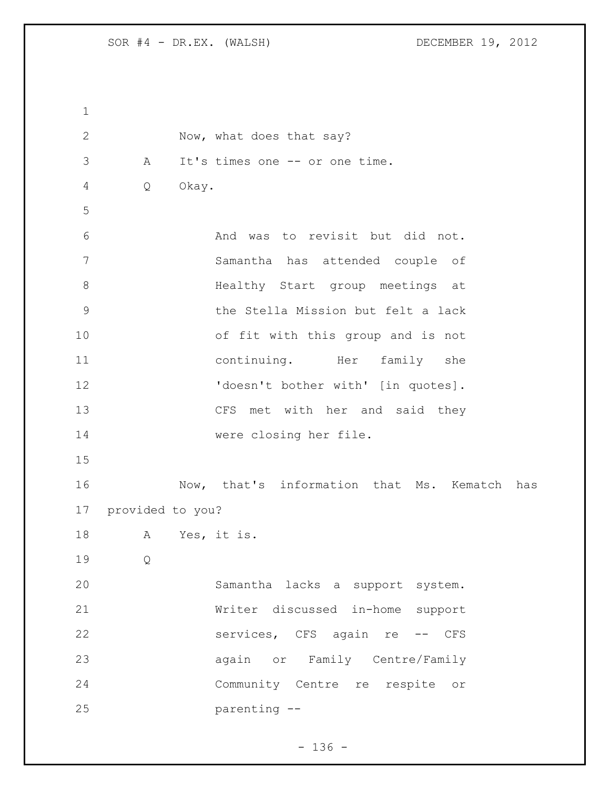2 Now, what does that say? A It's times one -- or one time. Q Okay. And was to revisit but did not. Samantha has attended couple of Healthy Start group meetings at the Stella Mission but felt a lack of fit with this group and is not continuing. Her family she 12 'doesn't bother with' [in quotes]. CFS met with her and said they were closing her file. Now, that's information that Ms. Kematch has provided to you? A Yes, it is. Q Samantha lacks a support system. Writer discussed in-home support 22 services, CFS again re -- CFS again or Family Centre/Family Community Centre re respite or parenting --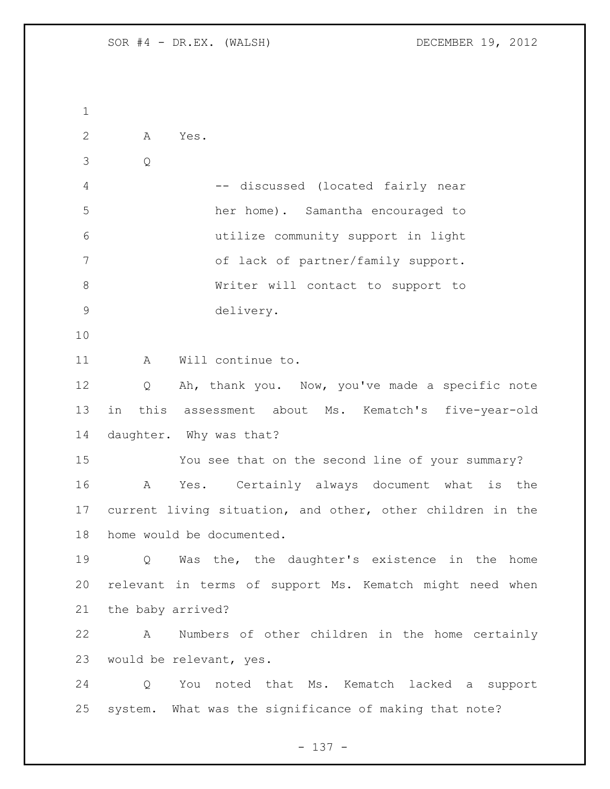| Α<br>Yes.                                                  |
|------------------------------------------------------------|
| Q                                                          |
| -- discussed (located fairly near                          |
| her home). Samantha encouraged to                          |
| utilize community support in light                         |
| of lack of partner/family support.                         |
| Writer will contact to support to                          |
| delivery.                                                  |
|                                                            |
| Will continue to.<br>Α                                     |
| Ah, thank you. Now, you've made a specific note<br>Q       |
| in this assessment about Ms. Kematch's five-year-old       |
| daughter. Why was that?                                    |
| You see that on the second line of your summary?           |
| Yes. Certainly always document what is the<br>A            |
| current living situation, and other, other children in the |
| home would be documented.                                  |
| Was the, the daughter's existence in the home<br>Q         |
| relevant in terms of support Ms. Kematch might need when   |
| the baby arrived?                                          |
| Numbers of other children in the home certainly<br>A       |
| would be relevant, yes.                                    |
| You noted that Ms. Kematch lacked a support<br>Q           |
| system. What was the significance of making that note?     |
|                                                            |

- 137 -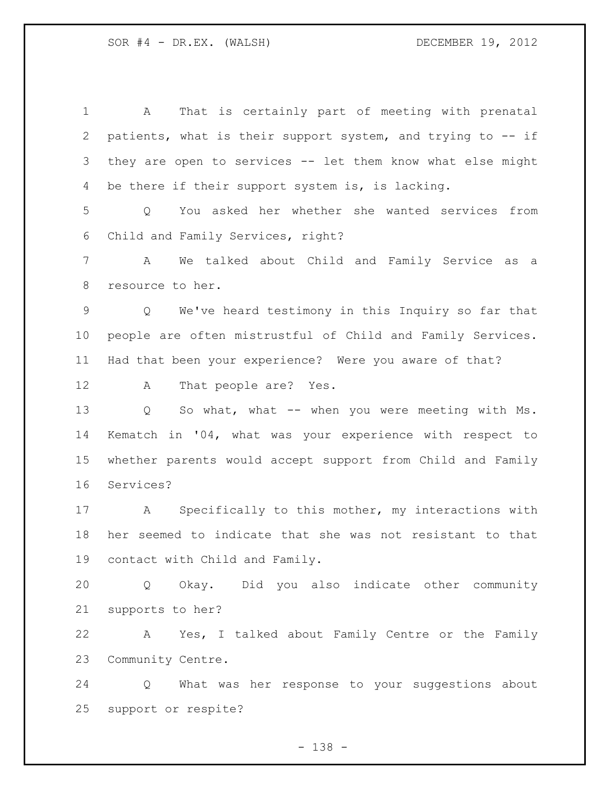A That is certainly part of meeting with prenatal patients, what is their support system, and trying to -- if they are open to services -- let them know what else might 4 be there if their support system is, is lacking. Q You asked her whether she wanted services from Child and Family Services, right? A We talked about Child and Family Service as a resource to her. Q We've heard testimony in this Inquiry so far that people are often mistrustful of Child and Family Services. Had that been your experience? Were you aware of that? A That people are? Yes. Q So what, what -- when you were meeting with Ms. Kematch in '04, what was your experience with respect to whether parents would accept support from Child and Family Services? A Specifically to this mother, my interactions with her seemed to indicate that she was not resistant to that contact with Child and Family. Q Okay. Did you also indicate other community supports to her? A Yes, I talked about Family Centre or the Family Community Centre. Q What was her response to your suggestions about support or respite?

- 138 -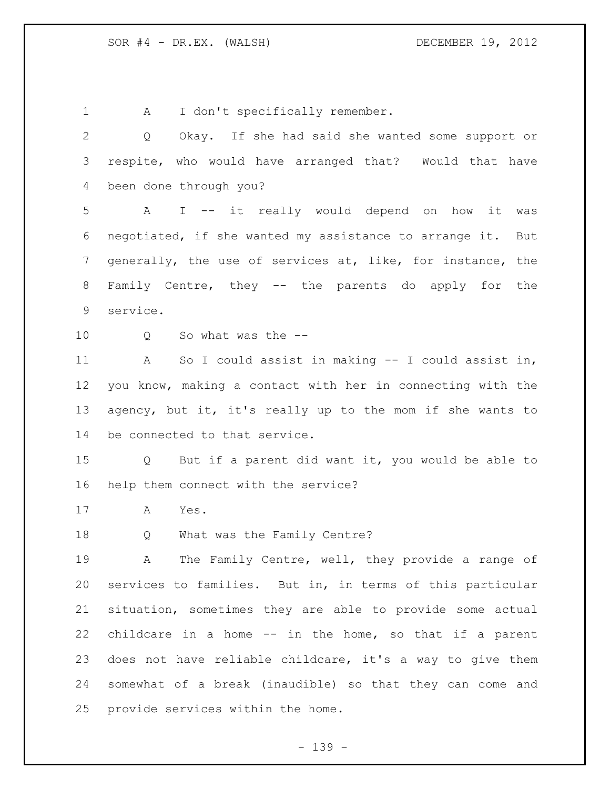1 A I don't specifically remember. Q Okay. If she had said she wanted some support or respite, who would have arranged that? Would that have been done through you? A I -- it really would depend on how it was negotiated, if she wanted my assistance to arrange it. But generally, the use of services at, like, for instance, the Family Centre, they -- the parents do apply for the service. 10 0 So what was the -- A So I could assist in making -- I could assist in, you know, making a contact with her in connecting with the agency, but it, it's really up to the mom if she wants to be connected to that service. Q But if a parent did want it, you would be able to help them connect with the service? A Yes. Q What was the Family Centre? A The Family Centre, well, they provide a range of services to families. But in, in terms of this particular situation, sometimes they are able to provide some actual childcare in a home -- in the home, so that if a parent does not have reliable childcare, it's a way to give them somewhat of a break (inaudible) so that they can come and provide services within the home.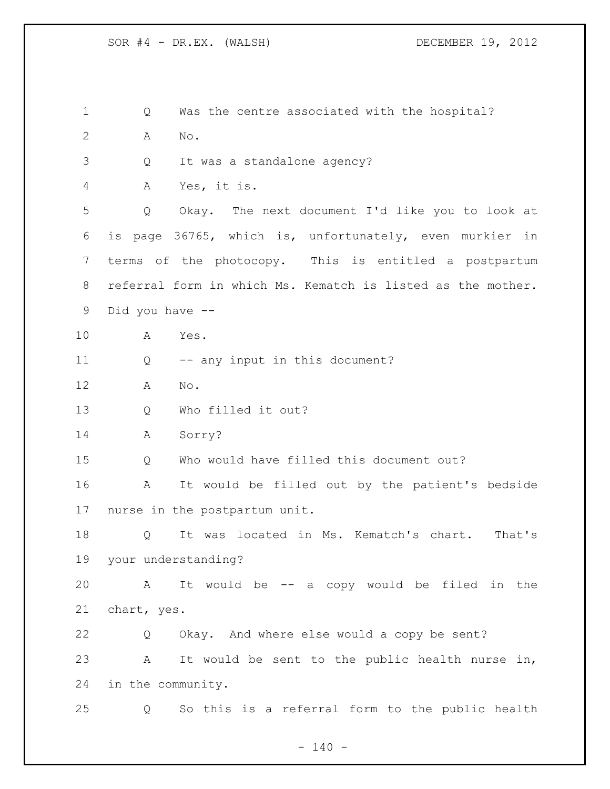Q Was the centre associated with the hospital? A No. Q It was a standalone agency? A Yes, it is. Q Okay. The next document I'd like you to look at is page 36765, which is, unfortunately, even murkier in terms of the photocopy. This is entitled a postpartum referral form in which Ms. Kematch is listed as the mother. Did you have -- A Yes. Q -- any input in this document? A No. Q Who filled it out? A Sorry? Q Who would have filled this document out? A It would be filled out by the patient's bedside nurse in the postpartum unit. Q It was located in Ms. Kematch's chart. That's your understanding? A It would be -- a copy would be filed in the chart, yes. Q Okay. And where else would a copy be sent? A It would be sent to the public health nurse in, in the community. Q So this is a referral form to the public health

 $- 140 -$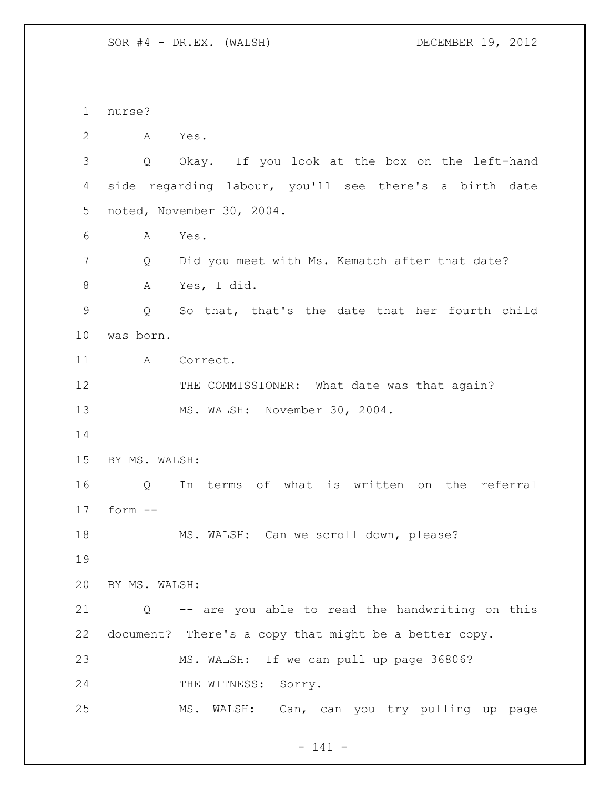nurse? A Yes. Q Okay. If you look at the box on the left-hand side regarding labour, you'll see there's a birth date noted, November 30, 2004. A Yes. Q Did you meet with Ms. Kematch after that date? A Yes, I did. Q So that, that's the date that her fourth child was born. 11 A Correct. 12 THE COMMISSIONER: What date was that again? MS. WALSH: November 30, 2004. BY MS. WALSH: Q In terms of what is written on the referral form -- MS. WALSH: Can we scroll down, please? BY MS. WALSH: Q -- are you able to read the handwriting on this document? There's a copy that might be a better copy. MS. WALSH: If we can pull up page 36806? 24 THE WITNESS: Sorry. MS. WALSH: Can, can you try pulling up page

- 141 -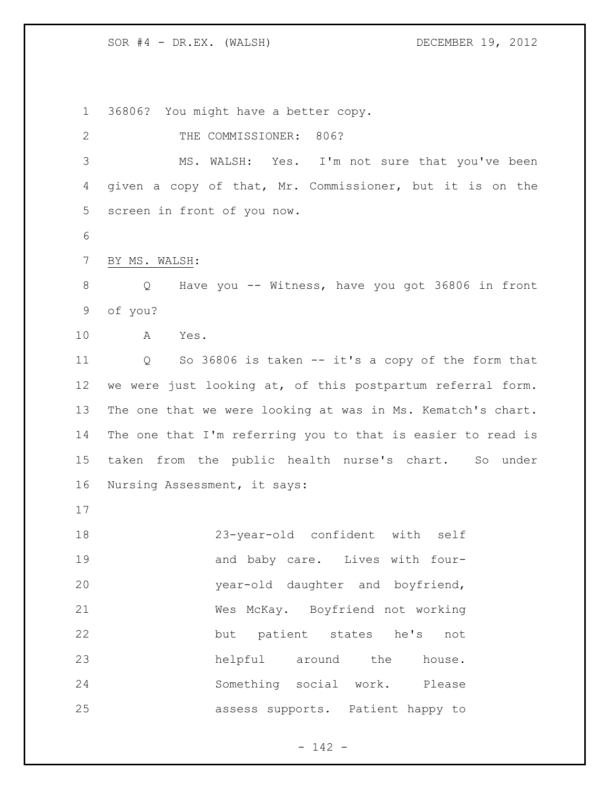36806? You might have a better copy.

2 THE COMMISSIONER: 806? MS. WALSH: Yes. I'm not sure that you've been given a copy of that, Mr. Commissioner, but it is on the screen in front of you now. BY MS. WALSH: Q Have you -- Witness, have you got 36806 in front of you? A Yes. Q So 36806 is taken -- it's a copy of the form that we were just looking at, of this postpartum referral form. The one that we were looking at was in Ms. Kematch's chart. The one that I'm referring you to that is easier to read is taken from the public health nurse's chart. So under Nursing Assessment, it says: 23-year-old confident with self 19 and baby care. Lives with four- year-old daughter and boyfriend, Wes McKay. Boyfriend not working but patient states he's not helpful around the house. Something social work. Please assess supports. Patient happy to

- 142 -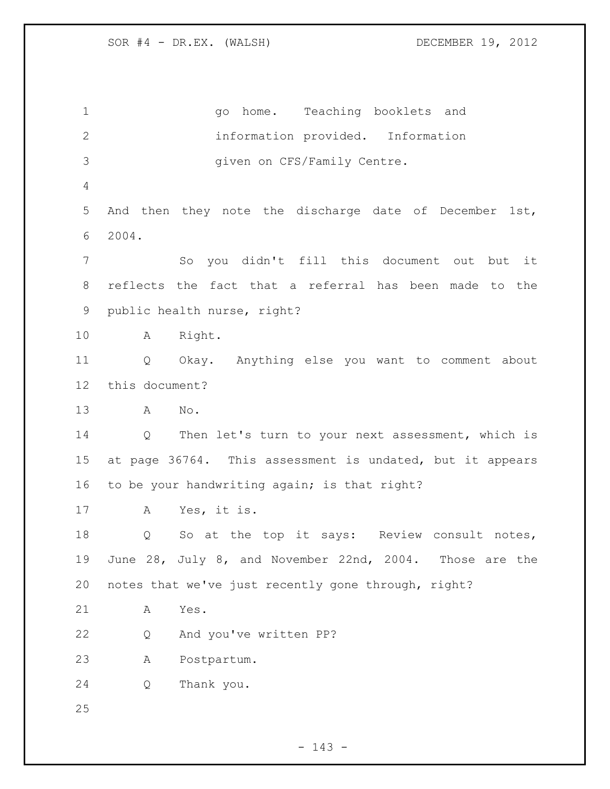1 and go home. Teaching booklets and information provided. Information given on CFS/Family Centre. And then they note the discharge date of December 1st, 2004. So you didn't fill this document out but it reflects the fact that a referral has been made to the public health nurse, right? A Right. Q Okay. Anything else you want to comment about this document? A No. Q Then let's turn to your next assessment, which is at page 36764. This assessment is undated, but it appears to be your handwriting again; is that right? A Yes, it is. Q So at the top it says: Review consult notes, June 28, July 8, and November 22nd, 2004. Those are the notes that we've just recently gone through, right? A Yes. Q And you've written PP? A Postpartum. Q Thank you.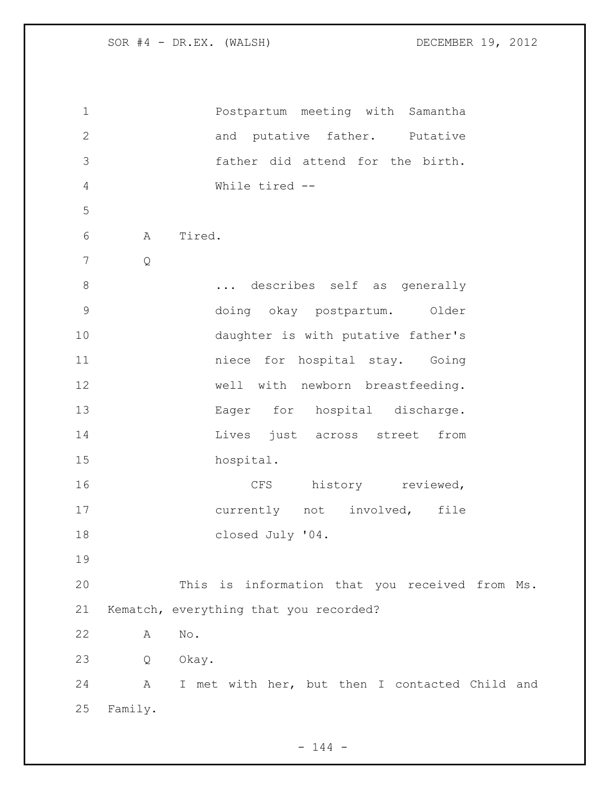| $\mathbf 1$  |                      | Postpartum meeting with Samantha               |
|--------------|----------------------|------------------------------------------------|
| $\mathbf{2}$ |                      | and putative father. Putative                  |
| 3            |                      | father did attend for the birth.               |
| 4            |                      | While tired --                                 |
| 5            |                      |                                                |
| 6            | Tired.<br>Α          |                                                |
| 7            | $\mathsf{Q}$         |                                                |
| $\,8\,$      |                      | describes self as generally                    |
| $\mathsf 9$  |                      | doing okay postpartum. Older                   |
| 10           |                      | daughter is with putative father's             |
| 11           |                      | niece for hospital stay. Going                 |
| 12           |                      | well with newborn breastfeeding.               |
| 13           |                      | Eager for hospital discharge.                  |
| 14           |                      | Lives just across street<br>from               |
| 15           |                      | hospital.                                      |
| 16           |                      | history reviewed,<br>CFS                       |
| 17           |                      | currently not involved,<br>file                |
| 18           |                      | closed July '04.                               |
| 19           |                      |                                                |
| 20           |                      | This is information that you received from Ms. |
| 21           |                      | Kematch, everything that you recorded?         |
| 22           | $\mathrm{No}$ .<br>Α |                                                |
| 23           | Q<br>Okay.           |                                                |
| 24           | A                    | I met with her, but then I contacted Child and |
| 25           | Family.              |                                                |

- 144 -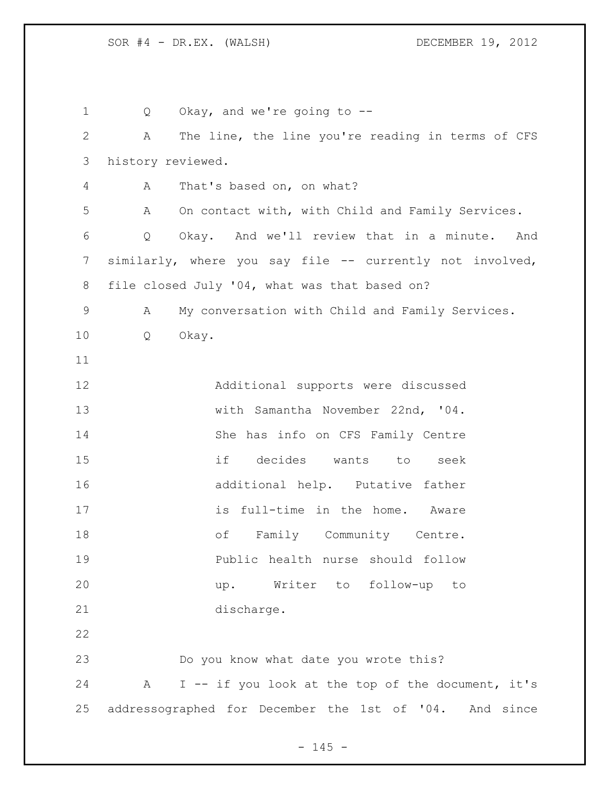Q Okay, and we're going to -- A The line, the line you're reading in terms of CFS history reviewed. A That's based on, on what? A On contact with, with Child and Family Services. Q Okay. And we'll review that in a minute. And similarly, where you say file -- currently not involved, file closed July '04, what was that based on? A My conversation with Child and Family Services. Q Okay. Additional supports were discussed with Samantha November 22nd, '04. She has info on CFS Family Centre if decides wants to seek additional help. Putative father 17 is full-time in the home. Aware 18 of Family Community Centre. Public health nurse should follow up. Writer to follow-up to discharge. Do you know what date you wrote this? A I -- if you look at the top of the document, it's addressographed for December the 1st of '04. And since

 $- 145 -$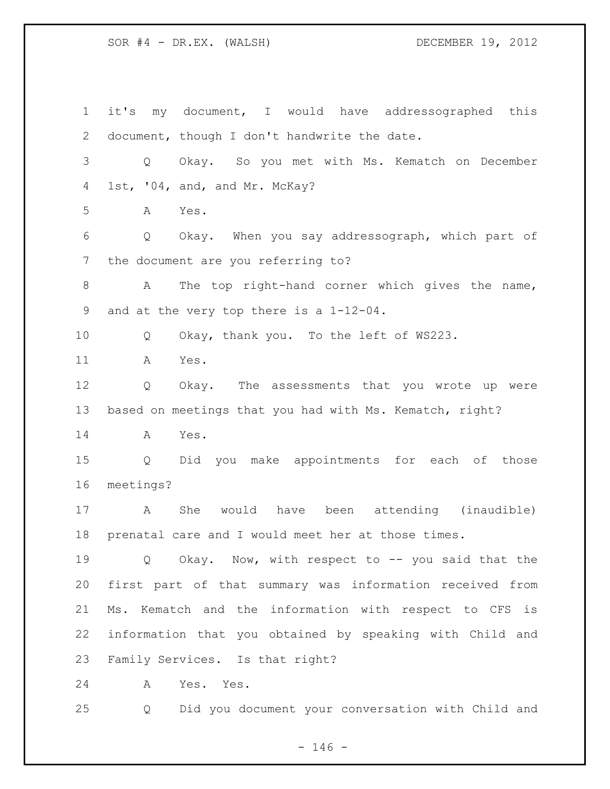it's my document, I would have addressographed this document, though I don't handwrite the date. Q Okay. So you met with Ms. Kematch on December 1st, '04, and, and Mr. McKay? A Yes. Q Okay. When you say addressograph, which part of the document are you referring to? A The top right-hand corner which gives the name, and at the very top there is a 1-12-04. Q Okay, thank you. To the left of WS223. A Yes. Q Okay. The assessments that you wrote up were based on meetings that you had with Ms. Kematch, right? A Yes. Q Did you make appointments for each of those meetings? A She would have been attending (inaudible) prenatal care and I would meet her at those times. Q Okay. Now, with respect to -- you said that the first part of that summary was information received from Ms. Kematch and the information with respect to CFS is information that you obtained by speaking with Child and Family Services. Is that right? A Yes. Yes. Q Did you document your conversation with Child and

 $- 146 -$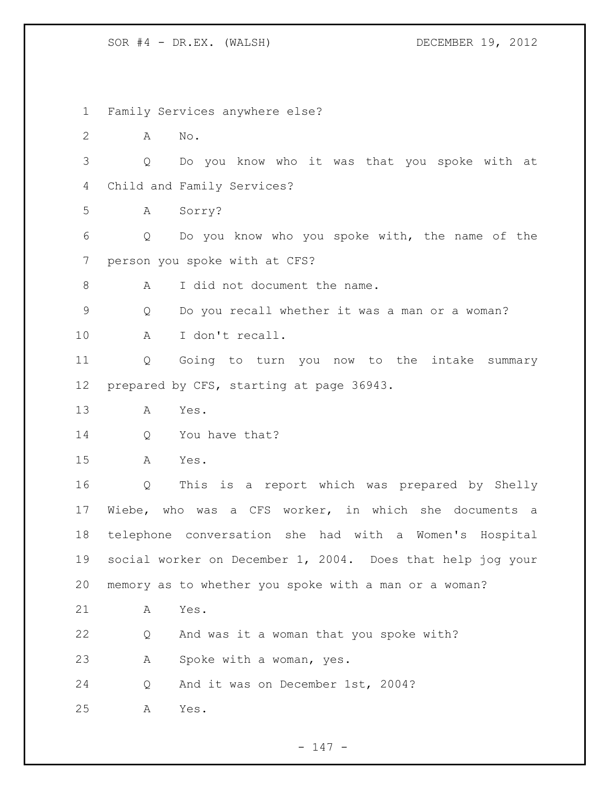Family Services anywhere else? A No. Q Do you know who it was that you spoke with at Child and Family Services? A Sorry? Q Do you know who you spoke with, the name of the person you spoke with at CFS? 8 A I did not document the name. Q Do you recall whether it was a man or a woman? A I don't recall. Q Going to turn you now to the intake summary prepared by CFS, starting at page 36943. A Yes. 14 Q You have that? A Yes. Q This is a report which was prepared by Shelly Wiebe, who was a CFS worker, in which she documents a telephone conversation she had with a Women's Hospital social worker on December 1, 2004. Does that help jog your memory as to whether you spoke with a man or a woman? A Yes. Q And was it a woman that you spoke with? A Spoke with a woman, yes. Q And it was on December 1st, 2004? A Yes.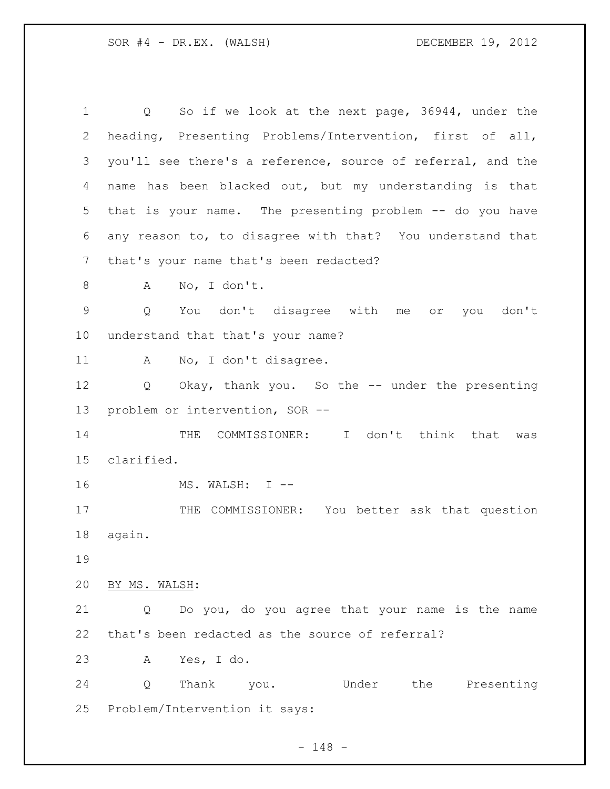Q So if we look at the next page, 36944, under the heading, Presenting Problems/Intervention, first of all, you'll see there's a reference, source of referral, and the name has been blacked out, but my understanding is that that is your name. The presenting problem -- do you have any reason to, to disagree with that? You understand that that's your name that's been redacted? A No, I don't. Q You don't disagree with me or you don't understand that that's your name? 11 A No, I don't disagree. Q Okay, thank you. So the -- under the presenting problem or intervention, SOR -- 14 THE COMMISSIONER: I don't think that was clarified. 16 MS. WALSH: I --17 THE COMMISSIONER: You better ask that question again. BY MS. WALSH: Q Do you, do you agree that your name is the name that's been redacted as the source of referral? A Yes, I do. Q Thank you. Under the Presenting Problem/Intervention it says: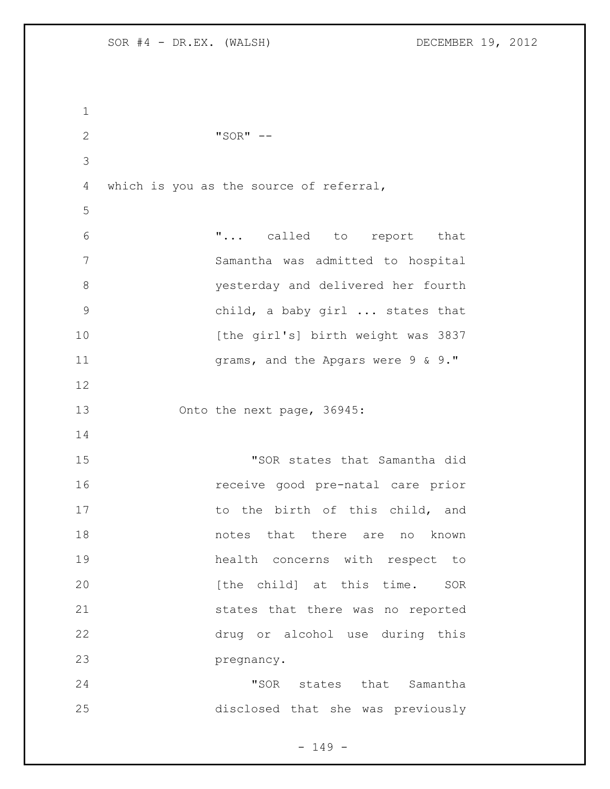| $\mathbf 1$    |                                         |
|----------------|-----------------------------------------|
| $\overline{2}$ | " $SOR"$ --                             |
| 3              |                                         |
| 4              | which is you as the source of referral, |
| 5              |                                         |
| 6              | " called to report that                 |
| 7              | Samantha was admitted to hospital       |
| 8              | yesterday and delivered her fourth      |
| 9              | child, a baby girl  states that         |
| 10             | [the girl's] birth weight was 3837      |
| 11             | grams, and the Apgars were 9 & 9."      |
| 12             |                                         |
| 13             | Onto the next page, 36945:              |
| 14             |                                         |
| 15             | "SOR states that Samantha did           |
| 16             | receive good pre-natal care prior       |
| 17             | to the birth of this child, and         |
| 18             | notes that there are no known           |
| 19             | health concerns with respect to         |
| 20             | [the child] at this time. SOR           |
| 21             | states that there was no reported       |
| 22             | drug or alcohol use during this         |
| 23             | pregnancy.                              |
| 24             | "SOR states that Samantha               |
| 25             | disclosed that she was previously       |

- 149 -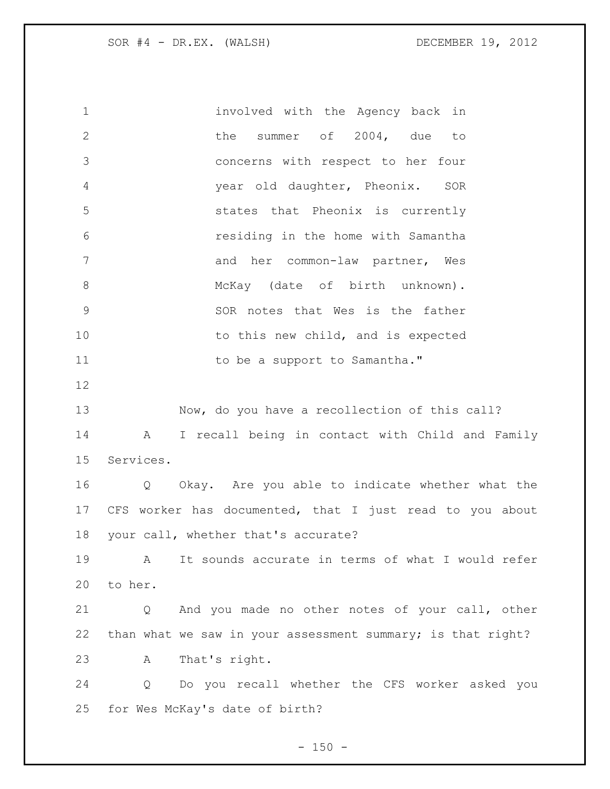involved with the Agency back in 2 the summer of 2004, due to concerns with respect to her four year old daughter, Pheonix. SOR states that Pheonix is currently residing in the home with Samantha 7 and her common-law partner, Wes 8 McKay (date of birth unknown). SOR notes that Wes is the father 10 to this new child, and is expected 11 to be a support to Samantha." Now, do you have a recollection of this call? A I recall being in contact with Child and Family Services. Q Okay. Are you able to indicate whether what the CFS worker has documented, that I just read to you about your call, whether that's accurate? A It sounds accurate in terms of what I would refer to her. Q And you made no other notes of your call, other than what we saw in your assessment summary; is that right? A That's right. Q Do you recall whether the CFS worker asked you for Wes McKay's date of birth?

 $- 150 -$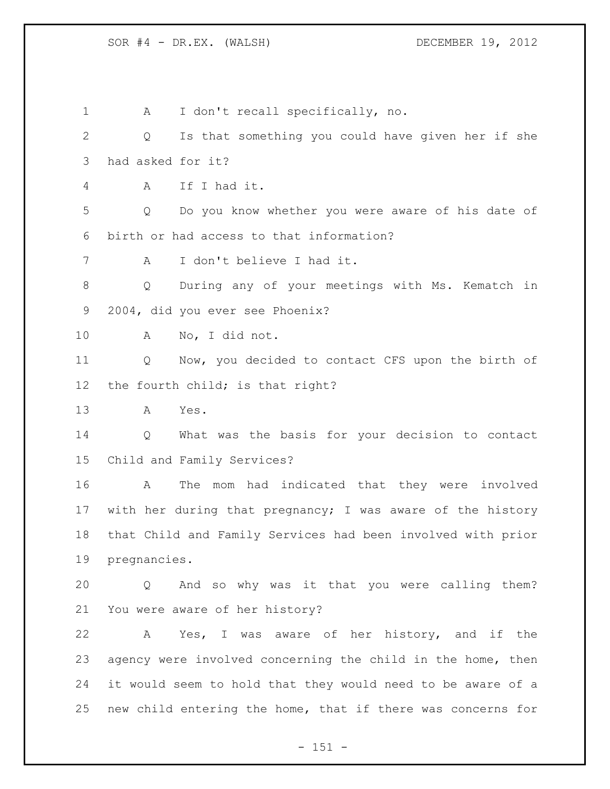1 A I don't recall specifically, no. Q Is that something you could have given her if she had asked for it? A If I had it. Q Do you know whether you were aware of his date of birth or had access to that information? A I don't believe I had it. Q During any of your meetings with Ms. Kematch in 2004, did you ever see Phoenix? A No, I did not. Q Now, you decided to contact CFS upon the birth of the fourth child; is that right? A Yes. Q What was the basis for your decision to contact Child and Family Services? A The mom had indicated that they were involved with her during that pregnancy; I was aware of the history that Child and Family Services had been involved with prior pregnancies. Q And so why was it that you were calling them? You were aware of her history? A Yes, I was aware of her history, and if the agency were involved concerning the child in the home, then it would seem to hold that they would need to be aware of a new child entering the home, that if there was concerns for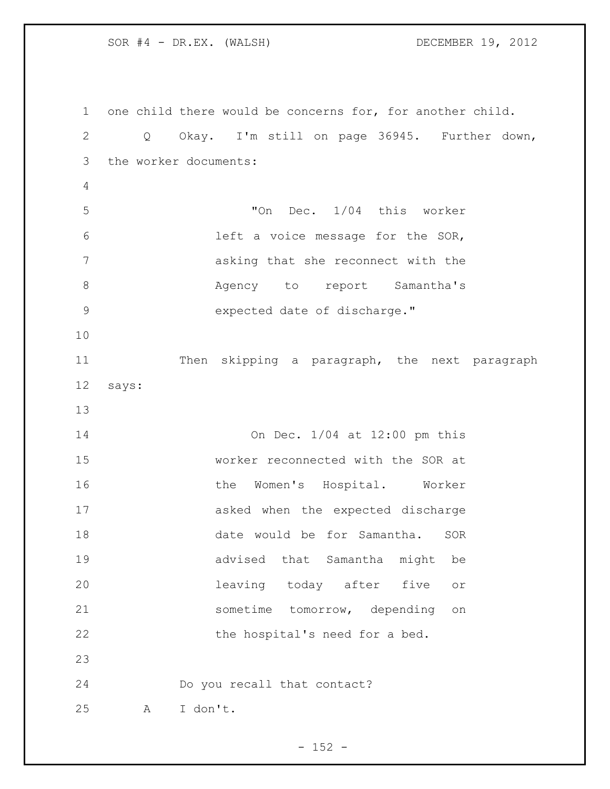one child there would be concerns for, for another child. Q Okay. I'm still on page 36945. Further down, the worker documents: "On Dec. 1/04 this worker left a voice message for the SOR, asking that she reconnect with the 8 Magency to report Samantha's 9 expected date of discharge." Then skipping a paragraph, the next paragraph says: On Dec. 1/04 at 12:00 pm this worker reconnected with the SOR at **the Women's Hospital.** Worker asked when the expected discharge date would be for Samantha. SOR advised that Samantha might be leaving today after five or sometime tomorrow, depending on 22 the hospital's need for a bed. Do you recall that contact? A I don't.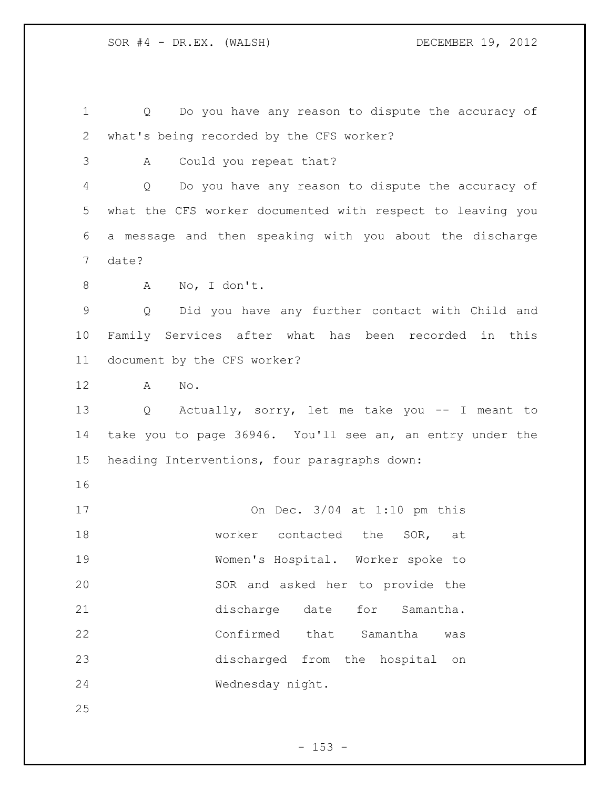Q Do you have any reason to dispute the accuracy of what's being recorded by the CFS worker? A Could you repeat that? Q Do you have any reason to dispute the accuracy of what the CFS worker documented with respect to leaving you a message and then speaking with you about the discharge date? A No, I don't. Q Did you have any further contact with Child and Family Services after what has been recorded in this document by the CFS worker? A No. Q Actually, sorry, let me take you -- I meant to

 take you to page 36946. You'll see an, an entry under the heading Interventions, four paragraphs down:

 On Dec. 3/04 at 1:10 pm this 18 worker contacted the SOR, at Women's Hospital. Worker spoke to SOR and asked her to provide the discharge date for Samantha. Confirmed that Samantha was discharged from the hospital on Wednesday night.

 $- 153 -$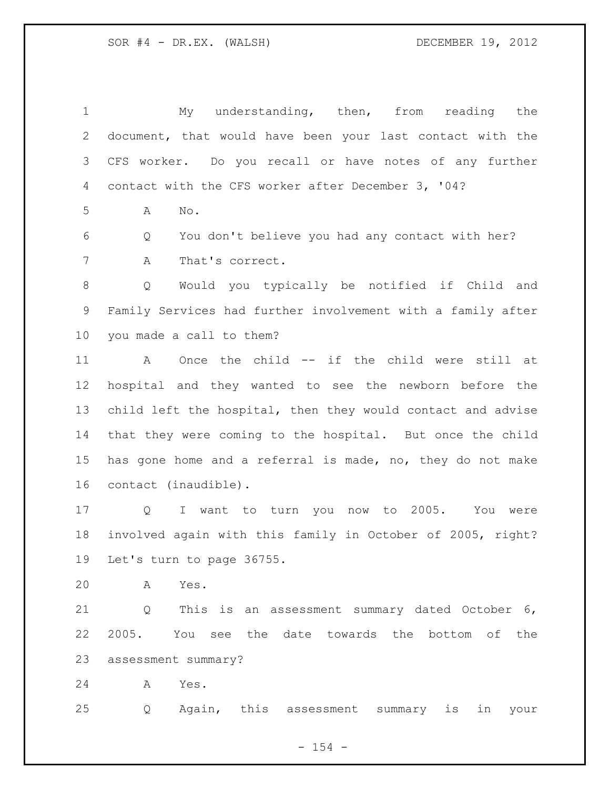My understanding, then, from reading the document, that would have been your last contact with the CFS worker. Do you recall or have notes of any further contact with the CFS worker after December 3, '04? A No. Q You don't believe you had any contact with her? A That's correct. Q Would you typically be notified if Child and Family Services had further involvement with a family after you made a call to them? A Once the child -- if the child were still at hospital and they wanted to see the newborn before the child left the hospital, then they would contact and advise that they were coming to the hospital. But once the child has gone home and a referral is made, no, they do not make contact (inaudible). Q I want to turn you now to 2005. You were involved again with this family in October of 2005, right? Let's turn to page 36755. A Yes. Q This is an assessment summary dated October 6, 2005. You see the date towards the bottom of the

assessment summary?

A Yes.

Q Again, this assessment summary is in your

 $- 154 -$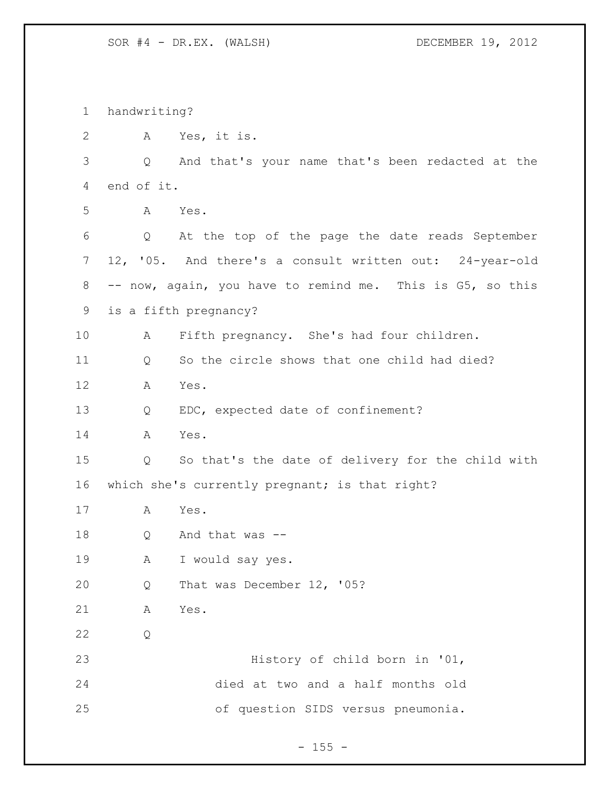| $\mathbf 1$  | handwriting? |                                                           |
|--------------|--------------|-----------------------------------------------------------|
| $\mathbf{2}$ | A            | Yes, it is.                                               |
| 3            | Q            | And that's your name that's been redacted at the          |
| 4            | end of it.   |                                                           |
| 5            | Α            | Yes.                                                      |
| 6            | Q            | At the top of the page the date reads September           |
| 7            |              | 12, '05. And there's a consult written out: 24-year-old   |
| 8            |              | -- now, again, you have to remind me. This is G5, so this |
| 9            |              | is a fifth pregnancy?                                     |
| 10           | A            | Fifth pregnancy. She's had four children.                 |
| 11           | Q            | So the circle shows that one child had died?              |
| 12           | Α            | Yes.                                                      |
| 13           | Q            | EDC, expected date of confinement?                        |
| 14           | A            | Yes.                                                      |
| 15           | Q            | So that's the date of delivery for the child with         |
| 16           |              | which she's currently pregnant; is that right?            |
| 17           | A            | Yes.                                                      |
| 18           | Q            | And that was --                                           |
| 19           | А            | I would say yes.                                          |
| 20           | Q            | That was December 12, '05?                                |
| 21           | Α            | Yes.                                                      |
| 22           | Q            |                                                           |
| 23           |              | History of child born in '01,                             |
| 24           |              | died at two and a half months old                         |
| 25           |              | of question SIDS versus pneumonia.                        |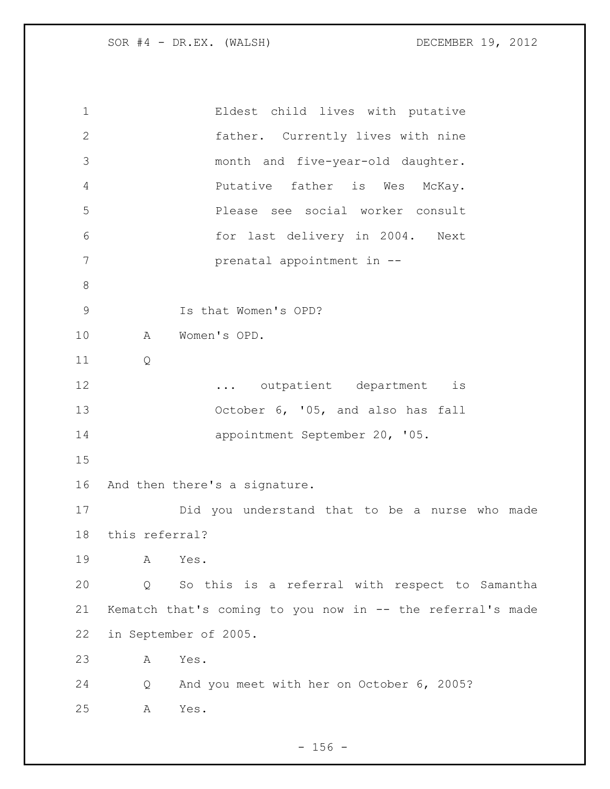| $\mathbf 1$  | Eldest child lives with putative                           |  |
|--------------|------------------------------------------------------------|--|
| $\mathbf{2}$ | father. Currently lives with nine                          |  |
| 3            | month and five-year-old daughter.                          |  |
| 4            | Putative father is Wes<br>McKay.                           |  |
| 5            | Please see social worker consult                           |  |
| $6\,$        | for last delivery in 2004. Next                            |  |
| 7            | prenatal appointment in --                                 |  |
| 8            |                                                            |  |
| 9            | Is that Women's OPD?                                       |  |
| 10           | Women's OPD.<br>Α                                          |  |
| 11           | Q                                                          |  |
| 12           | outpatient department<br>is                                |  |
| 13           | October 6, '05, and also has fall                          |  |
| 14           | appointment September 20, '05.                             |  |
| 15           |                                                            |  |
| 16           | And then there's a signature.                              |  |
| 17           | Did you understand that to be a nurse who made             |  |
| 18           | this referral?                                             |  |
| 19           | Yes.<br>Α                                                  |  |
| 20           | So this is a referral with respect to Samantha<br>Q        |  |
| 21           | Kematch that's coming to you now in -- the referral's made |  |
| 22           | in September of 2005.                                      |  |
| 23           | Yes.<br>А                                                  |  |
| 24           | And you meet with her on October 6, 2005?<br>Q             |  |
| 25           | Yes.<br>Α                                                  |  |
|              |                                                            |  |

- 156 -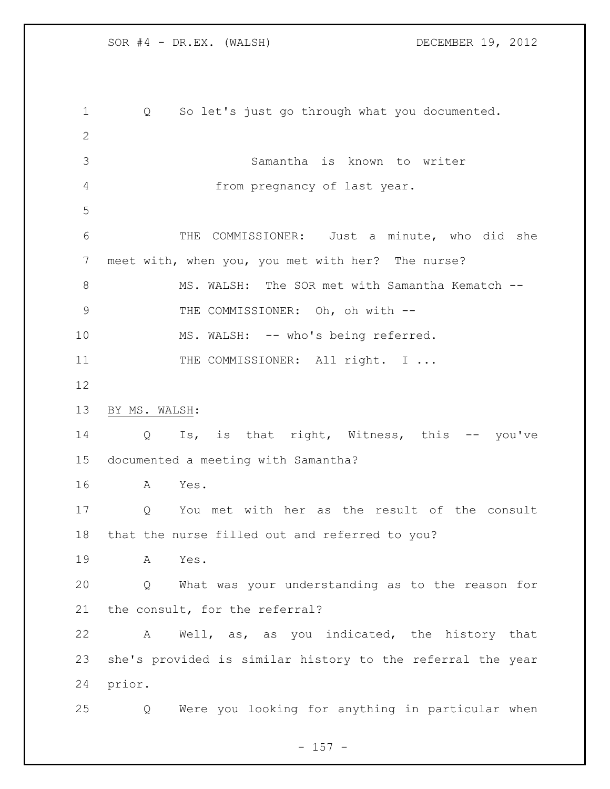| 1  | So let's just go through what you documented.<br>Q         |
|----|------------------------------------------------------------|
| 2  |                                                            |
| 3  | Samantha is known to writer                                |
| 4  | from pregnancy of last year.                               |
| 5  |                                                            |
| 6  | COMMISSIONER: Just a minute, who did she<br>THE            |
| 7  | meet with, when you, you met with her? The nurse?          |
| 8  | MS. WALSH: The SOR met with Samantha Kematch --            |
| 9  | THE COMMISSIONER: Oh, oh with --                           |
| 10 | MS. WALSH: -- who's being referred.                        |
| 11 | THE COMMISSIONER: All right. I                             |
| 12 |                                                            |
| 13 | BY MS. WALSH:                                              |
| 14 | Is, is that right, Witness, this -- you've<br>Q            |
| 15 | documented a meeting with Samantha?                        |
| 16 | Yes.<br>A                                                  |
| 17 | You met with her as the result of the consult<br>Q         |
| 18 | that the nurse filled out and referred to you?             |
| 19 | A<br>Yes.                                                  |
| 20 | What was your understanding as to the reason for<br>Q      |
| 21 | the consult, for the referral?                             |
| 22 | Well, as, as you indicated, the history that<br>Α          |
| 23 | she's provided is similar history to the referral the year |
| 24 | prior.                                                     |
| 25 | Were you looking for anything in particular when<br>Q      |

- 157 -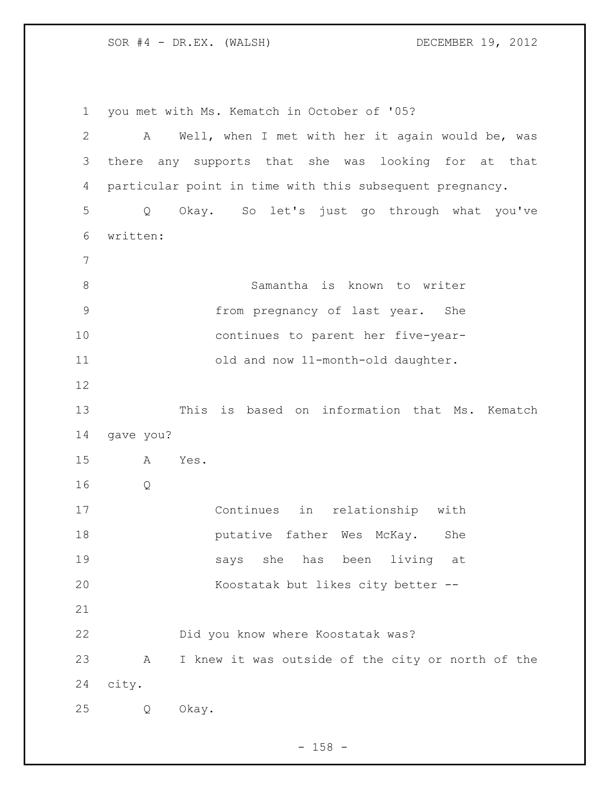you met with Ms. Kematch in October of '05? A Well, when I met with her it again would be, was there any supports that she was looking for at that particular point in time with this subsequent pregnancy. Q Okay. So let's just go through what you've written: Samantha is known to writer from pregnancy of last year. She continues to parent her five-year- old and now 11-month-old daughter. This is based on information that Ms. Kematch gave you? A Yes. Q Continues in relationship with **putative father Wes McKay.** She says she has been living at Koostatak but likes city better -- Did you know where Koostatak was? A I knew it was outside of the city or north of the city. Q Okay.

 $- 158 -$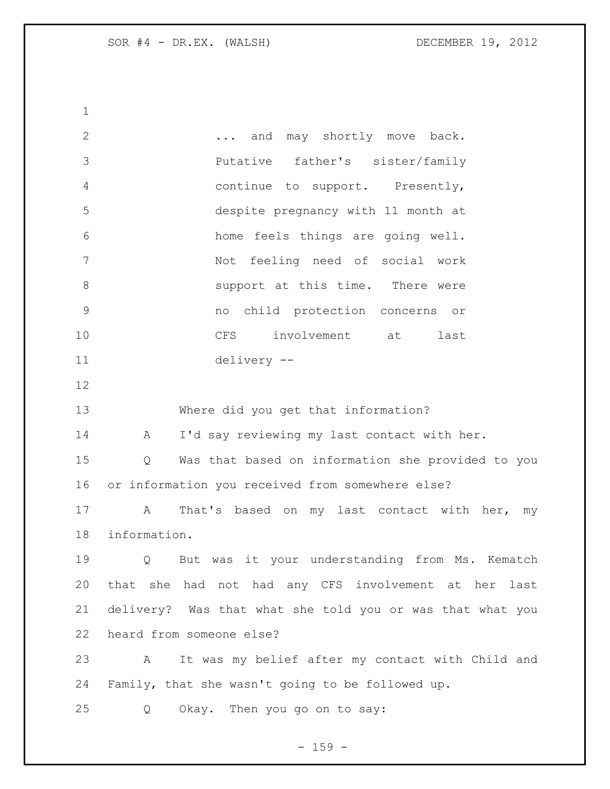2 ... and may shortly move back. Putative father's sister/family continue to support. Presently, despite pregnancy with 11 month at home feels things are going well. Not feeling need of social work **8** Support at this time. There were no child protection concerns or CFS involvement at last delivery -- Where did you get that information? 14 A I'd say reviewing my last contact with her. Q Was that based on information she provided to you or information you received from somewhere else? A That's based on my last contact with her, my information. Q But was it your understanding from Ms. Kematch that she had not had any CFS involvement at her last delivery? Was that what she told you or was that what you heard from someone else? A It was my belief after my contact with Child and Family, that she wasn't going to be followed up. Q Okay. Then you go on to say:

- 159 -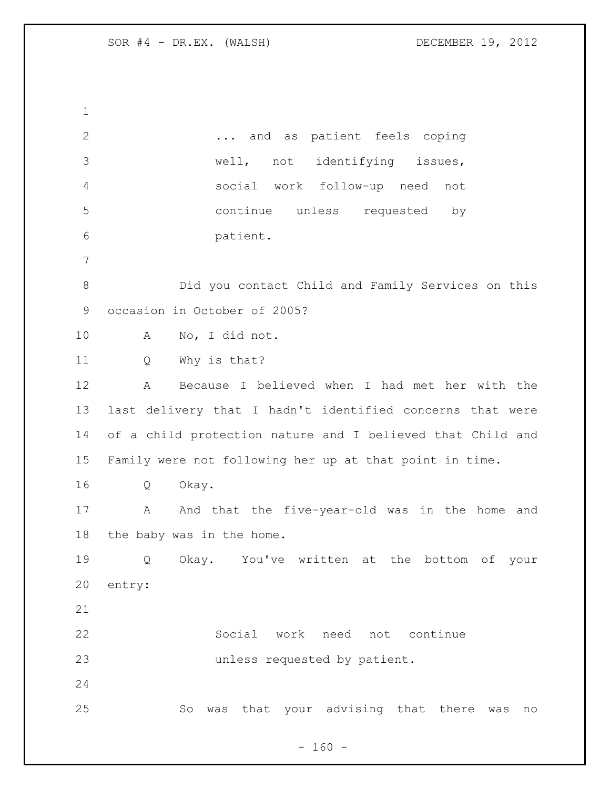... and as patient feels coping well, not identifying issues, social work follow-up need not continue unless requested by patient. Did you contact Child and Family Services on this occasion in October of 2005? A No, I did not. Q Why is that? A Because I believed when I had met her with the last delivery that I hadn't identified concerns that were of a child protection nature and I believed that Child and Family were not following her up at that point in time. Q Okay. 17 A And that the five-year-old was in the home and the baby was in the home. Q Okay. You've written at the bottom of your entry: Social work need not continue unless requested by patient. So was that your advising that there was no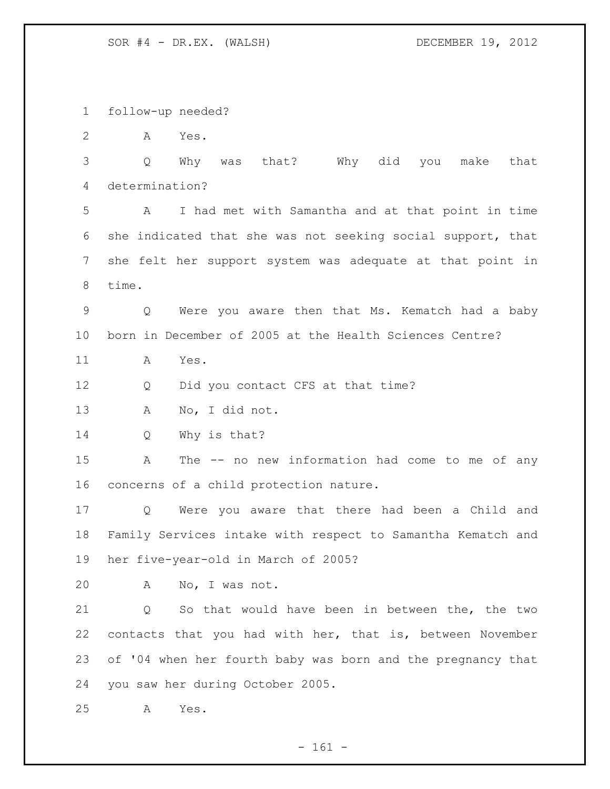follow-up needed?

A Yes.

 Q Why was that? Why did you make that determination?

 A I had met with Samantha and at that point in time she indicated that she was not seeking social support, that she felt her support system was adequate at that point in time.

 Q Were you aware then that Ms. Kematch had a baby born in December of 2005 at the Health Sciences Centre?

A Yes.

12 Q Did you contact CFS at that time?

A No, I did not.

Q Why is that?

 A The -- no new information had come to me of any concerns of a child protection nature.

 Q Were you aware that there had been a Child and Family Services intake with respect to Samantha Kematch and her five-year-old in March of 2005?

A No, I was not.

 Q So that would have been in between the, the two contacts that you had with her, that is, between November of '04 when her fourth baby was born and the pregnancy that you saw her during October 2005.

A Yes.

- 161 -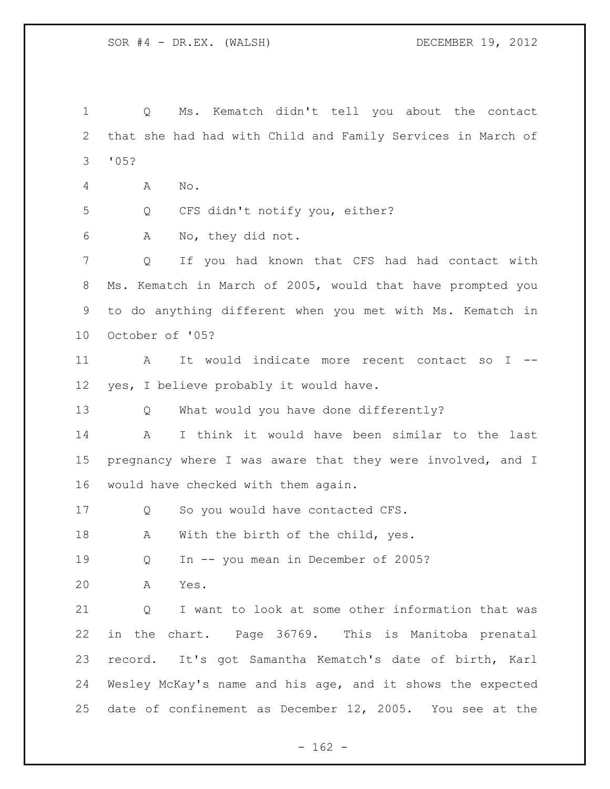Q Ms. Kematch didn't tell you about the contact that she had had with Child and Family Services in March of '05? A No. Q CFS didn't notify you, either? A No, they did not. Q If you had known that CFS had had contact with Ms. Kematch in March of 2005, would that have prompted you to do anything different when you met with Ms. Kematch in October of '05? 11 A It would indicate more recent contact so I -- yes, I believe probably it would have. Q What would you have done differently? A I think it would have been similar to the last 15 pregnancy where I was aware that they were involved, and I would have checked with them again. 17 Q So you would have contacted CFS. 18 A With the birth of the child, yes. Q In -- you mean in December of 2005? A Yes. Q I want to look at some other information that was in the chart. Page 36769. This is Manitoba prenatal record. It's got Samantha Kematch's date of birth, Karl Wesley McKay's name and his age, and it shows the expected date of confinement as December 12, 2005. You see at the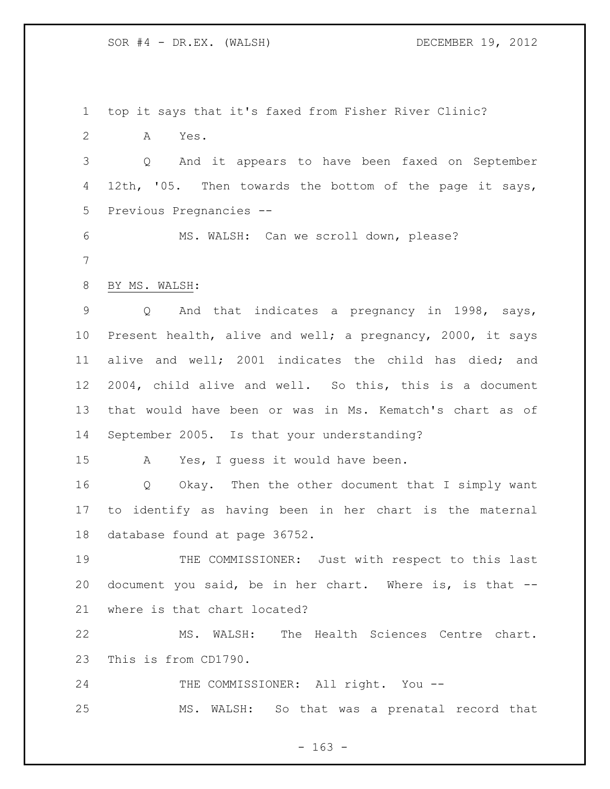top it says that it's faxed from Fisher River Clinic?

A Yes.

 Q And it appears to have been faxed on September 12th, '05. Then towards the bottom of the page it says, Previous Pregnancies --

 MS. WALSH: Can we scroll down, please? 

BY MS. WALSH:

 Q And that indicates a pregnancy in 1998, says, Present health, alive and well; a pregnancy, 2000, it says alive and well; 2001 indicates the child has died; and 2004, child alive and well. So this, this is a document that would have been or was in Ms. Kematch's chart as of September 2005. Is that your understanding?

A Yes, I guess it would have been.

 Q Okay. Then the other document that I simply want to identify as having been in her chart is the maternal database found at page 36752.

 THE COMMISSIONER: Just with respect to this last document you said, be in her chart. Where is, is that -- where is that chart located?

 MS. WALSH: The Health Sciences Centre chart. This is from CD1790.

24 THE COMMISSIONER: All right. You --MS. WALSH: So that was a prenatal record that

 $- 163 -$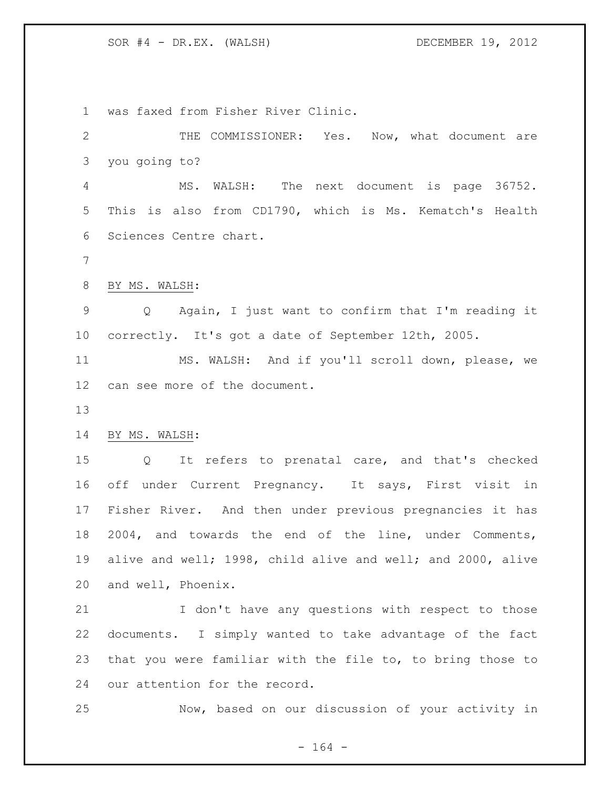was faxed from Fisher River Clinic.

 THE COMMISSIONER: Yes. Now, what document are you going to? MS. WALSH: The next document is page 36752. This is also from CD1790, which is Ms. Kematch's Health Sciences Centre chart. BY MS. WALSH: Q Again, I just want to confirm that I'm reading it correctly. It's got a date of September 12th, 2005. MS. WALSH: And if you'll scroll down, please, we can see more of the document. BY MS. WALSH: Q It refers to prenatal care, and that's checked off under Current Pregnancy. It says, First visit in Fisher River. And then under previous pregnancies it has 2004, and towards the end of the line, under Comments, alive and well; 1998, child alive and well; and 2000, alive and well, Phoenix. 21 I don't have any questions with respect to those documents. I simply wanted to take advantage of the fact that you were familiar with the file to, to bring those to our attention for the record.

Now, based on our discussion of your activity in

- 164 -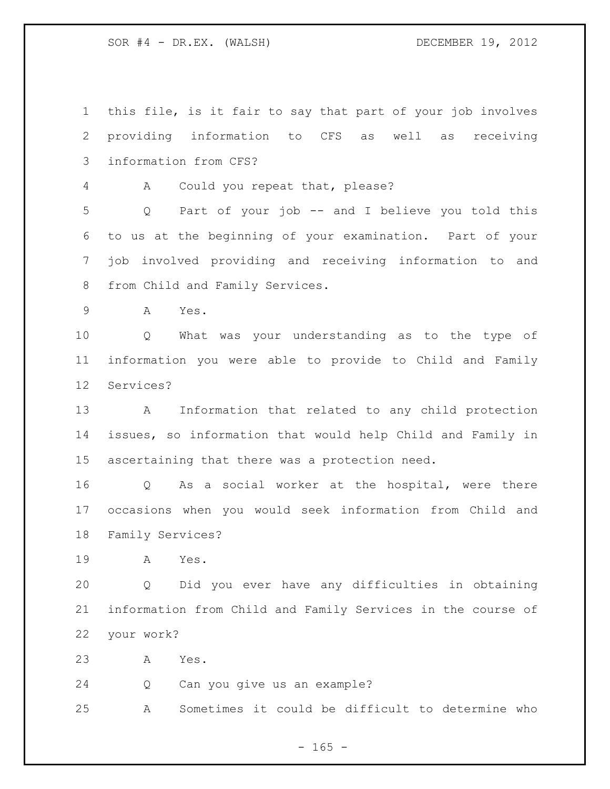this file, is it fair to say that part of your job involves providing information to CFS as well as receiving information from CFS?

A Could you repeat that, please?

 Q Part of your job -- and I believe you told this to us at the beginning of your examination. Part of your job involved providing and receiving information to and from Child and Family Services.

A Yes.

 Q What was your understanding as to the type of information you were able to provide to Child and Family Services?

 A Information that related to any child protection issues, so information that would help Child and Family in ascertaining that there was a protection need.

 Q As a social worker at the hospital, were there occasions when you would seek information from Child and Family Services?

A Yes.

 Q Did you ever have any difficulties in obtaining information from Child and Family Services in the course of your work?

A Yes.

Q Can you give us an example?

A Sometimes it could be difficult to determine who

 $- 165 -$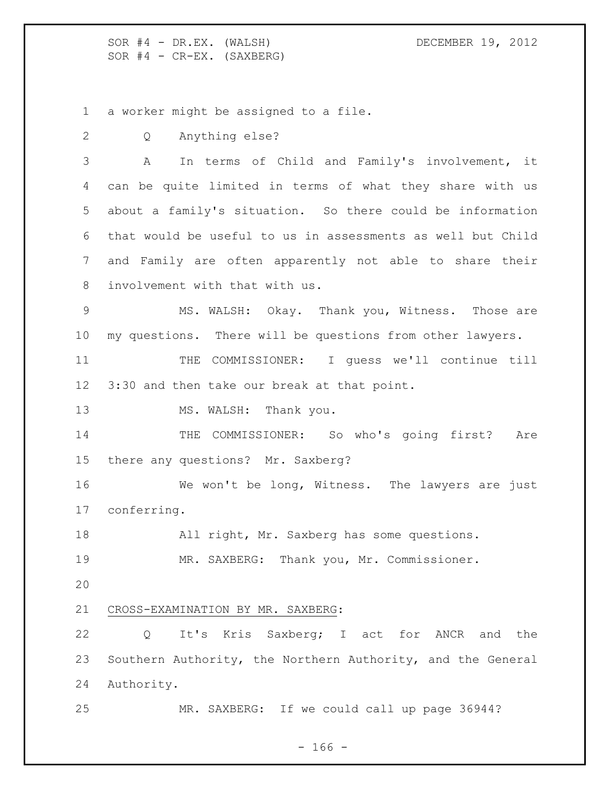SOR #4 - DR.EX. (WALSH) DECEMBER 19, 2012  $SOR$   $#4$  -  $CR-EX.$  (SAXBERG)

a worker might be assigned to a file.

Q Anything else?

 A In terms of Child and Family's involvement, it can be quite limited in terms of what they share with us about a family's situation. So there could be information that would be useful to us in assessments as well but Child and Family are often apparently not able to share their involvement with that with us.

 MS. WALSH: Okay. Thank you, Witness. Those are my questions. There will be questions from other lawyers.

 THE COMMISSIONER: I guess we'll continue till 3:30 and then take our break at that point.

13 MS. WALSH: Thank you.

14 THE COMMISSIONER: So who's going first? Are there any questions? Mr. Saxberg?

 We won't be long, Witness. The lawyers are just conferring.

All right, Mr. Saxberg has some questions.

MR. SAXBERG: Thank you, Mr. Commissioner.

# CROSS-EXAMINATION BY MR. SAXBERG:

 Q It's Kris Saxberg; I act for ANCR and the Southern Authority, the Northern Authority, and the General Authority.

MR. SAXBERG: If we could call up page 36944?

- 166 -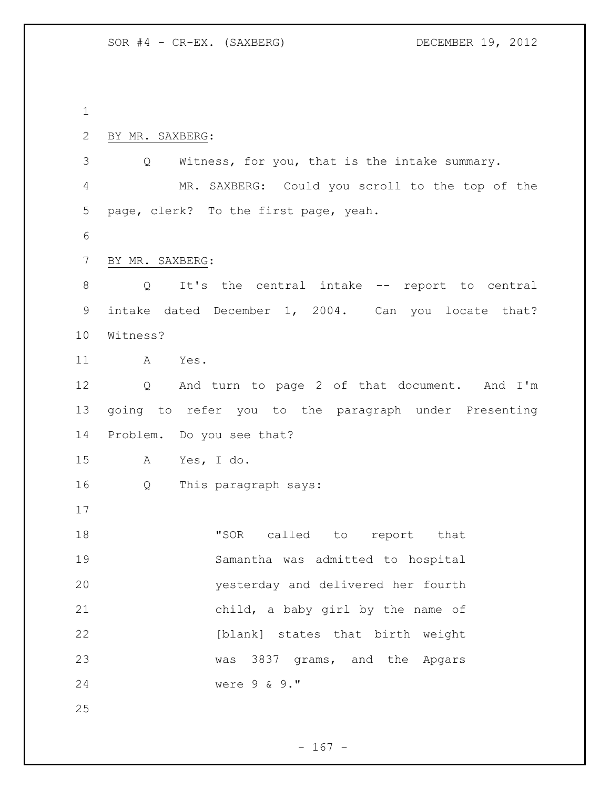| 2  | BY MR. SAXBERG:                                                    |
|----|--------------------------------------------------------------------|
| 3  | Witness, for you, that is the intake summary.<br>$Q \qquad \qquad$ |
| 4  | MR. SAXBERG: Could you scroll to the top of the                    |
| 5  | page, clerk? To the first page, yeah.                              |
| 6  |                                                                    |
| 7  | BY MR. SAXBERG:                                                    |
| 8  | Q It's the central intake -- report to central                     |
| 9  | intake dated December 1, 2004. Can you locate that?                |
| 10 | Witness?                                                           |
| 11 | Yes.<br>A                                                          |
| 12 | And turn to page 2 of that document. And I'm<br>$Q \qquad \qquad$  |
| 13 | going to refer you to the paragraph under Presenting               |
| 14 | Problem. Do you see that?                                          |
| 15 | A Yes, I do.                                                       |
| 16 | This paragraph says:<br>Q                                          |
| 17 |                                                                    |
| 18 | "SOR called to report that                                         |
| 19 | Samantha was admitted to hospital                                  |
| 20 | yesterday and delivered her fourth                                 |
| 21 | child, a baby girl by the name of                                  |
| 22 | [blank] states that birth weight                                   |
| 23 | was 3837 grams, and the Apgars                                     |
| 24 | were 9 & 9."                                                       |
| 25 |                                                                    |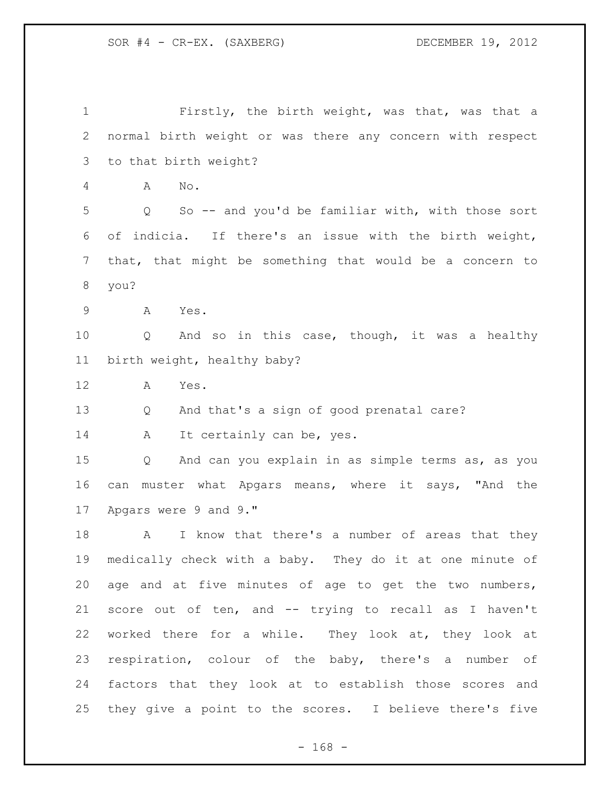Firstly, the birth weight, was that, was that a normal birth weight or was there any concern with respect to that birth weight? A No. Q So -- and you'd be familiar with, with those sort of indicia. If there's an issue with the birth weight, that, that might be something that would be a concern to you? A Yes. Q And so in this case, though, it was a healthy birth weight, healthy baby? A Yes. Q And that's a sign of good prenatal care? 14 A It certainly can be, yes. Q And can you explain in as simple terms as, as you can muster what Apgars means, where it says, "And the Apgars were 9 and 9." 18 A I know that there's a number of areas that they medically check with a baby. They do it at one minute of age and at five minutes of age to get the two numbers, score out of ten, and -- trying to recall as I haven't worked there for a while. They look at, they look at respiration, colour of the baby, there's a number of factors that they look at to establish those scores and they give a point to the scores. I believe there's five

- 168 -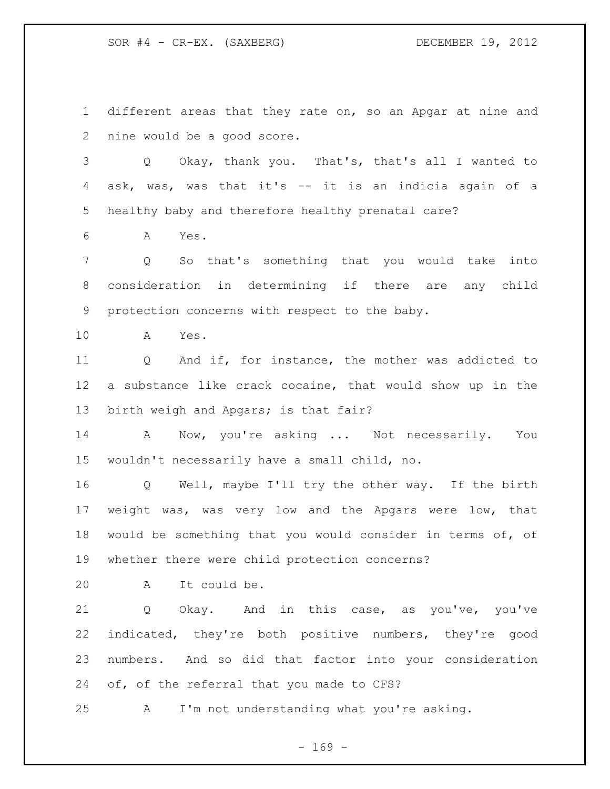different areas that they rate on, so an Apgar at nine and nine would be a good score.

 Q Okay, thank you. That's, that's all I wanted to ask, was, was that it's -- it is an indicia again of a healthy baby and therefore healthy prenatal care?

A Yes.

 Q So that's something that you would take into consideration in determining if there are any child protection concerns with respect to the baby.

A Yes.

 Q And if, for instance, the mother was addicted to a substance like crack cocaine, that would show up in the birth weigh and Apgars; is that fair?

 A Now, you're asking ... Not necessarily. You wouldn't necessarily have a small child, no.

 Q Well, maybe I'll try the other way. If the birth weight was, was very low and the Apgars were low, that would be something that you would consider in terms of, of whether there were child protection concerns?

A It could be.

 Q Okay. And in this case, as you've, you've indicated, they're both positive numbers, they're good numbers. And so did that factor into your consideration 24 of, of the referral that you made to CFS?

A I'm not understanding what you're asking.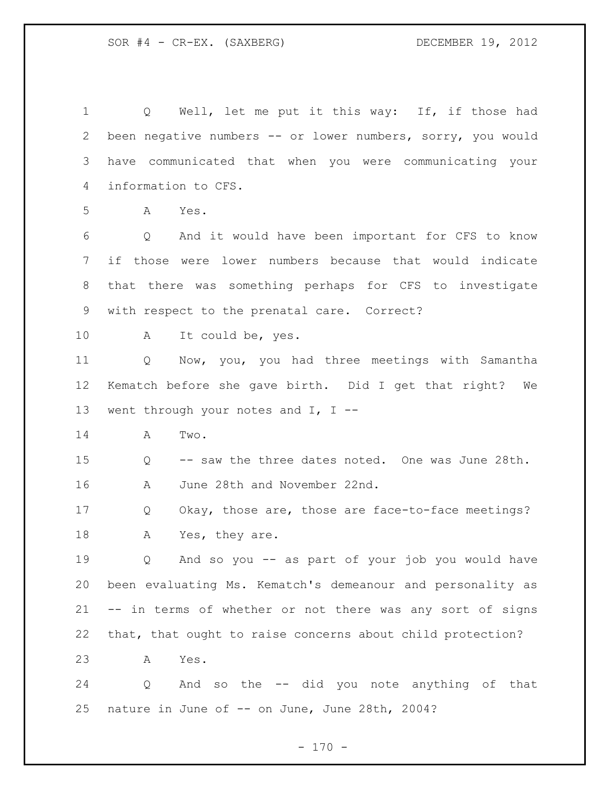1 Q Well, let me put it this way: If, if those had been negative numbers -- or lower numbers, sorry, you would have communicated that when you were communicating your information to CFS. A Yes. Q And it would have been important for CFS to know if those were lower numbers because that would indicate that there was something perhaps for CFS to investigate with respect to the prenatal care. Correct? A It could be, yes. Q Now, you, you had three meetings with Samantha Kematch before she gave birth. Did I get that right? We went through your notes and I, I -- A Two. Q -- saw the three dates noted. One was June 28th. A June 28th and November 22nd. Q Okay, those are, those are face-to-face meetings? 18 A Yes, they are. Q And so you -- as part of your job you would have been evaluating Ms. Kematch's demeanour and personality as -- in terms of whether or not there was any sort of signs that, that ought to raise concerns about child protection? A Yes. Q And so the -- did you note anything of that nature in June of -- on June, June 28th, 2004?

 $- 170 -$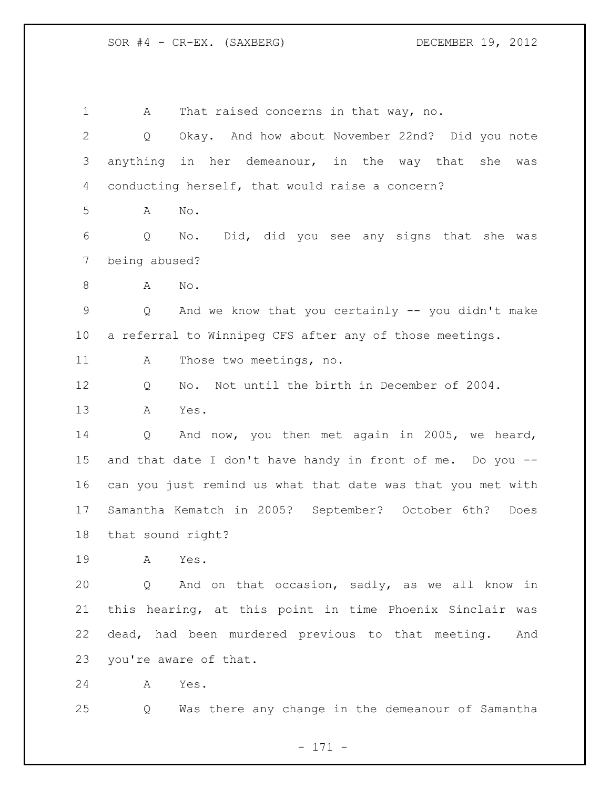A That raised concerns in that way, no. Q Okay. And how about November 22nd? Did you note anything in her demeanour, in the way that she was conducting herself, that would raise a concern? A No. Q No. Did, did you see any signs that she was being abused? A No. Q And we know that you certainly -- you didn't make a referral to Winnipeg CFS after any of those meetings. A Those two meetings, no. Q No. Not until the birth in December of 2004. A Yes. Q And now, you then met again in 2005, we heard, and that date I don't have handy in front of me. Do you -- can you just remind us what that date was that you met with Samantha Kematch in 2005? September? October 6th? Does that sound right? A Yes. Q And on that occasion, sadly, as we all know in this hearing, at this point in time Phoenix Sinclair was dead, had been murdered previous to that meeting. And you're aware of that. A Yes. Q Was there any change in the demeanour of Samantha

- 171 -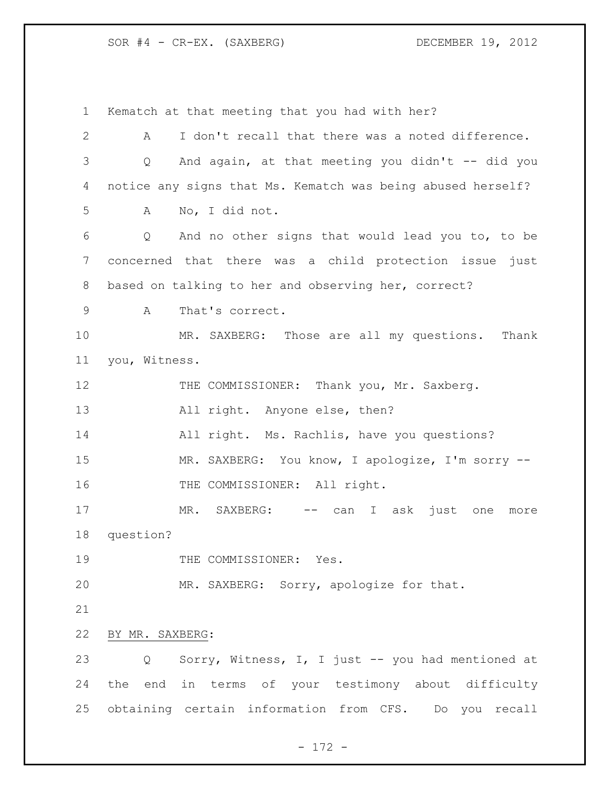Kematch at that meeting that you had with her? A I don't recall that there was a noted difference. Q And again, at that meeting you didn't -- did you notice any signs that Ms. Kematch was being abused herself? A No, I did not. Q And no other signs that would lead you to, to be concerned that there was a child protection issue just based on talking to her and observing her, correct? A That's correct. MR. SAXBERG: Those are all my questions. Thank you, Witness. 12 THE COMMISSIONER: Thank you, Mr. Saxberg. 13 All right. Anyone else, then? All right. Ms. Rachlis, have you questions? 15 MR. SAXBERG: You know, I apologize, I'm sorry --16 THE COMMISSIONER: All right. 17 MR. SAXBERG: -- can I ask just one more question? 19 THE COMMISSIONER: Yes. MR. SAXBERG: Sorry, apologize for that. BY MR. SAXBERG: Q Sorry, Witness, I, I just -- you had mentioned at the end in terms of your testimony about difficulty obtaining certain information from CFS. Do you recall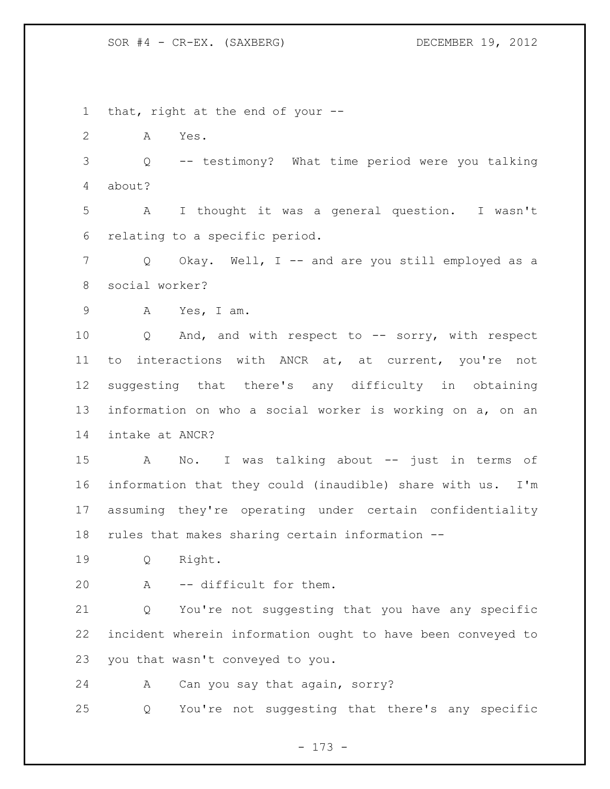that, right at the end of your -- A Yes. Q -- testimony? What time period were you talking about? A I thought it was a general question. I wasn't relating to a specific period. Q Okay. Well, I -- and are you still employed as a social worker? A Yes, I am. Q And, and with respect to -- sorry, with respect to interactions with ANCR at, at current, you're not suggesting that there's any difficulty in obtaining information on who a social worker is working on a, on an intake at ANCR? A No. I was talking about -- just in terms of information that they could (inaudible) share with us. I'm assuming they're operating under certain confidentiality rules that makes sharing certain information -- Q Right. A -- difficult for them. Q You're not suggesting that you have any specific incident wherein information ought to have been conveyed to you that wasn't conveyed to you. A Can you say that again, sorry? Q You're not suggesting that there's any specific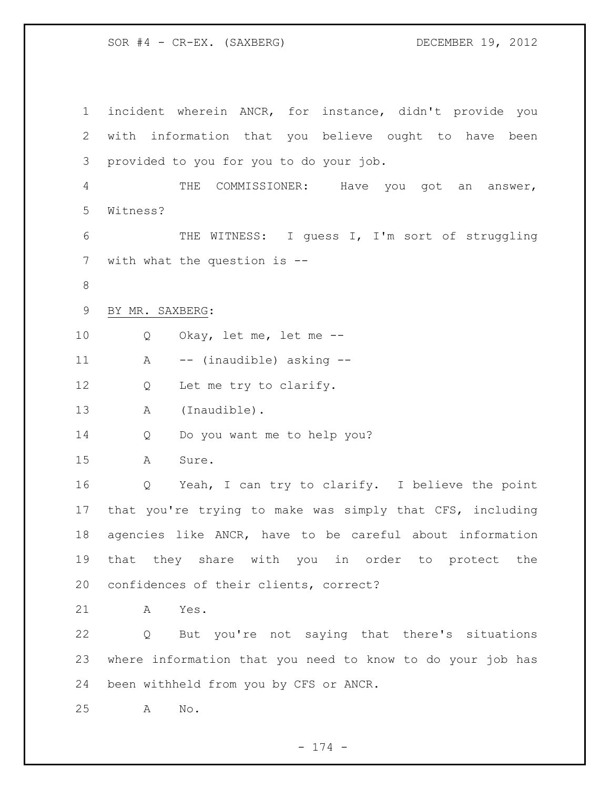incident wherein ANCR, for instance, didn't provide you with information that you believe ought to have been provided to you for you to do your job. THE COMMISSIONER: Have you got an answer, Witness? THE WITNESS: I guess I, I'm sort of struggling 7 with what the question is -- BY MR. SAXBERG: Q Okay, let me, let me -- A -- (inaudible) asking -- 12 Q Let me try to clarify. A (Inaudible). Q Do you want me to help you? A Sure. Q Yeah, I can try to clarify. I believe the point that you're trying to make was simply that CFS, including agencies like ANCR, have to be careful about information that they share with you in order to protect the confidences of their clients, correct? A Yes. Q But you're not saying that there's situations where information that you need to know to do your job has been withheld from you by CFS or ANCR. A No.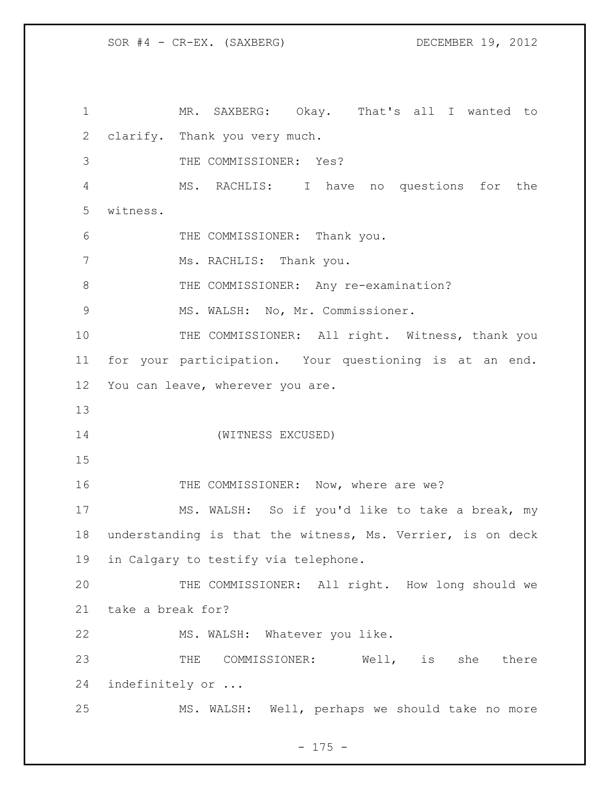MR. SAXBERG: Okay. That's all I wanted to clarify. Thank you very much. THE COMMISSIONER: Yes? MS. RACHLIS: I have no questions for the witness. THE COMMISSIONER: Thank you. 7 Ms. RACHLIS: Thank you. 8 THE COMMISSIONER: Any re-examination? MS. WALSH: No, Mr. Commissioner. 10 THE COMMISSIONER: All right. Witness, thank you for your participation. Your questioning is at an end. You can leave, wherever you are. (WITNESS EXCUSED) 16 THE COMMISSIONER: Now, where are we? MS. WALSH: So if you'd like to take a break, my understanding is that the witness, Ms. Verrier, is on deck in Calgary to testify via telephone. THE COMMISSIONER: All right. How long should we take a break for? MS. WALSH: Whatever you like. THE COMMISSIONER: Well, is she there indefinitely or ... MS. WALSH: Well, perhaps we should take no more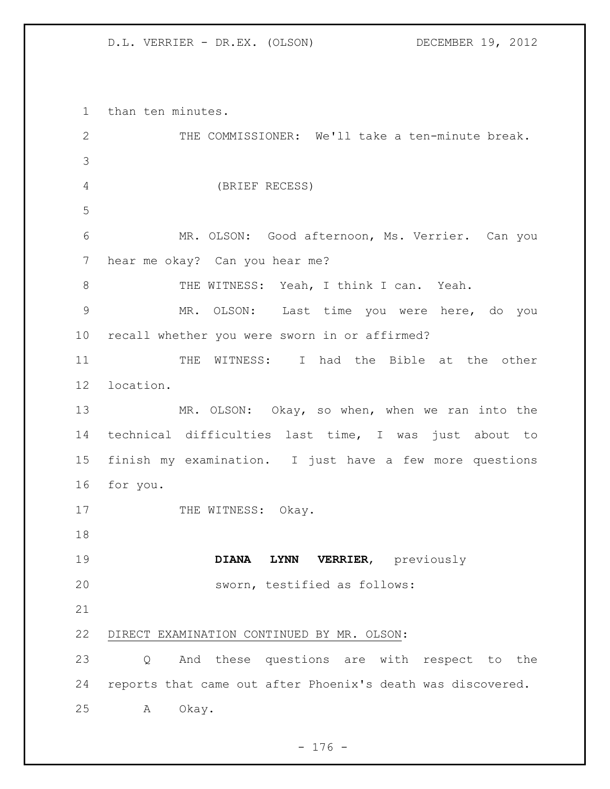## D.L. VERRIER - DR.EX. (OLSON) DECEMBER 19, 2012

 than ten minutes. THE COMMISSIONER: We'll take a ten-minute break. (BRIEF RECESS) MR. OLSON: Good afternoon, Ms. Verrier. Can you hear me okay? Can you hear me? THE WITNESS: Yeah, I think I can. Yeah. MR. OLSON: Last time you were here, do you recall whether you were sworn in or affirmed? 11 THE WITNESS: I had the Bible at the other location. 13 MR. OLSON: Okay, so when, when we ran into the technical difficulties last time, I was just about to finish my examination. I just have a few more questions for you. 17 THE WITNESS: Okay. **DIANA LYNN VERRIER**, previously sworn, testified as follows: DIRECT EXAMINATION CONTINUED BY MR. OLSON: Q And these questions are with respect to the reports that came out after Phoenix's death was discovered. A Okay.

- 176 -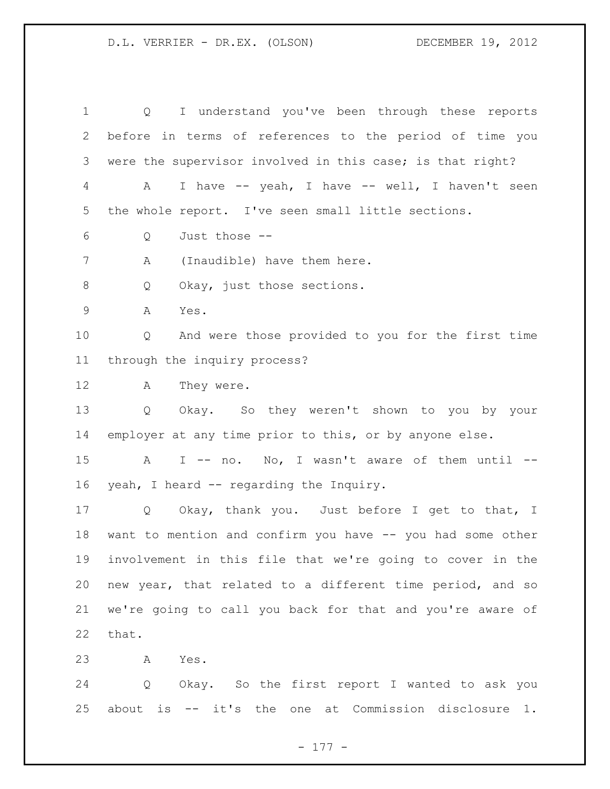## D.L. VERRIER - DR.EX. (OLSON) DECEMBER 19, 2012

 Q I understand you've been through these reports before in terms of references to the period of time you were the supervisor involved in this case; is that right? A I have -- yeah, I have -- well, I haven't seen the whole report. I've seen small little sections. Q Just those -- A (Inaudible) have them here. 8 Q Okay, just those sections. A Yes. Q And were those provided to you for the first time through the inquiry process? A They were. Q Okay. So they weren't shown to you by your employer at any time prior to this, or by anyone else. 15 A I -- no. No, I wasn't aware of them until -- yeah, I heard -- regarding the Inquiry. Q Okay, thank you. Just before I get to that, I want to mention and confirm you have -- you had some other involvement in this file that we're going to cover in the new year, that related to a different time period, and so we're going to call you back for that and you're aware of that. A Yes. Q Okay. So the first report I wanted to ask you

about is -- it's the one at Commission disclosure 1.

- 177 -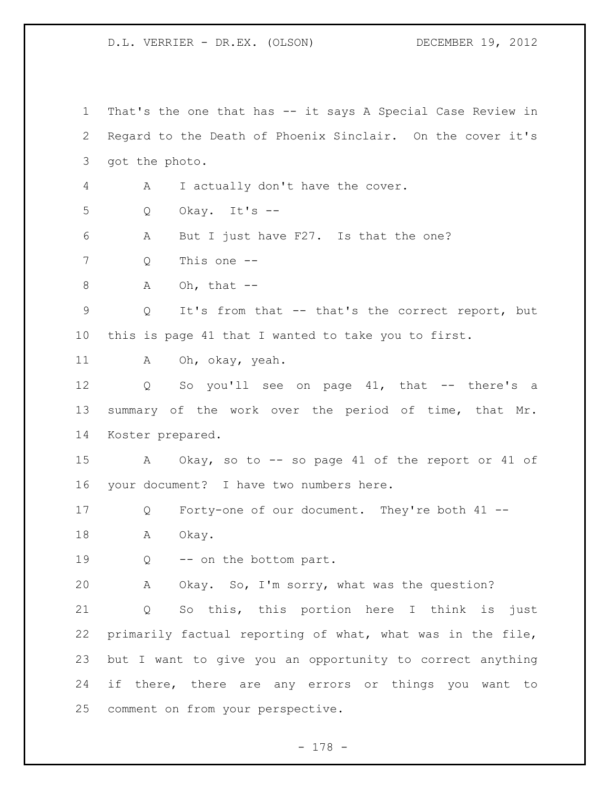D.L. VERRIER - DR.EX. (OLSON) DECEMBER 19, 2012

 That's the one that has -- it says A Special Case Review in Regard to the Death of Phoenix Sinclair. On the cover it's got the photo. A I actually don't have the cover. Q Okay. It's -- A But I just have F27. Is that the one? Q This one -- A Oh, that  $-$  Q It's from that -- that's the correct report, but this is page 41 that I wanted to take you to first. 11 A Oh, okay, yeah. Q So you'll see on page 41, that -- there's a summary of the work over the period of time, that Mr. Koster prepared. A Okay, so to -- so page 41 of the report or 41 of your document? I have two numbers here. Q Forty-one of our document. They're both 41 -- 18 A Okay. 19 Q -- on the bottom part. A Okay. So, I'm sorry, what was the question? Q So this, this portion here I think is just primarily factual reporting of what, what was in the file, but I want to give you an opportunity to correct anything if there, there are any errors or things you want to comment on from your perspective.

- 178 -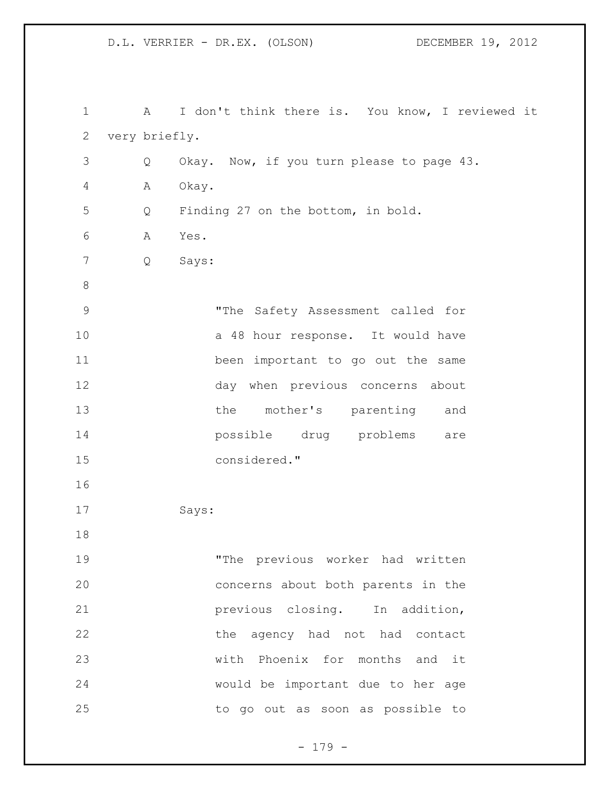D.L. VERRIER - DR.EX. (OLSON) DECEMBER 19, 2012

| $\mathbf 1$  | $\mathbf{A}$  | I don't think there is. You know, I reviewed it |  |  |  |  |  |  |  |  |
|--------------|---------------|-------------------------------------------------|--|--|--|--|--|--|--|--|
| $\mathbf{2}$ | very briefly. |                                                 |  |  |  |  |  |  |  |  |
| 3            | Q             | Okay. Now, if you turn please to page 43.       |  |  |  |  |  |  |  |  |
| 4            | Α             | Okay.                                           |  |  |  |  |  |  |  |  |
| 5            | Q             | Finding 27 on the bottom, in bold.              |  |  |  |  |  |  |  |  |
| 6            | Α             | Yes.                                            |  |  |  |  |  |  |  |  |
| 7            | Q             | Says:                                           |  |  |  |  |  |  |  |  |
| $\,8\,$      |               |                                                 |  |  |  |  |  |  |  |  |
| $\mathsf 9$  |               | "The Safety Assessment called for               |  |  |  |  |  |  |  |  |
| 10           |               | a 48 hour response. It would have               |  |  |  |  |  |  |  |  |
| 11           |               | been important to go out the same               |  |  |  |  |  |  |  |  |
| 12           |               | day when previous concerns about                |  |  |  |  |  |  |  |  |
| 13           |               | the mother's parenting<br>and                   |  |  |  |  |  |  |  |  |
| 14           |               | possible drug problems<br>are                   |  |  |  |  |  |  |  |  |
| 15           |               | considered."                                    |  |  |  |  |  |  |  |  |
| 16           |               |                                                 |  |  |  |  |  |  |  |  |
| 17           |               | Says:                                           |  |  |  |  |  |  |  |  |
| 18           |               |                                                 |  |  |  |  |  |  |  |  |
| 19           |               | "The previous worker had written                |  |  |  |  |  |  |  |  |
| 20           |               | concerns about both parents in the              |  |  |  |  |  |  |  |  |
| 21           |               | previous closing. In addition,                  |  |  |  |  |  |  |  |  |
| 22           |               | the agency had not had contact                  |  |  |  |  |  |  |  |  |
| 23           |               | with Phoenix for months and it                  |  |  |  |  |  |  |  |  |
| 24           |               | would be important due to her age               |  |  |  |  |  |  |  |  |
| 25           |               | to go out as soon as possible to                |  |  |  |  |  |  |  |  |

- 179 -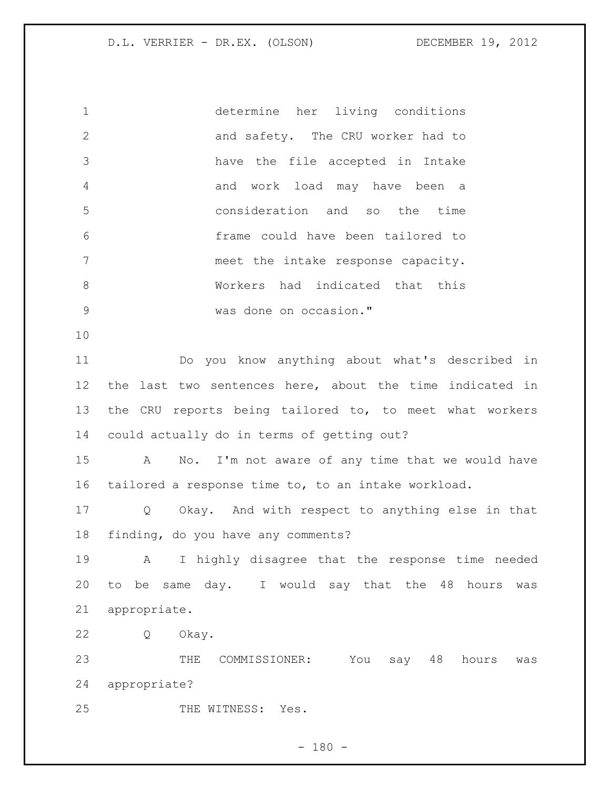D.L. VERRIER - DR.EX. (OLSON) DECEMBER 19, 2012

 determine her living conditions 2 and safety. The CRU worker had to have the file accepted in Intake and work load may have been a consideration and so the time frame could have been tailored to meet the intake response capacity. Workers had indicated that this was done on occasion." 

 Do you know anything about what's described in the last two sentences here, about the time indicated in the CRU reports being tailored to, to meet what workers could actually do in terms of getting out?

 A No. I'm not aware of any time that we would have tailored a response time to, to an intake workload.

 Q Okay. And with respect to anything else in that finding, do you have any comments?

 A I highly disagree that the response time needed to be same day. I would say that the 48 hours was appropriate.

Q Okay.

 THE COMMISSIONER: You say 48 hours was appropriate?

25 THE WITNESS: Yes.

 $- 180 -$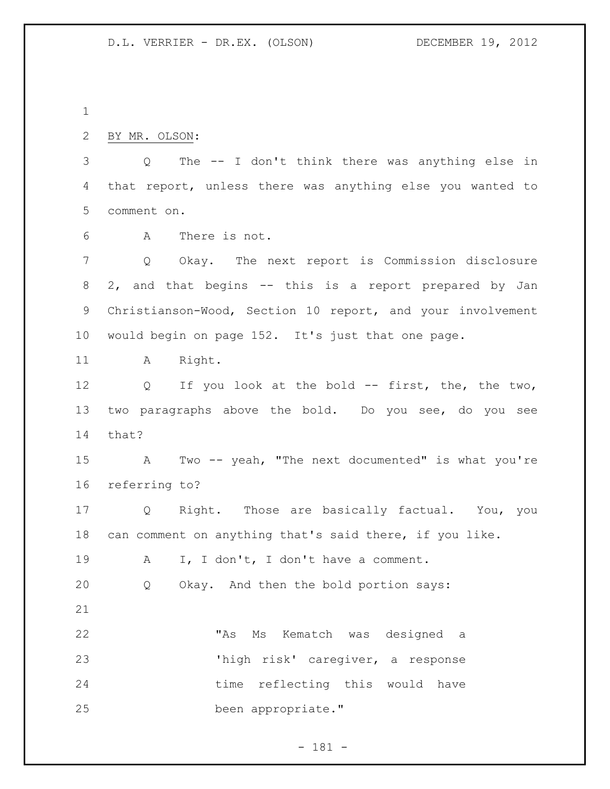| 2 BY MR. OLSON: |  |  |  |                                                             |  |  |  |
|-----------------|--|--|--|-------------------------------------------------------------|--|--|--|
|                 |  |  |  | 3 Q The -- I don't think there was anything else in         |  |  |  |
|                 |  |  |  | 4 that report, unless there was anything else you wanted to |  |  |  |

comment on.

A There is not.

 Q Okay. The next report is Commission disclosure 2, and that begins -- this is a report prepared by Jan Christianson-Wood, Section 10 report, and your involvement would begin on page 152. It's just that one page.

11 A Right.

12 Q If you look at the bold -- first, the, the two, two paragraphs above the bold. Do you see, do you see that?

 A Two -- yeah, "The next documented" is what you're referring to?

 Q Right. Those are basically factual. You, you can comment on anything that's said there, if you like.

A I, I don't, I don't have a comment.

Q Okay. And then the bold portion says:

 "As Ms Kematch was designed a 'high risk' caregiver, a response 24 time reflecting this would have been appropriate."

- 181 -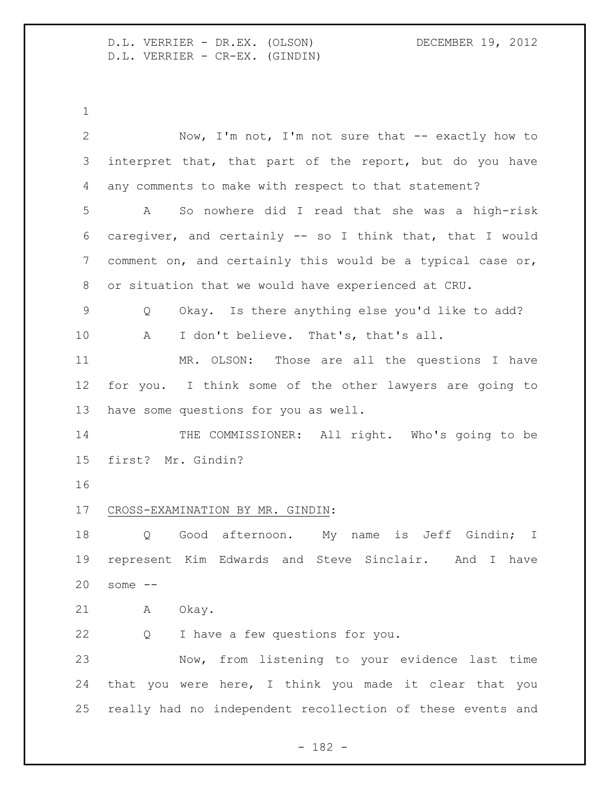D.L. VERRIER - DR.EX. (OLSON) DECEMBER 19, 2012 D.L. VERRIER - CR-EX. (GINDIN)

| $\overline{2}$ | Now, I'm not, I'm not sure that -- exactly how to          |
|----------------|------------------------------------------------------------|
| 3              | interpret that, that part of the report, but do you have   |
| 4              | any comments to make with respect to that statement?       |
| 5              | So nowhere did I read that she was a high-risk<br>A        |
| 6              | caregiver, and certainly -- so I think that, that I would  |
| 7              | comment on, and certainly this would be a typical case or, |
| 8              | or situation that we would have experienced at CRU.        |
| $\mathsf 9$    | Okay. Is there anything else you'd like to add?<br>Q       |
| 10             | I don't believe. That's, that's all.<br>A                  |
| 11             | MR. OLSON:<br>Those are all the questions I have           |
| 12             | for you. I think some of the other lawyers are going to    |
| 13             | have some questions for you as well.                       |
| 14             | THE COMMISSIONER: All right. Who's going to be             |
| 15             | first? Mr. Gindin?                                         |
| 16             |                                                            |
| 17             | CROSS-EXAMINATION BY MR. GINDIN:                           |
| 18             | name is Jeff Gindin; I<br>Good afternoon. My<br>$Q \qquad$ |
| 19             | represent Kim Edwards and Steve Sinclair. And I have       |
| 20             | some $--$                                                  |
| 21             | Okay.<br>A                                                 |
| 22             | I have a few questions for you.<br>Q                       |
| 23             | Now, from listening to your evidence last time             |
| 24             | that you were here, I think you made it clear that you     |
| 25             | really had no independent recollection of these events and |
|                |                                                            |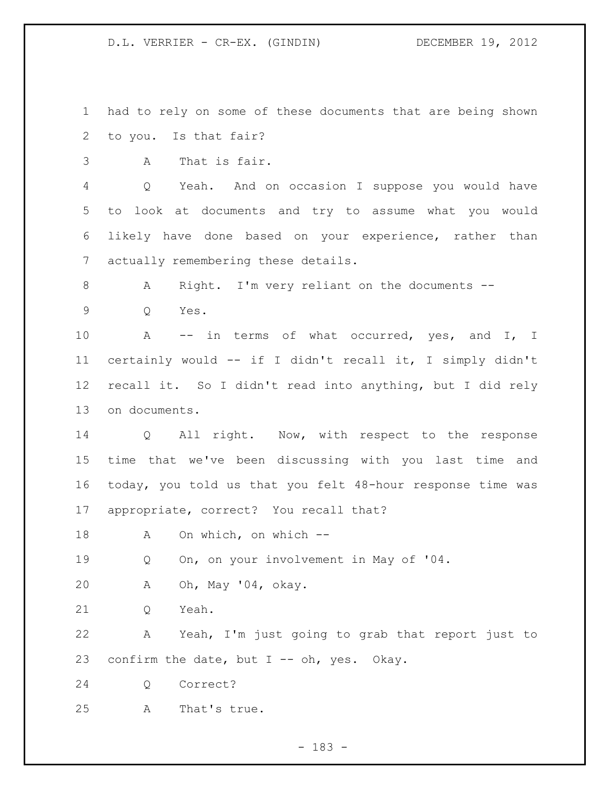D.L. VERRIER - CR-EX. (GINDIN) DECEMBER 19, 2012

 had to rely on some of these documents that are being shown to you. Is that fair?

A That is fair.

 Q Yeah. And on occasion I suppose you would have to look at documents and try to assume what you would likely have done based on your experience, rather than actually remembering these details.

A Right. I'm very reliant on the documents --

Q Yes.

10 A -- in terms of what occurred, yes, and I, I certainly would -- if I didn't recall it, I simply didn't recall it. So I didn't read into anything, but I did rely on documents.

14 Q All right. Now, with respect to the response time that we've been discussing with you last time and today, you told us that you felt 48-hour response time was appropriate, correct? You recall that?

A On which, on which --

Q On, on your involvement in May of '04.

A Oh, May '04, okay.

21 O Yeah.

 A Yeah, I'm just going to grab that report just to 23 confirm the date, but  $I - - oh$ , yes. Okay.

Q Correct?

A That's true.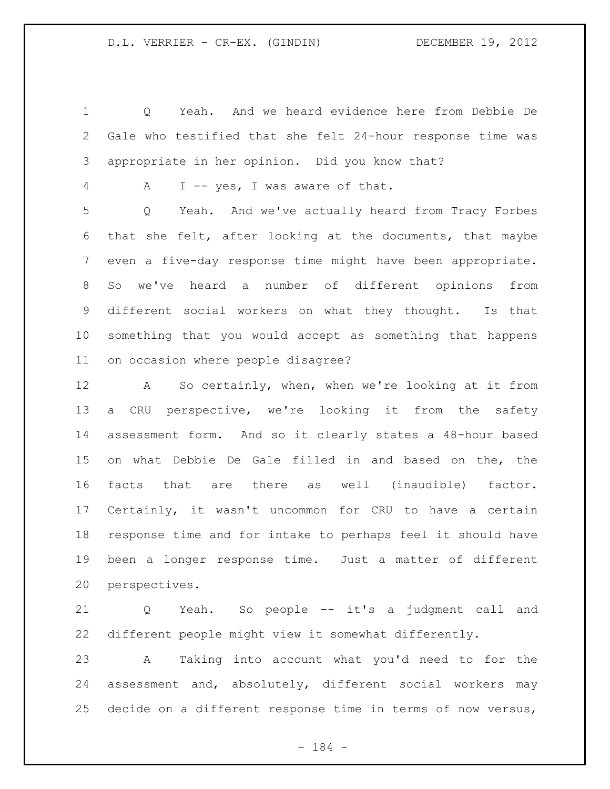Q Yeah. And we heard evidence here from Debbie De Gale who testified that she felt 24-hour response time was appropriate in her opinion. Did you know that?

A I -- yes, I was aware of that.

 Q Yeah. And we've actually heard from Tracy Forbes that she felt, after looking at the documents, that maybe even a five-day response time might have been appropriate. So we've heard a number of different opinions from different social workers on what they thought. Is that something that you would accept as something that happens on occasion where people disagree?

 A So certainly, when, when we're looking at it from a CRU perspective, we're looking it from the safety assessment form. And so it clearly states a 48-hour based on what Debbie De Gale filled in and based on the, the facts that are there as well (inaudible) factor. Certainly, it wasn't uncommon for CRU to have a certain response time and for intake to perhaps feel it should have been a longer response time. Just a matter of different perspectives.

 Q Yeah. So people -- it's a judgment call and different people might view it somewhat differently.

 A Taking into account what you'd need to for the assessment and, absolutely, different social workers may decide on a different response time in terms of now versus,

- 184 -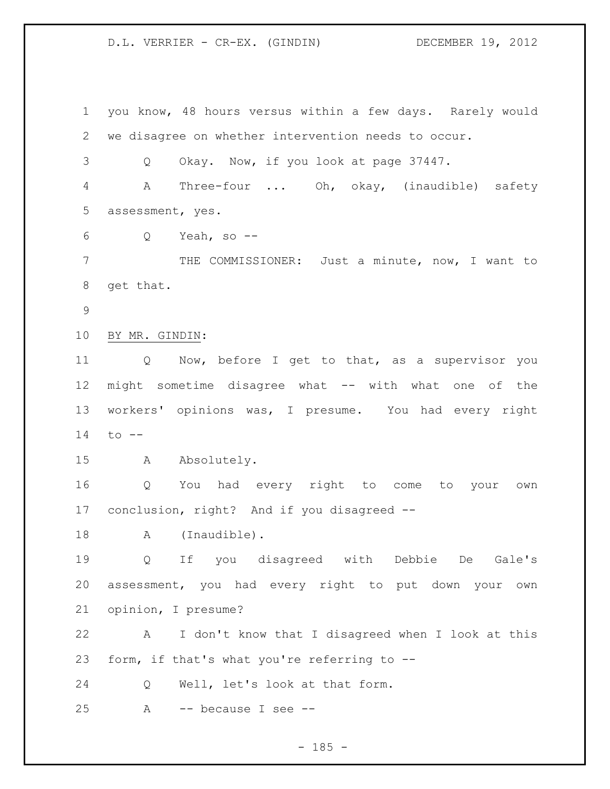## D.L. VERRIER - CR-EX. (GINDIN) DECEMBER 19, 2012

 you know, 48 hours versus within a few days. Rarely would we disagree on whether intervention needs to occur. Q Okay. Now, if you look at page 37447. A Three-four ... Oh, okay, (inaudible) safety assessment, yes. Q Yeah, so -- THE COMMISSIONER: Just a minute, now, I want to get that. BY MR. GINDIN: Q Now, before I get to that, as a supervisor you might sometime disagree what -- with what one of the workers' opinions was, I presume. You had every right to -- A Absolutely. Q You had every right to come to your own conclusion, right? And if you disagreed -- 18 A (Inaudible). Q If you disagreed with Debbie De Gale's assessment, you had every right to put down your own opinion, I presume? A I don't know that I disagreed when I look at this form, if that's what you're referring to -- Q Well, let's look at that form. A -- because I see --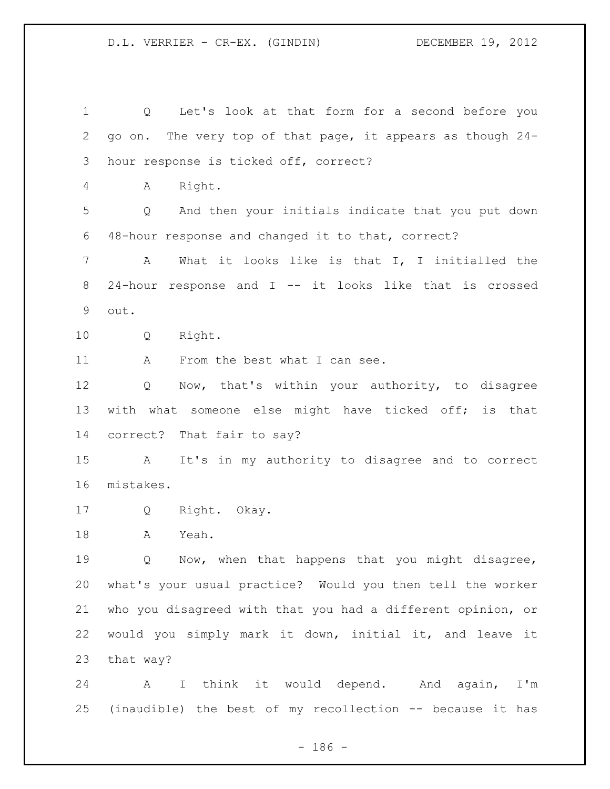Q Let's look at that form for a second before you go on. The very top of that page, it appears as though 24- hour response is ticked off, correct? A Right. Q And then your initials indicate that you put down 48-hour response and changed it to that, correct? A What it looks like is that I, I initialled the 24-hour response and I -- it looks like that is crossed out. Q Right. 11 A From the best what I can see. Q Now, that's within your authority, to disagree with what someone else might have ticked off; is that correct? That fair to say? A It's in my authority to disagree and to correct mistakes. Q Right. Okay. A Yeah. Q Now, when that happens that you might disagree, what's your usual practice? Would you then tell the worker who you disagreed with that you had a different opinion, or would you simply mark it down, initial it, and leave it that way? A I think it would depend. And again, I'm (inaudible) the best of my recollection -- because it has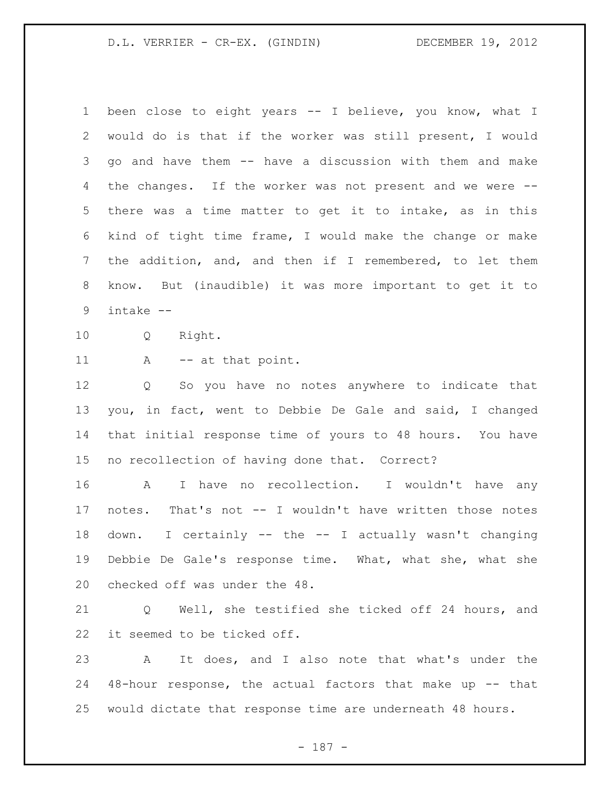## D.L. VERRIER - CR-EX. (GINDIN) DECEMBER 19, 2012

 been close to eight years -- I believe, you know, what I would do is that if the worker was still present, I would go and have them -- have a discussion with them and make the changes. If the worker was not present and we were -- there was a time matter to get it to intake, as in this kind of tight time frame, I would make the change or make the addition, and, and then if I remembered, to let them know. But (inaudible) it was more important to get it to intake --

Q Right.

11 A -- at that point.

 Q So you have no notes anywhere to indicate that you, in fact, went to Debbie De Gale and said, I changed that initial response time of yours to 48 hours. You have no recollection of having done that. Correct?

 A I have no recollection. I wouldn't have any notes. That's not -- I wouldn't have written those notes down. I certainly -- the -- I actually wasn't changing Debbie De Gale's response time. What, what she, what she checked off was under the 48.

 Q Well, she testified she ticked off 24 hours, and it seemed to be ticked off.

 A It does, and I also note that what's under the 48-hour response, the actual factors that make up -- that would dictate that response time are underneath 48 hours.

- 187 -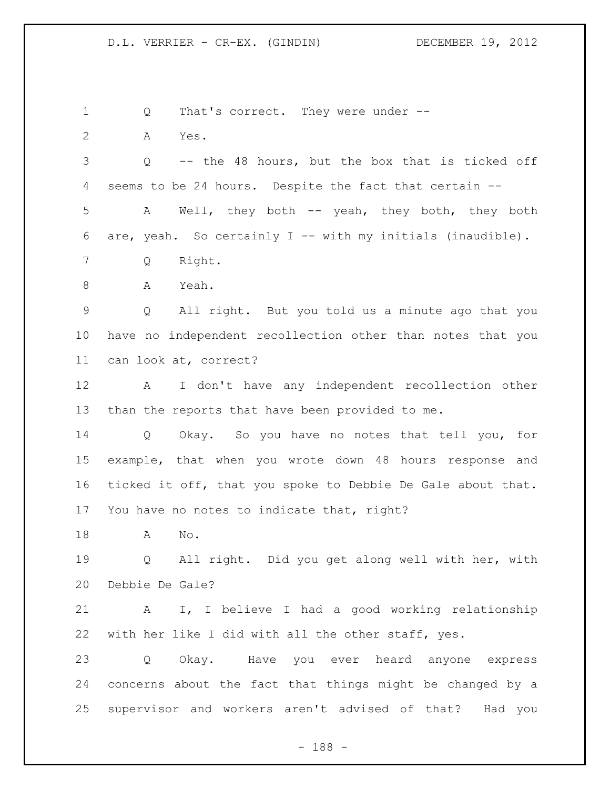1 Q That's correct. They were under --

 Q -- the 48 hours, but the box that is ticked off seems to be 24 hours. Despite the fact that certain -- A Well, they both -- yeah, they both, they both are, yeah. So certainly I -- with my initials (inaudible).

Q Right.

A Yes.

A Yeah.

 Q All right. But you told us a minute ago that you have no independent recollection other than notes that you can look at, correct?

 A I don't have any independent recollection other than the reports that have been provided to me.

 Q Okay. So you have no notes that tell you, for example, that when you wrote down 48 hours response and ticked it off, that you spoke to Debbie De Gale about that. You have no notes to indicate that, right?

A No.

 Q All right. Did you get along well with her, with Debbie De Gale?

 A I, I believe I had a good working relationship with her like I did with all the other staff, yes.

 Q Okay. Have you ever heard anyone express concerns about the fact that things might be changed by a supervisor and workers aren't advised of that? Had you

- 188 -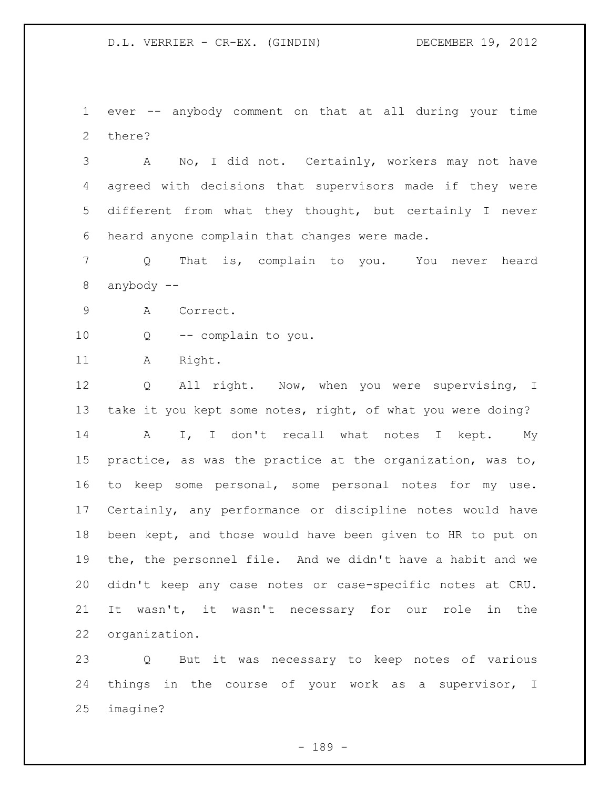ever -- anybody comment on that at all during your time there?

 A No, I did not. Certainly, workers may not have agreed with decisions that supervisors made if they were different from what they thought, but certainly I never heard anyone complain that changes were made.

 Q That is, complain to you. You never heard anybody --

A Correct.

Q -- complain to you.

11 A Right.

 Q All right. Now, when you were supervising, I 13 take it you kept some notes, right, of what you were doing? 14 A I, I don't recall what notes I kept. My practice, as was the practice at the organization, was to, to keep some personal, some personal notes for my use. Certainly, any performance or discipline notes would have been kept, and those would have been given to HR to put on the, the personnel file. And we didn't have a habit and we didn't keep any case notes or case-specific notes at CRU. It wasn't, it wasn't necessary for our role in the organization.

 Q But it was necessary to keep notes of various things in the course of your work as a supervisor, I imagine?

- 189 -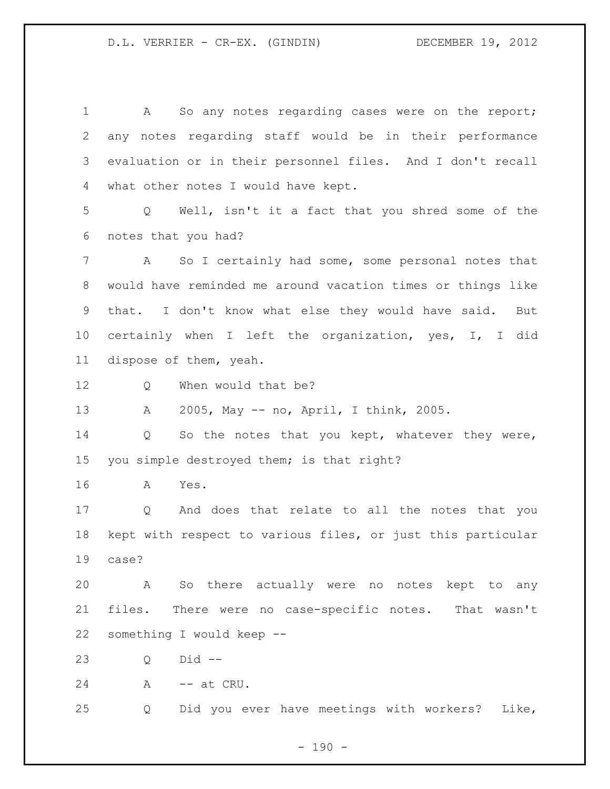1 A So any notes regarding cases were on the report; any notes regarding staff would be in their performance evaluation or in their personnel files. And I don't recall what other notes I would have kept. Q Well, isn't it a fact that you shred some of the notes that you had? A So I certainly had some, some personal notes that would have reminded me around vacation times or things like that. I don't know what else they would have said. But certainly when I left the organization, yes, I, I did dispose of them, yeah. 12 O When would that be? A 2005, May -- no, April, I think, 2005. Q So the notes that you kept, whatever they were, you simple destroyed them; is that right? A Yes. Q And does that relate to all the notes that you kept with respect to various files, or just this particular case? A So there actually were no notes kept to any files. There were no case-specific notes. That wasn't something I would keep -- Q Did -- 24 A -- at CRU. Q Did you ever have meetings with workers? Like,

 $- 190 -$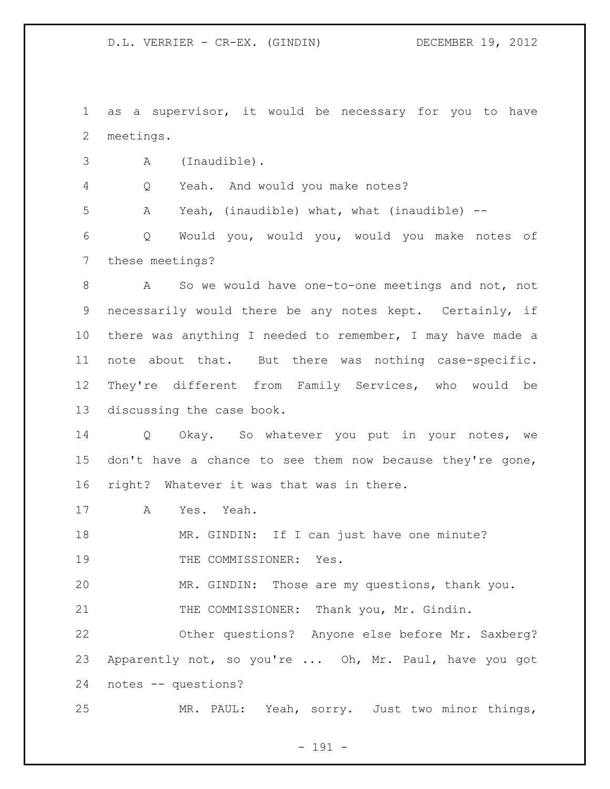D.L. VERRIER - CR-EX. (GINDIN) DECEMBER 19, 2012

 as a supervisor, it would be necessary for you to have meetings.

A (Inaudible).

Q Yeah. And would you make notes?

A Yeah, (inaudible) what, what (inaudible) --

 Q Would you, would you, would you make notes of these meetings?

 A So we would have one-to-one meetings and not, not necessarily would there be any notes kept. Certainly, if there was anything I needed to remember, I may have made a note about that. But there was nothing case-specific. They're different from Family Services, who would be discussing the case book.

 Q Okay. So whatever you put in your notes, we don't have a chance to see them now because they're gone, right? Whatever it was that was in there.

A Yes. Yeah.

18 MR. GINDIN: If I can just have one minute?

19 THE COMMISSIONER: Yes.

MR. GINDIN: Those are my questions, thank you.

21 THE COMMISSIONER: Thank you, Mr. Gindin.

 Other questions? Anyone else before Mr. Saxberg? Apparently not, so you're ... Oh, Mr. Paul, have you got notes -- questions?

MR. PAUL: Yeah, sorry. Just two minor things,

- 191 -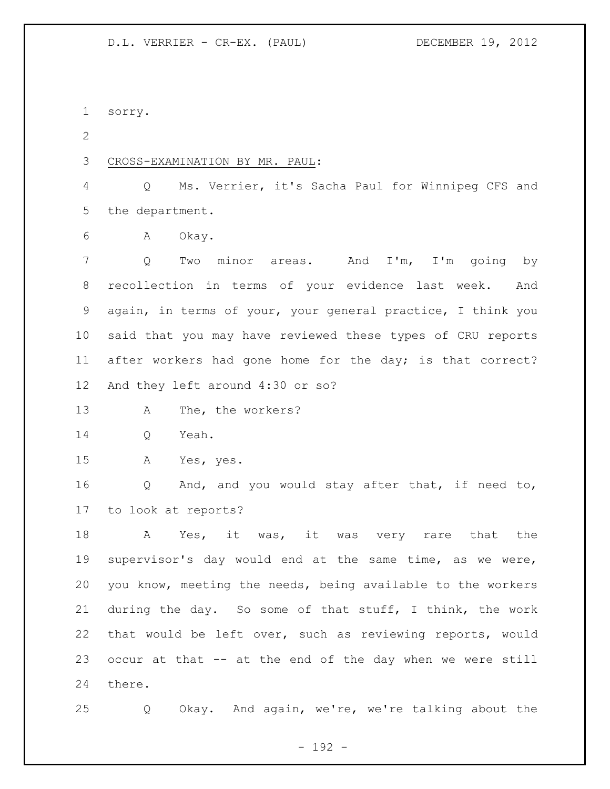sorry.

CROSS-EXAMINATION BY MR. PAUL:

 Q Ms. Verrier, it's Sacha Paul for Winnipeg CFS and the department.

A Okay.

 Q Two minor areas. And I'm, I'm going by recollection in terms of your evidence last week. And again, in terms of your, your general practice, I think you said that you may have reviewed these types of CRU reports 11 after workers had gone home for the day; is that correct? And they left around 4:30 or so?

A The, the workers?

Q Yeah.

A Yes, yes.

 Q And, and you would stay after that, if need to, to look at reports?

18 A Yes, it was, it was very rare that the supervisor's day would end at the same time, as we were, you know, meeting the needs, being available to the workers during the day. So some of that stuff, I think, the work that would be left over, such as reviewing reports, would occur at that -- at the end of the day when we were still there.

Q Okay. And again, we're, we're talking about the

- 192 -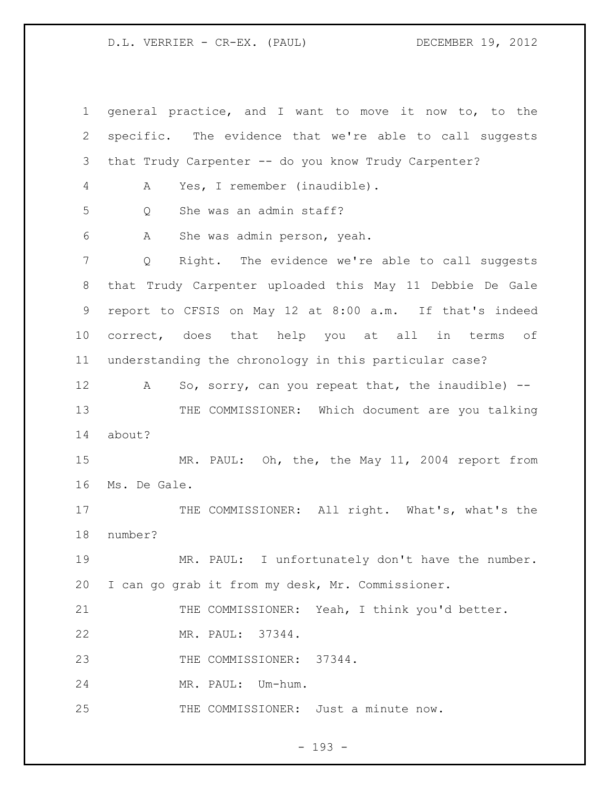D.L. VERRIER - CR-EX. (PAUL) DECEMBER 19, 2012

 general practice, and I want to move it now to, to the specific. The evidence that we're able to call suggests that Trudy Carpenter -- do you know Trudy Carpenter? A Yes, I remember (inaudible). Q She was an admin staff? A She was admin person, yeah. Q Right. The evidence we're able to call suggests that Trudy Carpenter uploaded this May 11 Debbie De Gale report to CFSIS on May 12 at 8:00 a.m. If that's indeed correct, does that help you at all in terms of understanding the chronology in this particular case? 12 A So, sorry, can you repeat that, the inaudible) --13 THE COMMISSIONER: Which document are you talking about? 15 MR. PAUL: Oh, the, the May 11, 2004 report from Ms. De Gale. 17 THE COMMISSIONER: All right. What's, what's the number? MR. PAUL: I unfortunately don't have the number. I can go grab it from my desk, Mr. Commissioner. 21 THE COMMISSIONER: Yeah, I think you'd better. MR. PAUL: 37344. 23 THE COMMISSIONER: 37344. MR. PAUL: Um-hum. 25 THE COMMISSIONER: Just a minute now.

- 193 -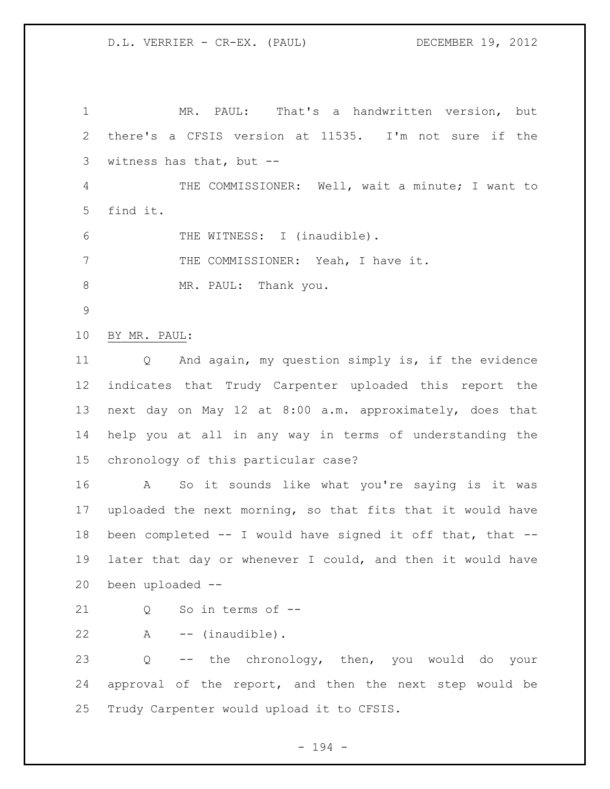MR. PAUL: That's a handwritten version, but there's a CFSIS version at 11535. I'm not sure if the witness has that, but -- THE COMMISSIONER: Well, wait a minute; I want to find it. THE WITNESS: I (inaudible). 7 THE COMMISSIONER: Yeah, I have it. 8 MR. PAUL: Thank you. BY MR. PAUL: Q And again, my question simply is, if the evidence indicates that Trudy Carpenter uploaded this report the next day on May 12 at 8:00 a.m. approximately, does that help you at all in any way in terms of understanding the chronology of this particular case? A So it sounds like what you're saying is it was uploaded the next morning, so that fits that it would have been completed -- I would have signed it off that, that -- later that day or whenever I could, and then it would have been uploaded -- 21 0 So in terms of -- A -- (inaudible). Q -- the chronology, then, you would do your approval of the report, and then the next step would be Trudy Carpenter would upload it to CFSIS.

- 194 -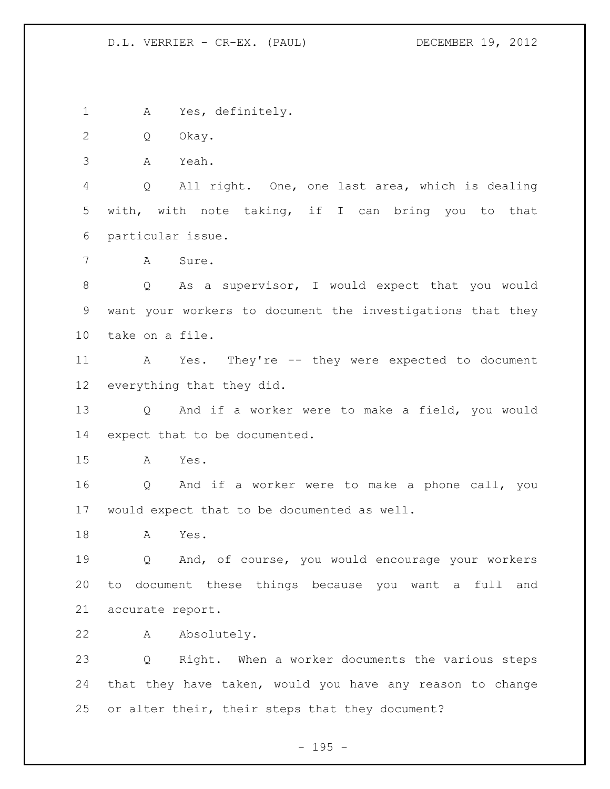D.L. VERRIER - CR-EX. (PAUL) DECEMBER 19, 2012

A Yes, definitely.

Q Okay.

A Yeah.

 Q All right. One, one last area, which is dealing with, with note taking, if I can bring you to that particular issue.

A Sure.

 Q As a supervisor, I would expect that you would want your workers to document the investigations that they take on a file.

 A Yes. They're -- they were expected to document everything that they did.

 Q And if a worker were to make a field, you would expect that to be documented.

A Yes.

 Q And if a worker were to make a phone call, you would expect that to be documented as well.

A Yes.

 Q And, of course, you would encourage your workers to document these things because you want a full and accurate report.

A Absolutely.

 Q Right. When a worker documents the various steps that they have taken, would you have any reason to change 25 or alter their, their steps that they document?

- 195 -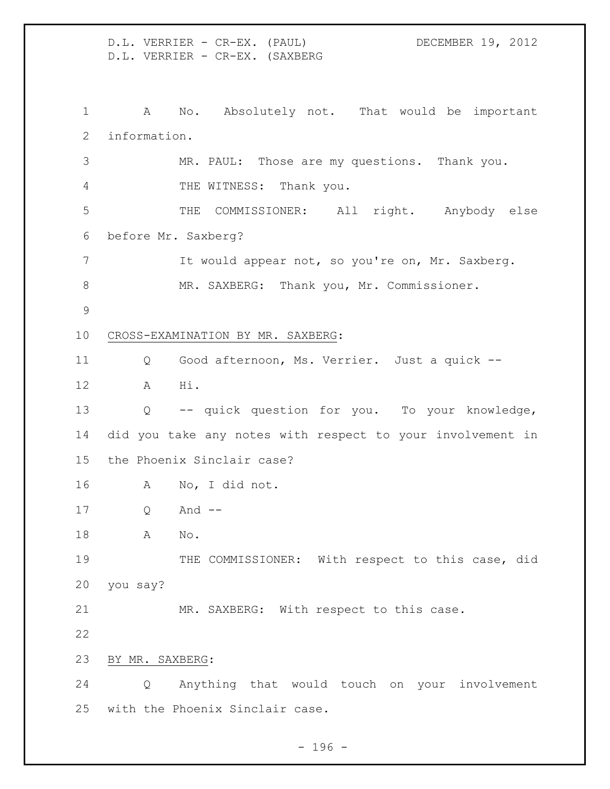D.L. VERRIER - CR-EX. (PAUL) DECEMBER 19, 2012 D.L. VERRIER - CR-EX. (SAXBERG A No. Absolutely not. That would be important information. MR. PAUL: Those are my questions. Thank you. THE WITNESS: Thank you. THE COMMISSIONER: All right. Anybody else before Mr. Saxberg? 7 It would appear not, so you're on, Mr. Saxberg. 8 MR. SAXBERG: Thank you, Mr. Commissioner. CROSS-EXAMINATION BY MR. SAXBERG: Q Good afternoon, Ms. Verrier. Just a quick -- A Hi. Q -- quick question for you. To your knowledge, did you take any notes with respect to your involvement in the Phoenix Sinclair case? A No, I did not. Q And -- A No. 19 THE COMMISSIONER: With respect to this case, did you say? MR. SAXBERG: With respect to this case. BY MR. SAXBERG: Q Anything that would touch on your involvement with the Phoenix Sinclair case.

- 196 -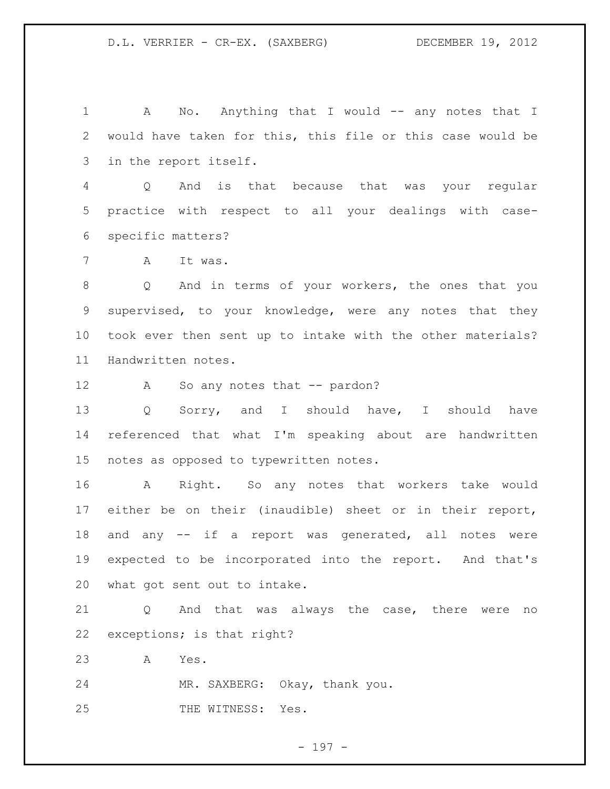1 A No. Anything that I would -- any notes that I would have taken for this, this file or this case would be in the report itself.

 Q And is that because that was your regular practice with respect to all your dealings with case-specific matters?

A It was.

 Q And in terms of your workers, the ones that you supervised, to your knowledge, were any notes that they took ever then sent up to intake with the other materials? Handwritten notes.

12 A So any notes that -- pardon?

 Q Sorry, and I should have, I should have referenced that what I'm speaking about are handwritten notes as opposed to typewritten notes.

 A Right. So any notes that workers take would either be on their (inaudible) sheet or in their report, 18 and any -- if a report was generated, all notes were expected to be incorporated into the report. And that's what got sent out to intake.

 Q And that was always the case, there were no exceptions; is that right?

A Yes.

MR. SAXBERG: Okay, thank you.

25 THE WITNESS: Yes.

- 197 -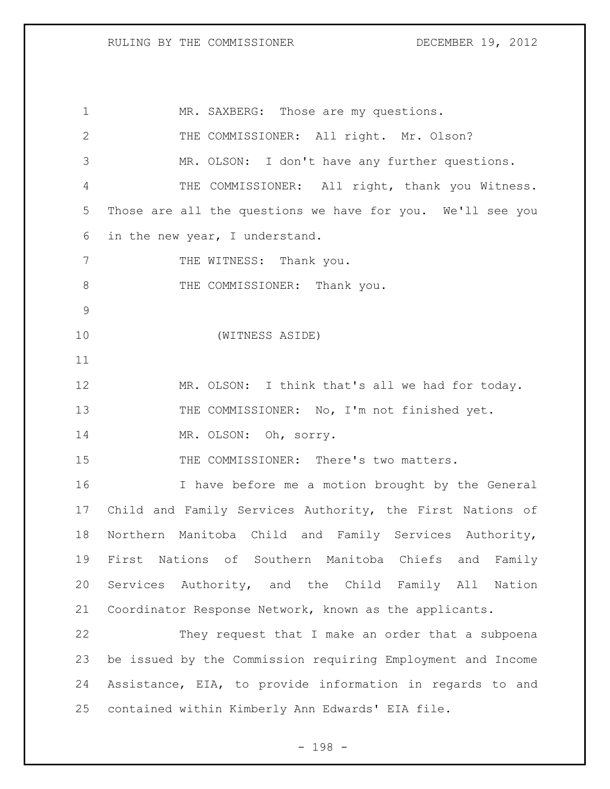| $\mathbf 1$     | MR. SAXBERG: Those are my questions.                        |
|-----------------|-------------------------------------------------------------|
| 2               | THE COMMISSIONER: All right. Mr. Olson?                     |
| 3               | MR. OLSON: I don't have any further questions.              |
| 4               | THE COMMISSIONER: All right, thank you Witness.             |
| 5               | Those are all the questions we have for you. We'll see you  |
| 6               | in the new year, I understand.                              |
| $7\phantom{.0}$ | THE WITNESS: Thank you.                                     |
| 8               | THE COMMISSIONER: Thank you.                                |
| $\mathcal{G}$   |                                                             |
| 10              | (WITNESS ASIDE)                                             |
| 11              |                                                             |
| 12              | MR. OLSON: I think that's all we had for today.             |
| 13              | THE COMMISSIONER: No, I'm not finished yet.                 |
| 14              | MR. OLSON: Oh, sorry.                                       |
| 15              | THE COMMISSIONER: There's two matters.                      |
| 16              | I have before me a motion brought by the General            |
| 17              | Child and Family Services Authority, the First Nations of   |
| 18              | Northern Manitoba Child and Family Services Authority,      |
| 19              | First Nations of Southern Manitoba Chiefs and Family        |
| 20              | Services Authority, and the Child Family All Nation         |
| 21              | Coordinator Response Network, known as the applicants.      |
| 22              | They request that I make an order that a subpoena           |
| 23              | be issued by the Commission requiring Employment and Income |
| 24              | Assistance, EIA, to provide information in regards to and   |
| 25              | contained within Kimberly Ann Edwards' EIA file.            |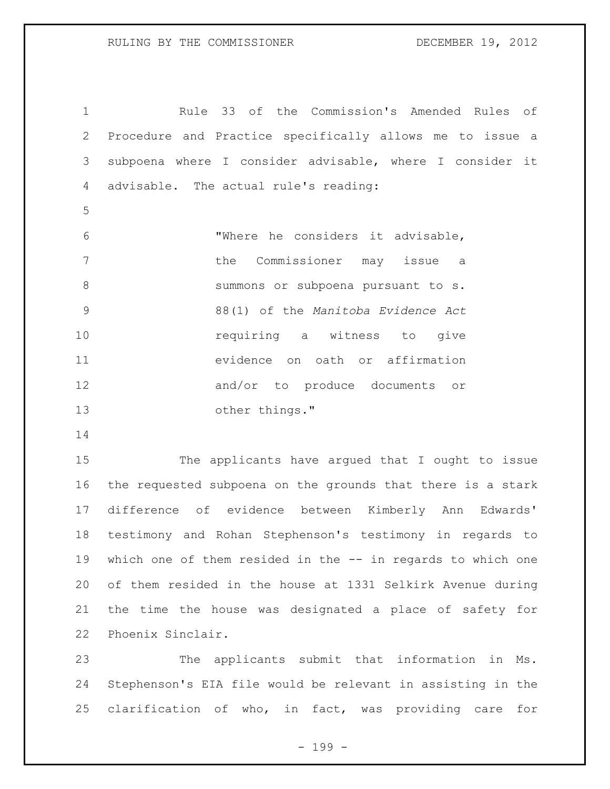Rule 33 of the Commission's Amended Rules of Procedure and Practice specifically allows me to issue a subpoena where I consider advisable, where I consider it advisable. The actual rule's reading: "Where he considers it advisable, the Commissioner may issue a summons or subpoena pursuant to s. 88(1) of the *Manitoba Evidence Act*  **requiring** a witness to give evidence on oath or affirmation and/or to produce documents or other things."

 The applicants have argued that I ought to issue the requested subpoena on the grounds that there is a stark difference of evidence between Kimberly Ann Edwards' testimony and Rohan Stephenson's testimony in regards to which one of them resided in the -- in regards to which one of them resided in the house at 1331 Selkirk Avenue during the time the house was designated a place of safety for Phoenix Sinclair.

 The applicants submit that information in Ms. Stephenson's EIA file would be relevant in assisting in the clarification of who, in fact, was providing care for

- 199 -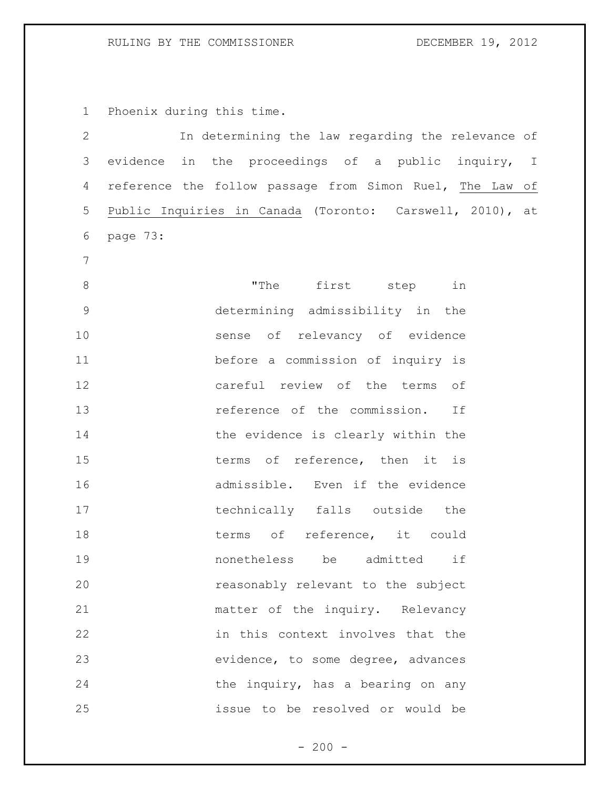## RULING BY THE COMMISSIONER DECEMBER 19, 2012

Phoenix during this time.

| 2              |                                                          | In determining the law regarding the relevance of |             |  |                                    |     |  |
|----------------|----------------------------------------------------------|---------------------------------------------------|-------------|--|------------------------------------|-----|--|
| 3              | evidence in the proceedings of a public inquiry, I       |                                                   |             |  |                                    |     |  |
| 4              | reference the follow passage from Simon Ruel, The Law of |                                                   |             |  |                                    |     |  |
| 5              | Public Inquiries in Canada (Toronto: Carswell, 2010), at |                                                   |             |  |                                    |     |  |
| 6              | page 73:                                                 |                                                   |             |  |                                    |     |  |
| $\overline{7}$ |                                                          |                                                   |             |  |                                    |     |  |
| $8\,$          |                                                          |                                                   |             |  | "The first step in                 |     |  |
| $\mathsf 9$    |                                                          |                                                   |             |  | determining admissibility in the   |     |  |
| 10             |                                                          |                                                   |             |  | sense of relevancy of evidence     |     |  |
| 11             |                                                          |                                                   |             |  | before a commission of inquiry is  |     |  |
| 12             |                                                          |                                                   |             |  | careful review of the terms of     |     |  |
| 13             |                                                          |                                                   |             |  | reference of the commission.       | If  |  |
| 14             |                                                          |                                                   |             |  | the evidence is clearly within the |     |  |
| 15             |                                                          |                                                   |             |  | terms of reference, then it is     |     |  |
| 16             |                                                          |                                                   |             |  | admissible. Even if the evidence   |     |  |
| 17             |                                                          |                                                   |             |  | technically falls outside          | the |  |
| 18             |                                                          |                                                   |             |  | terms of reference, it could       |     |  |
| 19             |                                                          |                                                   | nonetheless |  | be admitted                        | if  |  |
| 20             |                                                          |                                                   |             |  | reasonably relevant to the subject |     |  |
| 21             |                                                          |                                                   |             |  | matter of the inquiry. Relevancy   |     |  |
| 22             |                                                          |                                                   |             |  | in this context involves that the  |     |  |
| 23             |                                                          |                                                   |             |  | evidence, to some degree, advances |     |  |
| 24             |                                                          |                                                   |             |  | the inquiry, has a bearing on any  |     |  |
| 25             |                                                          |                                                   |             |  | issue to be resolved or would be   |     |  |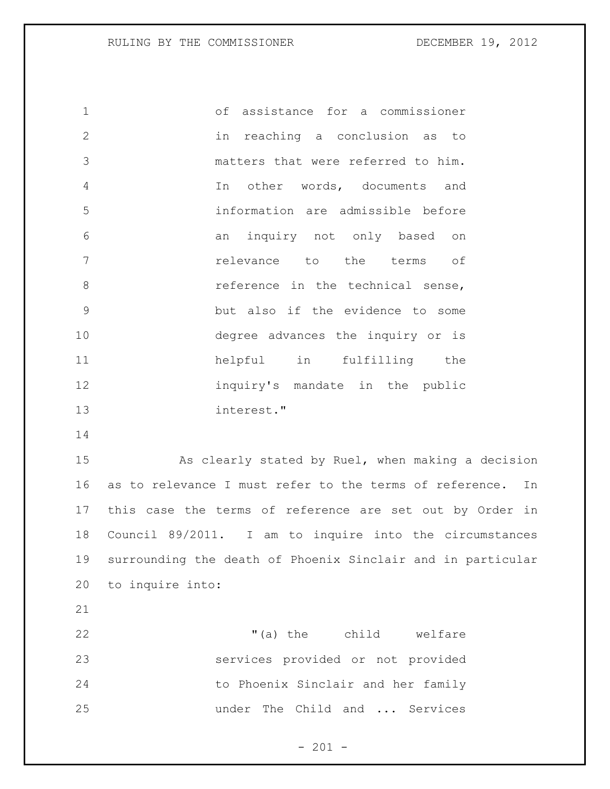of assistance for a commissioner in reaching a conclusion as to matters that were referred to him. In other words, documents and information are admissible before an inquiry not only based on relevance to the terms of 8 and the technical sense, but also if the evidence to some degree advances the inquiry or is helpful in fulfilling the inquiry's mandate in the public interest."

 As clearly stated by Ruel, when making a decision as to relevance I must refer to the terms of reference. In this case the terms of reference are set out by Order in Council 89/2011. I am to inquire into the circumstances surrounding the death of Phoenix Sinclair and in particular to inquire into:

22 T(a) the child welfare services provided or not provided to Phoenix Sinclair and her family under The Child and ... Services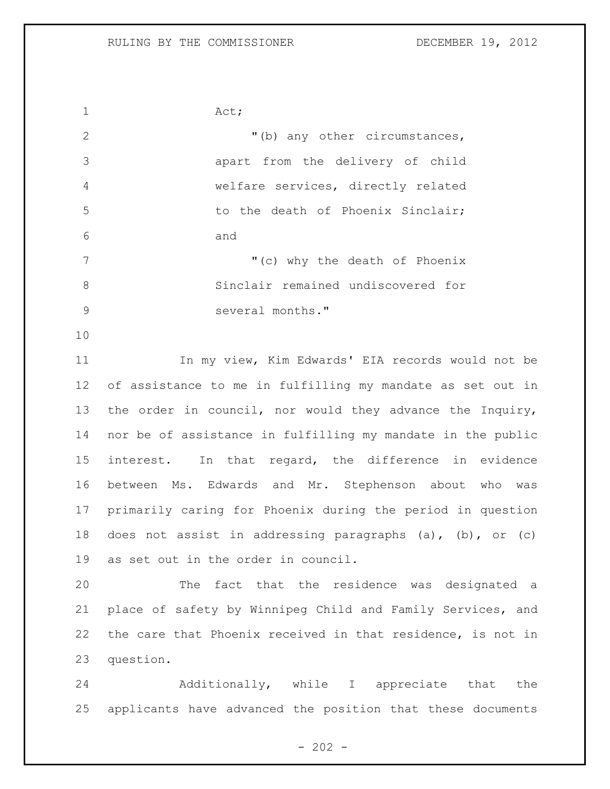1 Act; 2 "(b) any other circumstances, apart from the delivery of child welfare services, directly related 5 to the death of Phoenix Sinclair; and 7 The Contract Contract Contract Contract Contract Contract Contract Contract Contract Contract Contract Contract Contract Contract Contract Contract Contract Contract Contract Contract Contract Contract Contract Contract Sinclair remained undiscovered for 9 several months." In my view, Kim Edwards' EIA records would not be of assistance to me in fulfilling my mandate as set out in the order in council, nor would they advance the Inquiry, nor be of assistance in fulfilling my mandate in the public interest. In that regard, the difference in evidence between Ms. Edwards and Mr. Stephenson about who was primarily caring for Phoenix during the period in question does not assist in addressing paragraphs (a), (b), or (c) as set out in the order in council. The fact that the residence was designated a place of safety by Winnipeg Child and Family Services, and the care that Phoenix received in that residence, is not in question. Additionally, while I appreciate that the applicants have advanced the position that these documents

 $- 202 -$